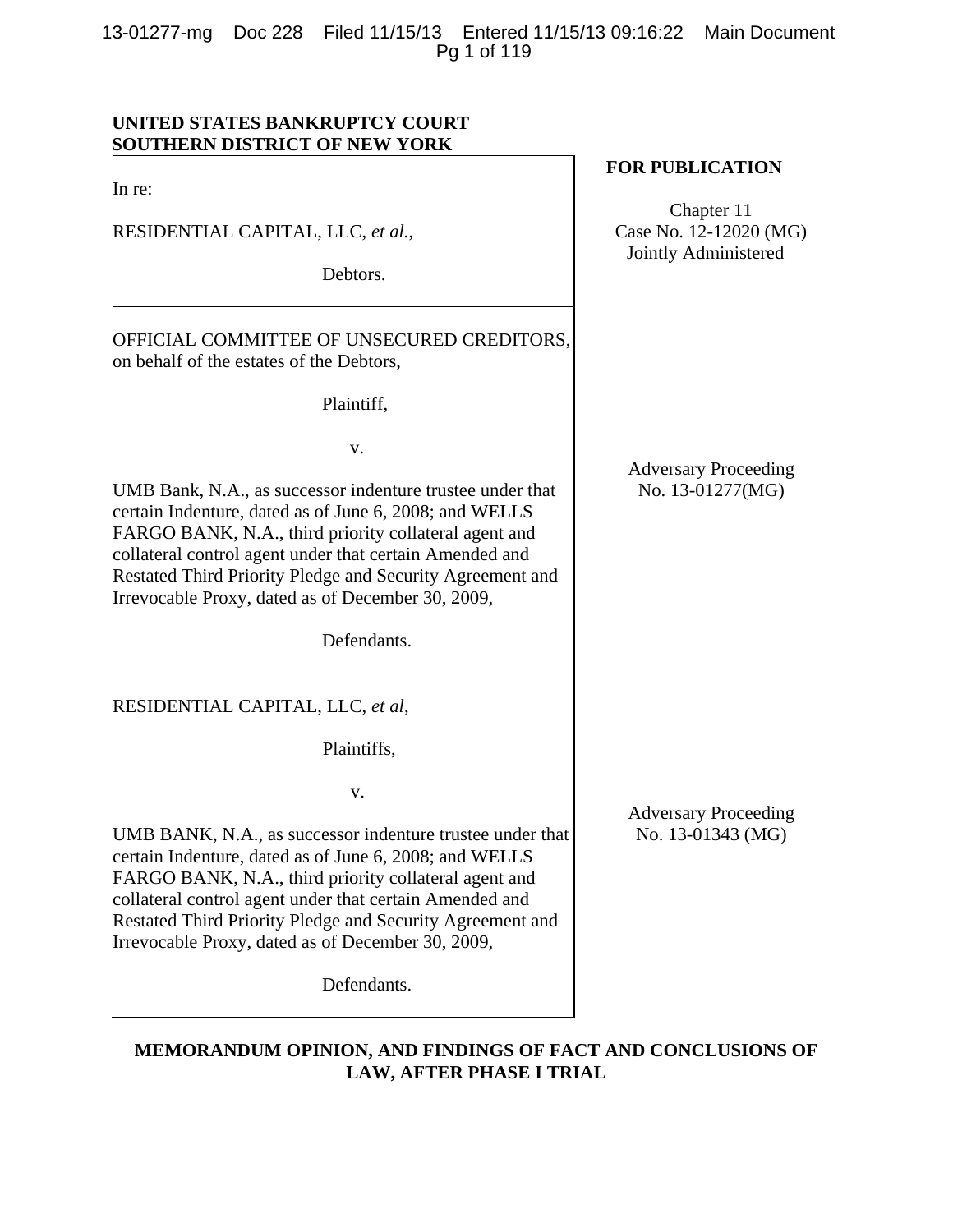13-01277-mg Doc 228 Filed 11/15/13 Entered 11/15/13 09:16:22 Main Document Pg 1 of 119

## **UNITED STATES BANKRUPTCY COURT SOUTHERN DISTRICT OF NEW YORK**

In re:

RESIDENTIAL CAPITAL, LLC, *et al.*,

Debtors.

OFFICIAL COMMITTEE OF UNSECURED CREDITORS, on behalf of the estates of the Debtors,

Plaintiff,

v.

UMB Bank, N.A., as successor indenture trustee under that certain Indenture, dated as of June 6, 2008; and WELLS FARGO BANK, N.A., third priority collateral agent and collateral control agent under that certain Amended and Restated Third Priority Pledge and Security Agreement and Irrevocable Proxy, dated as of December 30, 2009,

Defendants.

RESIDENTIAL CAPITAL, LLC, *et al*,

Plaintiffs,

v.

UMB BANK, N.A., as successor indenture trustee under that certain Indenture, dated as of June 6, 2008; and WELLS FARGO BANK, N.A., third priority collateral agent and collateral control agent under that certain Amended and Restated Third Priority Pledge and Security Agreement and Irrevocable Proxy, dated as of December 30, 2009,

Defendants.

**FOR PUBLICATION**

Chapter 11 Case No. 12-12020 (MG) Jointly Administered

Adversary Proceeding No. 13-01277(MG)

Adversary Proceeding No. 13-01343 (MG)

**MEMORANDUM OPINION, AND FINDINGS OF FACT AND CONCLUSIONS OF LAW, AFTER PHASE I TRIAL**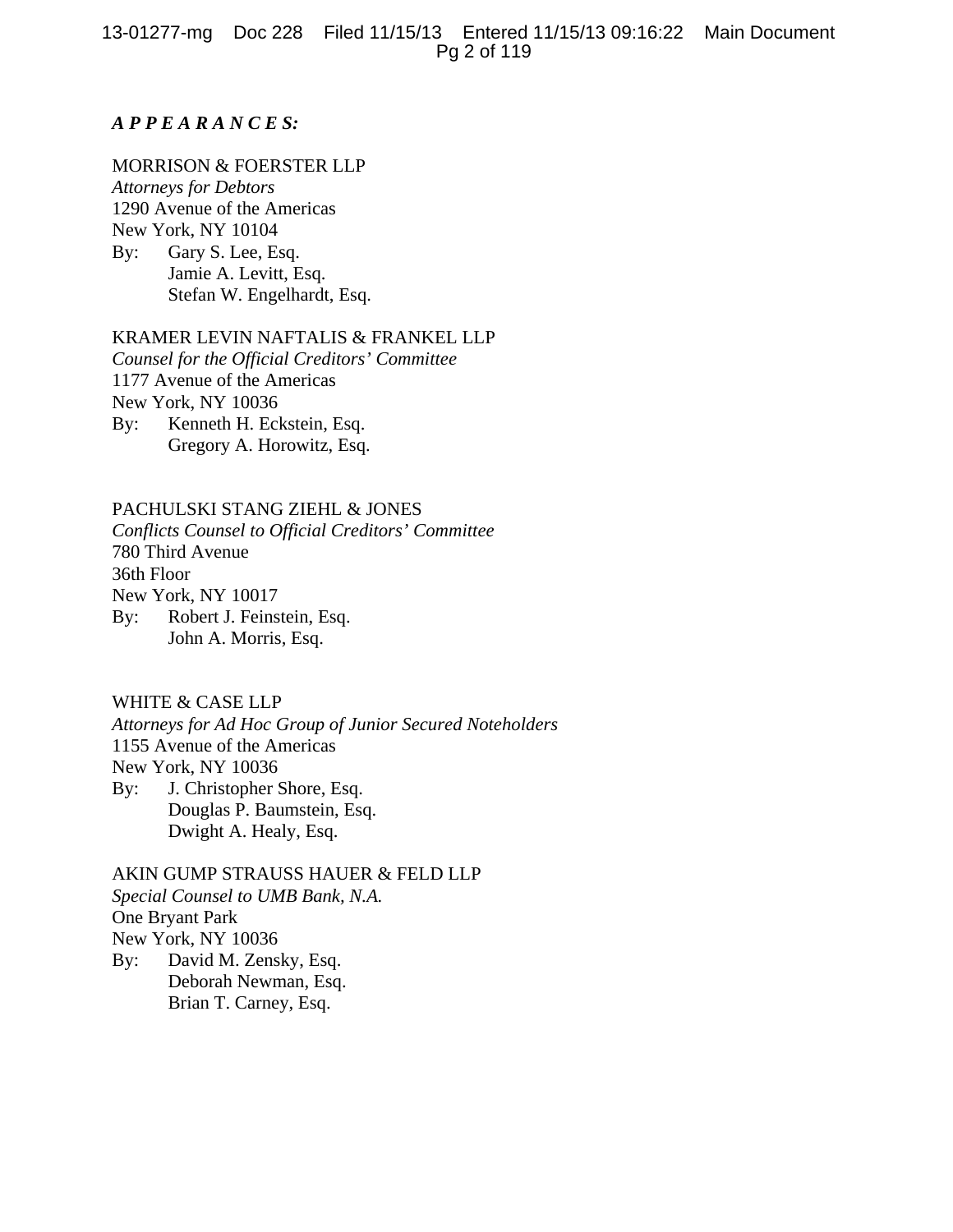## *A P P E A R A N C E S:*

## MORRISON & FOERSTER LLP

*Attorneys for Debtors*  1290 Avenue of the Americas New York, NY 10104 By: Gary S. Lee, Esq. Jamie A. Levitt, Esq. Stefan W. Engelhardt, Esq.

#### KRAMER LEVIN NAFTALIS & FRANKEL LLP

*Counsel for the Official Creditors' Committee*  1177 Avenue of the Americas New York, NY 10036 By: Kenneth H. Eckstein, Esq. Gregory A. Horowitz, Esq.

#### PACHULSKI STANG ZIEHL & JONES

*Conflicts Counsel to Official Creditors' Committee* 780 Third Avenue 36th Floor New York, NY 10017

By: Robert J. Feinstein, Esq. John A. Morris, Esq.

## WHITE & CASE LLP

*Attorneys for Ad Hoc Group of Junior Secured Noteholders* 1155 Avenue of the Americas New York, NY 10036 By: J. Christopher Shore, Esq. Douglas P. Baumstein, Esq. Dwight A. Healy, Esq.

# AKIN GUMP STRAUSS HAUER & FELD LLP *Special Counsel to UMB Bank, N.A.*  One Bryant Park New York, NY 10036 By: David M. Zensky, Esq.

 Deborah Newman, Esq. Brian T. Carney, Esq.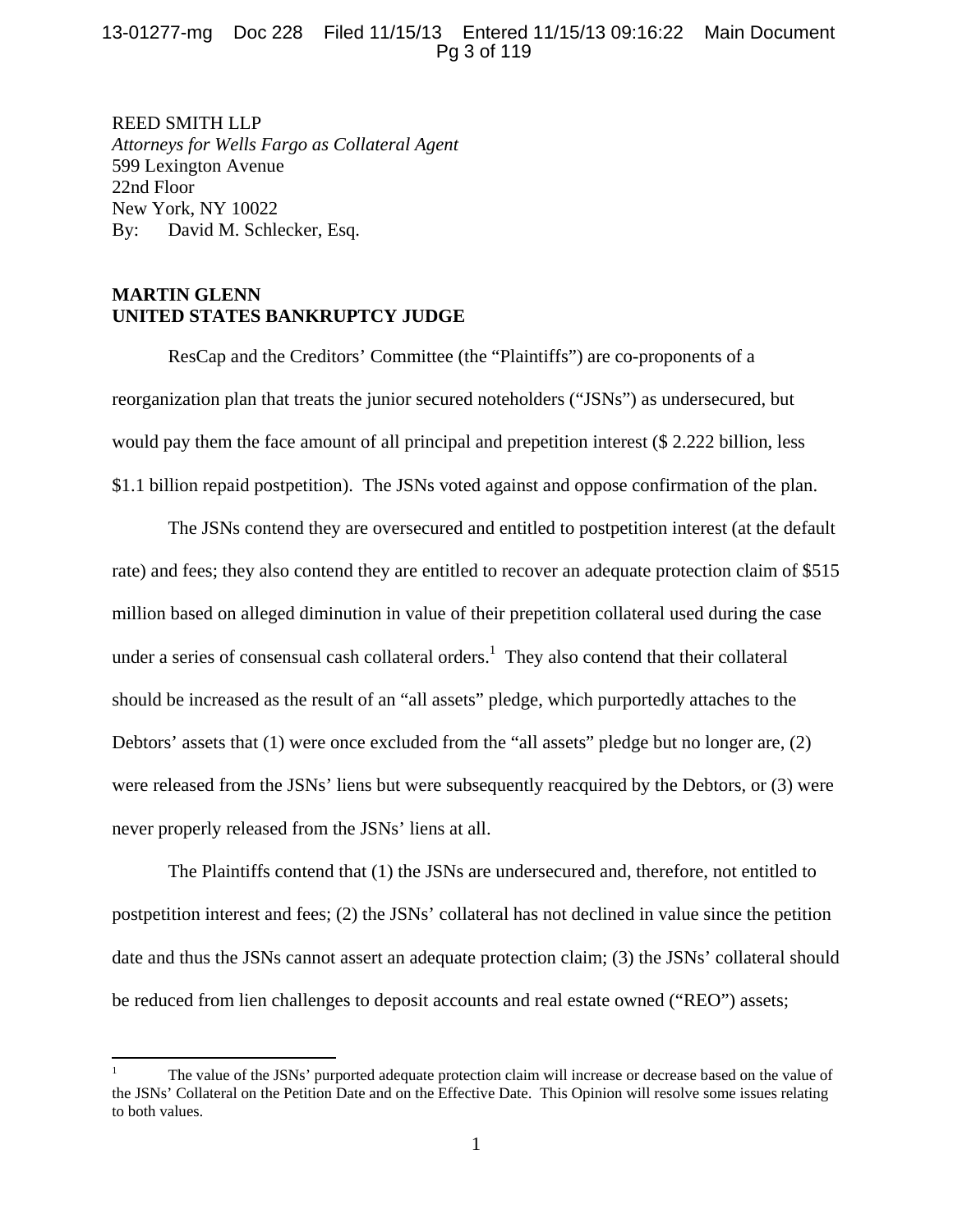## 13-01277-mg Doc 228 Filed 11/15/13 Entered 11/15/13 09:16:22 Main Document Pg 3 of 119

REED SMITH LLP *Attorneys for Wells Fargo as Collateral Agent*  599 Lexington Avenue 22nd Floor New York, NY 10022 By: David M. Schlecker, Esq.

## **MARTIN GLENN UNITED STATES BANKRUPTCY JUDGE**

ResCap and the Creditors' Committee (the "Plaintiffs") are co-proponents of a reorganization plan that treats the junior secured noteholders ("JSNs") as undersecured, but would pay them the face amount of all principal and prepetition interest (\$ 2.222 billion, less \$1.1 billion repaid postpetition). The JSNs voted against and oppose confirmation of the plan.

The JSNs contend they are oversecured and entitled to postpetition interest (at the default rate) and fees; they also contend they are entitled to recover an adequate protection claim of \$515 million based on alleged diminution in value of their prepetition collateral used during the case under a series of consensual cash collateral orders.<sup>1</sup> They also contend that their collateral should be increased as the result of an "all assets" pledge, which purportedly attaches to the Debtors' assets that (1) were once excluded from the "all assets" pledge but no longer are, (2) were released from the JSNs' liens but were subsequently reacquired by the Debtors, or (3) were never properly released from the JSNs' liens at all.

The Plaintiffs contend that (1) the JSNs are undersecured and, therefore, not entitled to postpetition interest and fees; (2) the JSNs' collateral has not declined in value since the petition date and thus the JSNs cannot assert an adequate protection claim; (3) the JSNs' collateral should be reduced from lien challenges to deposit accounts and real estate owned ("REO") assets;

<sup>1</sup> The value of the JSNs' purported adequate protection claim will increase or decrease based on the value of the JSNs' Collateral on the Petition Date and on the Effective Date. This Opinion will resolve some issues relating to both values.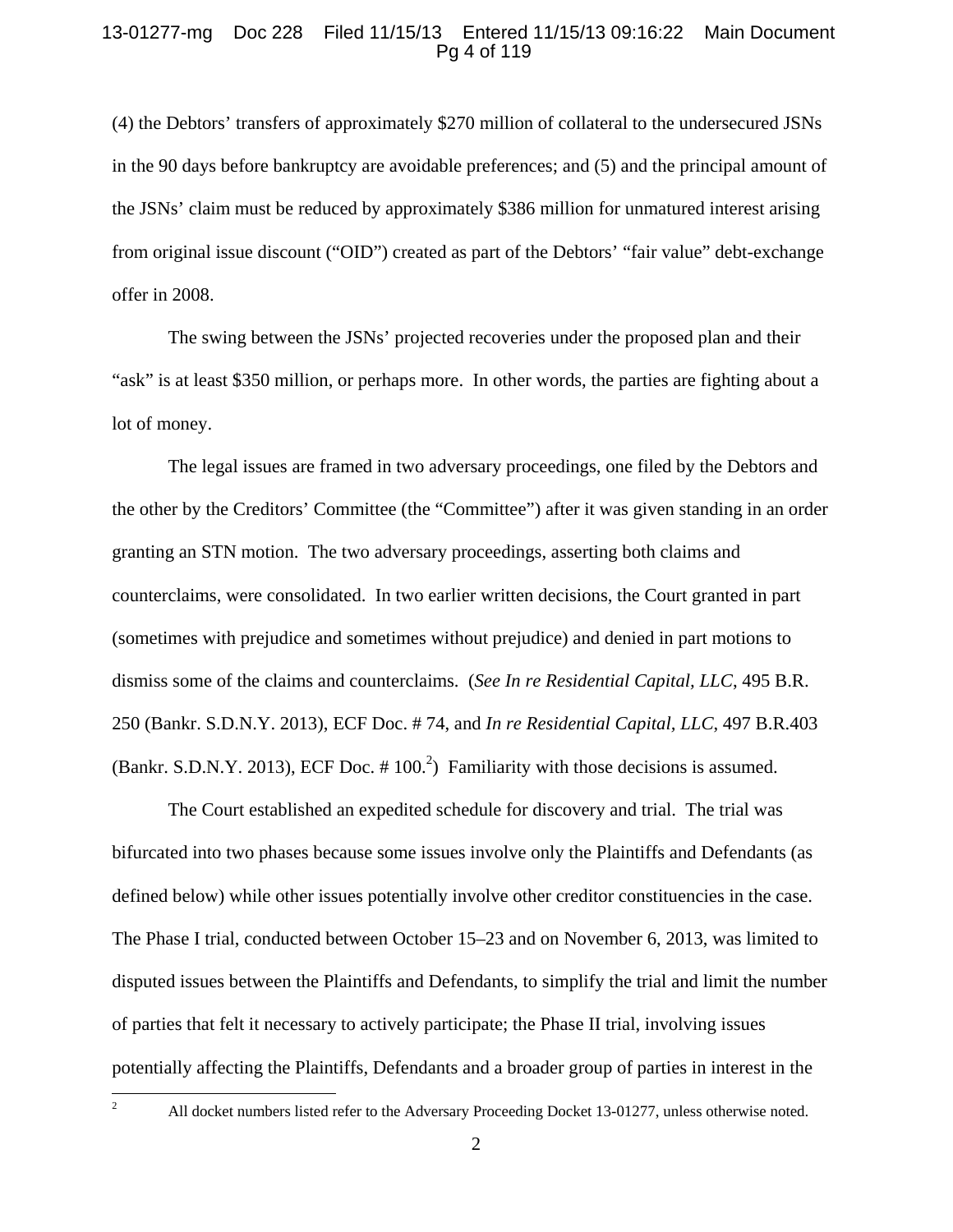### 13-01277-mg Doc 228 Filed 11/15/13 Entered 11/15/13 09:16:22 Main Document Pg 4 of 119

(4) the Debtors' transfers of approximately \$270 million of collateral to the undersecured JSNs in the 90 days before bankruptcy are avoidable preferences; and (5) and the principal amount of the JSNs' claim must be reduced by approximately \$386 million for unmatured interest arising from original issue discount ("OID") created as part of the Debtors' "fair value" debt-exchange offer in 2008.

The swing between the JSNs' projected recoveries under the proposed plan and their "ask" is at least \$350 million, or perhaps more. In other words, the parties are fighting about a lot of money.

The legal issues are framed in two adversary proceedings, one filed by the Debtors and the other by the Creditors' Committee (the "Committee") after it was given standing in an order granting an STN motion. The two adversary proceedings, asserting both claims and counterclaims, were consolidated. In two earlier written decisions, the Court granted in part (sometimes with prejudice and sometimes without prejudice) and denied in part motions to dismiss some of the claims and counterclaims. (*See In re Residential Capital, LLC*, 495 B.R. 250 (Bankr. S.D.N.Y. 2013), ECF Doc. # 74, and *In re Residential Capital, LLC*, 497 B.R.403 (Bankr. S.D.N.Y. 2013), ECF Doc.  $# 100<sup>2</sup>$ ) Familiarity with those decisions is assumed.

The Court established an expedited schedule for discovery and trial. The trial was bifurcated into two phases because some issues involve only the Plaintiffs and Defendants (as defined below) while other issues potentially involve other creditor constituencies in the case. The Phase I trial, conducted between October 15–23 and on November 6, 2013, was limited to disputed issues between the Plaintiffs and Defendants, to simplify the trial and limit the number of parties that felt it necessary to actively participate; the Phase II trial, involving issues potentially affecting the Plaintiffs, Defendants and a broader group of parties in interest in the

All docket numbers listed refer to the Adversary Proceeding Docket 13-01277, unless otherwise noted.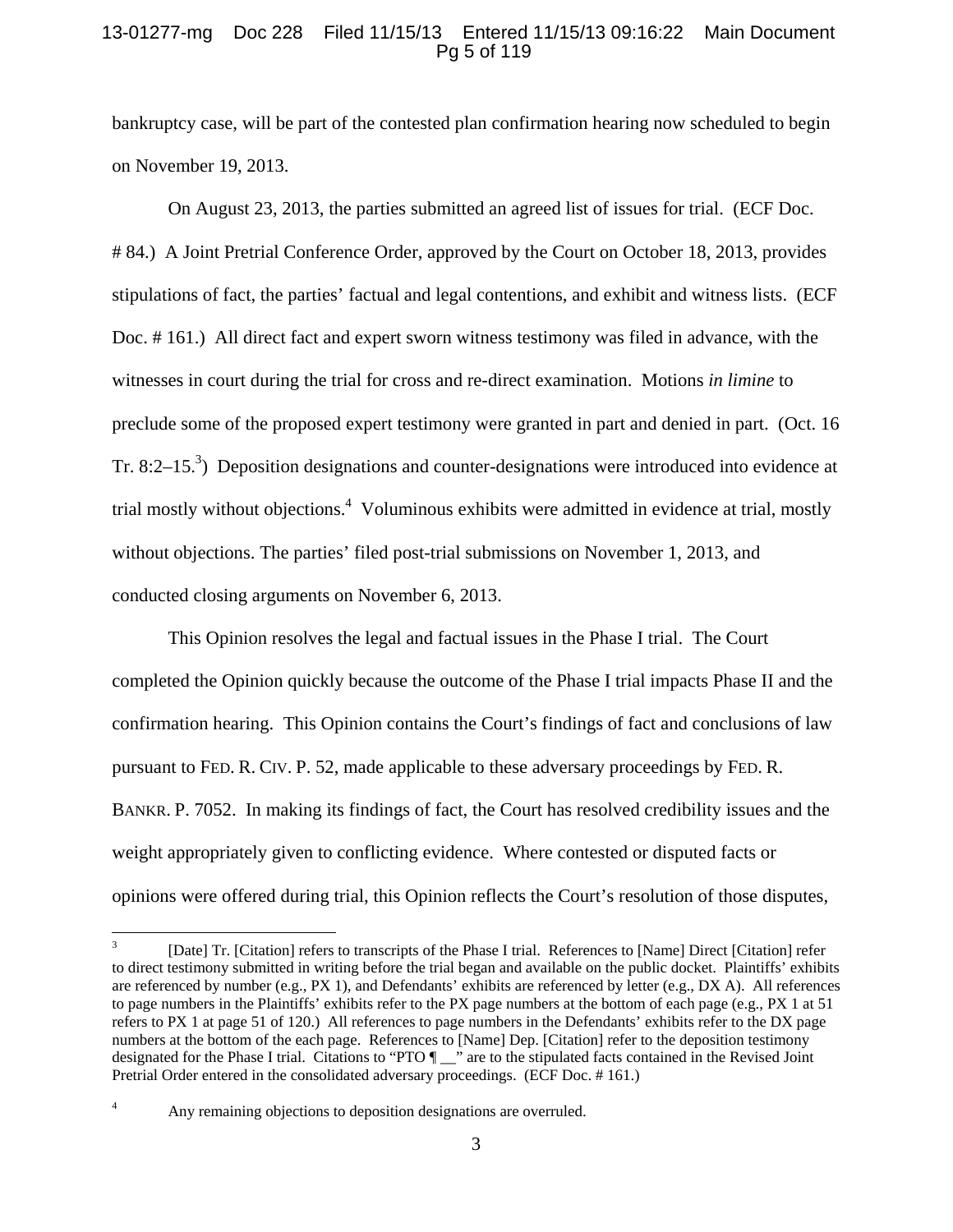## 13-01277-mg Doc 228 Filed 11/15/13 Entered 11/15/13 09:16:22 Main Document Pg 5 of 119

bankruptcy case, will be part of the contested plan confirmation hearing now scheduled to begin on November 19, 2013.

On August 23, 2013, the parties submitted an agreed list of issues for trial. (ECF Doc. # 84.) A Joint Pretrial Conference Order, approved by the Court on October 18, 2013, provides stipulations of fact, the parties' factual and legal contentions, and exhibit and witness lists. (ECF Doc. # 161.) All direct fact and expert sworn witness testimony was filed in advance, with the witnesses in court during the trial for cross and re-direct examination. Motions *in limine* to preclude some of the proposed expert testimony were granted in part and denied in part. (Oct. 16 Tr. 8:2–15.<sup>3</sup>) Deposition designations and counter-designations were introduced into evidence at trial mostly without objections.<sup>4</sup> Voluminous exhibits were admitted in evidence at trial, mostly without objections. The parties' filed post-trial submissions on November 1, 2013, and conducted closing arguments on November 6, 2013.

This Opinion resolves the legal and factual issues in the Phase I trial. The Court completed the Opinion quickly because the outcome of the Phase I trial impacts Phase II and the confirmation hearing. This Opinion contains the Court's findings of fact and conclusions of law pursuant to FED. R. CIV. P. 52, made applicable to these adversary proceedings by FED. R. BANKR. P. 7052. In making its findings of fact, the Court has resolved credibility issues and the weight appropriately given to conflicting evidence. Where contested or disputed facts or opinions were offered during trial, this Opinion reflects the Court's resolution of those disputes,

<sup>3</sup> [Date] Tr. [Citation] refers to transcripts of the Phase I trial. References to [Name] Direct [Citation] refer to direct testimony submitted in writing before the trial began and available on the public docket. Plaintiffs' exhibits are referenced by number (e.g.,  $PX$  1), and Defendants' exhibits are referenced by letter (e.g.,  $DX$  A). All references to page numbers in the Plaintiffs' exhibits refer to the PX page numbers at the bottom of each page (e.g., PX 1 at 51 refers to PX 1 at page 51 of 120.) All references to page numbers in the Defendants' exhibits refer to the DX page numbers at the bottom of the each page. References to [Name] Dep. [Citation] refer to the deposition testimony designated for the Phase I trial. Citations to "PTO  $\P$ " are to the stipulated facts contained in the Revised Joint Pretrial Order entered in the consolidated adversary proceedings. (ECF Doc. # 161.)

<sup>4</sup> Any remaining objections to deposition designations are overruled.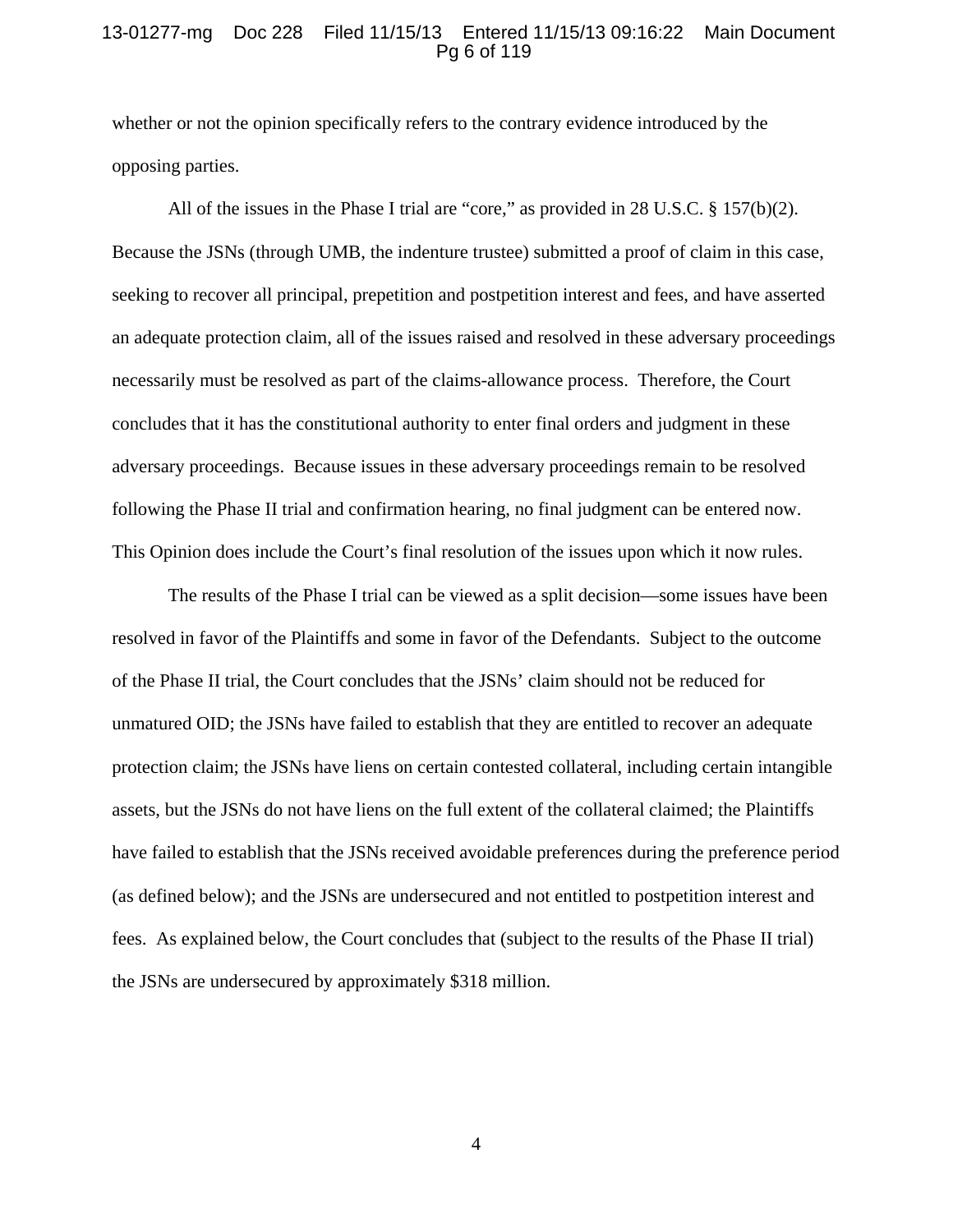### 13-01277-mg Doc 228 Filed 11/15/13 Entered 11/15/13 09:16:22 Main Document Pg 6 of 119

whether or not the opinion specifically refers to the contrary evidence introduced by the opposing parties.

All of the issues in the Phase I trial are "core," as provided in 28 U.S.C. § 157(b)(2). Because the JSNs (through UMB, the indenture trustee) submitted a proof of claim in this case, seeking to recover all principal, prepetition and postpetition interest and fees, and have asserted an adequate protection claim, all of the issues raised and resolved in these adversary proceedings necessarily must be resolved as part of the claims-allowance process. Therefore, the Court concludes that it has the constitutional authority to enter final orders and judgment in these adversary proceedings. Because issues in these adversary proceedings remain to be resolved following the Phase II trial and confirmation hearing, no final judgment can be entered now. This Opinion does include the Court's final resolution of the issues upon which it now rules.

The results of the Phase I trial can be viewed as a split decision—some issues have been resolved in favor of the Plaintiffs and some in favor of the Defendants. Subject to the outcome of the Phase II trial, the Court concludes that the JSNs' claim should not be reduced for unmatured OID; the JSNs have failed to establish that they are entitled to recover an adequate protection claim; the JSNs have liens on certain contested collateral, including certain intangible assets, but the JSNs do not have liens on the full extent of the collateral claimed; the Plaintiffs have failed to establish that the JSNs received avoidable preferences during the preference period (as defined below); and the JSNs are undersecured and not entitled to postpetition interest and fees. As explained below, the Court concludes that (subject to the results of the Phase II trial) the JSNs are undersecured by approximately \$318 million.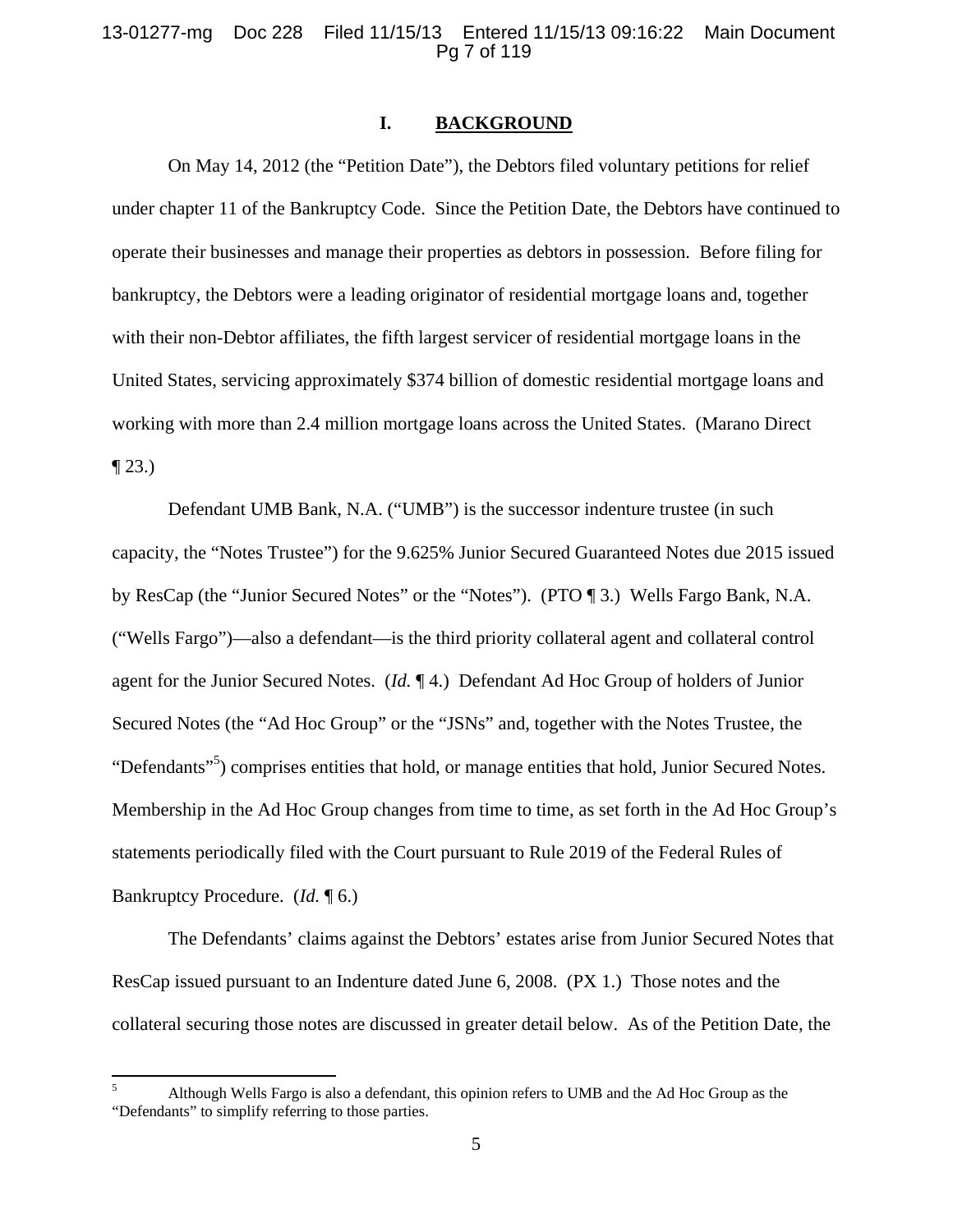### 13-01277-mg Doc 228 Filed 11/15/13 Entered 11/15/13 09:16:22 Main Document Pg 7 of 119

#### **I. BACKGROUND**

On May 14, 2012 (the "Petition Date"), the Debtors filed voluntary petitions for relief under chapter 11 of the Bankruptcy Code. Since the Petition Date, the Debtors have continued to operate their businesses and manage their properties as debtors in possession. Before filing for bankruptcy, the Debtors were a leading originator of residential mortgage loans and, together with their non-Debtor affiliates, the fifth largest servicer of residential mortgage loans in the United States, servicing approximately \$374 billion of domestic residential mortgage loans and working with more than 2.4 million mortgage loans across the United States. (Marano Direct  $\P$  23.)

Defendant UMB Bank, N.A. ("UMB") is the successor indenture trustee (in such capacity, the "Notes Trustee") for the 9.625% Junior Secured Guaranteed Notes due 2015 issued by ResCap (the "Junior Secured Notes" or the "Notes"). (PTO ¶ 3.) Wells Fargo Bank, N.A. ("Wells Fargo")—also a defendant—is the third priority collateral agent and collateral control agent for the Junior Secured Notes. (*Id.* ¶ 4.) Defendant Ad Hoc Group of holders of Junior Secured Notes (the "Ad Hoc Group" or the "JSNs" and, together with the Notes Trustee, the "Defendants"<sup>5</sup>) comprises entities that hold, or manage entities that hold, Junior Secured Notes. Membership in the Ad Hoc Group changes from time to time, as set forth in the Ad Hoc Group's statements periodically filed with the Court pursuant to Rule 2019 of the Federal Rules of Bankruptcy Procedure. (*Id.* ¶ 6.)

The Defendants' claims against the Debtors' estates arise from Junior Secured Notes that ResCap issued pursuant to an Indenture dated June 6, 2008. (PX 1.) Those notes and the collateral securing those notes are discussed in greater detail below. As of the Petition Date, the

<sup>5</sup> Although Wells Fargo is also a defendant, this opinion refers to UMB and the Ad Hoc Group as the "Defendants" to simplify referring to those parties.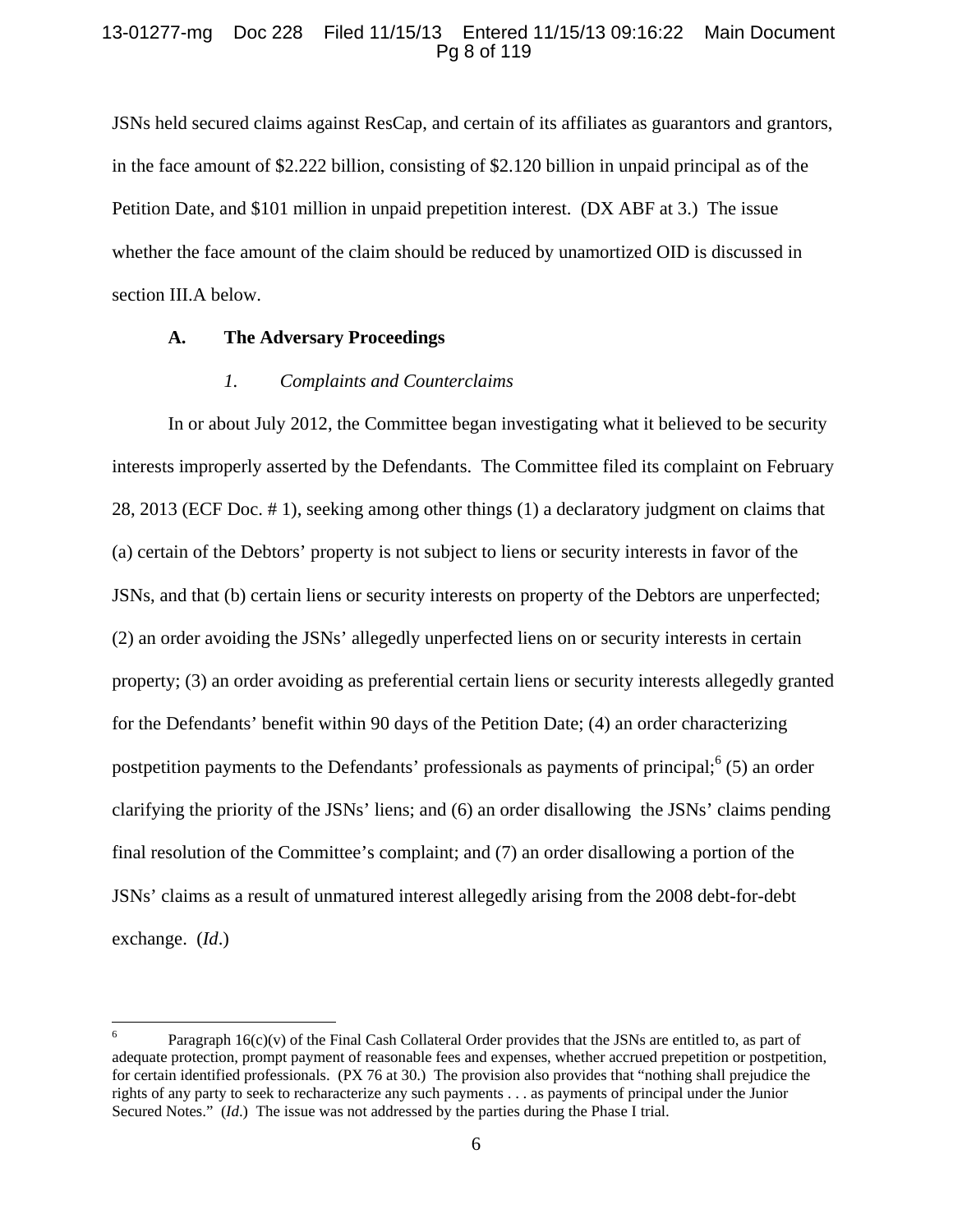## 13-01277-mg Doc 228 Filed 11/15/13 Entered 11/15/13 09:16:22 Main Document Pg 8 of 119

JSNs held secured claims against ResCap, and certain of its affiliates as guarantors and grantors, in the face amount of \$2.222 billion, consisting of \$2.120 billion in unpaid principal as of the Petition Date, and \$101 million in unpaid prepetition interest. (DX ABF at 3.) The issue whether the face amount of the claim should be reduced by unamortized OID is discussed in section III.A below.

### **A. The Adversary Proceedings**

#### *1. Complaints and Counterclaims*

In or about July 2012, the Committee began investigating what it believed to be security interests improperly asserted by the Defendants. The Committee filed its complaint on February 28, 2013 (ECF Doc. # 1), seeking among other things (1) a declaratory judgment on claims that (a) certain of the Debtors' property is not subject to liens or security interests in favor of the JSNs, and that (b) certain liens or security interests on property of the Debtors are unperfected; (2) an order avoiding the JSNs' allegedly unperfected liens on or security interests in certain property; (3) an order avoiding as preferential certain liens or security interests allegedly granted for the Defendants' benefit within 90 days of the Petition Date; (4) an order characterizing postpetition payments to the Defendants' professionals as payments of principal;  $(5)$  an order clarifying the priority of the JSNs' liens; and (6) an order disallowing the JSNs' claims pending final resolution of the Committee's complaint; and (7) an order disallowing a portion of the JSNs' claims as a result of unmatured interest allegedly arising from the 2008 debt-for-debt exchange. (*Id*.)

<sup>6</sup> Paragraph  $16(c)(v)$  of the Final Cash Collateral Order provides that the JSNs are entitled to, as part of adequate protection, prompt payment of reasonable fees and expenses, whether accrued prepetition or postpetition, for certain identified professionals. (PX 76 at 30.) The provision also provides that "nothing shall prejudice the rights of any party to seek to recharacterize any such payments . . . as payments of principal under the Junior Secured Notes." (*Id*.) The issue was not addressed by the parties during the Phase I trial.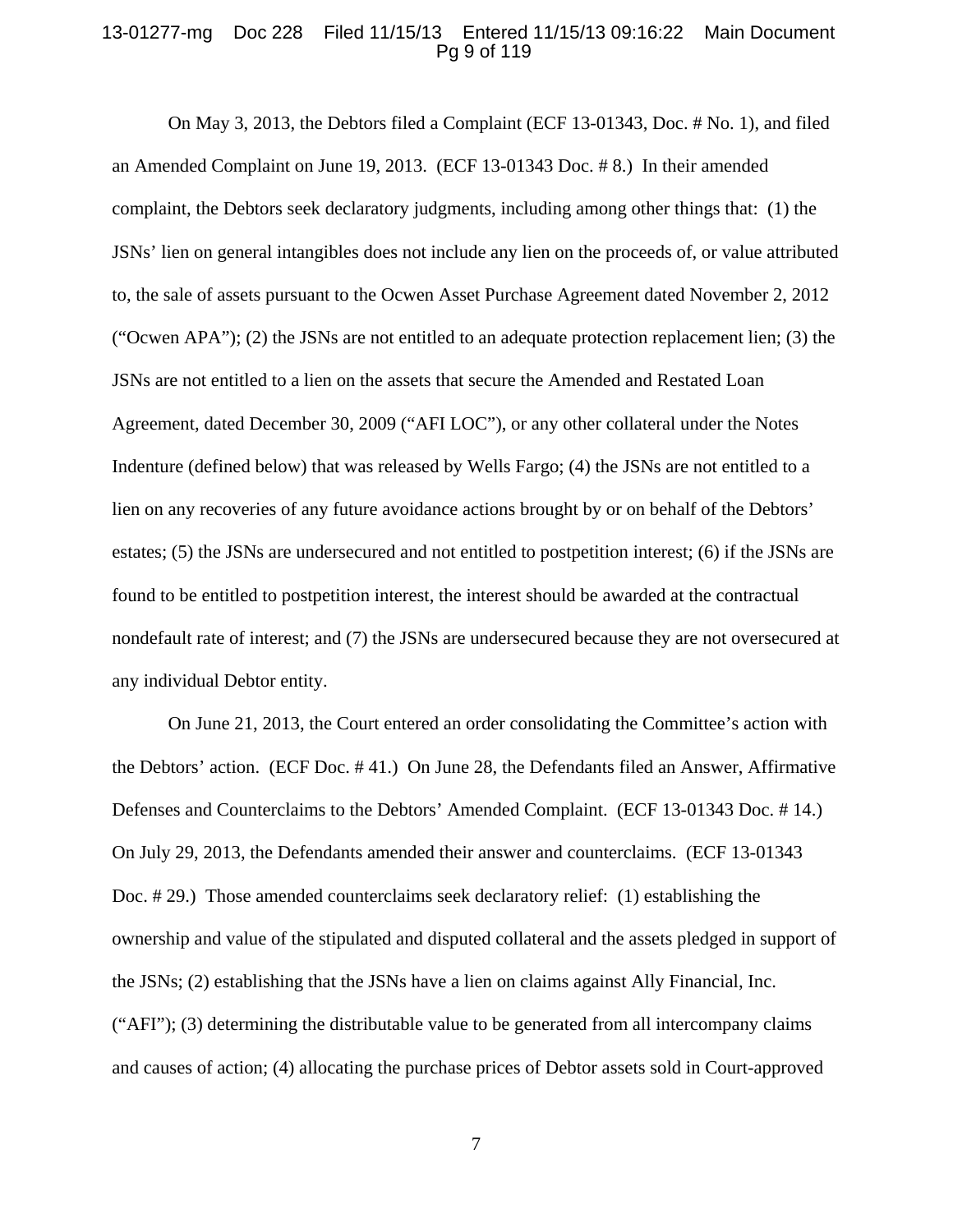#### 13-01277-mg Doc 228 Filed 11/15/13 Entered 11/15/13 09:16:22 Main Document Pg 9 of 119

On May 3, 2013, the Debtors filed a Complaint (ECF 13-01343, Doc. # No. 1), and filed an Amended Complaint on June 19, 2013. (ECF 13-01343 Doc. # 8.) In their amended complaint, the Debtors seek declaratory judgments, including among other things that: (1) the JSNs' lien on general intangibles does not include any lien on the proceeds of, or value attributed to, the sale of assets pursuant to the Ocwen Asset Purchase Agreement dated November 2, 2012 ("Ocwen APA"); (2) the JSNs are not entitled to an adequate protection replacement lien; (3) the JSNs are not entitled to a lien on the assets that secure the Amended and Restated Loan Agreement, dated December 30, 2009 ("AFI LOC"), or any other collateral under the Notes Indenture (defined below) that was released by Wells Fargo; (4) the JSNs are not entitled to a lien on any recoveries of any future avoidance actions brought by or on behalf of the Debtors' estates; (5) the JSNs are undersecured and not entitled to postpetition interest; (6) if the JSNs are found to be entitled to postpetition interest, the interest should be awarded at the contractual nondefault rate of interest; and (7) the JSNs are undersecured because they are not oversecured at any individual Debtor entity.

On June 21, 2013, the Court entered an order consolidating the Committee's action with the Debtors' action. (ECF Doc. # 41.) On June 28, the Defendants filed an Answer, Affirmative Defenses and Counterclaims to the Debtors' Amended Complaint. (ECF 13-01343 Doc. # 14.) On July 29, 2013, the Defendants amended their answer and counterclaims. (ECF 13-01343 Doc. # 29.) Those amended counterclaims seek declaratory relief: (1) establishing the ownership and value of the stipulated and disputed collateral and the assets pledged in support of the JSNs; (2) establishing that the JSNs have a lien on claims against Ally Financial, Inc. ("AFI"); (3) determining the distributable value to be generated from all intercompany claims and causes of action; (4) allocating the purchase prices of Debtor assets sold in Court-approved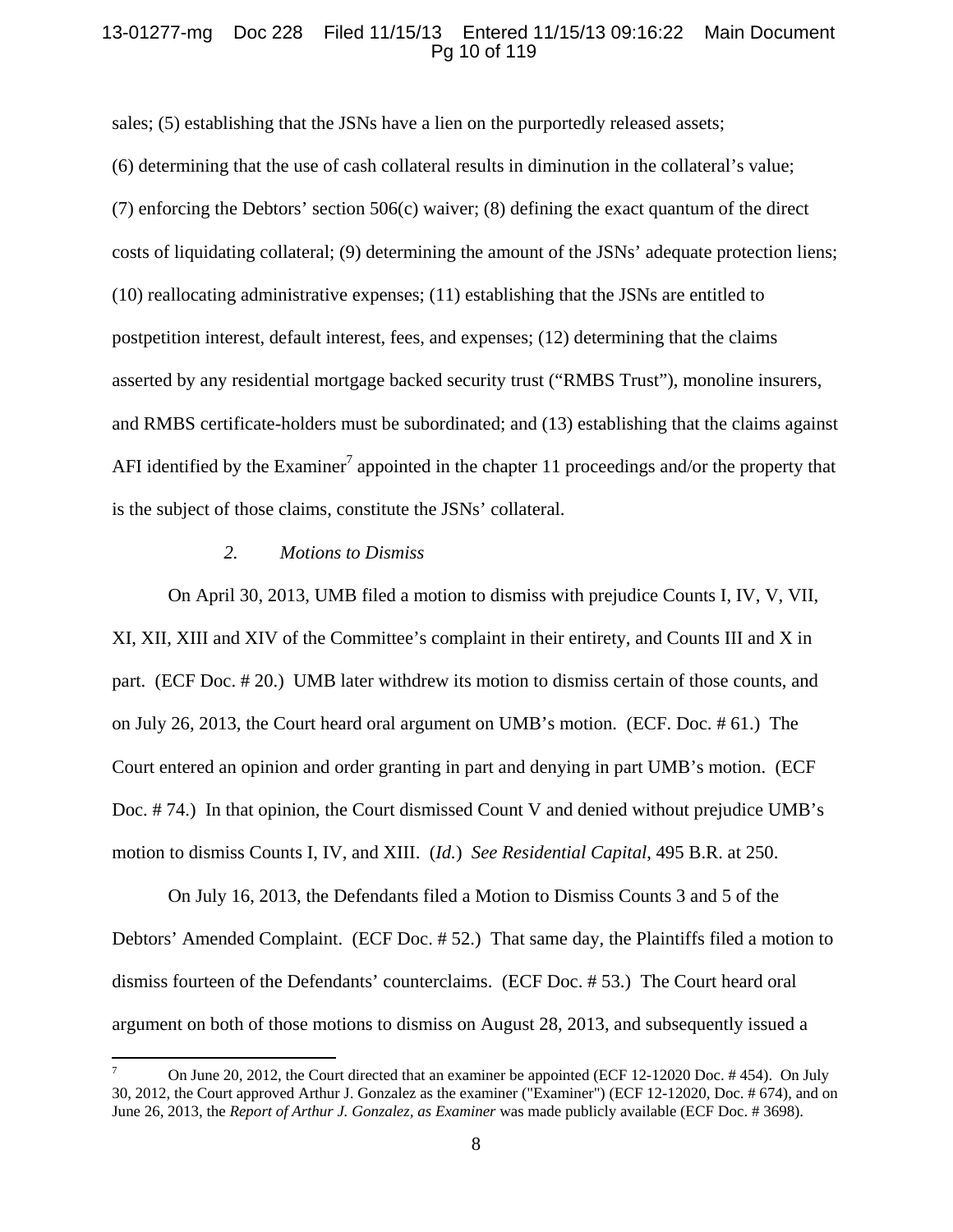### 13-01277-mg Doc 228 Filed 11/15/13 Entered 11/15/13 09:16:22 Main Document Pg 10 of 119

sales; (5) establishing that the JSNs have a lien on the purportedly released assets; (6) determining that the use of cash collateral results in diminution in the collateral's value; (7) enforcing the Debtors' section  $506(c)$  waiver; (8) defining the exact quantum of the direct costs of liquidating collateral; (9) determining the amount of the JSNs' adequate protection liens; (10) reallocating administrative expenses; (11) establishing that the JSNs are entitled to postpetition interest, default interest, fees, and expenses; (12) determining that the claims asserted by any residential mortgage backed security trust ("RMBS Trust"), monoline insurers, and RMBS certificate-holders must be subordinated; and (13) establishing that the claims against AFI identified by the Examiner<sup>7</sup> appointed in the chapter 11 proceedings and/or the property that is the subject of those claims, constitute the JSNs' collateral.

#### *2. Motions to Dismiss*

On April 30, 2013, UMB filed a motion to dismiss with prejudice Counts I, IV, V, VII, XI, XII, XIII and XIV of the Committee's complaint in their entirety, and Counts III and X in part. (ECF Doc. # 20.) UMB later withdrew its motion to dismiss certain of those counts, and on July 26, 2013, the Court heard oral argument on UMB's motion. (ECF. Doc. # 61.) The Court entered an opinion and order granting in part and denying in part UMB's motion. (ECF Doc. # 74.) In that opinion, the Court dismissed Count V and denied without prejudice UMB's motion to dismiss Counts I, IV, and XIII. (*Id.*) *See Residential Capital*, 495 B.R. at 250.

On July 16, 2013, the Defendants filed a Motion to Dismiss Counts 3 and 5 of the Debtors' Amended Complaint. (ECF Doc. # 52.) That same day, the Plaintiffs filed a motion to dismiss fourteen of the Defendants' counterclaims. (ECF Doc. # 53.) The Court heard oral argument on both of those motions to dismiss on August 28, 2013, and subsequently issued a

<sup>7</sup> On June 20, 2012, the Court directed that an examiner be appointed (ECF 12-12020 Doc. # 454). On July 30, 2012, the Court approved Arthur J. Gonzalez as the examiner ("Examiner") (ECF 12-12020, Doc. # 674), and on June 26, 2013, the *Report of Arthur J. Gonzalez, as Examiner* was made publicly available (ECF Doc. # 3698).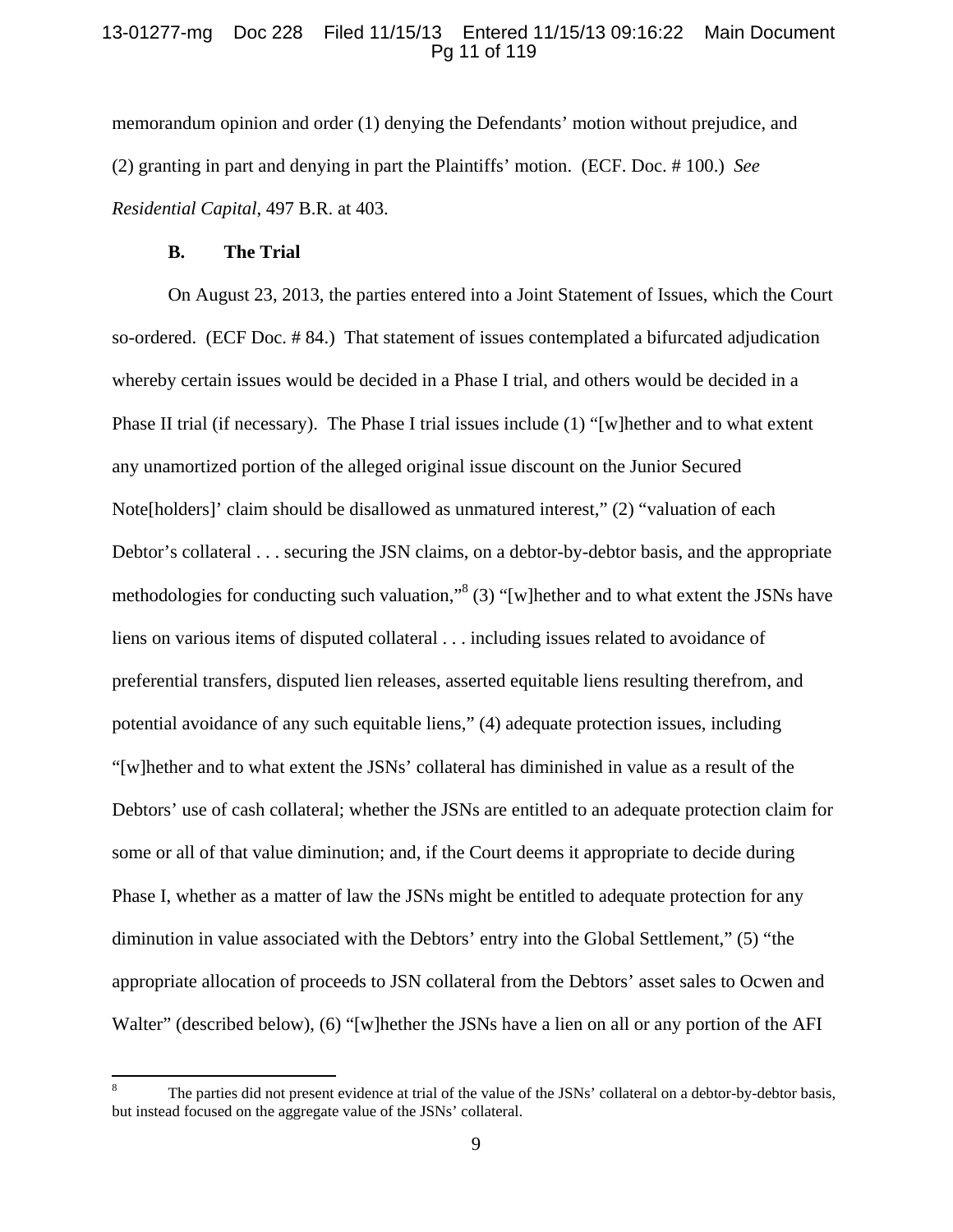### 13-01277-mg Doc 228 Filed 11/15/13 Entered 11/15/13 09:16:22 Main Document Pg 11 of 119

memorandum opinion and order (1) denying the Defendants' motion without prejudice, and (2) granting in part and denying in part the Plaintiffs' motion. (ECF. Doc. # 100.) *See Residential Capital*, 497 B.R. at 403.

#### **B. The Trial**

On August 23, 2013, the parties entered into a Joint Statement of Issues, which the Court so-ordered. (ECF Doc. # 84.) That statement of issues contemplated a bifurcated adjudication whereby certain issues would be decided in a Phase I trial, and others would be decided in a Phase II trial (if necessary). The Phase I trial issues include (1) "[w]hether and to what extent any unamortized portion of the alleged original issue discount on the Junior Secured Note[holders]' claim should be disallowed as unmatured interest," (2) "valuation of each Debtor's collateral . . . securing the JSN claims, on a debtor-by-debtor basis, and the appropriate methodologies for conducting such valuation,"<sup>8</sup> (3) "[w]hether and to what extent the JSNs have liens on various items of disputed collateral . . . including issues related to avoidance of preferential transfers, disputed lien releases, asserted equitable liens resulting therefrom, and potential avoidance of any such equitable liens," (4) adequate protection issues, including "[w]hether and to what extent the JSNs' collateral has diminished in value as a result of the Debtors' use of cash collateral; whether the JSNs are entitled to an adequate protection claim for some or all of that value diminution; and, if the Court deems it appropriate to decide during Phase I, whether as a matter of law the JSNs might be entitled to adequate protection for any diminution in value associated with the Debtors' entry into the Global Settlement," (5) "the appropriate allocation of proceeds to JSN collateral from the Debtors' asset sales to Ocwen and Walter" (described below), (6) "[w]hether the JSNs have a lien on all or any portion of the AFI

<sup>8</sup> The parties did not present evidence at trial of the value of the JSNs' collateral on a debtor-by-debtor basis, but instead focused on the aggregate value of the JSNs' collateral.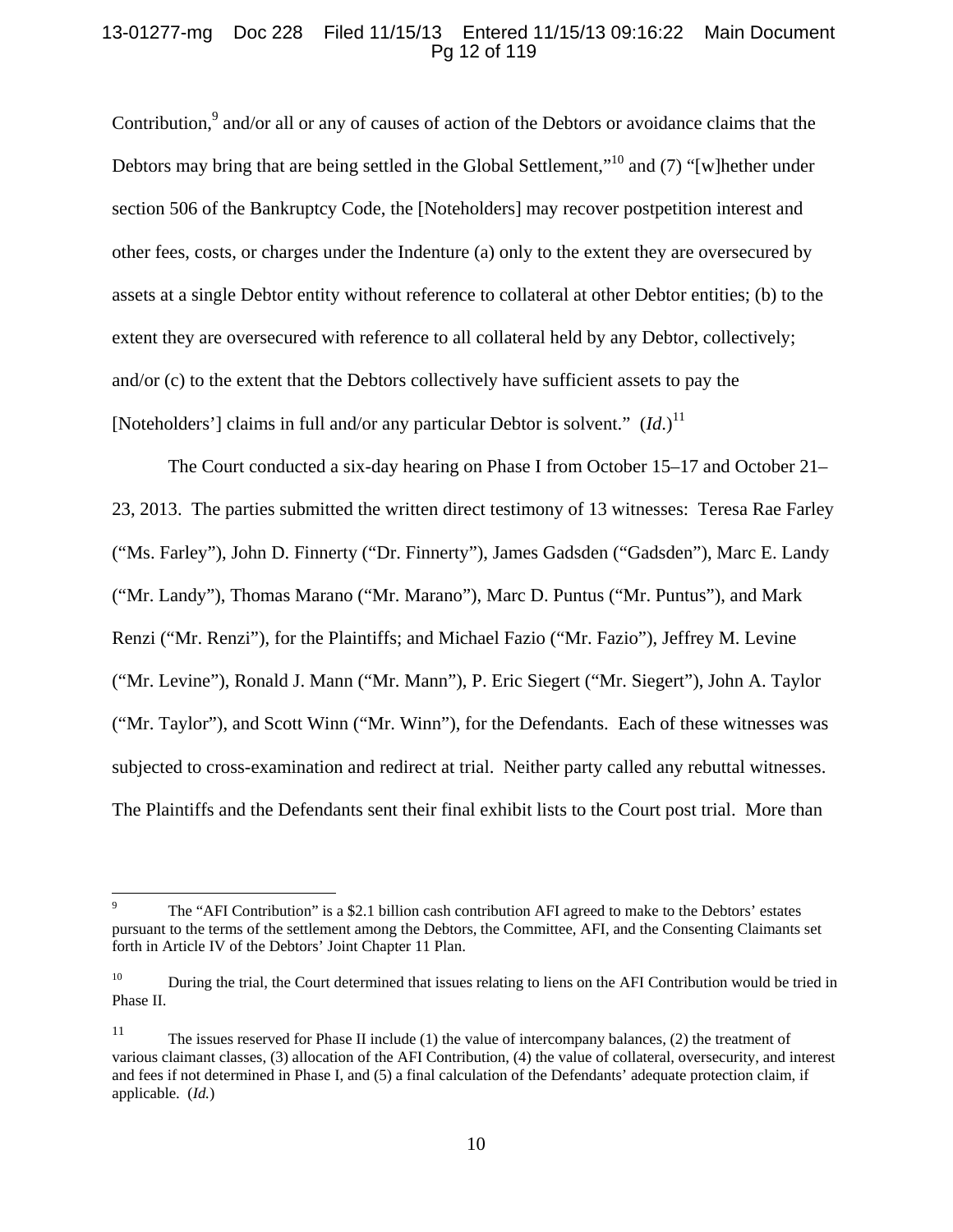### 13-01277-mg Doc 228 Filed 11/15/13 Entered 11/15/13 09:16:22 Main Document Pg 12 of 119

Contribution, $9$  and/or all or any of causes of action of the Debtors or avoidance claims that the Debtors may bring that are being settled in the Global Settlement,"<sup>10</sup> and (7) "[w]hether under section 506 of the Bankruptcy Code, the [Noteholders] may recover postpetition interest and other fees, costs, or charges under the Indenture (a) only to the extent they are oversecured by assets at a single Debtor entity without reference to collateral at other Debtor entities; (b) to the extent they are oversecured with reference to all collateral held by any Debtor, collectively; and/or (c) to the extent that the Debtors collectively have sufficient assets to pay the [Noteholders'] claims in full and/or any particular Debtor is solvent."  $(Id.)^{11}$ 

The Court conducted a six-day hearing on Phase I from October 15–17 and October 21– 23, 2013. The parties submitted the written direct testimony of 13 witnesses: Teresa Rae Farley ("Ms. Farley"), John D. Finnerty ("Dr. Finnerty"), James Gadsden ("Gadsden"), Marc E. Landy ("Mr. Landy"), Thomas Marano ("Mr. Marano"), Marc D. Puntus ("Mr. Puntus"), and Mark Renzi ("Mr. Renzi"), for the Plaintiffs; and Michael Fazio ("Mr. Fazio"), Jeffrey M. Levine ("Mr. Levine"), Ronald J. Mann ("Mr. Mann"), P. Eric Siegert ("Mr. Siegert"), John A. Taylor ("Mr. Taylor"), and Scott Winn ("Mr. Winn"), for the Defendants. Each of these witnesses was subjected to cross-examination and redirect at trial. Neither party called any rebuttal witnesses. The Plaintiffs and the Defendants sent their final exhibit lists to the Court post trial. More than

<sup>9</sup> The "AFI Contribution" is a \$2.1 billion cash contribution AFI agreed to make to the Debtors' estates pursuant to the terms of the settlement among the Debtors, the Committee, AFI, and the Consenting Claimants set forth in Article IV of the Debtors' Joint Chapter 11 Plan.

<sup>&</sup>lt;sup>10</sup> During the trial, the Court determined that issues relating to liens on the AFI Contribution would be tried in Phase II.

<sup>&</sup>lt;sup>11</sup> The issues reserved for Phase II include (1) the value of intercompany balances, (2) the treatment of various claimant classes, (3) allocation of the AFI Contribution, (4) the value of collateral, oversecurity, and interest and fees if not determined in Phase I, and (5) a final calculation of the Defendants' adequate protection claim, if applicable. (*Id.*)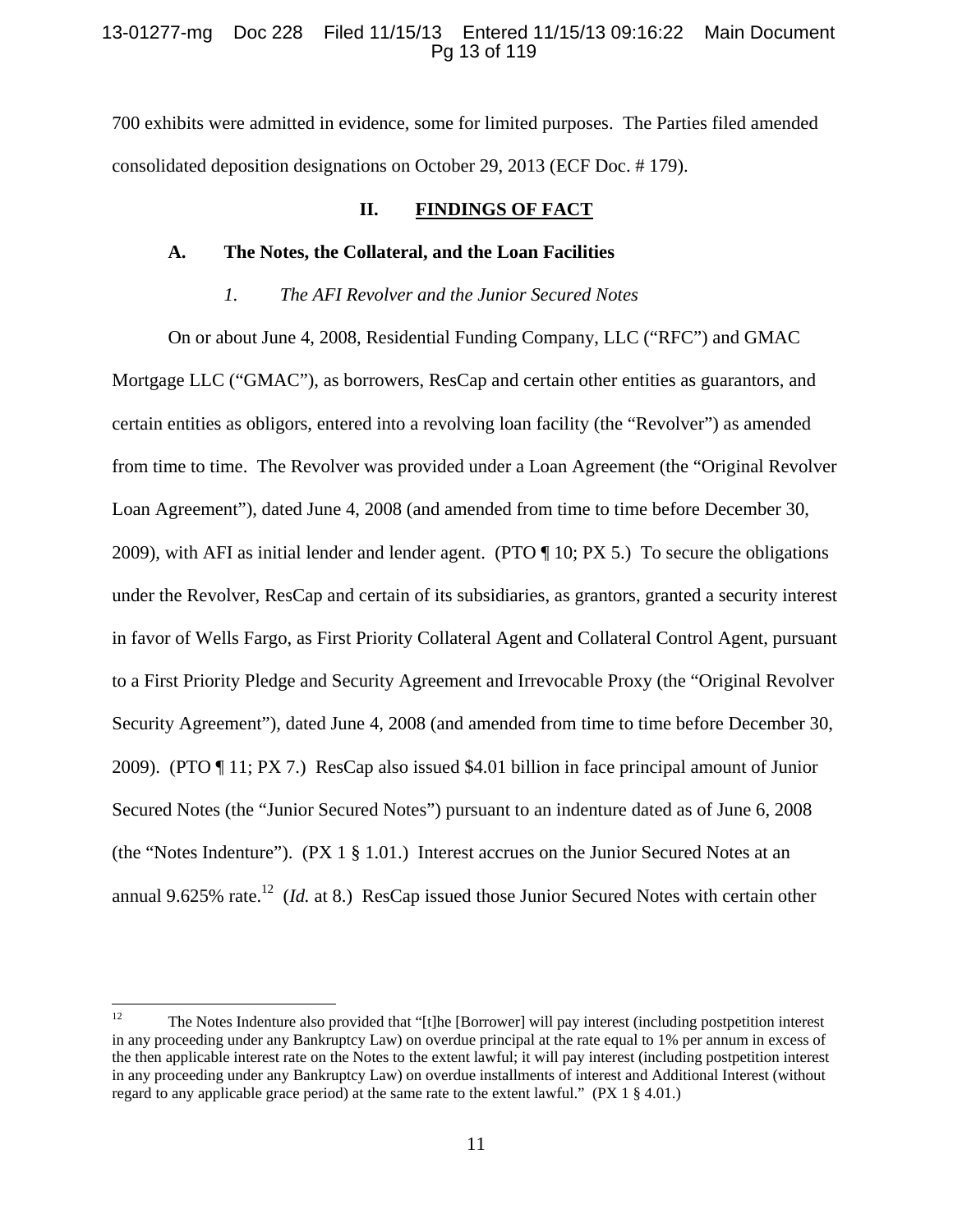### 13-01277-mg Doc 228 Filed 11/15/13 Entered 11/15/13 09:16:22 Main Document Pg 13 of 119

700 exhibits were admitted in evidence, some for limited purposes. The Parties filed amended consolidated deposition designations on October 29, 2013 (ECF Doc. # 179).

## **II. FINDINGS OF FACT**

#### **A. The Notes, the Collateral, and the Loan Facilities**

### *1. The AFI Revolver and the Junior Secured Notes*

On or about June 4, 2008, Residential Funding Company, LLC ("RFC") and GMAC Mortgage LLC ("GMAC"), as borrowers, ResCap and certain other entities as guarantors, and certain entities as obligors, entered into a revolving loan facility (the "Revolver") as amended from time to time. The Revolver was provided under a Loan Agreement (the "Original Revolver Loan Agreement"), dated June 4, 2008 (and amended from time to time before December 30, 2009), with AFI as initial lender and lender agent. (PTO ¶ 10; PX 5.) To secure the obligations under the Revolver, ResCap and certain of its subsidiaries, as grantors, granted a security interest in favor of Wells Fargo, as First Priority Collateral Agent and Collateral Control Agent, pursuant to a First Priority Pledge and Security Agreement and Irrevocable Proxy (the "Original Revolver Security Agreement"), dated June 4, 2008 (and amended from time to time before December 30, 2009). (PTO ¶ 11; PX 7.) ResCap also issued \$4.01 billion in face principal amount of Junior Secured Notes (the "Junior Secured Notes") pursuant to an indenture dated as of June 6, 2008 (the "Notes Indenture"). (PX 1 § 1.01.) Interest accrues on the Junior Secured Notes at an annual 9.625% rate.<sup>12</sup> (*Id.* at 8.) ResCap issued those Junior Secured Notes with certain other

<sup>&</sup>lt;sup>12</sup> The Notes Indenture also provided that "[t]he [Borrower] will pay interest (including postpetition interest in any proceeding under any Bankruptcy Law) on overdue principal at the rate equal to 1% per annum in excess of the then applicable interest rate on the Notes to the extent lawful; it will pay interest (including postpetition interest in any proceeding under any Bankruptcy Law) on overdue installments of interest and Additional Interest (without regard to any applicable grace period) at the same rate to the extent lawful." (PX 1 § 4.01.)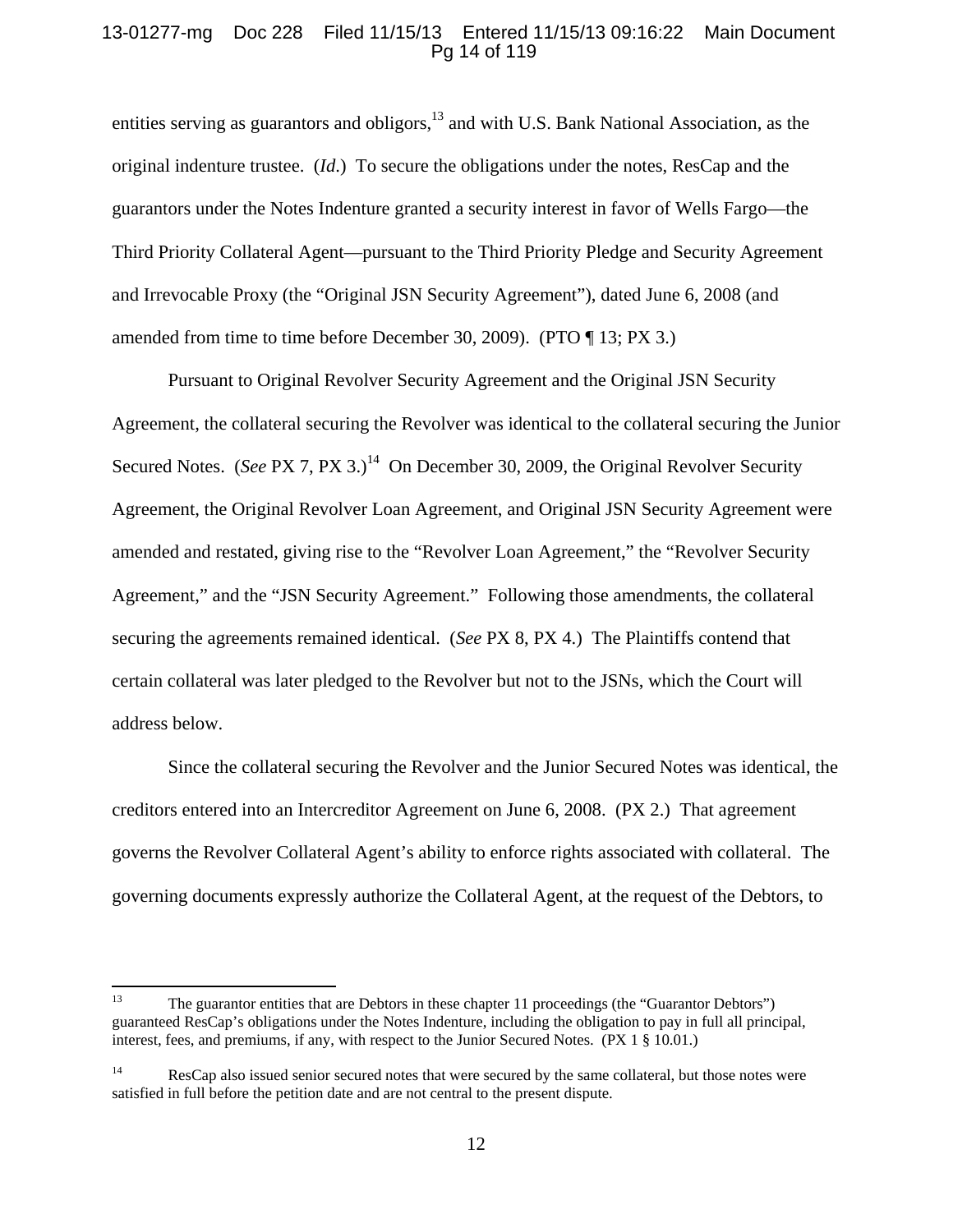### 13-01277-mg Doc 228 Filed 11/15/13 Entered 11/15/13 09:16:22 Main Document Pg 14 of 119

entities serving as guarantors and obligors, $13$  and with U.S. Bank National Association, as the original indenture trustee. (*Id*.) To secure the obligations under the notes, ResCap and the guarantors under the Notes Indenture granted a security interest in favor of Wells Fargo—the Third Priority Collateral Agent—pursuant to the Third Priority Pledge and Security Agreement and Irrevocable Proxy (the "Original JSN Security Agreement"), dated June 6, 2008 (and amended from time to time before December 30, 2009). (PTO ¶ 13; PX 3.)

Pursuant to Original Revolver Security Agreement and the Original JSN Security Agreement, the collateral securing the Revolver was identical to the collateral securing the Junior Secured Notes. (*See* PX 7, PX 3.)<sup>14</sup> On December 30, 2009, the Original Revolver Security Agreement, the Original Revolver Loan Agreement, and Original JSN Security Agreement were amended and restated, giving rise to the "Revolver Loan Agreement," the "Revolver Security Agreement," and the "JSN Security Agreement." Following those amendments, the collateral securing the agreements remained identical. (*See* PX 8, PX 4.) The Plaintiffs contend that certain collateral was later pledged to the Revolver but not to the JSNs, which the Court will address below.

Since the collateral securing the Revolver and the Junior Secured Notes was identical, the creditors entered into an Intercreditor Agreement on June 6, 2008. (PX 2.) That agreement governs the Revolver Collateral Agent's ability to enforce rights associated with collateral. The governing documents expressly authorize the Collateral Agent, at the request of the Debtors, to

<sup>&</sup>lt;sup>13</sup> The guarantor entities that are Debtors in these chapter 11 proceedings (the "Guarantor Debtors") guaranteed ResCap's obligations under the Notes Indenture, including the obligation to pay in full all principal, interest, fees, and premiums, if any, with respect to the Junior Secured Notes. (PX 1 § 10.01.)

<sup>&</sup>lt;sup>14</sup> ResCap also issued senior secured notes that were secured by the same collateral, but those notes were satisfied in full before the petition date and are not central to the present dispute.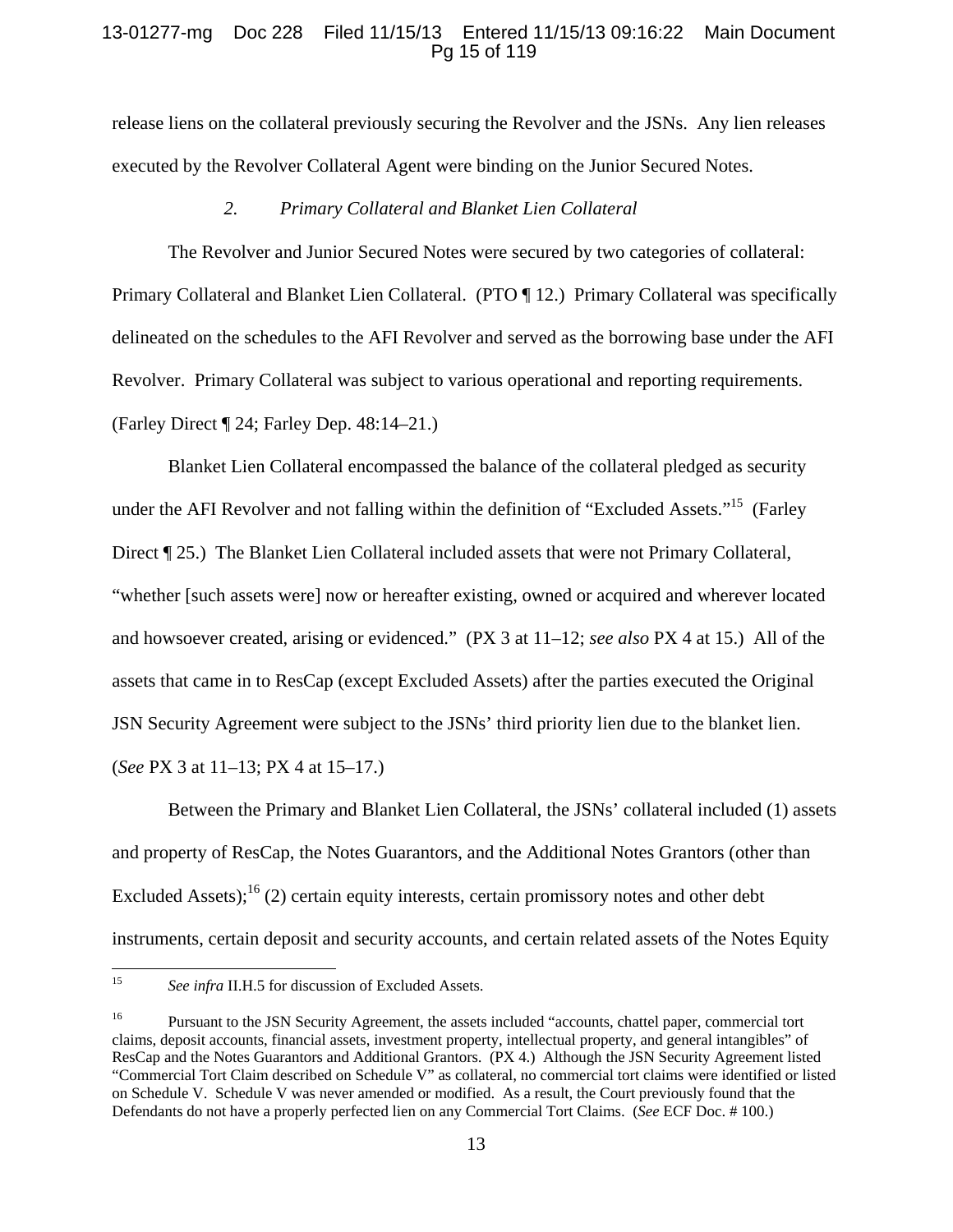## 13-01277-mg Doc 228 Filed 11/15/13 Entered 11/15/13 09:16:22 Main Document Pg 15 of 119

release liens on the collateral previously securing the Revolver and the JSNs. Any lien releases executed by the Revolver Collateral Agent were binding on the Junior Secured Notes.

## *2. Primary Collateral and Blanket Lien Collateral*

The Revolver and Junior Secured Notes were secured by two categories of collateral: Primary Collateral and Blanket Lien Collateral. (PTO ¶ 12.) Primary Collateral was specifically delineated on the schedules to the AFI Revolver and served as the borrowing base under the AFI Revolver. Primary Collateral was subject to various operational and reporting requirements. (Farley Direct ¶ 24; Farley Dep. 48:14–21.)

Blanket Lien Collateral encompassed the balance of the collateral pledged as security under the AFI Revolver and not falling within the definition of "Excluded Assets."<sup>15</sup> (Farley Direct ¶ 25.) The Blanket Lien Collateral included assets that were not Primary Collateral, "whether [such assets were] now or hereafter existing, owned or acquired and wherever located and howsoever created, arising or evidenced." (PX 3 at 11–12; *see also* PX 4 at 15.) All of the assets that came in to ResCap (except Excluded Assets) after the parties executed the Original JSN Security Agreement were subject to the JSNs' third priority lien due to the blanket lien. (*See* PX 3 at 11–13; PX 4 at 15–17.)

Between the Primary and Blanket Lien Collateral, the JSNs' collateral included (1) assets and property of ResCap, the Notes Guarantors, and the Additional Notes Grantors (other than Excluded Assets);<sup>16</sup> (2) certain equity interests, certain promissory notes and other debt instruments, certain deposit and security accounts, and certain related assets of the Notes Equity

<sup>15</sup> *See infra* II.H.5 for discussion of Excluded Assets.

<sup>&</sup>lt;sup>16</sup> Pursuant to the JSN Security Agreement, the assets included "accounts, chattel paper, commercial tort claims, deposit accounts, financial assets, investment property, intellectual property, and general intangibles" of ResCap and the Notes Guarantors and Additional Grantors. (PX 4.) Although the JSN Security Agreement listed "Commercial Tort Claim described on Schedule V" as collateral, no commercial tort claims were identified or listed on Schedule V. Schedule V was never amended or modified. As a result, the Court previously found that the Defendants do not have a properly perfected lien on any Commercial Tort Claims. (*See* ECF Doc. # 100.)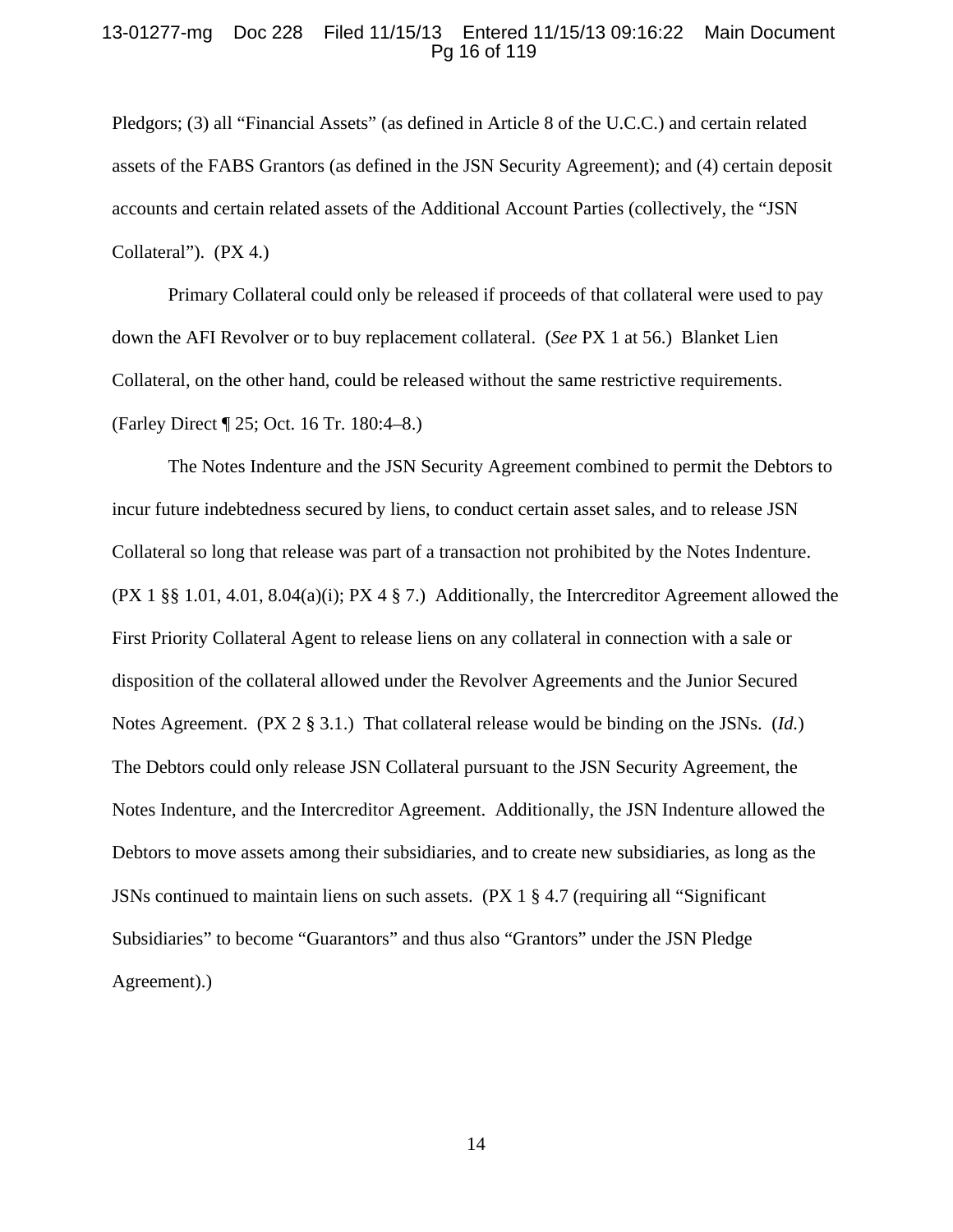### 13-01277-mg Doc 228 Filed 11/15/13 Entered 11/15/13 09:16:22 Main Document Pg 16 of 119

Pledgors; (3) all "Financial Assets" (as defined in Article 8 of the U.C.C.) and certain related assets of the FABS Grantors (as defined in the JSN Security Agreement); and (4) certain deposit accounts and certain related assets of the Additional Account Parties (collectively, the "JSN Collateral"). (PX 4.)

Primary Collateral could only be released if proceeds of that collateral were used to pay down the AFI Revolver or to buy replacement collateral. (*See* PX 1 at 56.) Blanket Lien Collateral, on the other hand, could be released without the same restrictive requirements. (Farley Direct ¶ 25; Oct. 16 Tr. 180:4–8.)

The Notes Indenture and the JSN Security Agreement combined to permit the Debtors to incur future indebtedness secured by liens, to conduct certain asset sales, and to release JSN Collateral so long that release was part of a transaction not prohibited by the Notes Indenture. (PX 1 §§ 1.01, 4.01, 8.04(a)(i); PX 4 § 7.) Additionally, the Intercreditor Agreement allowed the First Priority Collateral Agent to release liens on any collateral in connection with a sale or disposition of the collateral allowed under the Revolver Agreements and the Junior Secured Notes Agreement. (PX 2 § 3.1.) That collateral release would be binding on the JSNs. (*Id.*) The Debtors could only release JSN Collateral pursuant to the JSN Security Agreement, the Notes Indenture, and the Intercreditor Agreement. Additionally, the JSN Indenture allowed the Debtors to move assets among their subsidiaries, and to create new subsidiaries, as long as the JSNs continued to maintain liens on such assets. (PX 1 § 4.7 (requiring all "Significant Subsidiaries" to become "Guarantors" and thus also "Grantors" under the JSN Pledge Agreement).)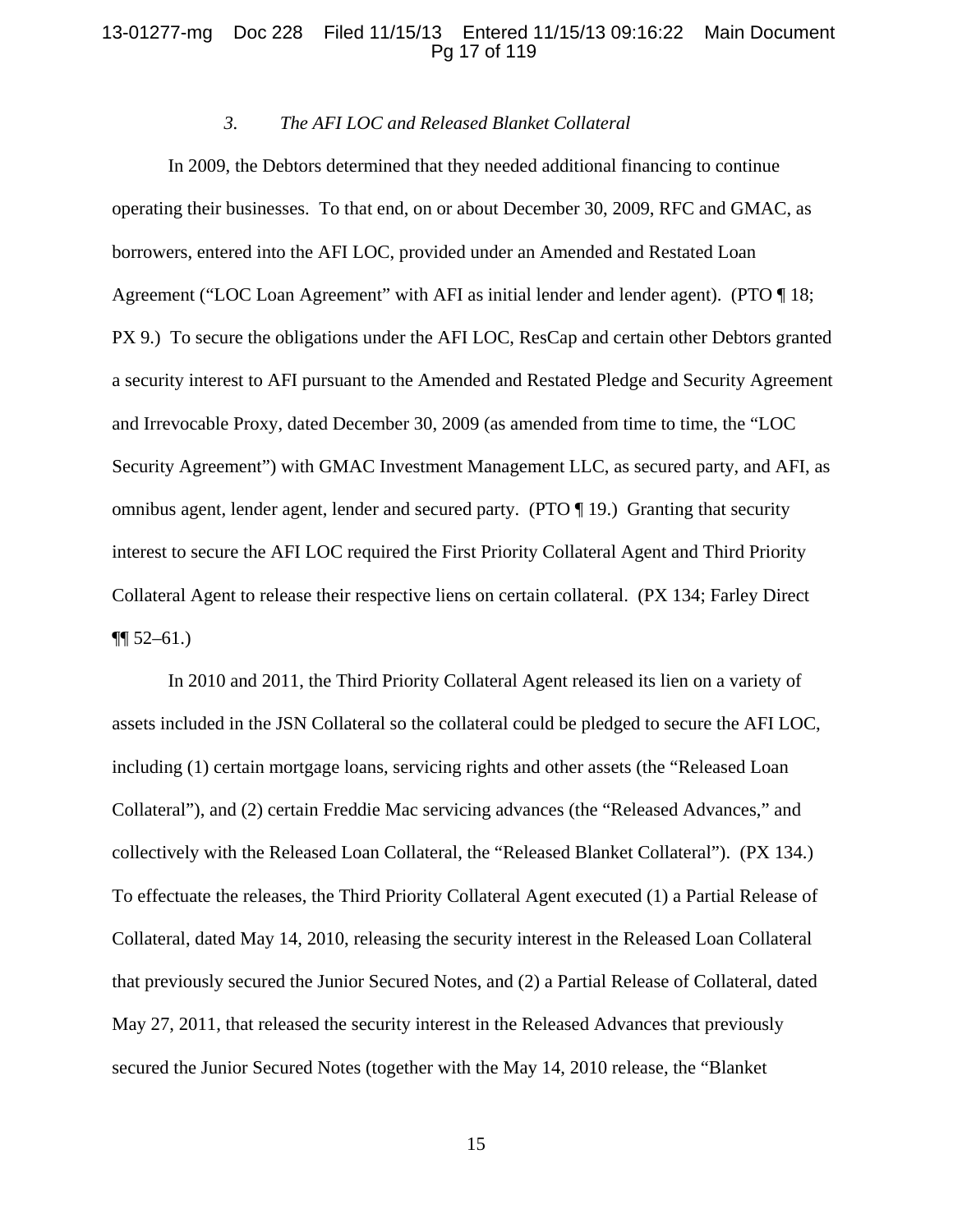### 13-01277-mg Doc 228 Filed 11/15/13 Entered 11/15/13 09:16:22 Main Document Pg 17 of 119

## *3. The AFI LOC and Released Blanket Collateral*

In 2009, the Debtors determined that they needed additional financing to continue operating their businesses. To that end, on or about December 30, 2009, RFC and GMAC, as borrowers, entered into the AFI LOC, provided under an Amended and Restated Loan Agreement ("LOC Loan Agreement" with AFI as initial lender and lender agent). (PTO ¶ 18; PX 9.) To secure the obligations under the AFI LOC, ResCap and certain other Debtors granted a security interest to AFI pursuant to the Amended and Restated Pledge and Security Agreement and Irrevocable Proxy, dated December 30, 2009 (as amended from time to time, the "LOC Security Agreement") with GMAC Investment Management LLC, as secured party, and AFI, as omnibus agent, lender agent, lender and secured party. (PTO ¶ 19.) Granting that security interest to secure the AFI LOC required the First Priority Collateral Agent and Third Priority Collateral Agent to release their respective liens on certain collateral. (PX 134; Farley Direct  $\P\P$  52–61.)

In 2010 and 2011, the Third Priority Collateral Agent released its lien on a variety of assets included in the JSN Collateral so the collateral could be pledged to secure the AFI LOC, including (1) certain mortgage loans, servicing rights and other assets (the "Released Loan Collateral"), and (2) certain Freddie Mac servicing advances (the "Released Advances," and collectively with the Released Loan Collateral, the "Released Blanket Collateral"). (PX 134.) To effectuate the releases, the Third Priority Collateral Agent executed (1) a Partial Release of Collateral, dated May 14, 2010, releasing the security interest in the Released Loan Collateral that previously secured the Junior Secured Notes, and (2) a Partial Release of Collateral, dated May 27, 2011, that released the security interest in the Released Advances that previously secured the Junior Secured Notes (together with the May 14, 2010 release, the "Blanket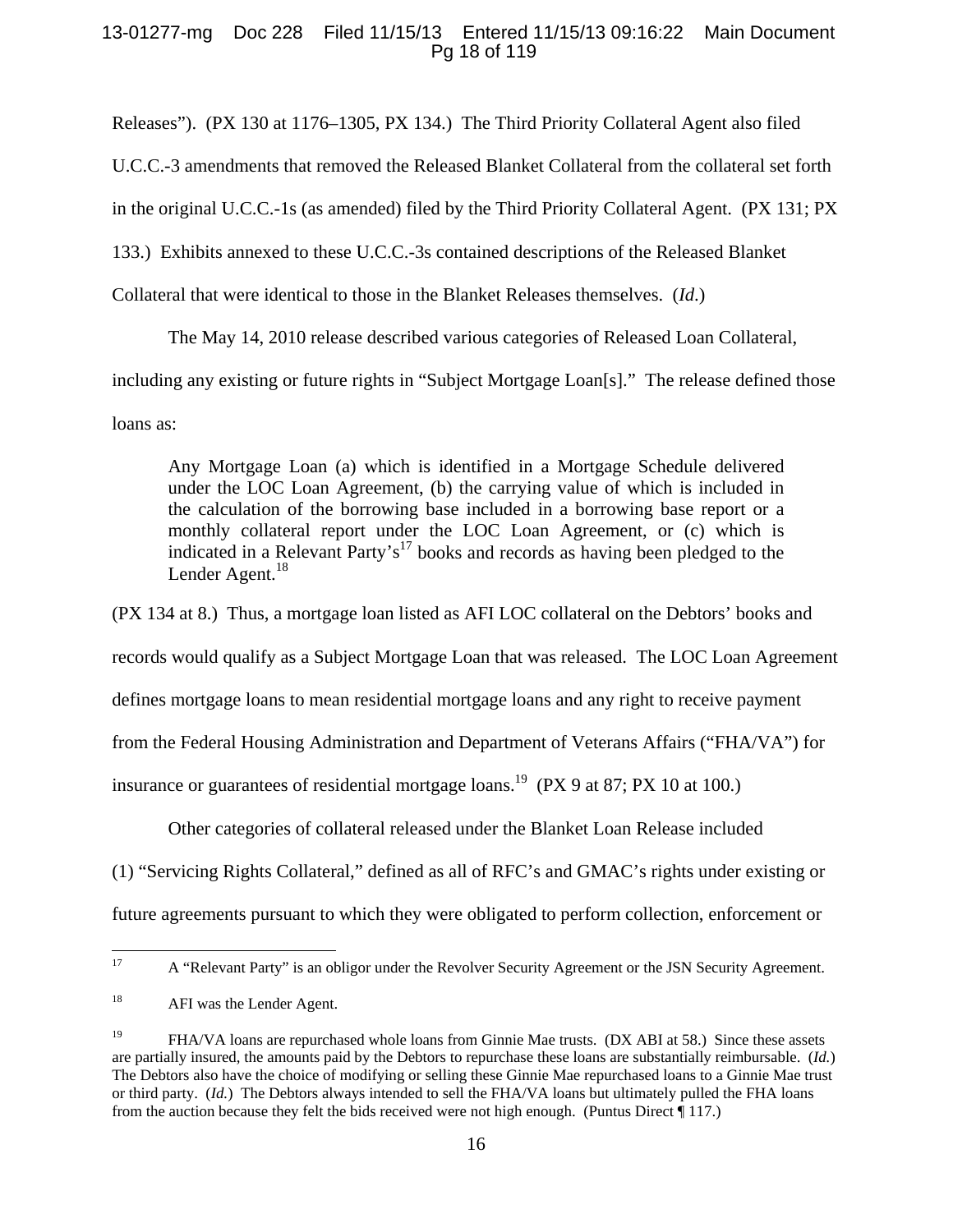## 13-01277-mg Doc 228 Filed 11/15/13 Entered 11/15/13 09:16:22 Main Document Pg 18 of 119

Releases"). (PX 130 at 1176–1305, PX 134.) The Third Priority Collateral Agent also filed

U.C.C.-3 amendments that removed the Released Blanket Collateral from the collateral set forth

in the original U.C.C.-1s (as amended) filed by the Third Priority Collateral Agent. (PX 131; PX

133.) Exhibits annexed to these U.C.C.-3s contained descriptions of the Released Blanket

Collateral that were identical to those in the Blanket Releases themselves. (*Id*.)

The May 14, 2010 release described various categories of Released Loan Collateral,

including any existing or future rights in "Subject Mortgage Loan[s]." The release defined those

loans as:

Any Mortgage Loan (a) which is identified in a Mortgage Schedule delivered under the LOC Loan Agreement, (b) the carrying value of which is included in the calculation of the borrowing base included in a borrowing base report or a monthly collateral report under the LOC Loan Agreement, or (c) which is indicated in a Relevant Party's<sup>17</sup> books and records as having been pledged to the Lender Agent. $^{18}$ 

(PX 134 at 8.) Thus, a mortgage loan listed as AFI LOC collateral on the Debtors' books and records would qualify as a Subject Mortgage Loan that was released. The LOC Loan Agreement defines mortgage loans to mean residential mortgage loans and any right to receive payment from the Federal Housing Administration and Department of Veterans Affairs ("FHA/VA") for insurance or guarantees of residential mortgage loans.<sup>19</sup> (PX 9 at 87; PX 10 at 100.)

Other categories of collateral released under the Blanket Loan Release included

(1) "Servicing Rights Collateral," defined as all of RFC's and GMAC's rights under existing or

future agreements pursuant to which they were obligated to perform collection, enforcement or

 <sup>17</sup> A "Relevant Party" is an obligor under the Revolver Security Agreement or the JSN Security Agreement.

<sup>&</sup>lt;sup>18</sup> AFI was the Lender Agent.

<sup>&</sup>lt;sup>19</sup> FHA/VA loans are repurchased whole loans from Ginnie Mae trusts. (DX ABI at 58.) Since these assets are partially insured, the amounts paid by the Debtors to repurchase these loans are substantially reimbursable. (*Id.*) The Debtors also have the choice of modifying or selling these Ginnie Mae repurchased loans to a Ginnie Mae trust or third party. (*Id.*) The Debtors always intended to sell the FHA/VA loans but ultimately pulled the FHA loans from the auction because they felt the bids received were not high enough. (Puntus Direct ¶ 117.)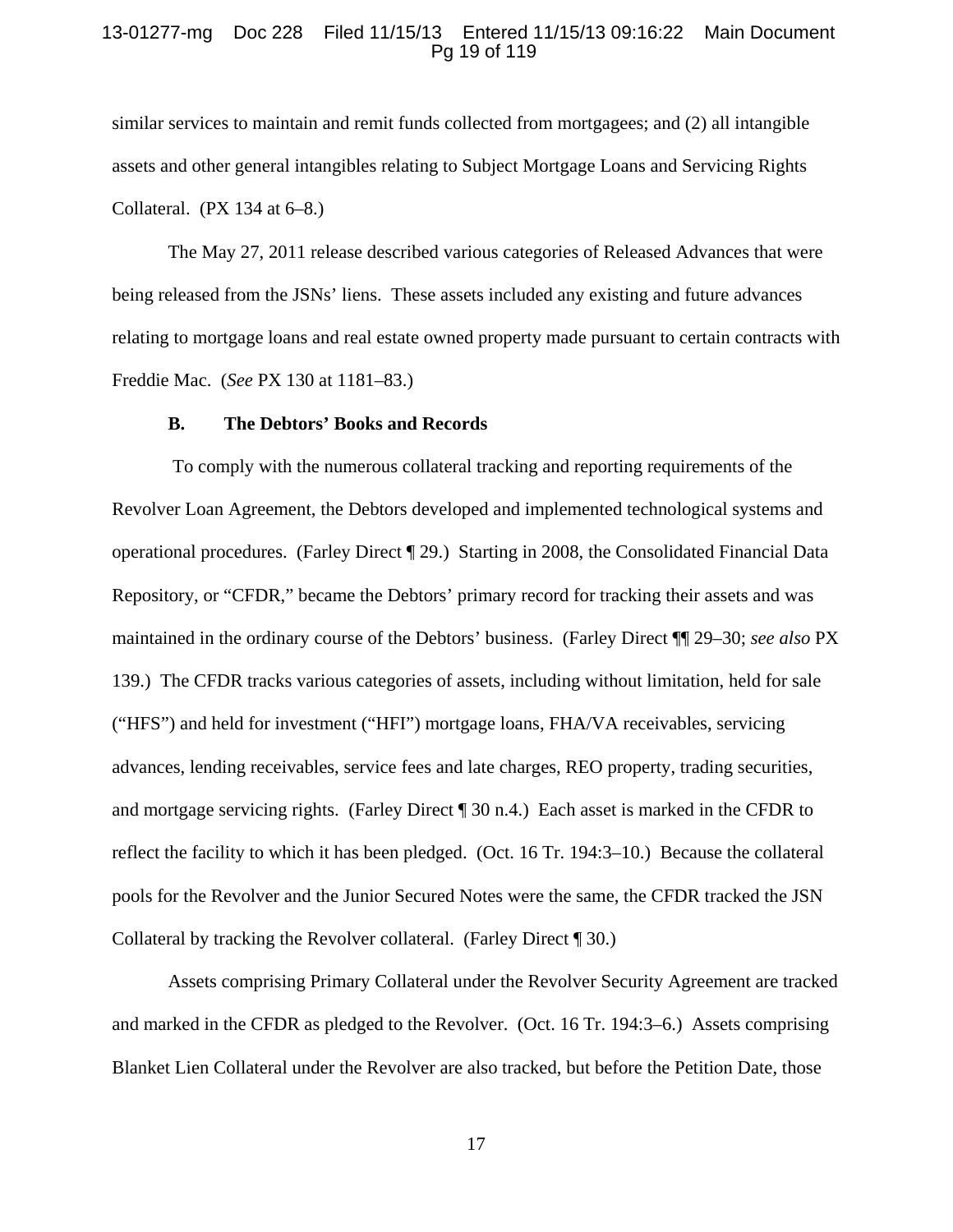### 13-01277-mg Doc 228 Filed 11/15/13 Entered 11/15/13 09:16:22 Main Document Pg 19 of 119

similar services to maintain and remit funds collected from mortgagees; and (2) all intangible assets and other general intangibles relating to Subject Mortgage Loans and Servicing Rights Collateral.  $(PX 134$  at  $6-8$ .

The May 27, 2011 release described various categories of Released Advances that were being released from the JSNs' liens. These assets included any existing and future advances relating to mortgage loans and real estate owned property made pursuant to certain contracts with Freddie Mac. (*See* PX 130 at 1181–83.)

#### **B. The Debtors' Books and Records**

 To comply with the numerous collateral tracking and reporting requirements of the Revolver Loan Agreement, the Debtors developed and implemented technological systems and operational procedures. (Farley Direct ¶ 29.) Starting in 2008, the Consolidated Financial Data Repository, or "CFDR," became the Debtors' primary record for tracking their assets and was maintained in the ordinary course of the Debtors' business. (Farley Direct ¶¶ 29–30; *see also* PX 139.) The CFDR tracks various categories of assets, including without limitation, held for sale ("HFS") and held for investment ("HFI") mortgage loans, FHA/VA receivables, servicing advances, lending receivables, service fees and late charges, REO property, trading securities, and mortgage servicing rights. (Farley Direct ¶ 30 n.4.) Each asset is marked in the CFDR to reflect the facility to which it has been pledged. (Oct. 16 Tr. 194:3–10.) Because the collateral pools for the Revolver and the Junior Secured Notes were the same, the CFDR tracked the JSN Collateral by tracking the Revolver collateral. (Farley Direct ¶ 30.)

Assets comprising Primary Collateral under the Revolver Security Agreement are tracked and marked in the CFDR as pledged to the Revolver. (Oct. 16 Tr. 194:3–6.) Assets comprising Blanket Lien Collateral under the Revolver are also tracked, but before the Petition Date, those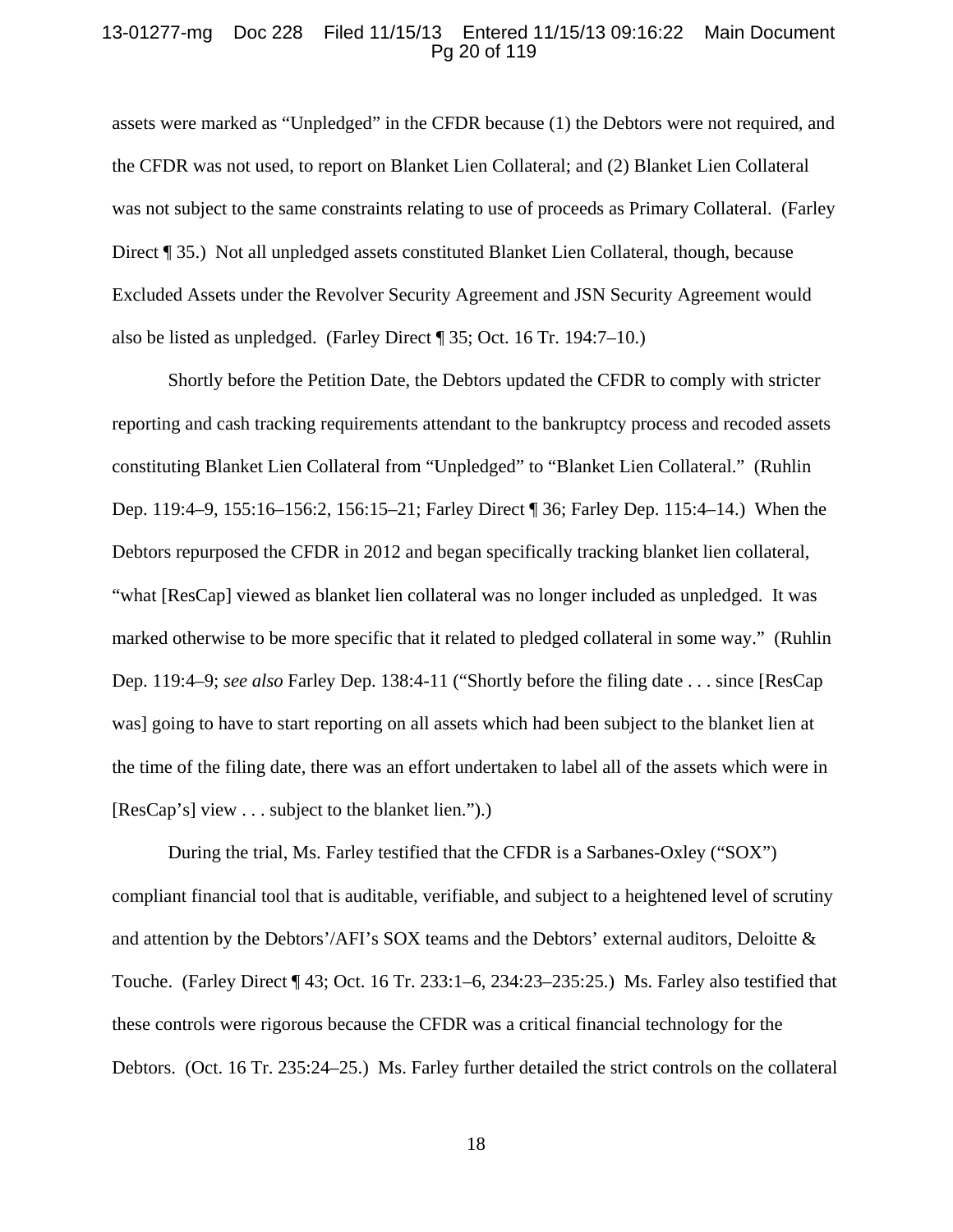### 13-01277-mg Doc 228 Filed 11/15/13 Entered 11/15/13 09:16:22 Main Document Pg 20 of 119

assets were marked as "Unpledged" in the CFDR because (1) the Debtors were not required, and the CFDR was not used, to report on Blanket Lien Collateral; and (2) Blanket Lien Collateral was not subject to the same constraints relating to use of proceeds as Primary Collateral. (Farley Direct ¶ 35.) Not all unpledged assets constituted Blanket Lien Collateral, though, because Excluded Assets under the Revolver Security Agreement and JSN Security Agreement would also be listed as unpledged. (Farley Direct ¶ 35; Oct. 16 Tr. 194:7–10.)

Shortly before the Petition Date, the Debtors updated the CFDR to comply with stricter reporting and cash tracking requirements attendant to the bankruptcy process and recoded assets constituting Blanket Lien Collateral from "Unpledged" to "Blanket Lien Collateral." (Ruhlin Dep. 119:4–9, 155:16–156:2, 156:15–21; Farley Direct ¶ 36; Farley Dep. 115:4–14.) When the Debtors repurposed the CFDR in 2012 and began specifically tracking blanket lien collateral, "what [ResCap] viewed as blanket lien collateral was no longer included as unpledged. It was marked otherwise to be more specific that it related to pledged collateral in some way." (Ruhlin Dep. 119:4–9; *see also* Farley Dep. 138:4-11 ("Shortly before the filing date . . . since [ResCap was] going to have to start reporting on all assets which had been subject to the blanket lien at the time of the filing date, there was an effort undertaken to label all of the assets which were in [ResCap's] view . . . subject to the blanket lien.").)

During the trial, Ms. Farley testified that the CFDR is a Sarbanes-Oxley ("SOX") compliant financial tool that is auditable, verifiable, and subject to a heightened level of scrutiny and attention by the Debtors'/AFI's SOX teams and the Debtors' external auditors, Deloitte & Touche. (Farley Direct ¶ 43; Oct. 16 Tr. 233:1–6, 234:23–235:25.) Ms. Farley also testified that these controls were rigorous because the CFDR was a critical financial technology for the Debtors. (Oct. 16 Tr. 235:24–25.) Ms. Farley further detailed the strict controls on the collateral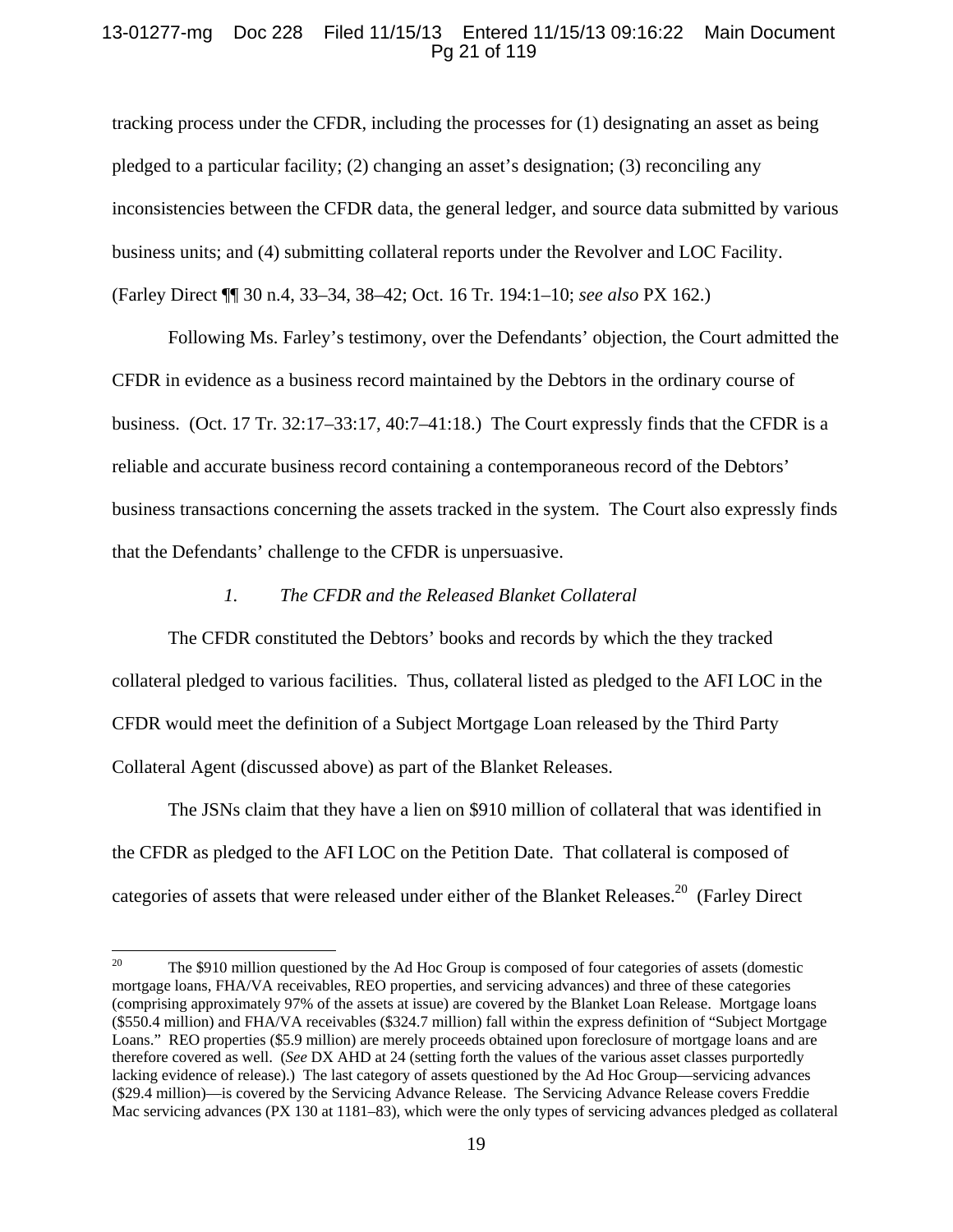## 13-01277-mg Doc 228 Filed 11/15/13 Entered 11/15/13 09:16:22 Main Document Pg 21 of 119

tracking process under the CFDR, including the processes for (1) designating an asset as being pledged to a particular facility; (2) changing an asset's designation; (3) reconciling any inconsistencies between the CFDR data, the general ledger, and source data submitted by various business units; and (4) submitting collateral reports under the Revolver and LOC Facility. (Farley Direct ¶¶ 30 n.4, 33–34, 38–42; Oct. 16 Tr. 194:1–10; *see also* PX 162.)

Following Ms. Farley's testimony, over the Defendants' objection, the Court admitted the CFDR in evidence as a business record maintained by the Debtors in the ordinary course of business. (Oct. 17 Tr. 32:17–33:17, 40:7–41:18.) The Court expressly finds that the CFDR is a reliable and accurate business record containing a contemporaneous record of the Debtors' business transactions concerning the assets tracked in the system. The Court also expressly finds that the Defendants' challenge to the CFDR is unpersuasive.

#### *1. The CFDR and the Released Blanket Collateral*

The CFDR constituted the Debtors' books and records by which the they tracked collateral pledged to various facilities. Thus, collateral listed as pledged to the AFI LOC in the CFDR would meet the definition of a Subject Mortgage Loan released by the Third Party Collateral Agent (discussed above) as part of the Blanket Releases.

The JSNs claim that they have a lien on \$910 million of collateral that was identified in the CFDR as pledged to the AFI LOC on the Petition Date. That collateral is composed of categories of assets that were released under either of the Blanket Releases.<sup>20</sup> (Farley Direct

<sup>&</sup>lt;sup>20</sup> The \$910 million questioned by the Ad Hoc Group is composed of four categories of assets (domestic mortgage loans, FHA/VA receivables, REO properties, and servicing advances) and three of these categories (comprising approximately 97% of the assets at issue) are covered by the Blanket Loan Release. Mortgage loans (\$550.4 million) and FHA/VA receivables (\$324.7 million) fall within the express definition of "Subject Mortgage Loans." REO properties (\$5.9 million) are merely proceeds obtained upon foreclosure of mortgage loans and are therefore covered as well. (*See* DX AHD at 24 (setting forth the values of the various asset classes purportedly lacking evidence of release).) The last category of assets questioned by the Ad Hoc Group—servicing advances (\$29.4 million)—is covered by the Servicing Advance Release. The Servicing Advance Release covers Freddie Mac servicing advances (PX 130 at 1181–83), which were the only types of servicing advances pledged as collateral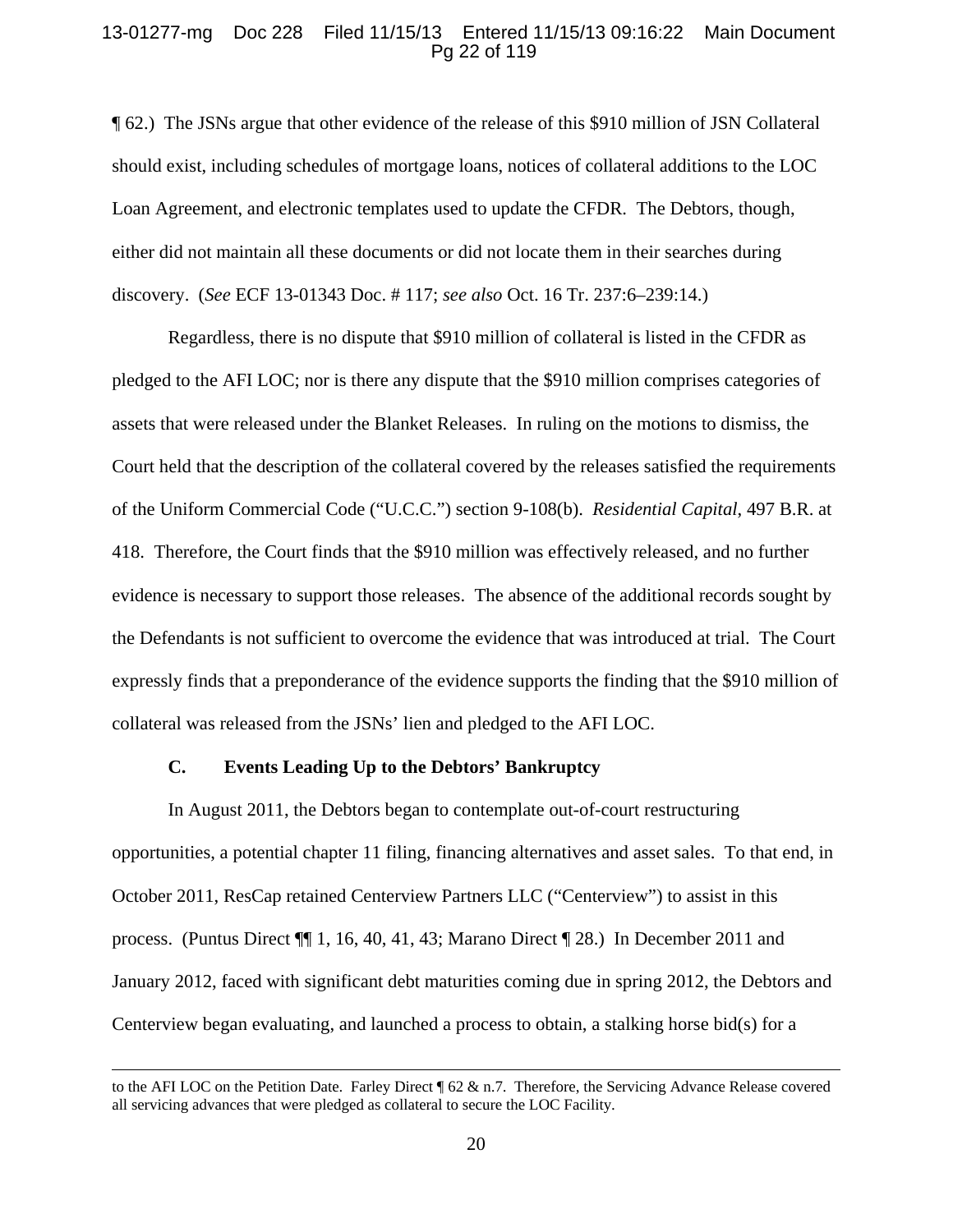### 13-01277-mg Doc 228 Filed 11/15/13 Entered 11/15/13 09:16:22 Main Document Pg 22 of 119

¶ 62.) The JSNs argue that other evidence of the release of this \$910 million of JSN Collateral should exist, including schedules of mortgage loans, notices of collateral additions to the LOC Loan Agreement, and electronic templates used to update the CFDR. The Debtors, though, either did not maintain all these documents or did not locate them in their searches during discovery. (*See* ECF 13-01343 Doc. # 117; *see also* Oct. 16 Tr. 237:6–239:14.)

Regardless, there is no dispute that \$910 million of collateral is listed in the CFDR as pledged to the AFI LOC; nor is there any dispute that the \$910 million comprises categories of assets that were released under the Blanket Releases. In ruling on the motions to dismiss, the Court held that the description of the collateral covered by the releases satisfied the requirements of the Uniform Commercial Code ("U.C.C.") section 9-108(b). *Residential Capital*, 497 B.R. at 418. Therefore, the Court finds that the \$910 million was effectively released, and no further evidence is necessary to support those releases. The absence of the additional records sought by the Defendants is not sufficient to overcome the evidence that was introduced at trial. The Court expressly finds that a preponderance of the evidence supports the finding that the \$910 million of collateral was released from the JSNs' lien and pledged to the AFI LOC.

## **C. Events Leading Up to the Debtors' Bankruptcy**

In August 2011, the Debtors began to contemplate out-of-court restructuring opportunities, a potential chapter 11 filing, financing alternatives and asset sales. To that end, in October 2011, ResCap retained Centerview Partners LLC ("Centerview") to assist in this process. (Puntus Direct ¶¶ 1, 16, 40, 41, 43; Marano Direct ¶ 28.) In December 2011 and January 2012, faced with significant debt maturities coming due in spring 2012, the Debtors and Centerview began evaluating, and launched a process to obtain, a stalking horse bid(s) for a

<u> 1989 - Johann Stein, marwolaethau a gweledydd a ganlad y ganlad y ganlad y ganlad y ganlad y ganlad y ganlad</u>

to the AFI LOC on the Petition Date. Farley Direct ¶ 62 & n.7. Therefore, the Servicing Advance Release covered all servicing advances that were pledged as collateral to secure the LOC Facility.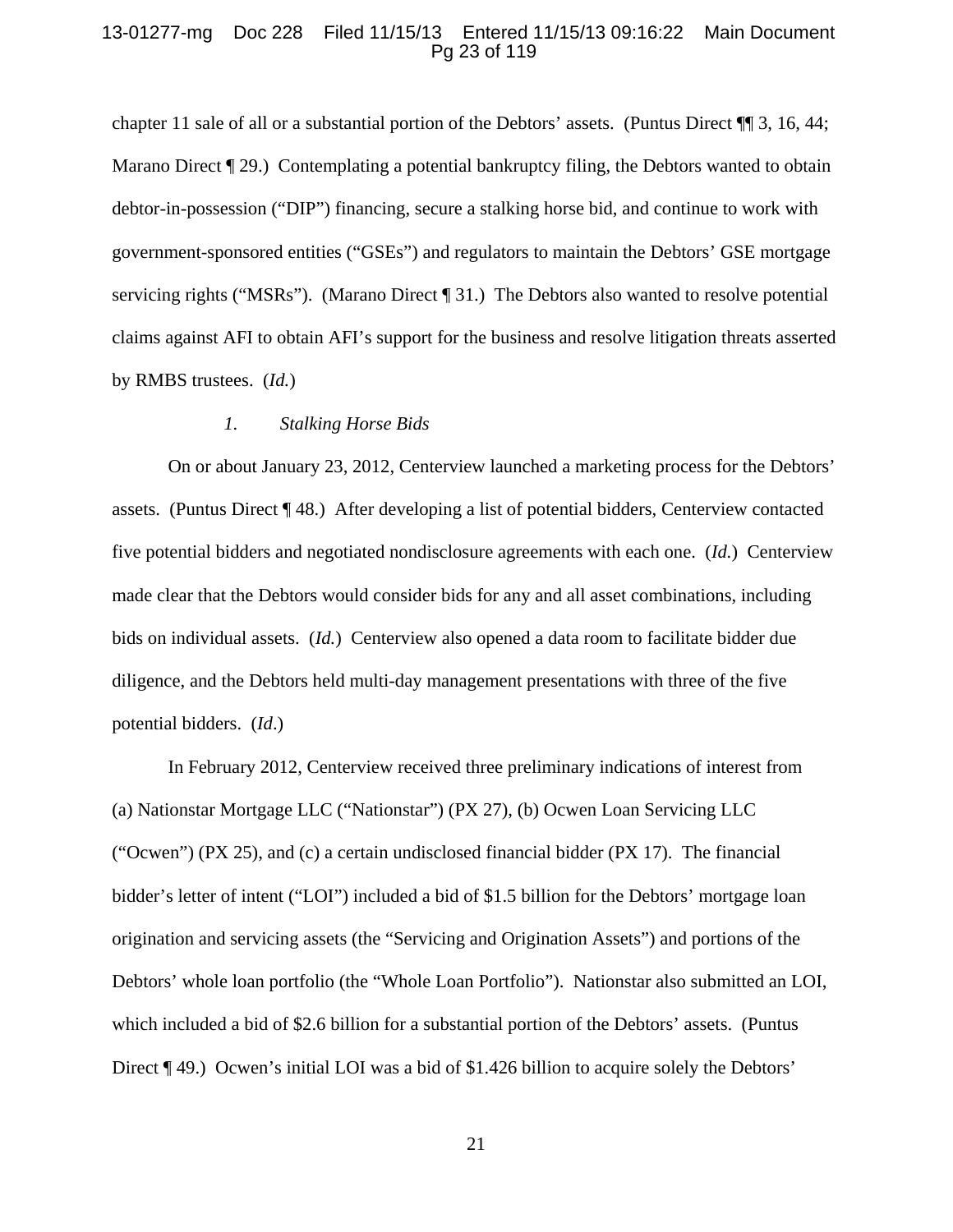#### 13-01277-mg Doc 228 Filed 11/15/13 Entered 11/15/13 09:16:22 Main Document Pg 23 of 119

chapter 11 sale of all or a substantial portion of the Debtors' assets. (Puntus Direct ¶¶ 3, 16, 44; Marano Direct (29.) Contemplating a potential bankruptcy filing, the Debtors wanted to obtain debtor-in-possession ("DIP") financing, secure a stalking horse bid, and continue to work with government-sponsored entities ("GSEs") and regulators to maintain the Debtors' GSE mortgage servicing rights ("MSRs"). (Marano Direct ¶ 31.) The Debtors also wanted to resolve potential claims against AFI to obtain AFI's support for the business and resolve litigation threats asserted by RMBS trustees. (*Id.*)

#### *1. Stalking Horse Bids*

On or about January 23, 2012, Centerview launched a marketing process for the Debtors' assets. (Puntus Direct ¶ 48.) After developing a list of potential bidders, Centerview contacted five potential bidders and negotiated nondisclosure agreements with each one. (*Id.*) Centerview made clear that the Debtors would consider bids for any and all asset combinations, including bids on individual assets. (*Id.*) Centerview also opened a data room to facilitate bidder due diligence, and the Debtors held multi-day management presentations with three of the five potential bidders. (*Id*.)

In February 2012, Centerview received three preliminary indications of interest from (a) Nationstar Mortgage LLC ("Nationstar") (PX 27), (b) Ocwen Loan Servicing LLC ("Ocwen") (PX 25), and (c) a certain undisclosed financial bidder (PX 17). The financial bidder's letter of intent ("LOI") included a bid of \$1.5 billion for the Debtors' mortgage loan origination and servicing assets (the "Servicing and Origination Assets") and portions of the Debtors' whole loan portfolio (the "Whole Loan Portfolio"). Nationstar also submitted an LOI, which included a bid of \$2.6 billion for a substantial portion of the Debtors' assets. (Puntus Direct ¶ 49.) Ocwen's initial LOI was a bid of \$1.426 billion to acquire solely the Debtors'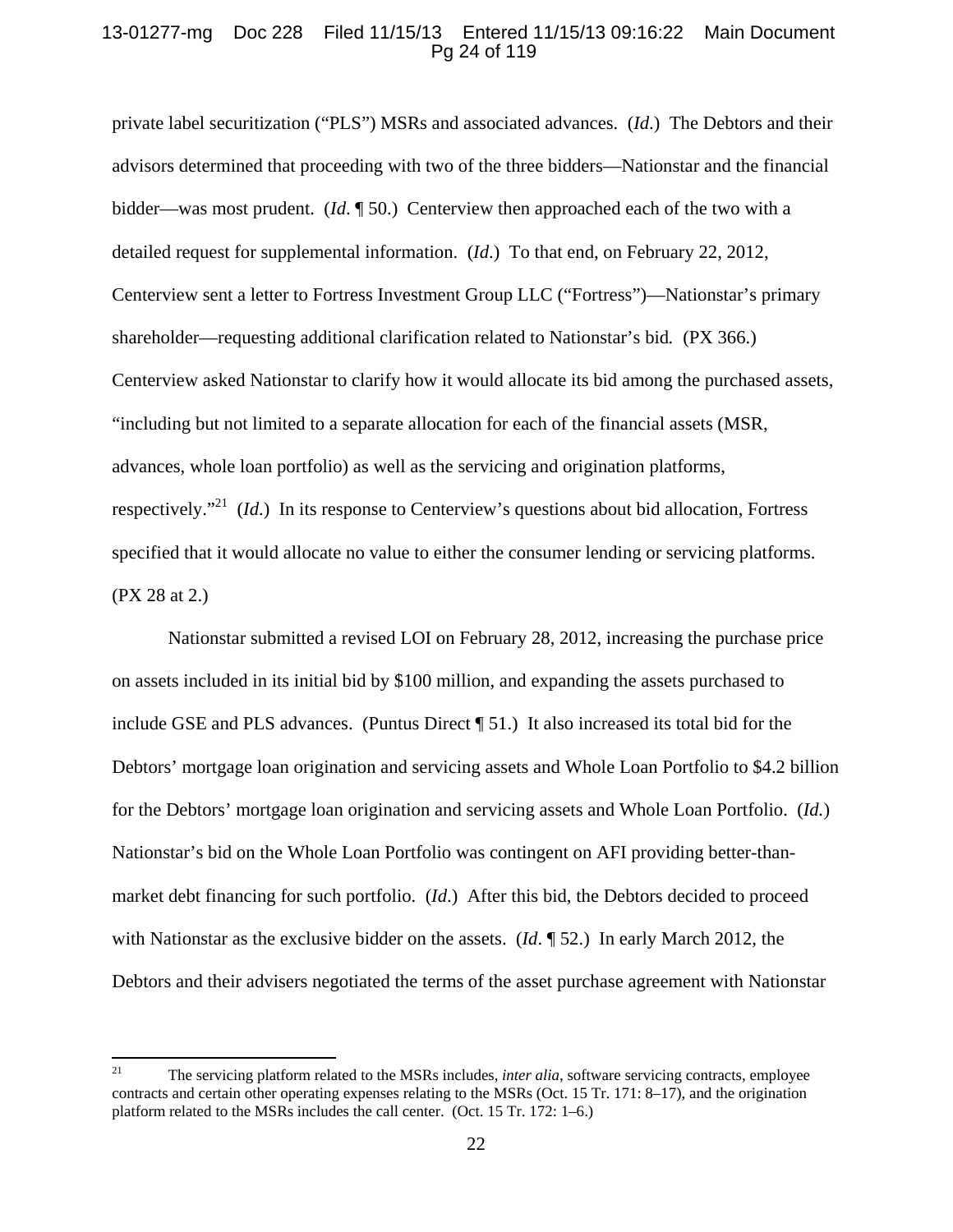### 13-01277-mg Doc 228 Filed 11/15/13 Entered 11/15/13 09:16:22 Main Document Pg 24 of 119

private label securitization ("PLS") MSRs and associated advances. (*Id*.) The Debtors and their advisors determined that proceeding with two of the three bidders—Nationstar and the financial bidder—was most prudent. (*Id*. ¶ 50.) Centerview then approached each of the two with a detailed request for supplemental information. (*Id*.) To that end, on February 22, 2012, Centerview sent a letter to Fortress Investment Group LLC ("Fortress")—Nationstar's primary shareholder—requesting additional clarification related to Nationstar's bid*.* (PX 366.) Centerview asked Nationstar to clarify how it would allocate its bid among the purchased assets, "including but not limited to a separate allocation for each of the financial assets (MSR, advances, whole loan portfolio) as well as the servicing and origination platforms, respectively."21 (*Id*.) In its response to Centerview's questions about bid allocation, Fortress specified that it would allocate no value to either the consumer lending or servicing platforms. (PX 28 at 2.)

Nationstar submitted a revised LOI on February 28, 2012, increasing the purchase price on assets included in its initial bid by \$100 million, and expanding the assets purchased to include GSE and PLS advances. (Puntus Direct ¶ 51.) It also increased its total bid for the Debtors' mortgage loan origination and servicing assets and Whole Loan Portfolio to \$4.2 billion for the Debtors' mortgage loan origination and servicing assets and Whole Loan Portfolio. (*Id.*) Nationstar's bid on the Whole Loan Portfolio was contingent on AFI providing better-thanmarket debt financing for such portfolio. (*Id*.) After this bid, the Debtors decided to proceed with Nationstar as the exclusive bidder on the assets. (*Id*. ¶ 52.) In early March 2012, the Debtors and their advisers negotiated the terms of the asset purchase agreement with Nationstar

<sup>&</sup>lt;sup>21</sup> The servicing platform related to the MSRs includes, *inter alia*, software servicing contracts, employee contracts and certain other operating expenses relating to the MSRs (Oct. 15 Tr. 171: 8–17), and the origination platform related to the MSRs includes the call center. (Oct. 15 Tr. 172: 1–6.)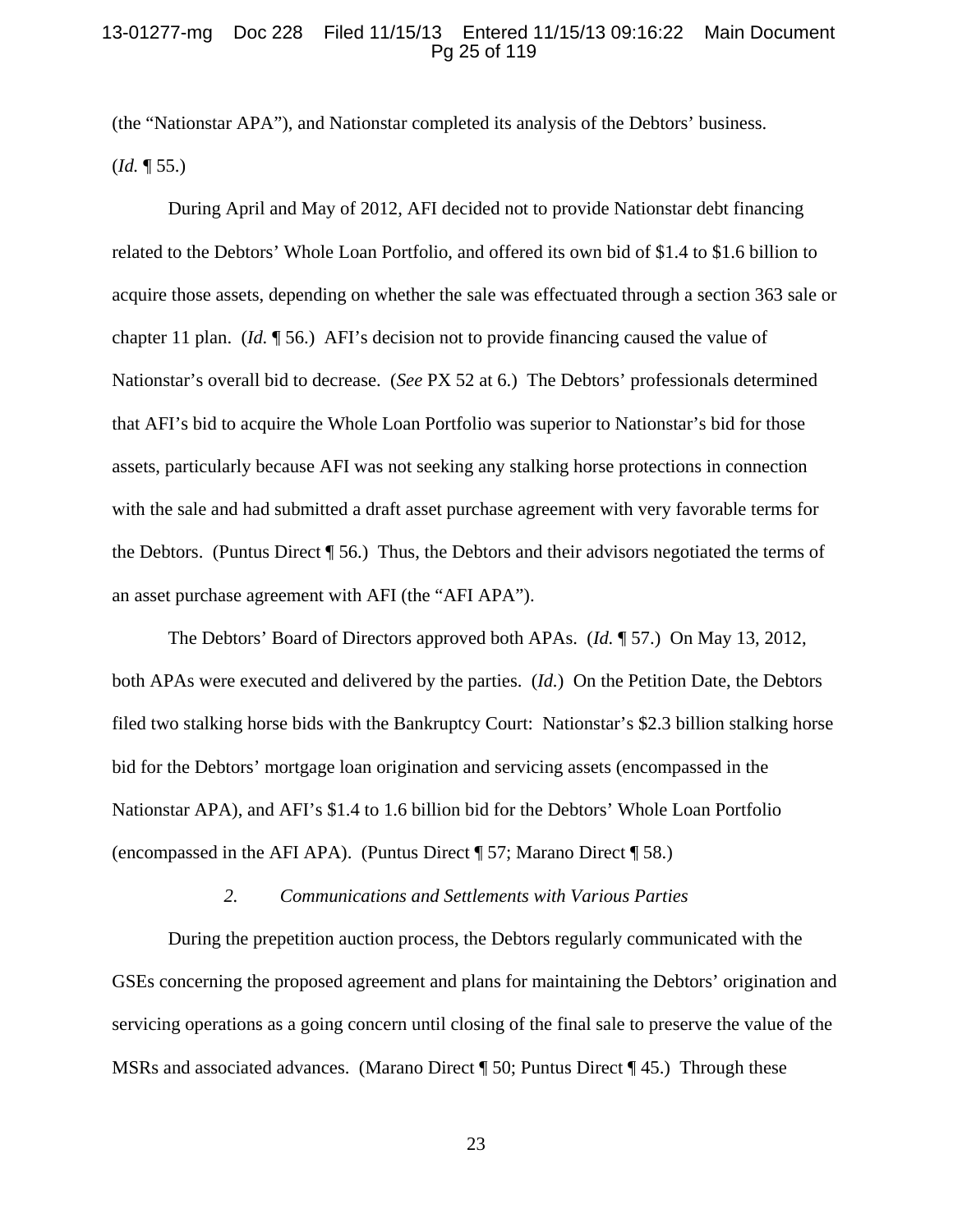#### 13-01277-mg Doc 228 Filed 11/15/13 Entered 11/15/13 09:16:22 Main Document Pg 25 of 119

(the "Nationstar APA"), and Nationstar completed its analysis of the Debtors' business. (*Id.* ¶ 55.)

During April and May of 2012, AFI decided not to provide Nationstar debt financing related to the Debtors' Whole Loan Portfolio, and offered its own bid of \$1.4 to \$1.6 billion to acquire those assets, depending on whether the sale was effectuated through a section 363 sale or chapter 11 plan. (*Id.* ¶ 56.) AFI's decision not to provide financing caused the value of Nationstar's overall bid to decrease. (*See* PX 52 at 6.) The Debtors' professionals determined that AFI's bid to acquire the Whole Loan Portfolio was superior to Nationstar's bid for those assets, particularly because AFI was not seeking any stalking horse protections in connection with the sale and had submitted a draft asset purchase agreement with very favorable terms for the Debtors. (Puntus Direct ¶ 56.) Thus, the Debtors and their advisors negotiated the terms of an asset purchase agreement with AFI (the "AFI APA").

The Debtors' Board of Directors approved both APAs. (*Id.* ¶ 57.) On May 13, 2012, both APAs were executed and delivered by the parties. (*Id.*) On the Petition Date, the Debtors filed two stalking horse bids with the Bankruptcy Court: Nationstar's \$2.3 billion stalking horse bid for the Debtors' mortgage loan origination and servicing assets (encompassed in the Nationstar APA), and AFI's \$1.4 to 1.6 billion bid for the Debtors' Whole Loan Portfolio (encompassed in the AFI APA). (Puntus Direct ¶ 57; Marano Direct ¶ 58.)

#### *2. Communications and Settlements with Various Parties*

During the prepetition auction process, the Debtors regularly communicated with the GSEs concerning the proposed agreement and plans for maintaining the Debtors' origination and servicing operations as a going concern until closing of the final sale to preserve the value of the MSRs and associated advances. (Marano Direct ¶ 50; Puntus Direct ¶ 45.) Through these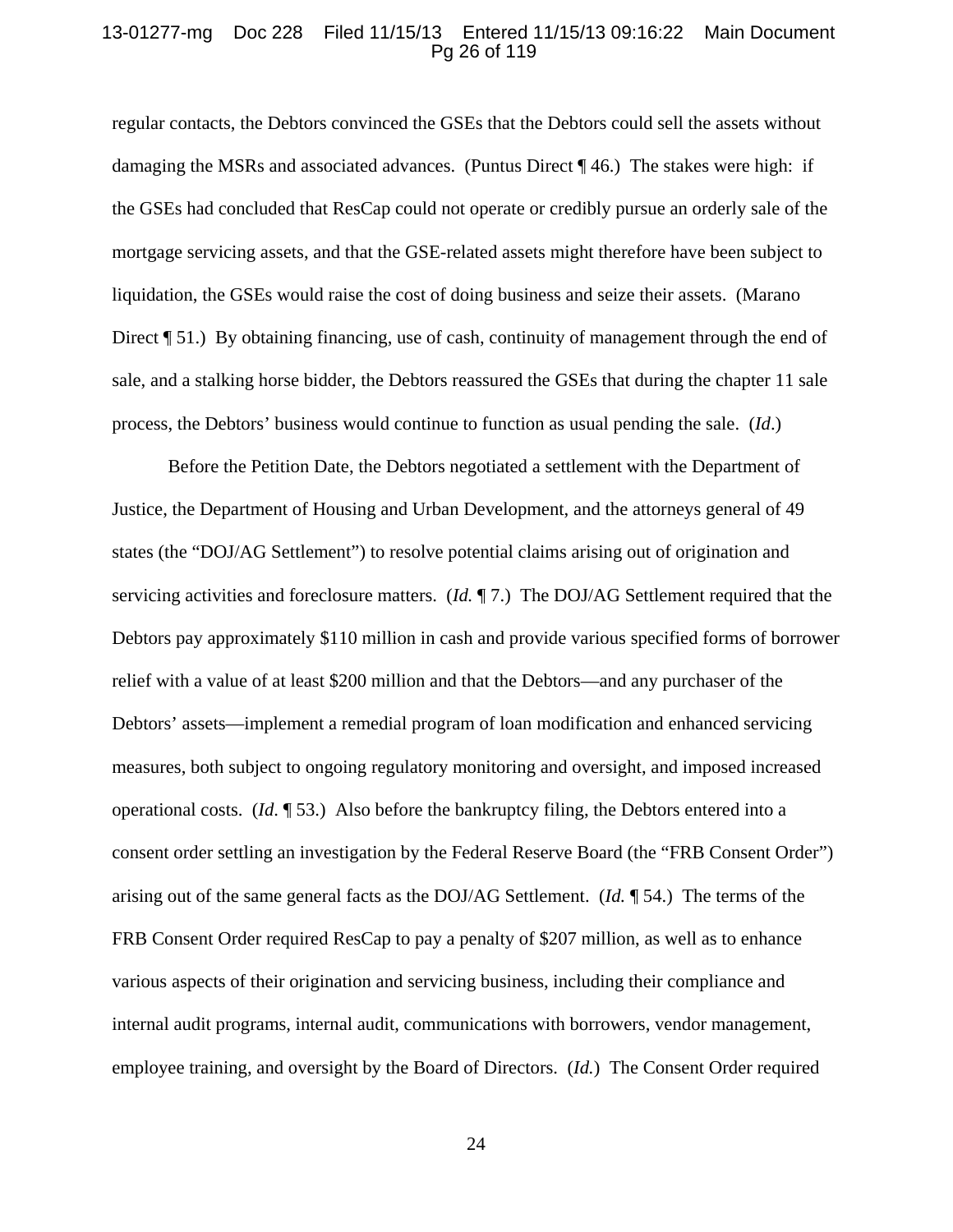### 13-01277-mg Doc 228 Filed 11/15/13 Entered 11/15/13 09:16:22 Main Document Pg 26 of 119

regular contacts, the Debtors convinced the GSEs that the Debtors could sell the assets without damaging the MSRs and associated advances. (Puntus Direct ¶ 46.) The stakes were high: if the GSEs had concluded that ResCap could not operate or credibly pursue an orderly sale of the mortgage servicing assets, and that the GSE-related assets might therefore have been subject to liquidation, the GSEs would raise the cost of doing business and seize their assets. (Marano Direct ¶ 51.) By obtaining financing, use of cash, continuity of management through the end of sale, and a stalking horse bidder, the Debtors reassured the GSEs that during the chapter 11 sale process, the Debtors' business would continue to function as usual pending the sale. (*Id*.)

Before the Petition Date, the Debtors negotiated a settlement with the Department of Justice, the Department of Housing and Urban Development, and the attorneys general of 49 states (the "DOJ/AG Settlement") to resolve potential claims arising out of origination and servicing activities and foreclosure matters. (*Id.* ¶ 7.) The DOJ/AG Settlement required that the Debtors pay approximately \$110 million in cash and provide various specified forms of borrower relief with a value of at least \$200 million and that the Debtors—and any purchaser of the Debtors' assets—implement a remedial program of loan modification and enhanced servicing measures, both subject to ongoing regulatory monitoring and oversight, and imposed increased operational costs. (*Id*. ¶ 53.) Also before the bankruptcy filing, the Debtors entered into a consent order settling an investigation by the Federal Reserve Board (the "FRB Consent Order") arising out of the same general facts as the DOJ/AG Settlement. (*Id.* ¶ 54.) The terms of the FRB Consent Order required ResCap to pay a penalty of \$207 million, as well as to enhance various aspects of their origination and servicing business, including their compliance and internal audit programs, internal audit, communications with borrowers, vendor management, employee training, and oversight by the Board of Directors. (*Id.*) The Consent Order required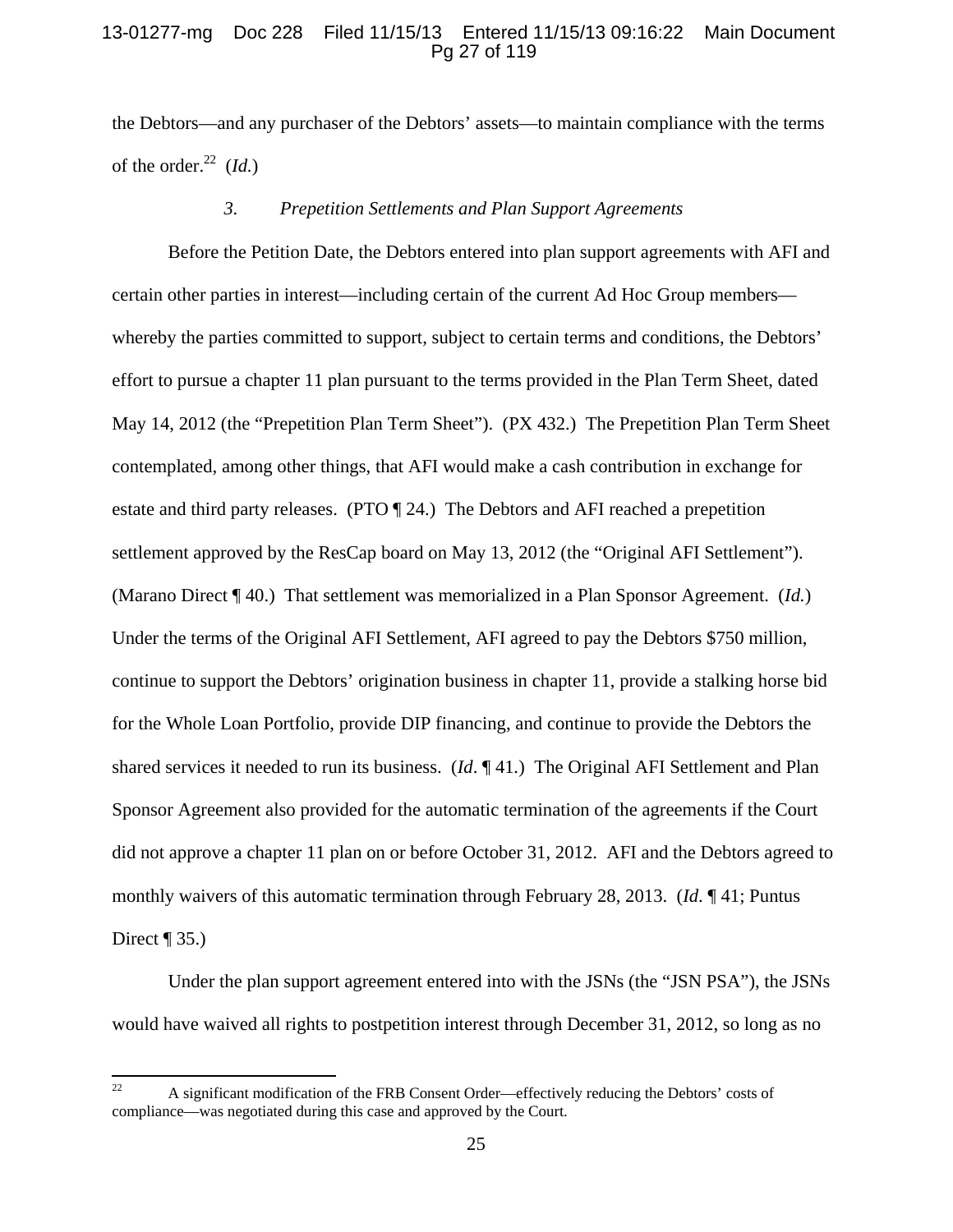### 13-01277-mg Doc 228 Filed 11/15/13 Entered 11/15/13 09:16:22 Main Document Pg 27 of 119

the Debtors—and any purchaser of the Debtors' assets—to maintain compliance with the terms of the order. $^{22}$  (*Id.*)

## *3. Prepetition Settlements and Plan Support Agreements*

Before the Petition Date, the Debtors entered into plan support agreements with AFI and certain other parties in interest—including certain of the current Ad Hoc Group members whereby the parties committed to support, subject to certain terms and conditions, the Debtors' effort to pursue a chapter 11 plan pursuant to the terms provided in the Plan Term Sheet, dated May 14, 2012 (the "Prepetition Plan Term Sheet"). (PX 432.) The Prepetition Plan Term Sheet contemplated, among other things, that AFI would make a cash contribution in exchange for estate and third party releases. (PTO ¶ 24.) The Debtors and AFI reached a prepetition settlement approved by the ResCap board on May 13, 2012 (the "Original AFI Settlement"). (Marano Direct ¶ 40.) That settlement was memorialized in a Plan Sponsor Agreement. (*Id.*) Under the terms of the Original AFI Settlement, AFI agreed to pay the Debtors \$750 million, continue to support the Debtors' origination business in chapter 11, provide a stalking horse bid for the Whole Loan Portfolio, provide DIP financing, and continue to provide the Debtors the shared services it needed to run its business. (*Id*. ¶ 41*.*) The Original AFI Settlement and Plan Sponsor Agreement also provided for the automatic termination of the agreements if the Court did not approve a chapter 11 plan on or before October 31, 2012. AFI and the Debtors agreed to monthly waivers of this automatic termination through February 28, 2013. (*Id*. ¶ 41; Puntus Direct  $\P$  35.)

Under the plan support agreement entered into with the JSNs (the "JSN PSA"), the JSNs would have waived all rights to postpetition interest through December 31, 2012, so long as no

<sup>&</sup>lt;sup>22</sup> A significant modification of the FRB Consent Order—effectively reducing the Debtors' costs of compliance—was negotiated during this case and approved by the Court.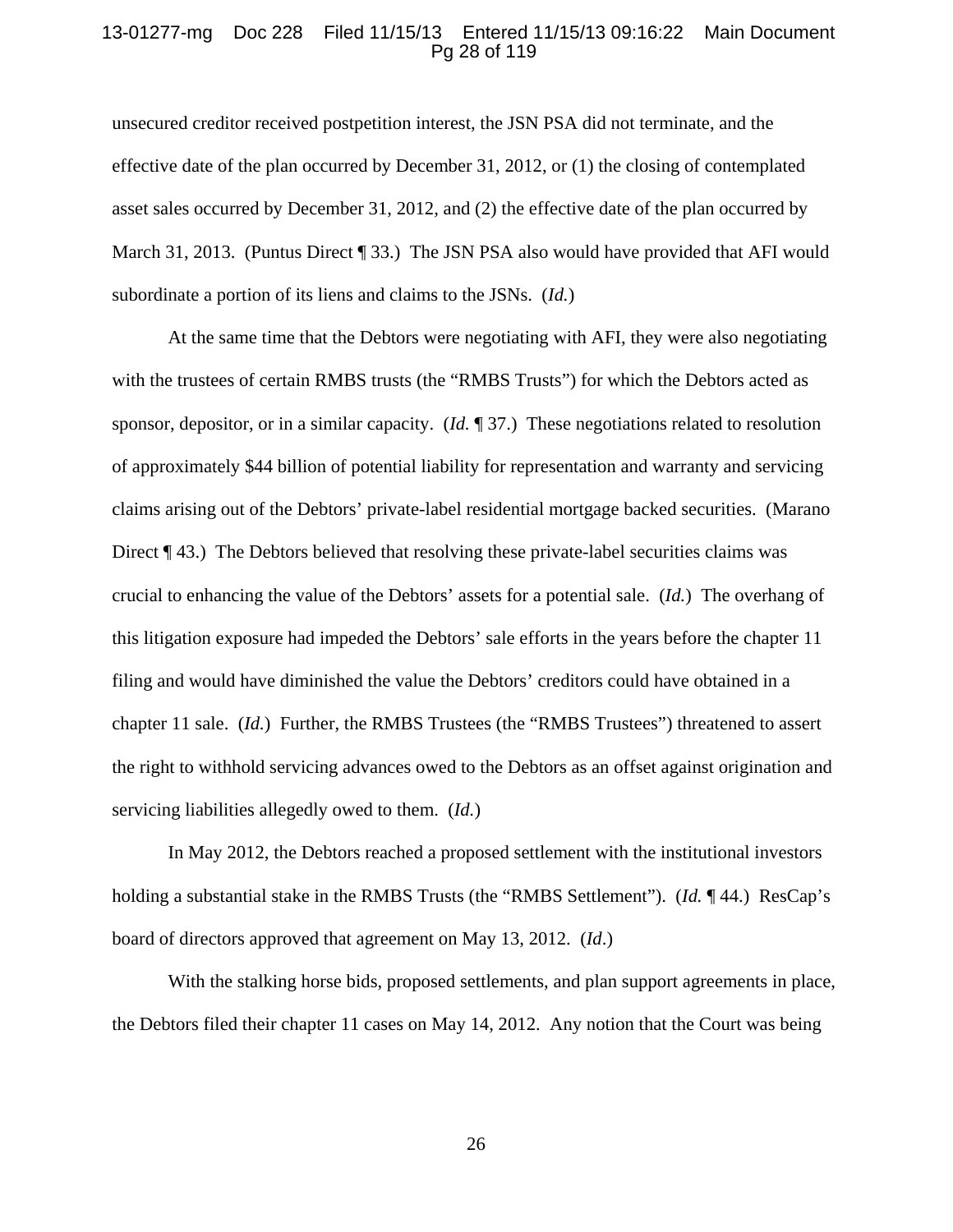### 13-01277-mg Doc 228 Filed 11/15/13 Entered 11/15/13 09:16:22 Main Document Pg 28 of 119

unsecured creditor received postpetition interest, the JSN PSA did not terminate, and the effective date of the plan occurred by December 31, 2012, or (1) the closing of contemplated asset sales occurred by December 31, 2012, and (2) the effective date of the plan occurred by March 31, 2013. (Puntus Direct [33.) The JSN PSA also would have provided that AFI would subordinate a portion of its liens and claims to the JSNs. (*Id.*)

At the same time that the Debtors were negotiating with AFI, they were also negotiating with the trustees of certain RMBS trusts (the "RMBS Trusts") for which the Debtors acted as sponsor, depositor, or in a similar capacity. (*Id.* ¶ 37.) These negotiations related to resolution of approximately \$44 billion of potential liability for representation and warranty and servicing claims arising out of the Debtors' private-label residential mortgage backed securities. (Marano Direct ¶ 43.) The Debtors believed that resolving these private-label securities claims was crucial to enhancing the value of the Debtors' assets for a potential sale. (*Id.*) The overhang of this litigation exposure had impeded the Debtors' sale efforts in the years before the chapter 11 filing and would have diminished the value the Debtors' creditors could have obtained in a chapter 11 sale. (*Id.*) Further, the RMBS Trustees (the "RMBS Trustees") threatened to assert the right to withhold servicing advances owed to the Debtors as an offset against origination and servicing liabilities allegedly owed to them. (*Id.*)

In May 2012, the Debtors reached a proposed settlement with the institutional investors holding a substantial stake in the RMBS Trusts (the "RMBS Settlement"). (*Id.* ¶ 44.) ResCap's board of directors approved that agreement on May 13, 2012. (*Id*.)

With the stalking horse bids, proposed settlements, and plan support agreements in place, the Debtors filed their chapter 11 cases on May 14, 2012. Any notion that the Court was being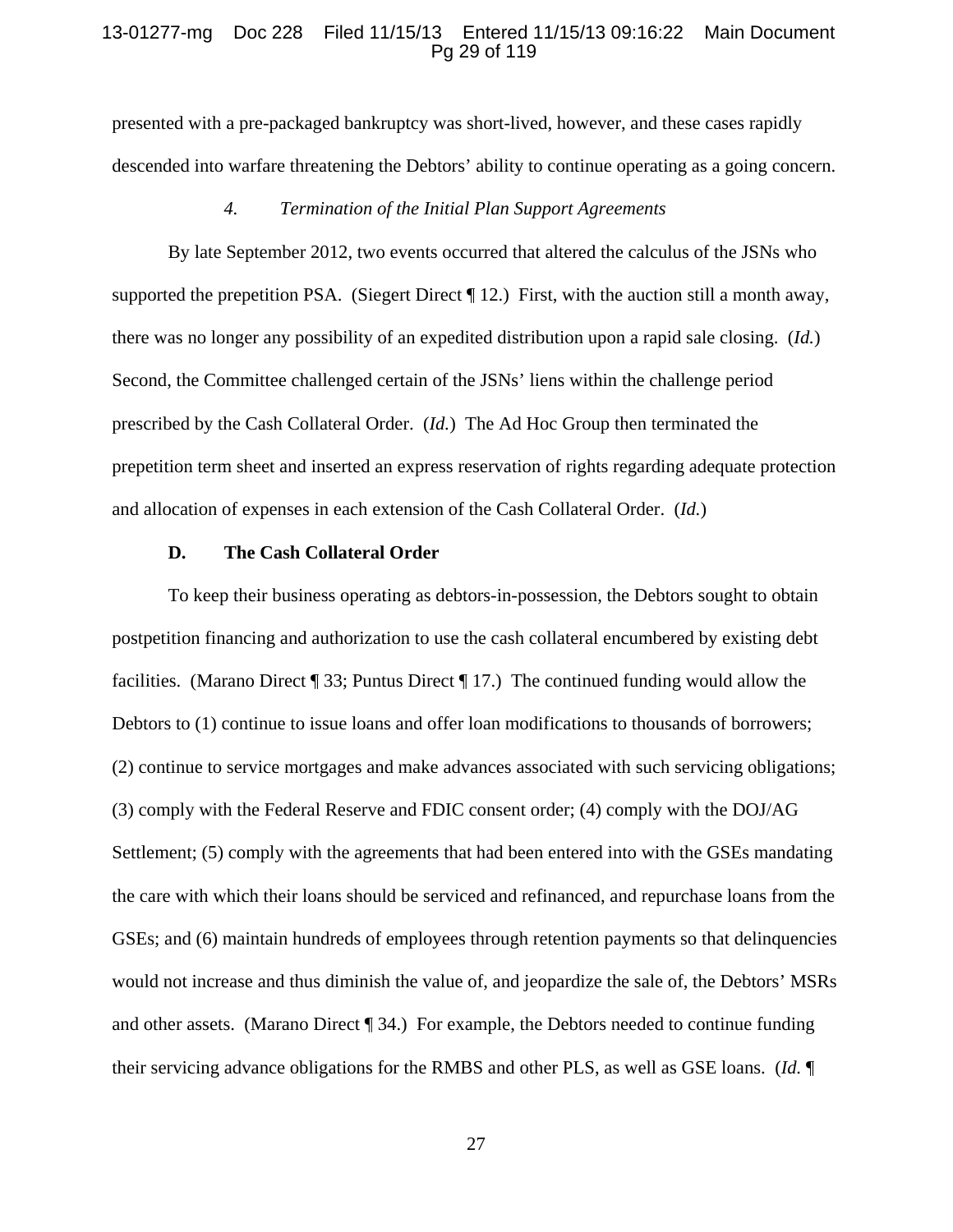#### 13-01277-mg Doc 228 Filed 11/15/13 Entered 11/15/13 09:16:22 Main Document Pg 29 of 119

presented with a pre-packaged bankruptcy was short-lived, however, and these cases rapidly descended into warfare threatening the Debtors' ability to continue operating as a going concern.

### *4. Termination of the Initial Plan Support Agreements*

By late September 2012, two events occurred that altered the calculus of the JSNs who supported the prepetition PSA. (Siegert Direct  $\P$ 12.) First, with the auction still a month away, there was no longer any possibility of an expedited distribution upon a rapid sale closing. (*Id.*) Second, the Committee challenged certain of the JSNs' liens within the challenge period prescribed by the Cash Collateral Order. (*Id.*) The Ad Hoc Group then terminated the prepetition term sheet and inserted an express reservation of rights regarding adequate protection and allocation of expenses in each extension of the Cash Collateral Order. (*Id.*)

#### **D. The Cash Collateral Order**

To keep their business operating as debtors-in-possession, the Debtors sought to obtain postpetition financing and authorization to use the cash collateral encumbered by existing debt facilities. (Marano Direct ¶ 33; Puntus Direct ¶ 17.) The continued funding would allow the Debtors to (1) continue to issue loans and offer loan modifications to thousands of borrowers; (2) continue to service mortgages and make advances associated with such servicing obligations; (3) comply with the Federal Reserve and FDIC consent order; (4) comply with the DOJ/AG Settlement; (5) comply with the agreements that had been entered into with the GSEs mandating the care with which their loans should be serviced and refinanced, and repurchase loans from the GSEs; and (6) maintain hundreds of employees through retention payments so that delinquencies would not increase and thus diminish the value of, and jeopardize the sale of, the Debtors' MSRs and other assets. (Marano Direct ¶ 34.) For example, the Debtors needed to continue funding their servicing advance obligations for the RMBS and other PLS, as well as GSE loans. (*Id.* ¶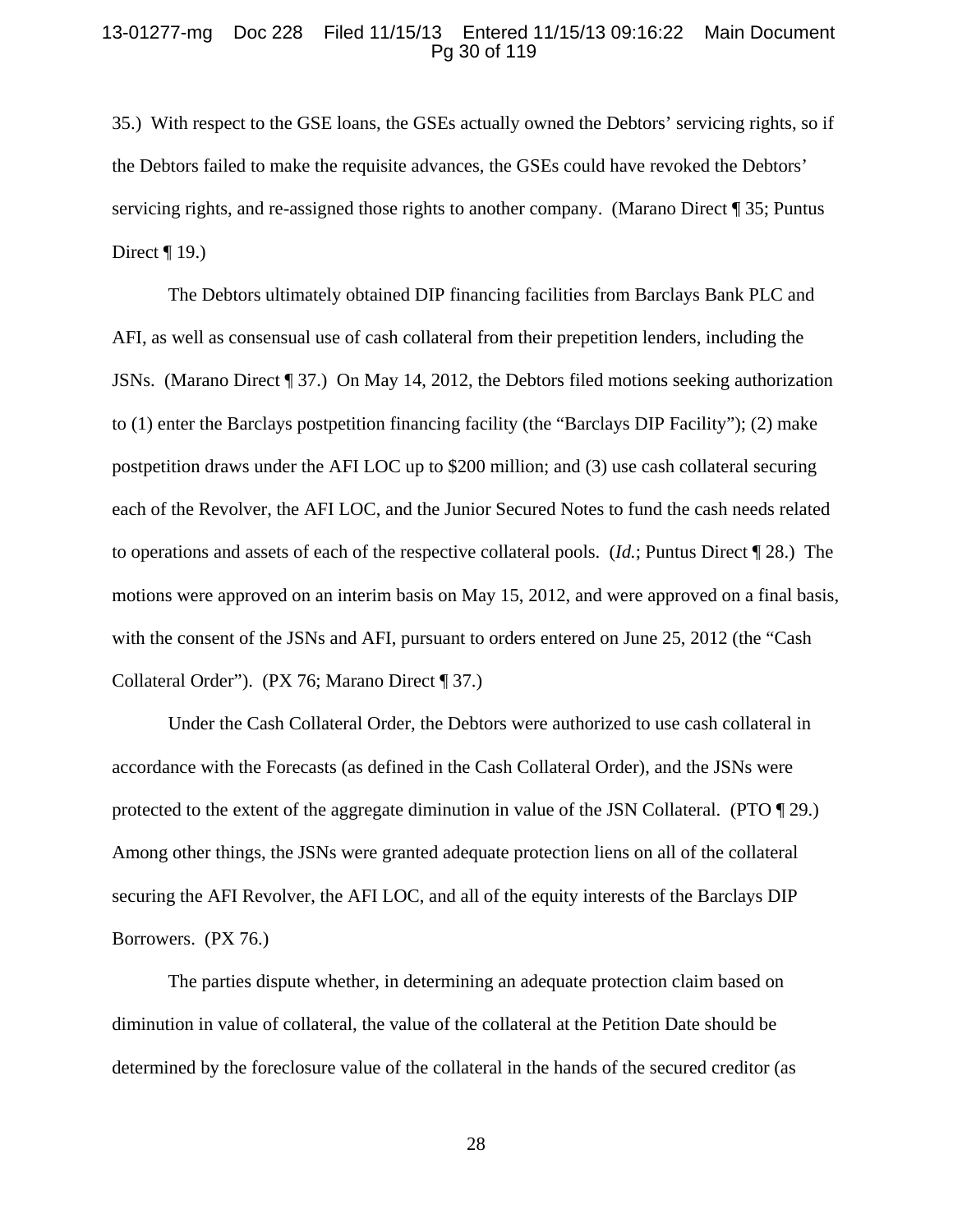#### 13-01277-mg Doc 228 Filed 11/15/13 Entered 11/15/13 09:16:22 Main Document Pg 30 of 119

35.) With respect to the GSE loans, the GSEs actually owned the Debtors' servicing rights, so if the Debtors failed to make the requisite advances, the GSEs could have revoked the Debtors' servicing rights, and re-assigned those rights to another company. (Marano Direct ¶ 35; Puntus Direct  $\P$  19.)

The Debtors ultimately obtained DIP financing facilities from Barclays Bank PLC and AFI, as well as consensual use of cash collateral from their prepetition lenders, including the JSNs. (Marano Direct ¶ 37.) On May 14, 2012, the Debtors filed motions seeking authorization to (1) enter the Barclays postpetition financing facility (the "Barclays DIP Facility"); (2) make postpetition draws under the AFI LOC up to \$200 million; and (3) use cash collateral securing each of the Revolver, the AFI LOC, and the Junior Secured Notes to fund the cash needs related to operations and assets of each of the respective collateral pools. (*Id.*; Puntus Direct ¶ 28.) The motions were approved on an interim basis on May 15, 2012, and were approved on a final basis, with the consent of the JSNs and AFI, pursuant to orders entered on June 25, 2012 (the "Cash Collateral Order"). (PX 76; Marano Direct ¶ 37.)

Under the Cash Collateral Order, the Debtors were authorized to use cash collateral in accordance with the Forecasts (as defined in the Cash Collateral Order), and the JSNs were protected to the extent of the aggregate diminution in value of the JSN Collateral. (PTO ¶ 29.) Among other things, the JSNs were granted adequate protection liens on all of the collateral securing the AFI Revolver, the AFI LOC, and all of the equity interests of the Barclays DIP Borrowers. (PX 76.)

 The parties dispute whether, in determining an adequate protection claim based on diminution in value of collateral, the value of the collateral at the Petition Date should be determined by the foreclosure value of the collateral in the hands of the secured creditor (as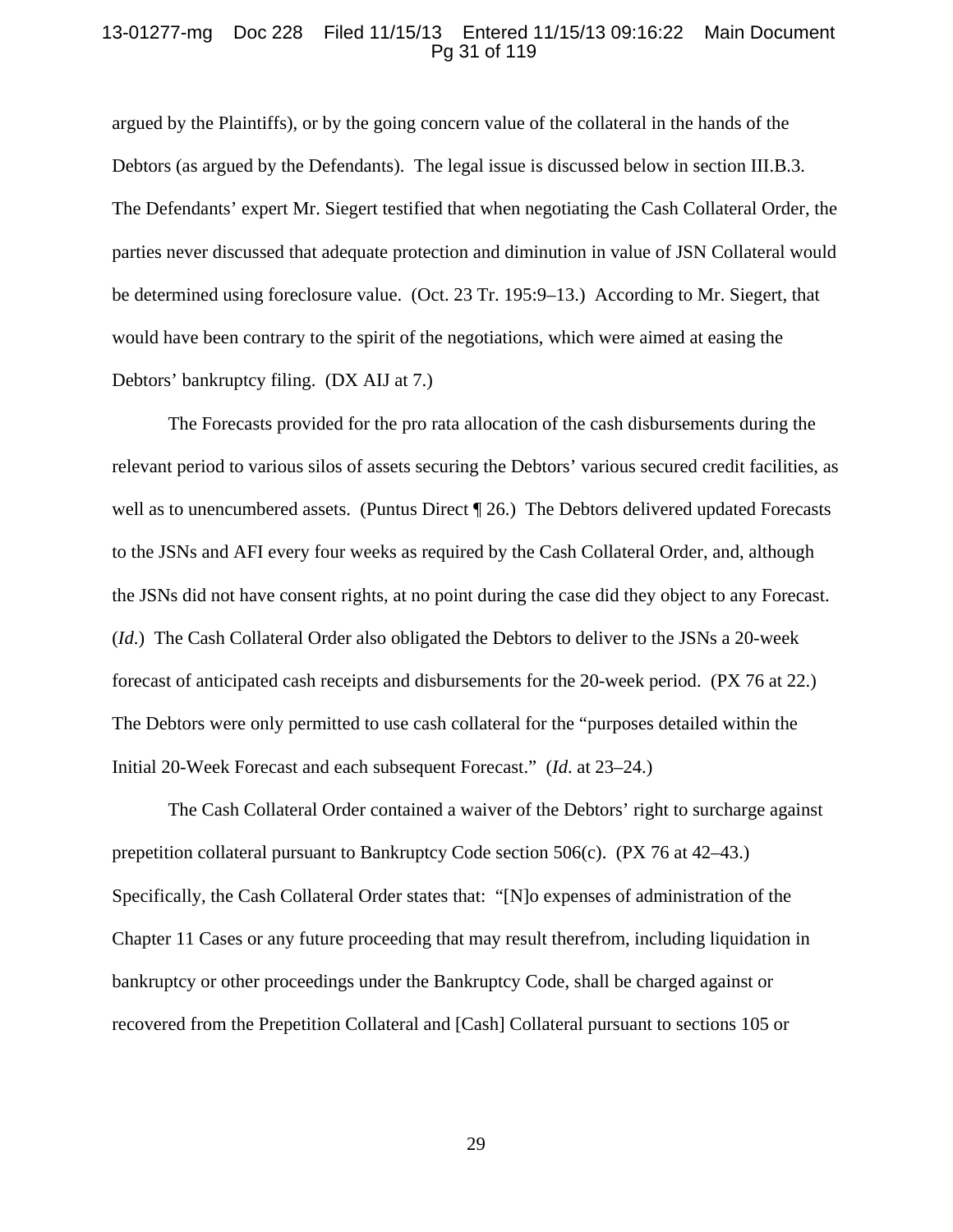### 13-01277-mg Doc 228 Filed 11/15/13 Entered 11/15/13 09:16:22 Main Document Pg 31 of 119

argued by the Plaintiffs), or by the going concern value of the collateral in the hands of the Debtors (as argued by the Defendants). The legal issue is discussed below in section III.B.3. The Defendants' expert Mr. Siegert testified that when negotiating the Cash Collateral Order, the parties never discussed that adequate protection and diminution in value of JSN Collateral would be determined using foreclosure value. (Oct. 23 Tr. 195:9–13.) According to Mr. Siegert, that would have been contrary to the spirit of the negotiations, which were aimed at easing the Debtors' bankruptcy filing. (DX AIJ at 7.)

The Forecasts provided for the pro rata allocation of the cash disbursements during the relevant period to various silos of assets securing the Debtors' various secured credit facilities, as well as to unencumbered assets. (Puntus Direct ¶ 26.) The Debtors delivered updated Forecasts to the JSNs and AFI every four weeks as required by the Cash Collateral Order, and, although the JSNs did not have consent rights, at no point during the case did they object to any Forecast. (*Id*.) The Cash Collateral Order also obligated the Debtors to deliver to the JSNs a 20-week forecast of anticipated cash receipts and disbursements for the 20-week period. (PX 76 at 22.) The Debtors were only permitted to use cash collateral for the "purposes detailed within the Initial 20-Week Forecast and each subsequent Forecast." (*Id*. at 23–24.)

The Cash Collateral Order contained a waiver of the Debtors' right to surcharge against prepetition collateral pursuant to Bankruptcy Code section 506(c). (PX 76 at 42–43.) Specifically, the Cash Collateral Order states that: "[N]o expenses of administration of the Chapter 11 Cases or any future proceeding that may result therefrom, including liquidation in bankruptcy or other proceedings under the Bankruptcy Code, shall be charged against or recovered from the Prepetition Collateral and [Cash] Collateral pursuant to sections 105 or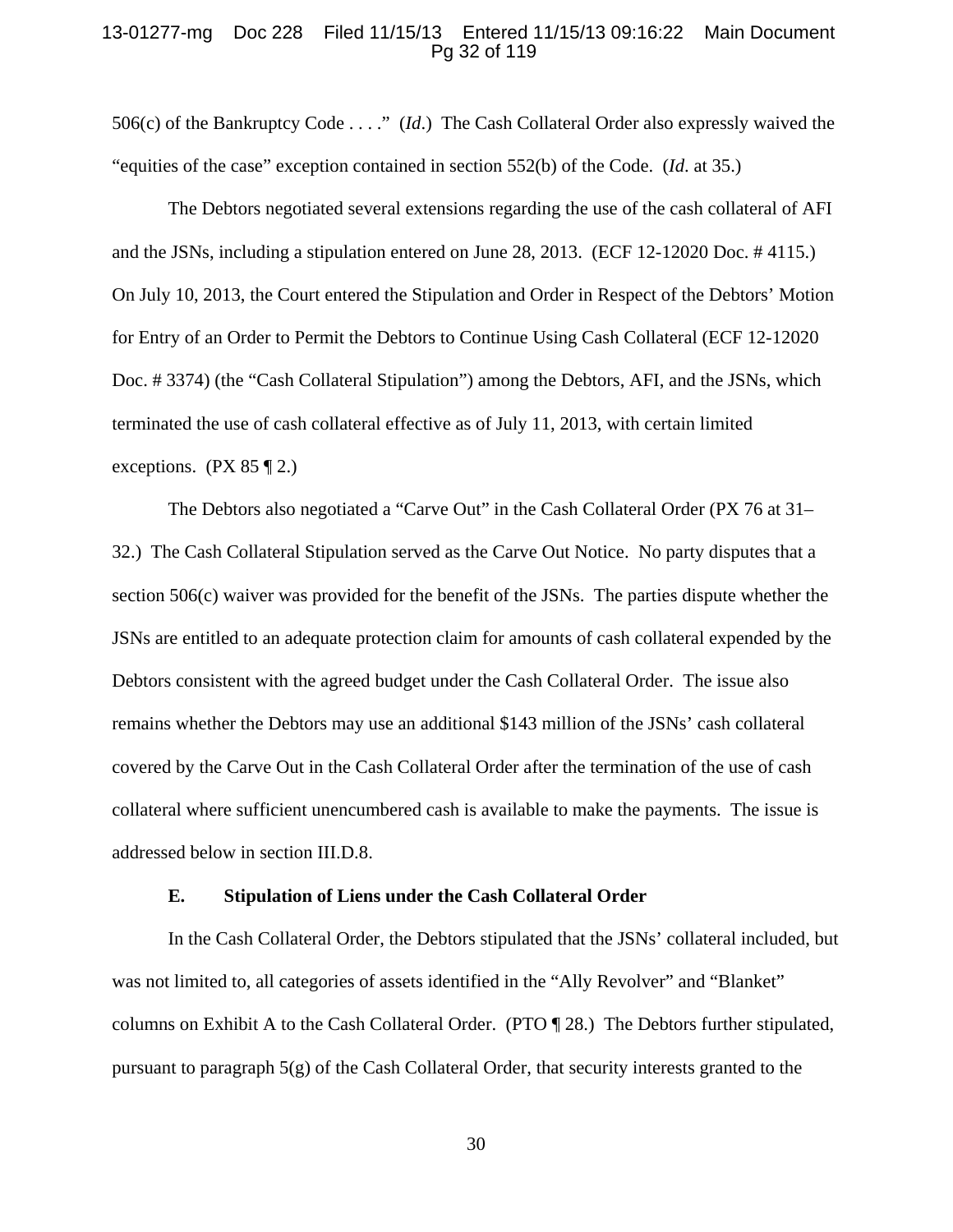### 13-01277-mg Doc 228 Filed 11/15/13 Entered 11/15/13 09:16:22 Main Document Pg 32 of 119

506(c) of the Bankruptcy Code . . . ." (*Id*.) The Cash Collateral Order also expressly waived the "equities of the case" exception contained in section 552(b) of the Code. (*Id*. at 35.)

The Debtors negotiated several extensions regarding the use of the cash collateral of AFI and the JSNs, including a stipulation entered on June 28, 2013. (ECF 12-12020 Doc. # 4115.) On July 10, 2013, the Court entered the Stipulation and Order in Respect of the Debtors' Motion for Entry of an Order to Permit the Debtors to Continue Using Cash Collateral (ECF 12-12020 Doc. # 3374) (the "Cash Collateral Stipulation") among the Debtors, AFI, and the JSNs, which terminated the use of cash collateral effective as of July 11, 2013, with certain limited exceptions. (PX  $85 \text{ } \mathcal{Z}$ )

The Debtors also negotiated a "Carve Out" in the Cash Collateral Order (PX 76 at 31– 32.) The Cash Collateral Stipulation served as the Carve Out Notice. No party disputes that a section 506(c) waiver was provided for the benefit of the JSNs. The parties dispute whether the JSNs are entitled to an adequate protection claim for amounts of cash collateral expended by the Debtors consistent with the agreed budget under the Cash Collateral Order. The issue also remains whether the Debtors may use an additional \$143 million of the JSNs' cash collateral covered by the Carve Out in the Cash Collateral Order after the termination of the use of cash collateral where sufficient unencumbered cash is available to make the payments. The issue is addressed below in section III.D.8.

#### **E. Stipulation of Liens under the Cash Collateral Order**

In the Cash Collateral Order, the Debtors stipulated that the JSNs' collateral included, but was not limited to, all categories of assets identified in the "Ally Revolver" and "Blanket" columns on Exhibit A to the Cash Collateral Order. (PTO ¶ 28.) The Debtors further stipulated, pursuant to paragraph 5(g) of the Cash Collateral Order, that security interests granted to the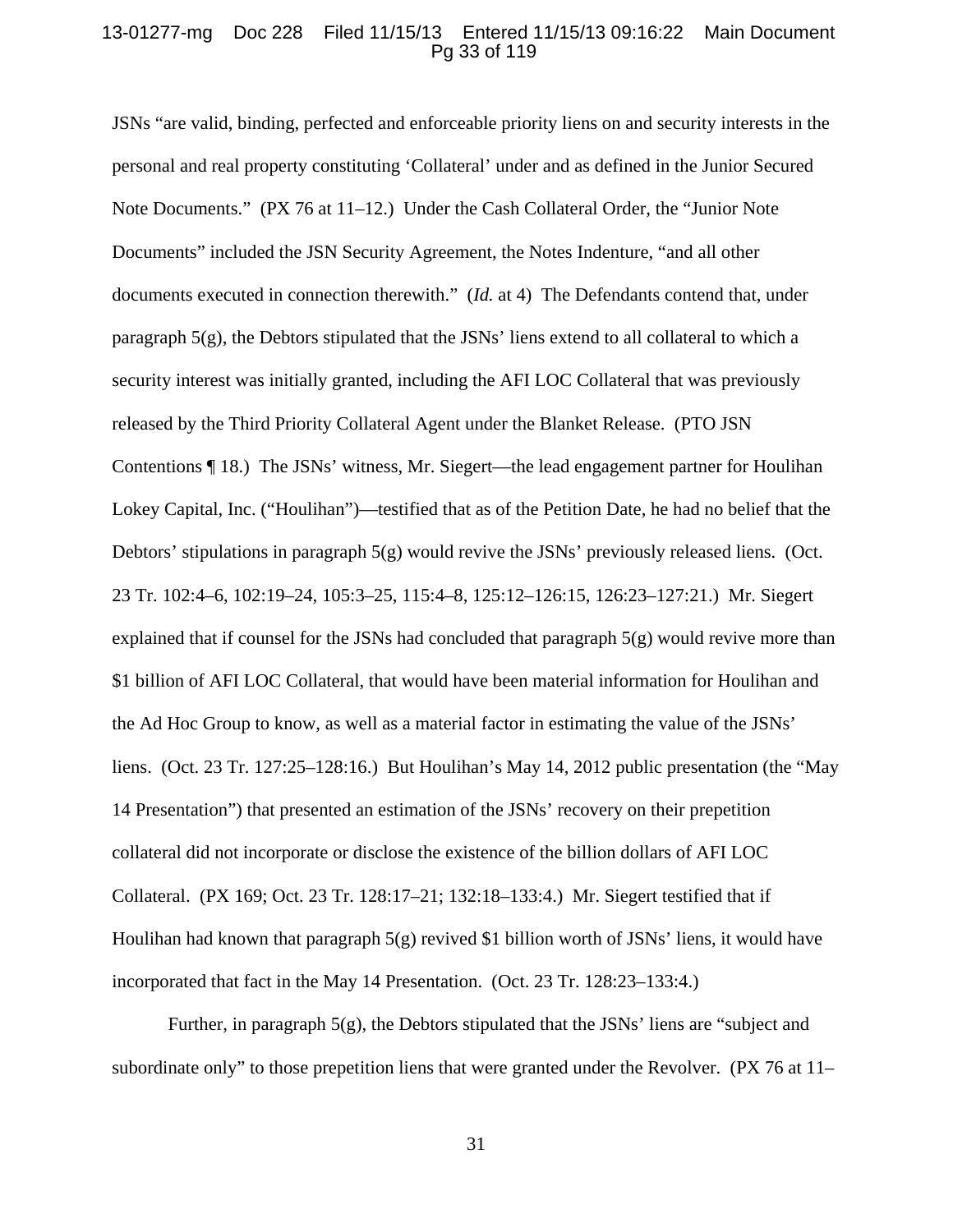### 13-01277-mg Doc 228 Filed 11/15/13 Entered 11/15/13 09:16:22 Main Document Pg 33 of 119

JSNs "are valid, binding, perfected and enforceable priority liens on and security interests in the personal and real property constituting 'Collateral' under and as defined in the Junior Secured Note Documents." (PX 76 at 11–12.) Under the Cash Collateral Order, the "Junior Note Documents" included the JSN Security Agreement, the Notes Indenture, "and all other documents executed in connection therewith." (*Id.* at 4) The Defendants contend that, under paragraph 5(g), the Debtors stipulated that the JSNs' liens extend to all collateral to which a security interest was initially granted, including the AFI LOC Collateral that was previously released by the Third Priority Collateral Agent under the Blanket Release. (PTO JSN Contentions ¶ 18.) The JSNs' witness, Mr. Siegert—the lead engagement partner for Houlihan Lokey Capital, Inc. ("Houlihan")—testified that as of the Petition Date, he had no belief that the Debtors' stipulations in paragraph 5(g) would revive the JSNs' previously released liens. (Oct. 23 Tr. 102:4–6, 102:19–24, 105:3–25, 115:4–8, 125:12–126:15, 126:23–127:21.) Mr. Siegert explained that if counsel for the JSNs had concluded that paragraph 5(g) would revive more than \$1 billion of AFI LOC Collateral, that would have been material information for Houlihan and the Ad Hoc Group to know, as well as a material factor in estimating the value of the JSNs' liens. (Oct. 23 Tr. 127:25–128:16.) But Houlihan's May 14, 2012 public presentation (the "May 14 Presentation") that presented an estimation of the JSNs' recovery on their prepetition collateral did not incorporate or disclose the existence of the billion dollars of AFI LOC Collateral. (PX 169; Oct. 23 Tr. 128:17–21; 132:18–133:4.) Mr. Siegert testified that if Houlihan had known that paragraph 5(g) revived \$1 billion worth of JSNs' liens, it would have incorporated that fact in the May 14 Presentation. (Oct. 23 Tr. 128:23–133:4.)

Further, in paragraph  $5(g)$ , the Debtors stipulated that the JSNs' liens are "subject and subordinate only" to those prepetition liens that were granted under the Revolver. (PX 76 at 11–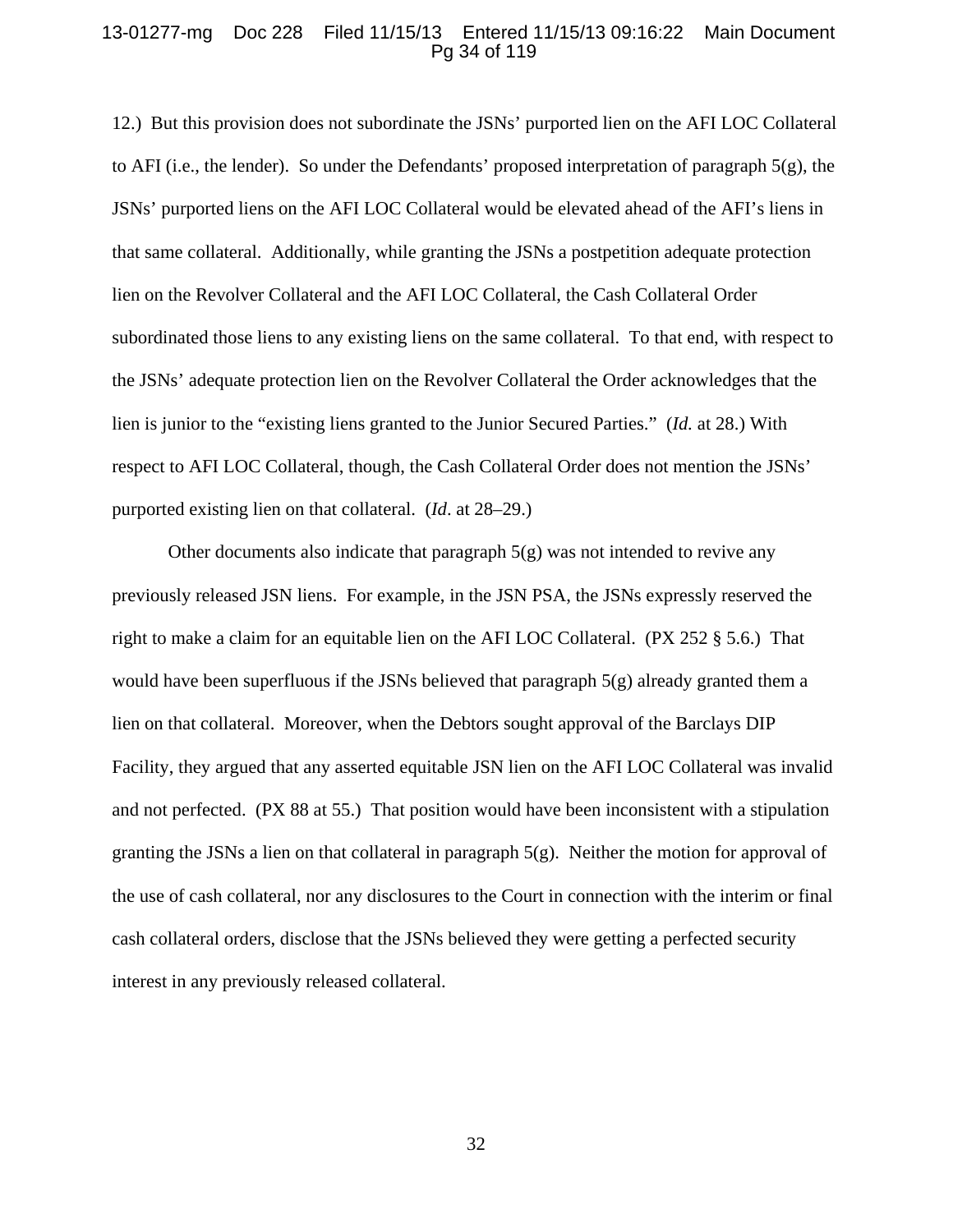### 13-01277-mg Doc 228 Filed 11/15/13 Entered 11/15/13 09:16:22 Main Document Pg 34 of 119

12.) But this provision does not subordinate the JSNs' purported lien on the AFI LOC Collateral to AFI (i.e., the lender). So under the Defendants' proposed interpretation of paragraph 5(g), the JSNs' purported liens on the AFI LOC Collateral would be elevated ahead of the AFI's liens in that same collateral. Additionally, while granting the JSNs a postpetition adequate protection lien on the Revolver Collateral and the AFI LOC Collateral, the Cash Collateral Order subordinated those liens to any existing liens on the same collateral. To that end, with respect to the JSNs' adequate protection lien on the Revolver Collateral the Order acknowledges that the lien is junior to the "existing liens granted to the Junior Secured Parties." (*Id.* at 28.) With respect to AFI LOC Collateral, though, the Cash Collateral Order does not mention the JSNs' purported existing lien on that collateral. (*Id*. at 28–29.)

Other documents also indicate that paragraph  $5(g)$  was not intended to revive any previously released JSN liens. For example, in the JSN PSA, the JSNs expressly reserved the right to make a claim for an equitable lien on the AFI LOC Collateral. (PX 252 § 5.6.) That would have been superfluous if the JSNs believed that paragraph  $5(g)$  already granted them a lien on that collateral. Moreover, when the Debtors sought approval of the Barclays DIP Facility, they argued that any asserted equitable JSN lien on the AFI LOC Collateral was invalid and not perfected. (PX 88 at 55.) That position would have been inconsistent with a stipulation granting the JSNs a lien on that collateral in paragraph 5(g). Neither the motion for approval of the use of cash collateral, nor any disclosures to the Court in connection with the interim or final cash collateral orders, disclose that the JSNs believed they were getting a perfected security interest in any previously released collateral.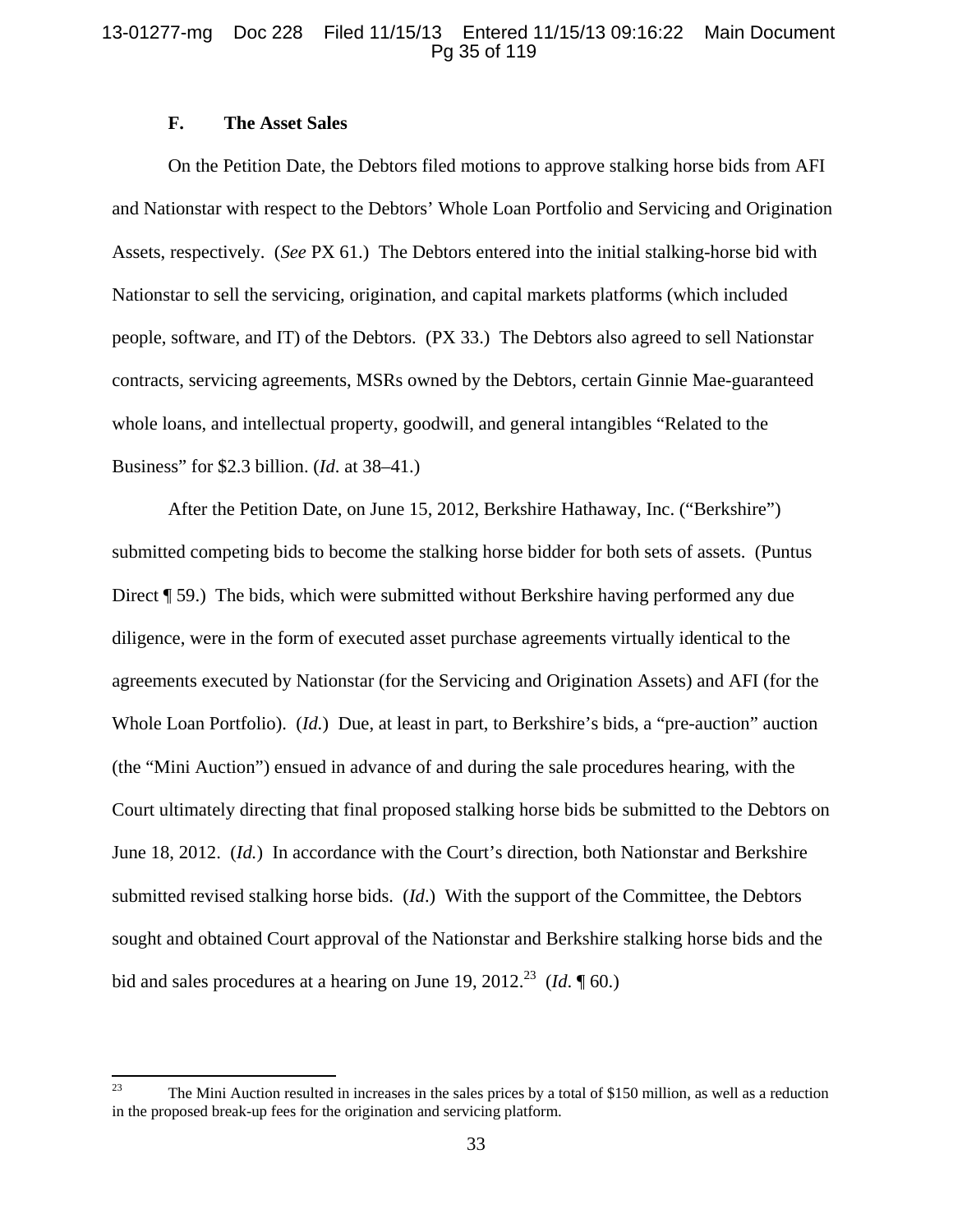### 13-01277-mg Doc 228 Filed 11/15/13 Entered 11/15/13 09:16:22 Main Document Pg 35 of 119

## **F. The Asset Sales**

On the Petition Date, the Debtors filed motions to approve stalking horse bids from AFI and Nationstar with respect to the Debtors' Whole Loan Portfolio and Servicing and Origination Assets, respectively. (*See* PX 61.) The Debtors entered into the initial stalking-horse bid with Nationstar to sell the servicing, origination, and capital markets platforms (which included people, software, and IT) of the Debtors. (PX 33.) The Debtors also agreed to sell Nationstar contracts, servicing agreements, MSRs owned by the Debtors, certain Ginnie Mae-guaranteed whole loans, and intellectual property, goodwill, and general intangibles "Related to the Business" for \$2.3 billion. (*Id*. at 38–41.)

After the Petition Date, on June 15, 2012, Berkshire Hathaway, Inc. ("Berkshire") submitted competing bids to become the stalking horse bidder for both sets of assets. (Puntus Direct ¶ 59.) The bids, which were submitted without Berkshire having performed any due diligence, were in the form of executed asset purchase agreements virtually identical to the agreements executed by Nationstar (for the Servicing and Origination Assets) and AFI (for the Whole Loan Portfolio). (*Id.*) Due, at least in part, to Berkshire's bids, a "pre-auction" auction (the "Mini Auction") ensued in advance of and during the sale procedures hearing, with the Court ultimately directing that final proposed stalking horse bids be submitted to the Debtors on June 18, 2012. (*Id.*) In accordance with the Court's direction, both Nationstar and Berkshire submitted revised stalking horse bids. (*Id*.) With the support of the Committee, the Debtors sought and obtained Court approval of the Nationstar and Berkshire stalking horse bids and the bid and sales procedures at a hearing on June 19, 2012.<sup>23</sup> (*Id.*  $\sqrt{160}$ .)

<sup>&</sup>lt;sup>23</sup> The Mini Auction resulted in increases in the sales prices by a total of \$150 million, as well as a reduction in the proposed break-up fees for the origination and servicing platform.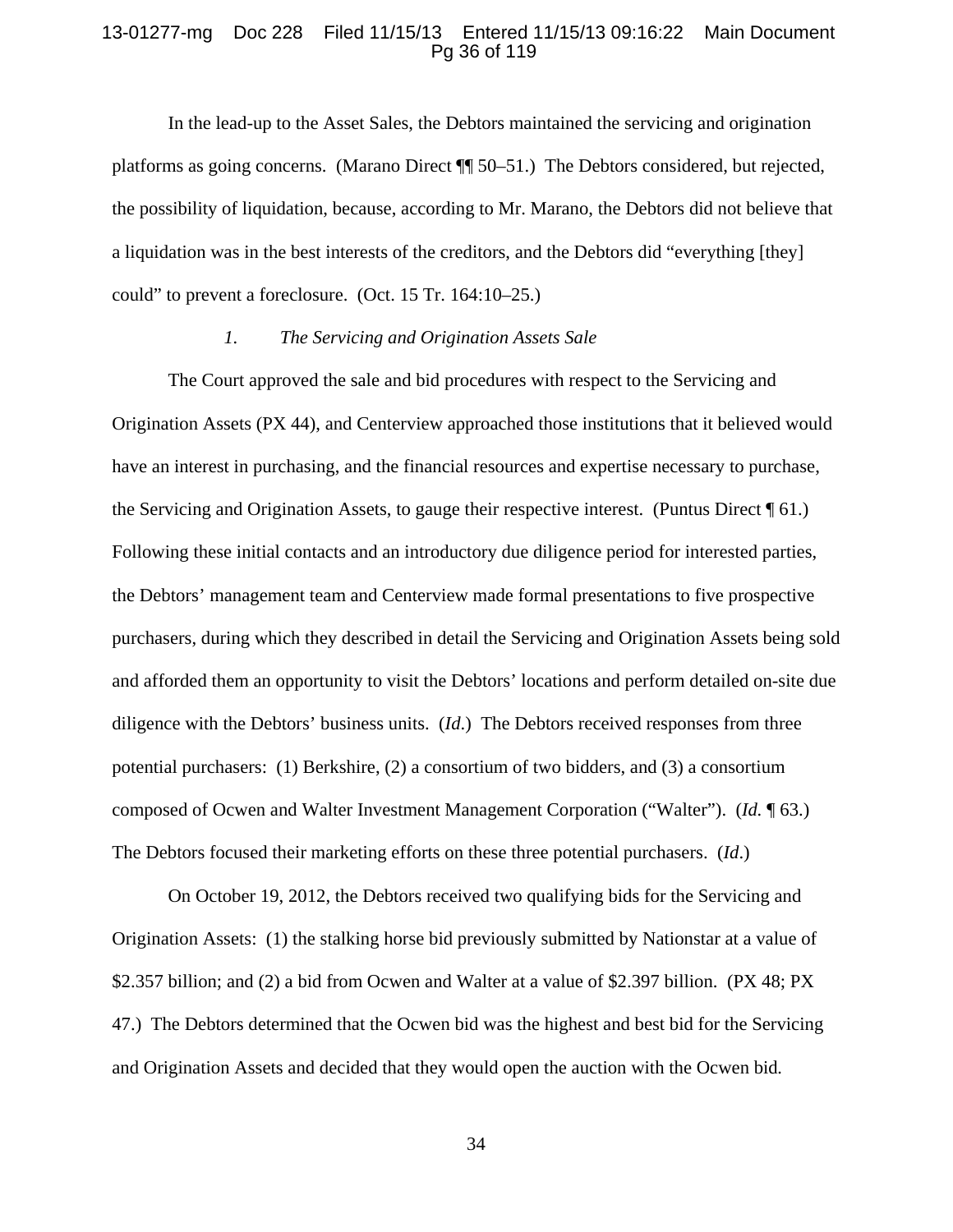#### 13-01277-mg Doc 228 Filed 11/15/13 Entered 11/15/13 09:16:22 Main Document Pg 36 of 119

In the lead-up to the Asset Sales, the Debtors maintained the servicing and origination platforms as going concerns. (Marano Direct ¶¶ 50–51.) The Debtors considered, but rejected, the possibility of liquidation, because, according to Mr. Marano, the Debtors did not believe that a liquidation was in the best interests of the creditors, and the Debtors did "everything [they] could" to prevent a foreclosure. (Oct. 15 Tr. 164:10–25.)

#### *1. The Servicing and Origination Assets Sale*

The Court approved the sale and bid procedures with respect to the Servicing and Origination Assets (PX 44), and Centerview approached those institutions that it believed would have an interest in purchasing, and the financial resources and expertise necessary to purchase, the Servicing and Origination Assets, to gauge their respective interest. (Puntus Direct ¶ 61.) Following these initial contacts and an introductory due diligence period for interested parties, the Debtors' management team and Centerview made formal presentations to five prospective purchasers, during which they described in detail the Servicing and Origination Assets being sold and afforded them an opportunity to visit the Debtors' locations and perform detailed on-site due diligence with the Debtors' business units. (*Id*.) The Debtors received responses from three potential purchasers: (1) Berkshire, (2) a consortium of two bidders, and (3) a consortium composed of Ocwen and Walter Investment Management Corporation ("Walter"). (*Id.* ¶ 63.) The Debtors focused their marketing efforts on these three potential purchasers. (*Id*.)

On October 19, 2012, the Debtors received two qualifying bids for the Servicing and Origination Assets: (1) the stalking horse bid previously submitted by Nationstar at a value of \$2.357 billion; and (2) a bid from Ocwen and Walter at a value of \$2.397 billion. (PX 48; PX 47.) The Debtors determined that the Ocwen bid was the highest and best bid for the Servicing and Origination Assets and decided that they would open the auction with the Ocwen bid*.*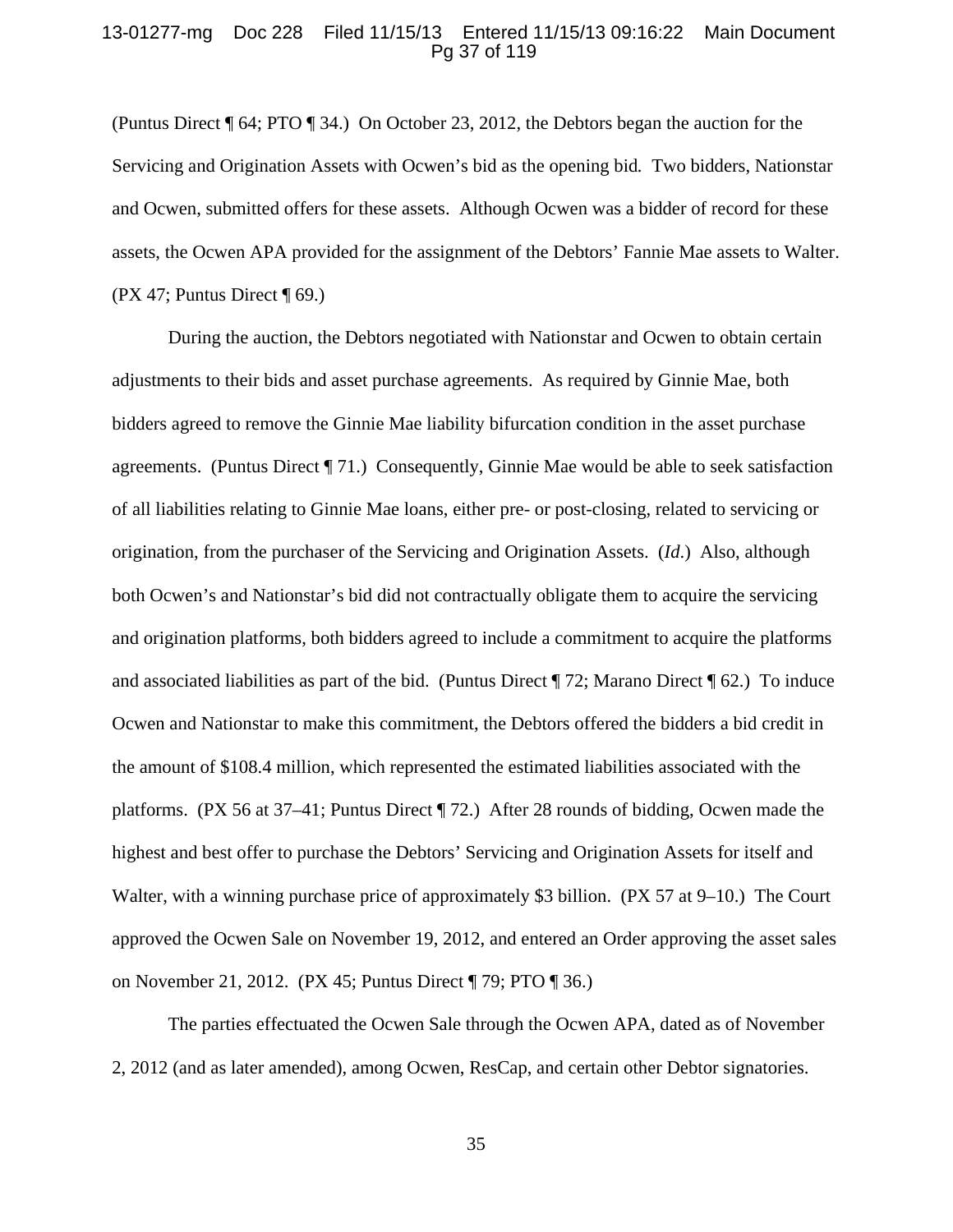# 13-01277-mg Doc 228 Filed 11/15/13 Entered 11/15/13 09:16:22 Main Document Pg 37 of 119

(Puntus Direct ¶ 64; PTO ¶ 34.) On October 23, 2012, the Debtors began the auction for the Servicing and Origination Assets with Ocwen's bid as the opening bid*.* Two bidders, Nationstar and Ocwen, submitted offers for these assets. Although Ocwen was a bidder of record for these assets, the Ocwen APA provided for the assignment of the Debtors' Fannie Mae assets to Walter. (PX 47; Puntus Direct  $\P$  69.)

During the auction, the Debtors negotiated with Nationstar and Ocwen to obtain certain adjustments to their bids and asset purchase agreements. As required by Ginnie Mae, both bidders agreed to remove the Ginnie Mae liability bifurcation condition in the asset purchase agreements. (Puntus Direct ¶ 71.) Consequently, Ginnie Mae would be able to seek satisfaction of all liabilities relating to Ginnie Mae loans, either pre- or post-closing, related to servicing or origination, from the purchaser of the Servicing and Origination Assets. (*Id*.) Also, although both Ocwen's and Nationstar's bid did not contractually obligate them to acquire the servicing and origination platforms, both bidders agreed to include a commitment to acquire the platforms and associated liabilities as part of the bid. (Puntus Direct ¶ 72; Marano Direct ¶ 62.) To induce Ocwen and Nationstar to make this commitment, the Debtors offered the bidders a bid credit in the amount of \$108.4 million, which represented the estimated liabilities associated with the platforms. (PX 56 at 37–41; Puntus Direct ¶ 72.) After 28 rounds of bidding, Ocwen made the highest and best offer to purchase the Debtors' Servicing and Origination Assets for itself and Walter, with a winning purchase price of approximately \$3 billion. (PX 57 at 9–10.) The Court approved the Ocwen Sale on November 19, 2012, and entered an Order approving the asset sales on November 21, 2012. (PX 45; Puntus Direct ¶ 79; PTO ¶ 36.)

The parties effectuated the Ocwen Sale through the Ocwen APA, dated as of November 2, 2012 (and as later amended), among Ocwen, ResCap, and certain other Debtor signatories.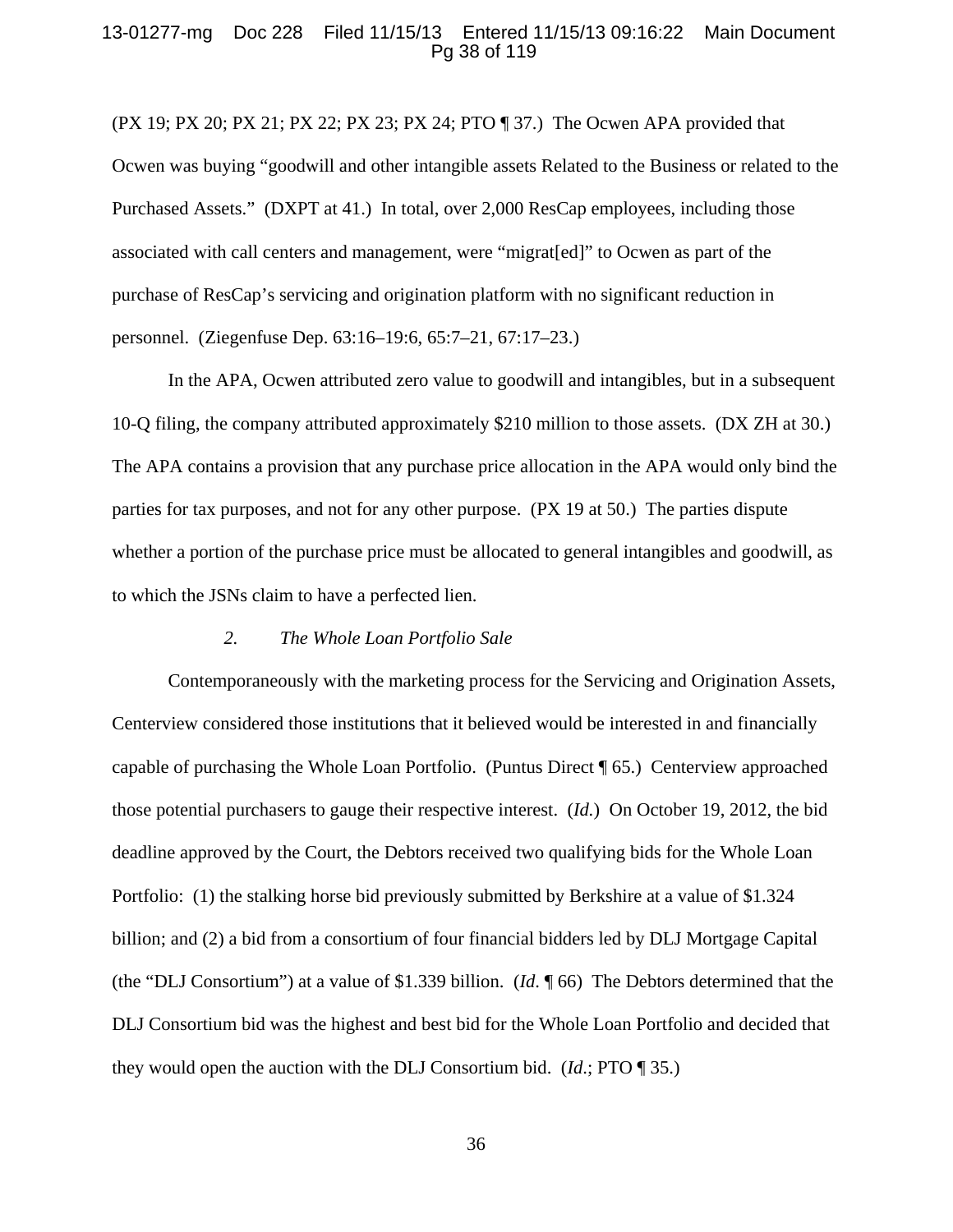### 13-01277-mg Doc 228 Filed 11/15/13 Entered 11/15/13 09:16:22 Main Document Pg 38 of 119

(PX 19; PX 20; PX 21; PX 22; PX 23; PX 24; PTO ¶ 37.) The Ocwen APA provided that Ocwen was buying "goodwill and other intangible assets Related to the Business or related to the Purchased Assets." (DXPT at 41.) In total, over 2,000 ResCap employees, including those associated with call centers and management, were "migrat[ed]" to Ocwen as part of the purchase of ResCap's servicing and origination platform with no significant reduction in personnel. (Ziegenfuse Dep. 63:16–19:6, 65:7–21, 67:17–23.)

In the APA, Ocwen attributed zero value to goodwill and intangibles, but in a subsequent 10-Q filing, the company attributed approximately \$210 million to those assets. (DX ZH at 30.) The APA contains a provision that any purchase price allocation in the APA would only bind the parties for tax purposes, and not for any other purpose. (PX 19 at 50.) The parties dispute whether a portion of the purchase price must be allocated to general intangibles and goodwill, as to which the JSNs claim to have a perfected lien.

### *2. The Whole Loan Portfolio Sale*

Contemporaneously with the marketing process for the Servicing and Origination Assets, Centerview considered those institutions that it believed would be interested in and financially capable of purchasing the Whole Loan Portfolio. (Puntus Direct ¶ 65.) Centerview approached those potential purchasers to gauge their respective interest. (*Id.*) On October 19, 2012, the bid deadline approved by the Court, the Debtors received two qualifying bids for the Whole Loan Portfolio: (1) the stalking horse bid previously submitted by Berkshire at a value of \$1.324 billion; and (2) a bid from a consortium of four financial bidders led by DLJ Mortgage Capital (the "DLJ Consortium") at a value of \$1.339 billion. (*Id*. ¶ 66) The Debtors determined that the DLJ Consortium bid was the highest and best bid for the Whole Loan Portfolio and decided that they would open the auction with the DLJ Consortium bid. (*Id*.; PTO ¶ 35.)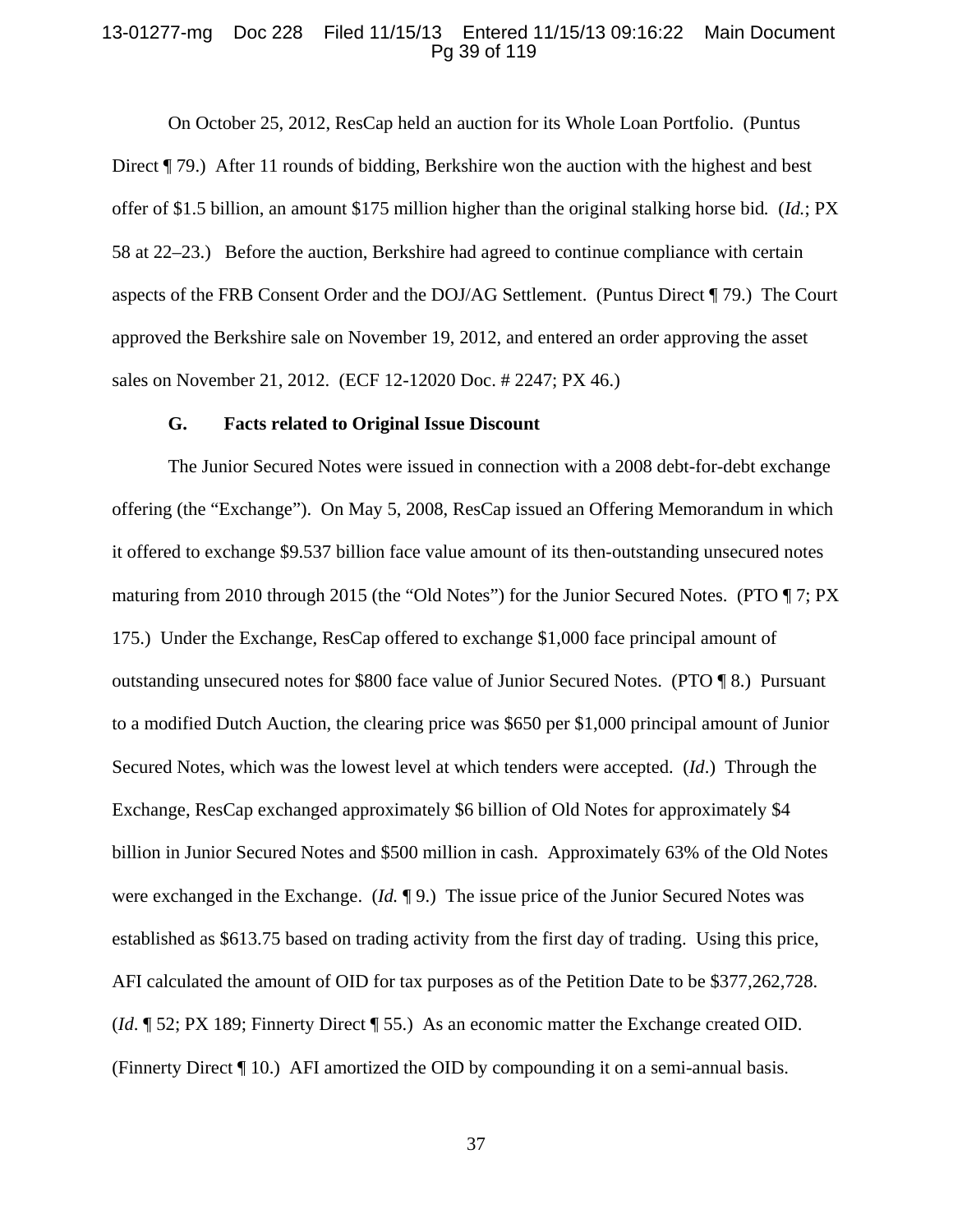# 13-01277-mg Doc 228 Filed 11/15/13 Entered 11/15/13 09:16:22 Main Document Pg 39 of 119

On October 25, 2012, ResCap held an auction for its Whole Loan Portfolio. (Puntus Direct  $\P$  79.) After 11 rounds of bidding, Berkshire won the auction with the highest and best offer of \$1.5 billion, an amount \$175 million higher than the original stalking horse bid*.* (*Id.*; PX 58 at 22–23.) Before the auction, Berkshire had agreed to continue compliance with certain aspects of the FRB Consent Order and the DOJ/AG Settlement. (Puntus Direct ¶ 79.) The Court approved the Berkshire sale on November 19, 2012, and entered an order approving the asset sales on November 21, 2012. (ECF 12-12020 Doc. # 2247; PX 46.)

#### **G. Facts related to Original Issue Discount**

The Junior Secured Notes were issued in connection with a 2008 debt-for-debt exchange offering (the "Exchange"). On May 5, 2008, ResCap issued an Offering Memorandum in which it offered to exchange \$9.537 billion face value amount of its then-outstanding unsecured notes maturing from 2010 through 2015 (the "Old Notes") for the Junior Secured Notes. (PTO  $\P$  7; PX 175.) Under the Exchange, ResCap offered to exchange \$1,000 face principal amount of outstanding unsecured notes for \$800 face value of Junior Secured Notes. (PTO ¶ 8.) Pursuant to a modified Dutch Auction, the clearing price was \$650 per \$1,000 principal amount of Junior Secured Notes, which was the lowest level at which tenders were accepted. (*Id*.) Through the Exchange, ResCap exchanged approximately \$6 billion of Old Notes for approximately \$4 billion in Junior Secured Notes and \$500 million in cash. Approximately 63% of the Old Notes were exchanged in the Exchange. (*Id.* ¶ 9.) The issue price of the Junior Secured Notes was established as \$613.75 based on trading activity from the first day of trading. Using this price, AFI calculated the amount of OID for tax purposes as of the Petition Date to be \$377,262,728. (*Id*. ¶ 52; PX 189; Finnerty Direct ¶ 55.) As an economic matter the Exchange created OID. (Finnerty Direct ¶ 10.) AFI amortized the OID by compounding it on a semi-annual basis.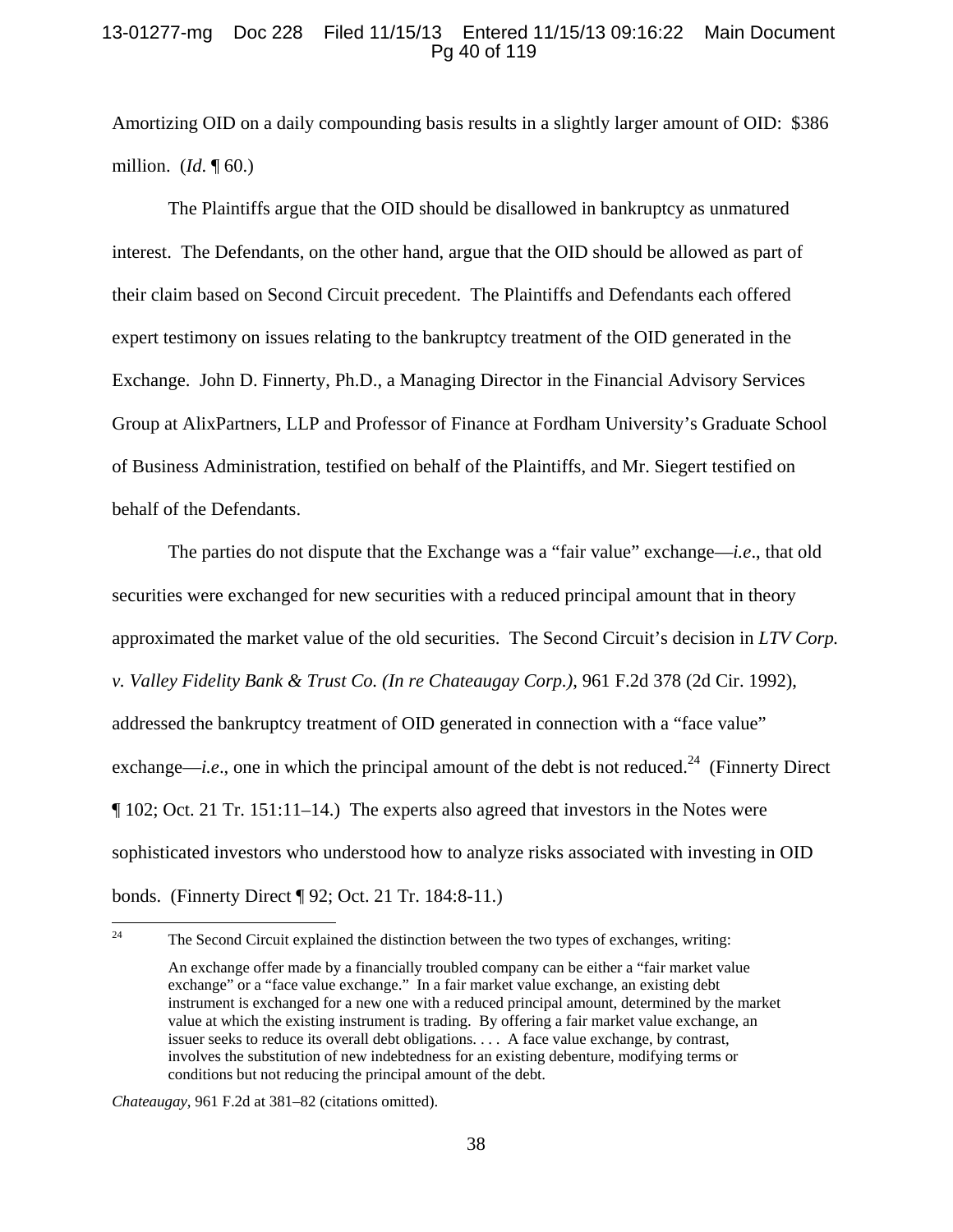# 13-01277-mg Doc 228 Filed 11/15/13 Entered 11/15/13 09:16:22 Main Document Pg 40 of 119

Amortizing OID on a daily compounding basis results in a slightly larger amount of OID: \$386 million. (*Id*. ¶ 60.)

The Plaintiffs argue that the OID should be disallowed in bankruptcy as unmatured interest. The Defendants, on the other hand, argue that the OID should be allowed as part of their claim based on Second Circuit precedent. The Plaintiffs and Defendants each offered expert testimony on issues relating to the bankruptcy treatment of the OID generated in the Exchange. John D. Finnerty, Ph.D., a Managing Director in the Financial Advisory Services Group at AlixPartners, LLP and Professor of Finance at Fordham University's Graduate School of Business Administration, testified on behalf of the Plaintiffs, and Mr. Siegert testified on behalf of the Defendants.

The parties do not dispute that the Exchange was a "fair value" exchange—*i.e*., that old securities were exchanged for new securities with a reduced principal amount that in theory approximated the market value of the old securities. The Second Circuit's decision in *LTV Corp. v. Valley Fidelity Bank & Trust Co. (In re Chateaugay Corp.)*, 961 F.2d 378 (2d Cir. 1992), addressed the bankruptcy treatment of OID generated in connection with a "face value" exchange—*i.e.*, one in which the principal amount of the debt is not reduced.<sup>24</sup> (Finnerty Direct ¶ 102; Oct. 21 Tr. 151:11–14.) The experts also agreed that investors in the Notes were sophisticated investors who understood how to analyze risks associated with investing in OID bonds. (Finnerty Direct ¶ 92; Oct. 21 Tr. 184:8-11.)

<sup>&</sup>lt;sup>24</sup> The Second Circuit explained the distinction between the two types of exchanges, writing:

An exchange offer made by a financially troubled company can be either a "fair market value exchange" or a "face value exchange." In a fair market value exchange, an existing debt instrument is exchanged for a new one with a reduced principal amount, determined by the market value at which the existing instrument is trading. By offering a fair market value exchange, an issuer seeks to reduce its overall debt obligations. . . . A face value exchange, by contrast, involves the substitution of new indebtedness for an existing debenture, modifying terms or conditions but not reducing the principal amount of the debt.

*Chateaugay*, 961 F.2d at 381–82 (citations omitted).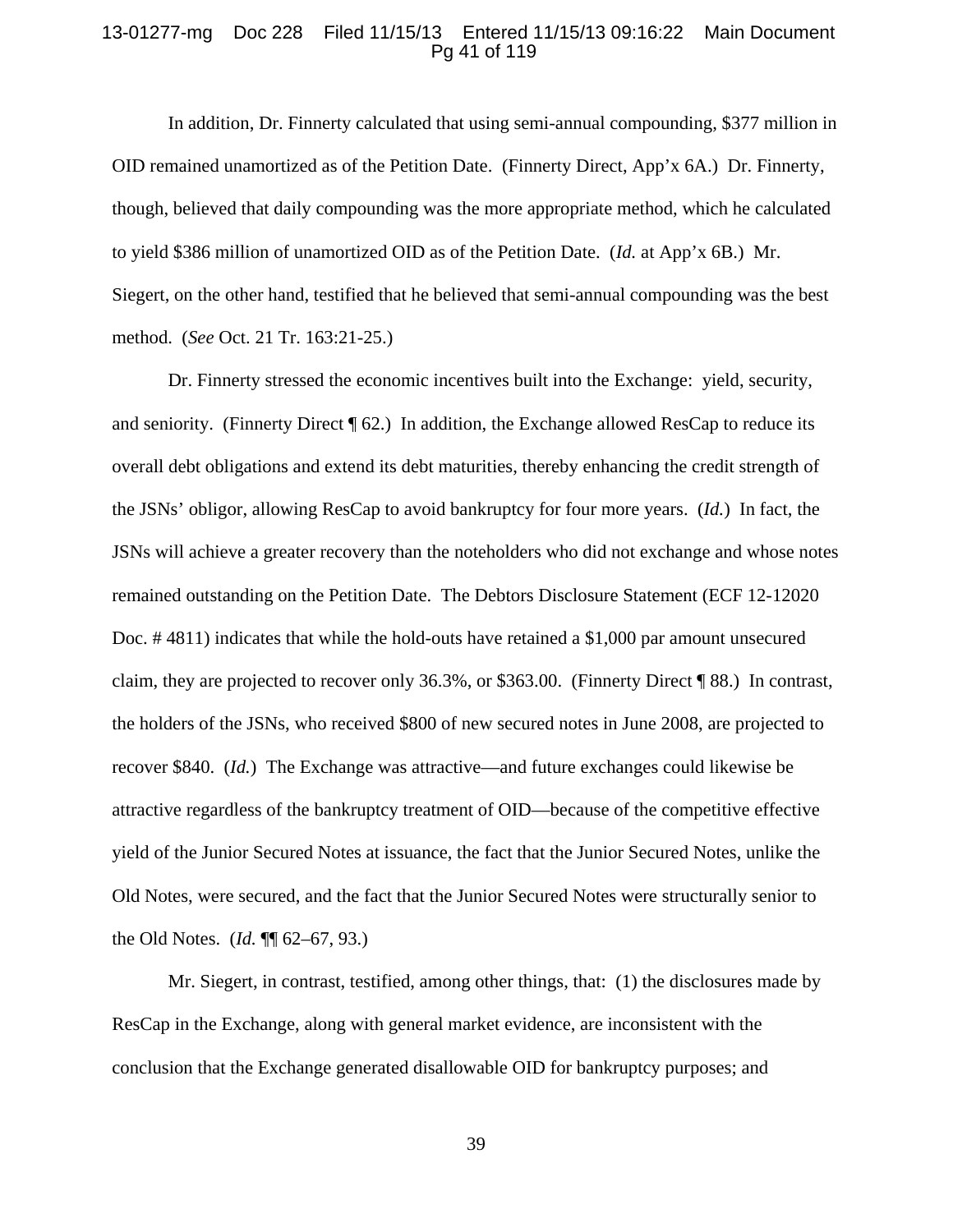# 13-01277-mg Doc 228 Filed 11/15/13 Entered 11/15/13 09:16:22 Main Document Pg 41 of 119

In addition, Dr. Finnerty calculated that using semi-annual compounding, \$377 million in OID remained unamortized as of the Petition Date. (Finnerty Direct, App'x 6A.) Dr. Finnerty, though, believed that daily compounding was the more appropriate method, which he calculated to yield \$386 million of unamortized OID as of the Petition Date. (*Id.* at App'x 6B.) Mr. Siegert, on the other hand, testified that he believed that semi-annual compounding was the best method. (*See* Oct. 21 Tr. 163:21-25.)

Dr. Finnerty stressed the economic incentives built into the Exchange: yield, security, and seniority. (Finnerty Direct ¶ 62.) In addition, the Exchange allowed ResCap to reduce its overall debt obligations and extend its debt maturities, thereby enhancing the credit strength of the JSNs' obligor, allowing ResCap to avoid bankruptcy for four more years. (*Id.*) In fact, the JSNs will achieve a greater recovery than the noteholders who did not exchange and whose notes remained outstanding on the Petition Date. The Debtors Disclosure Statement (ECF 12-12020 Doc. # 4811) indicates that while the hold-outs have retained a \$1,000 par amount unsecured claim, they are projected to recover only 36.3%, or \$363.00. (Finnerty Direct ¶ 88.) In contrast, the holders of the JSNs, who received \$800 of new secured notes in June 2008, are projected to recover \$840. (*Id.*) The Exchange was attractive—and future exchanges could likewise be attractive regardless of the bankruptcy treatment of OID—because of the competitive effective yield of the Junior Secured Notes at issuance, the fact that the Junior Secured Notes, unlike the Old Notes, were secured, and the fact that the Junior Secured Notes were structurally senior to the Old Notes. (*Id.* ¶¶ 62–67, 93.)

Mr. Siegert, in contrast, testified, among other things, that: (1) the disclosures made by ResCap in the Exchange, along with general market evidence, are inconsistent with the conclusion that the Exchange generated disallowable OID for bankruptcy purposes; and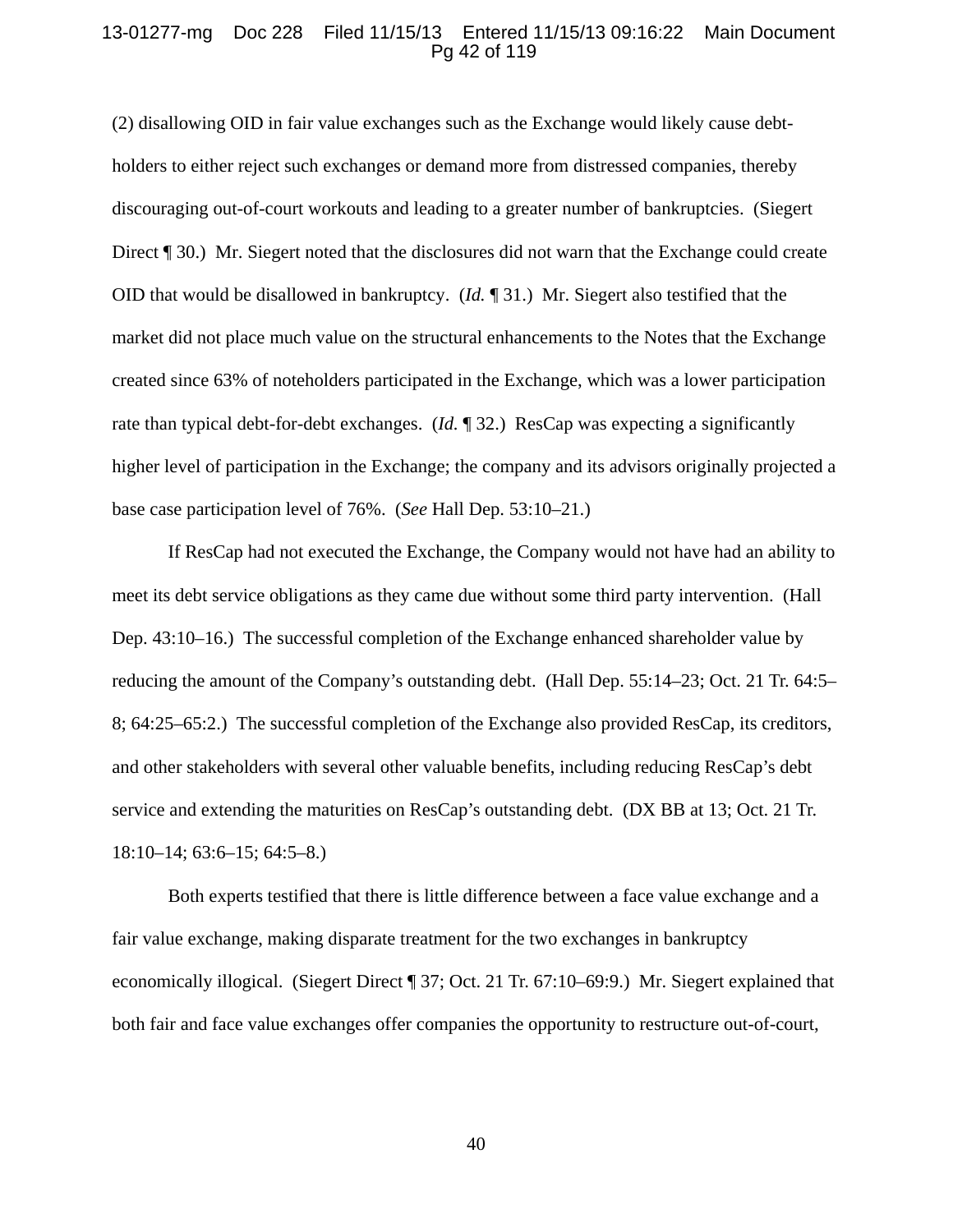# 13-01277-mg Doc 228 Filed 11/15/13 Entered 11/15/13 09:16:22 Main Document Pg 42 of 119

(2) disallowing OID in fair value exchanges such as the Exchange would likely cause debtholders to either reject such exchanges or demand more from distressed companies, thereby discouraging out-of-court workouts and leading to a greater number of bankruptcies. (Siegert Direct [1 30.) Mr. Siegert noted that the disclosures did not warn that the Exchange could create OID that would be disallowed in bankruptcy. (*Id.* ¶ 31.) Mr. Siegert also testified that the market did not place much value on the structural enhancements to the Notes that the Exchange created since 63% of noteholders participated in the Exchange, which was a lower participation rate than typical debt-for-debt exchanges. (*Id.* ¶ 32.) ResCap was expecting a significantly higher level of participation in the Exchange; the company and its advisors originally projected a base case participation level of 76%. (*See* Hall Dep. 53:10–21.)

If ResCap had not executed the Exchange, the Company would not have had an ability to meet its debt service obligations as they came due without some third party intervention. (Hall Dep. 43:10–16.) The successful completion of the Exchange enhanced shareholder value by reducing the amount of the Company's outstanding debt. (Hall Dep. 55:14–23; Oct. 21 Tr. 64:5– 8; 64:25–65:2.) The successful completion of the Exchange also provided ResCap, its creditors, and other stakeholders with several other valuable benefits, including reducing ResCap's debt service and extending the maturities on ResCap's outstanding debt. (DX BB at 13; Oct. 21 Tr. 18:10–14; 63:6–15; 64:5–8.)

Both experts testified that there is little difference between a face value exchange and a fair value exchange, making disparate treatment for the two exchanges in bankruptcy economically illogical. (Siegert Direct ¶ 37; Oct. 21 Tr. 67:10–69:9.) Mr. Siegert explained that both fair and face value exchanges offer companies the opportunity to restructure out-of-court,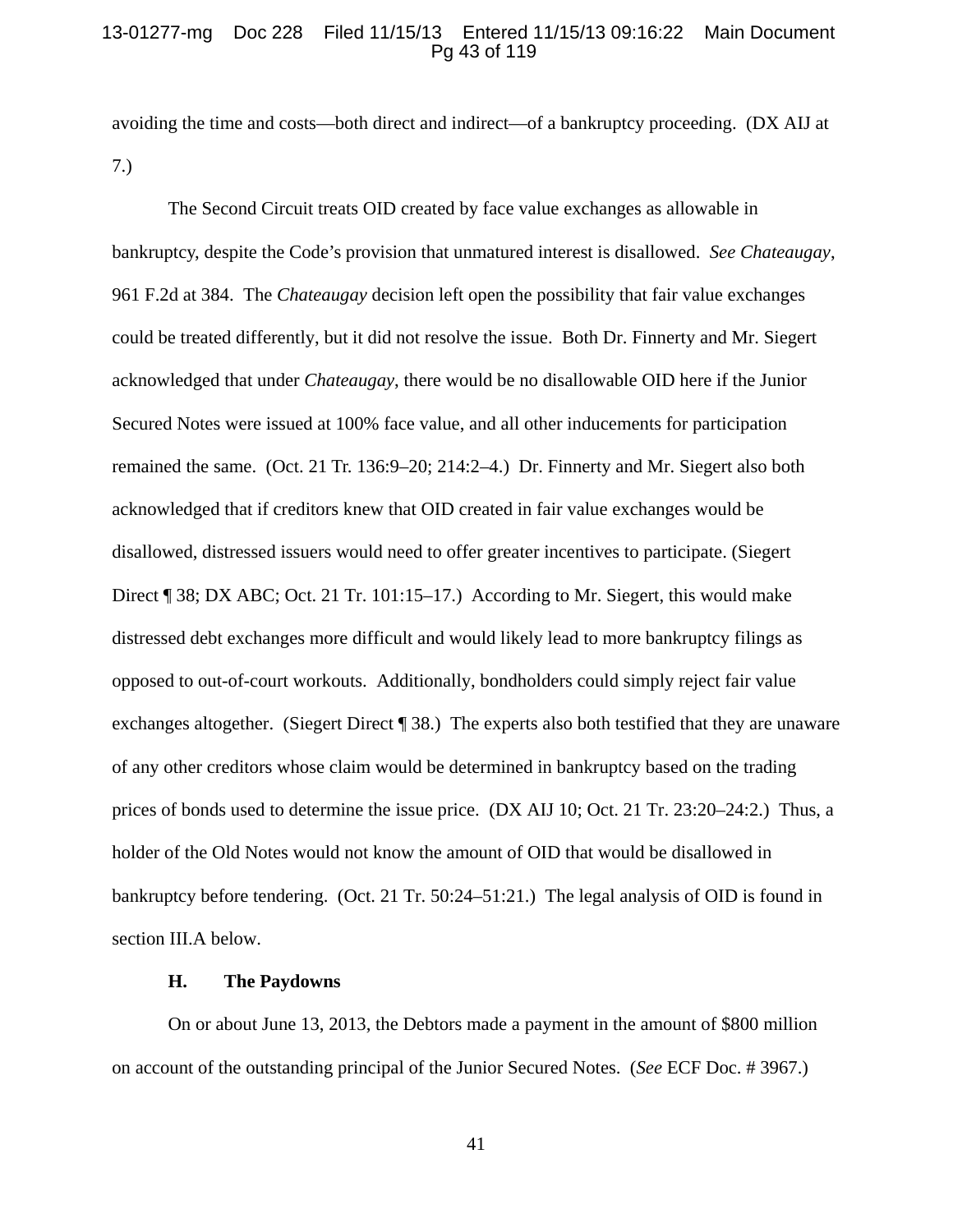### 13-01277-mg Doc 228 Filed 11/15/13 Entered 11/15/13 09:16:22 Main Document Pg 43 of 119

avoiding the time and costs—both direct and indirect—of a bankruptcy proceeding. (DX AIJ at 7.)

The Second Circuit treats OID created by face value exchanges as allowable in bankruptcy, despite the Code's provision that unmatured interest is disallowed. *See Chateaugay*, 961 F.2d at 384. The *Chateaugay* decision left open the possibility that fair value exchanges could be treated differently, but it did not resolve the issue. Both Dr. Finnerty and Mr. Siegert acknowledged that under *Chateaugay*, there would be no disallowable OID here if the Junior Secured Notes were issued at 100% face value, and all other inducements for participation remained the same. (Oct. 21 Tr. 136:9–20; 214:2–4.) Dr. Finnerty and Mr. Siegert also both acknowledged that if creditors knew that OID created in fair value exchanges would be disallowed, distressed issuers would need to offer greater incentives to participate. (Siegert Direct ¶ 38; DX ABC; Oct. 21 Tr. 101:15–17.) According to Mr. Siegert, this would make distressed debt exchanges more difficult and would likely lead to more bankruptcy filings as opposed to out-of-court workouts. Additionally, bondholders could simply reject fair value exchanges altogether. (Siegert Direct ¶ 38.) The experts also both testified that they are unaware of any other creditors whose claim would be determined in bankruptcy based on the trading prices of bonds used to determine the issue price. (DX AIJ 10; Oct. 21 Tr. 23:20–24:2.) Thus, a holder of the Old Notes would not know the amount of OID that would be disallowed in bankruptcy before tendering. (Oct. 21 Tr. 50:24–51:21.) The legal analysis of OID is found in section III.A below.

# **H. The Paydowns**

On or about June 13, 2013, the Debtors made a payment in the amount of \$800 million on account of the outstanding principal of the Junior Secured Notes. (*See* ECF Doc. # 3967.)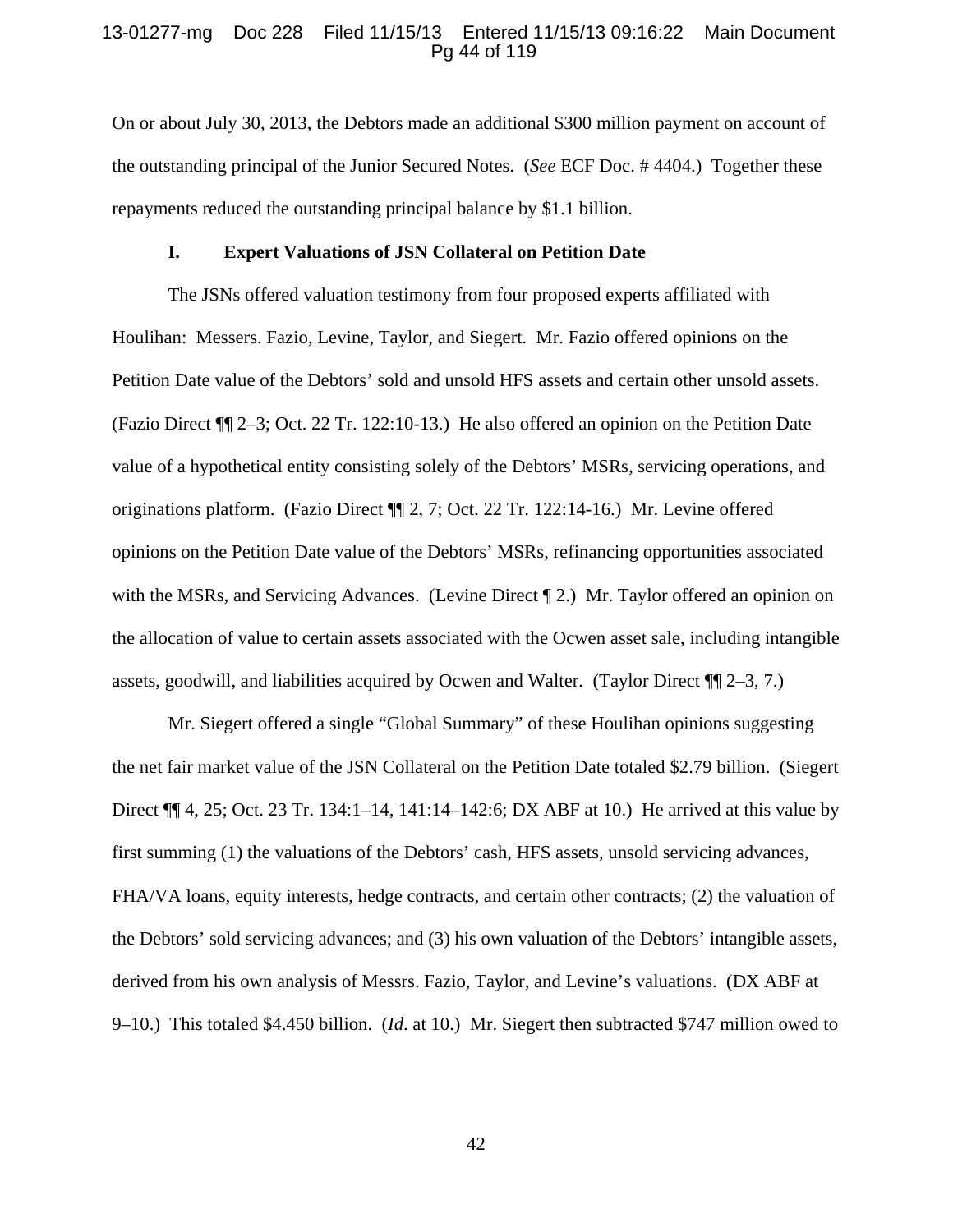# 13-01277-mg Doc 228 Filed 11/15/13 Entered 11/15/13 09:16:22 Main Document Pg 44 of 119

On or about July 30, 2013, the Debtors made an additional \$300 million payment on account of the outstanding principal of the Junior Secured Notes. (*See* ECF Doc. # 4404.) Together these repayments reduced the outstanding principal balance by \$1.1 billion.

#### **I. Expert Valuations of JSN Collateral on Petition Date**

The JSNs offered valuation testimony from four proposed experts affiliated with Houlihan: Messers. Fazio, Levine, Taylor, and Siegert. Mr. Fazio offered opinions on the Petition Date value of the Debtors' sold and unsold HFS assets and certain other unsold assets. (Fazio Direct ¶¶ 2–3; Oct. 22 Tr. 122:10-13.) He also offered an opinion on the Petition Date value of a hypothetical entity consisting solely of the Debtors' MSRs, servicing operations, and originations platform. (Fazio Direct ¶¶ 2, 7; Oct. 22 Tr. 122:14-16.) Mr. Levine offered opinions on the Petition Date value of the Debtors' MSRs, refinancing opportunities associated with the MSRs, and Servicing Advances. (Levine Direct ¶ 2.) Mr. Taylor offered an opinion on the allocation of value to certain assets associated with the Ocwen asset sale, including intangible assets, goodwill, and liabilities acquired by Ocwen and Walter. (Taylor Direct ¶¶ 2–3, 7.)

Mr. Siegert offered a single "Global Summary" of these Houlihan opinions suggesting the net fair market value of the JSN Collateral on the Petition Date totaled \$2.79 billion. (Siegert Direct ¶¶ 4, 25; Oct. 23 Tr. 134:1–14, 141:14–142:6; DX ABF at 10.) He arrived at this value by first summing (1) the valuations of the Debtors' cash, HFS assets, unsold servicing advances, FHA/VA loans, equity interests, hedge contracts, and certain other contracts; (2) the valuation of the Debtors' sold servicing advances; and (3) his own valuation of the Debtors' intangible assets, derived from his own analysis of Messrs. Fazio, Taylor, and Levine's valuations. (DX ABF at 9–10.) This totaled \$4.450 billion. (*Id*. at 10.) Mr. Siegert then subtracted \$747 million owed to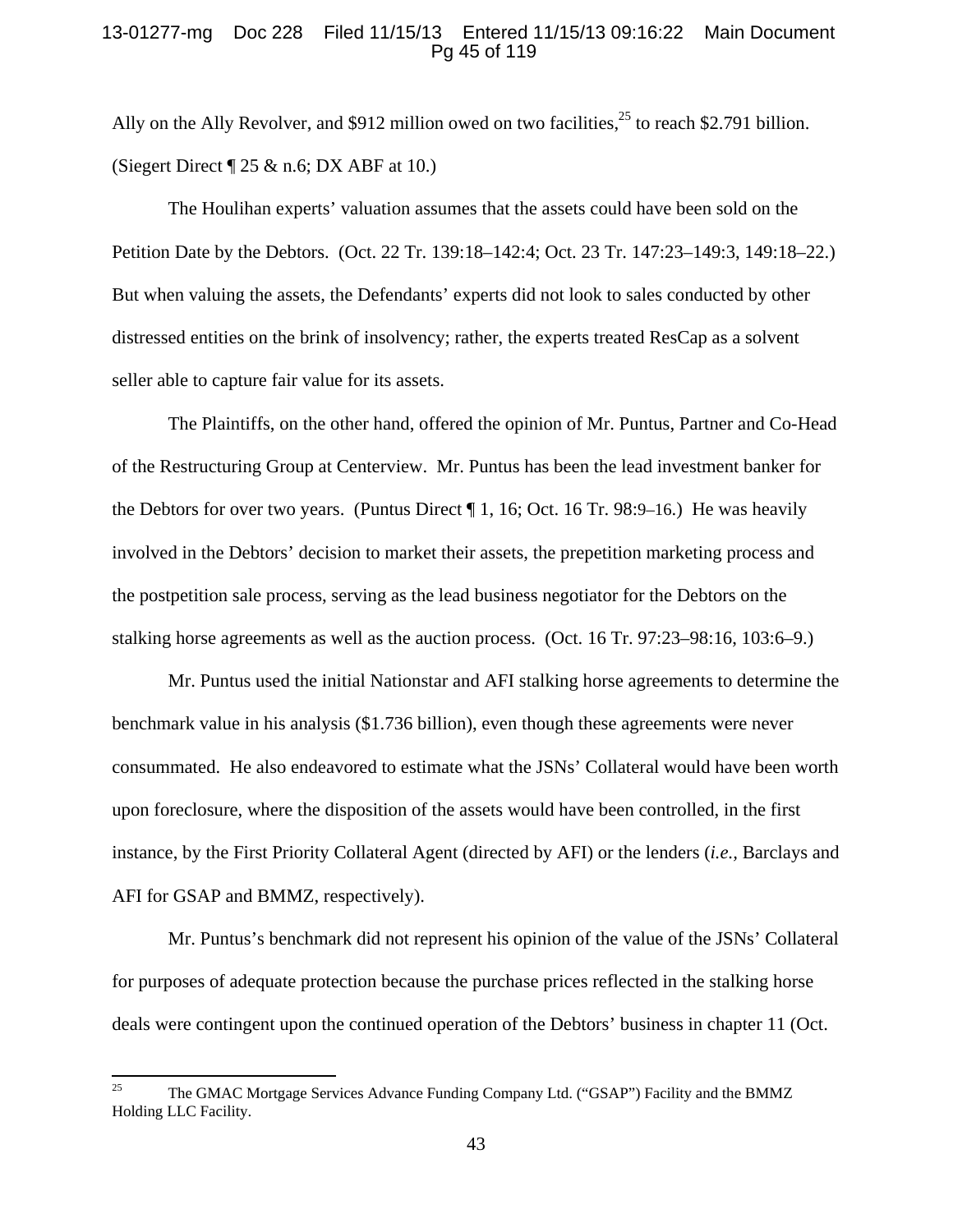# 13-01277-mg Doc 228 Filed 11/15/13 Entered 11/15/13 09:16:22 Main Document Pg 45 of 119

Ally on the Ally Revolver, and \$912 million owed on two facilities,  $25$  to reach \$2.791 billion. (Siegert Direct  $\P$  25 & n.6; DX ABF at 10.)

The Houlihan experts' valuation assumes that the assets could have been sold on the Petition Date by the Debtors. (Oct. 22 Tr. 139:18–142:4; Oct. 23 Tr. 147:23–149:3, 149:18–22.) But when valuing the assets, the Defendants' experts did not look to sales conducted by other distressed entities on the brink of insolvency; rather, the experts treated ResCap as a solvent seller able to capture fair value for its assets.

The Plaintiffs, on the other hand, offered the opinion of Mr. Puntus, Partner and Co-Head of the Restructuring Group at Centerview. Mr. Puntus has been the lead investment banker for the Debtors for over two years. (Puntus Direct ¶ 1, 16; Oct. 16 Tr. 98:9–16.) He was heavily involved in the Debtors' decision to market their assets, the prepetition marketing process and the postpetition sale process, serving as the lead business negotiator for the Debtors on the stalking horse agreements as well as the auction process. (Oct. 16 Tr. 97:23–98:16, 103:6–9.)

Mr. Puntus used the initial Nationstar and AFI stalking horse agreements to determine the benchmark value in his analysis (\$1.736 billion), even though these agreements were never consummated. He also endeavored to estimate what the JSNs' Collateral would have been worth upon foreclosure, where the disposition of the assets would have been controlled, in the first instance, by the First Priority Collateral Agent (directed by AFI) or the lenders (*i.e.,* Barclays and AFI for GSAP and BMMZ, respectively).

Mr. Puntus's benchmark did not represent his opinion of the value of the JSNs' Collateral for purposes of adequate protection because the purchase prices reflected in the stalking horse deals were contingent upon the continued operation of the Debtors' business in chapter 11 (Oct.

<sup>&</sup>lt;sup>25</sup> The GMAC Mortgage Services Advance Funding Company Ltd. ("GSAP") Facility and the BMMZ Holding LLC Facility.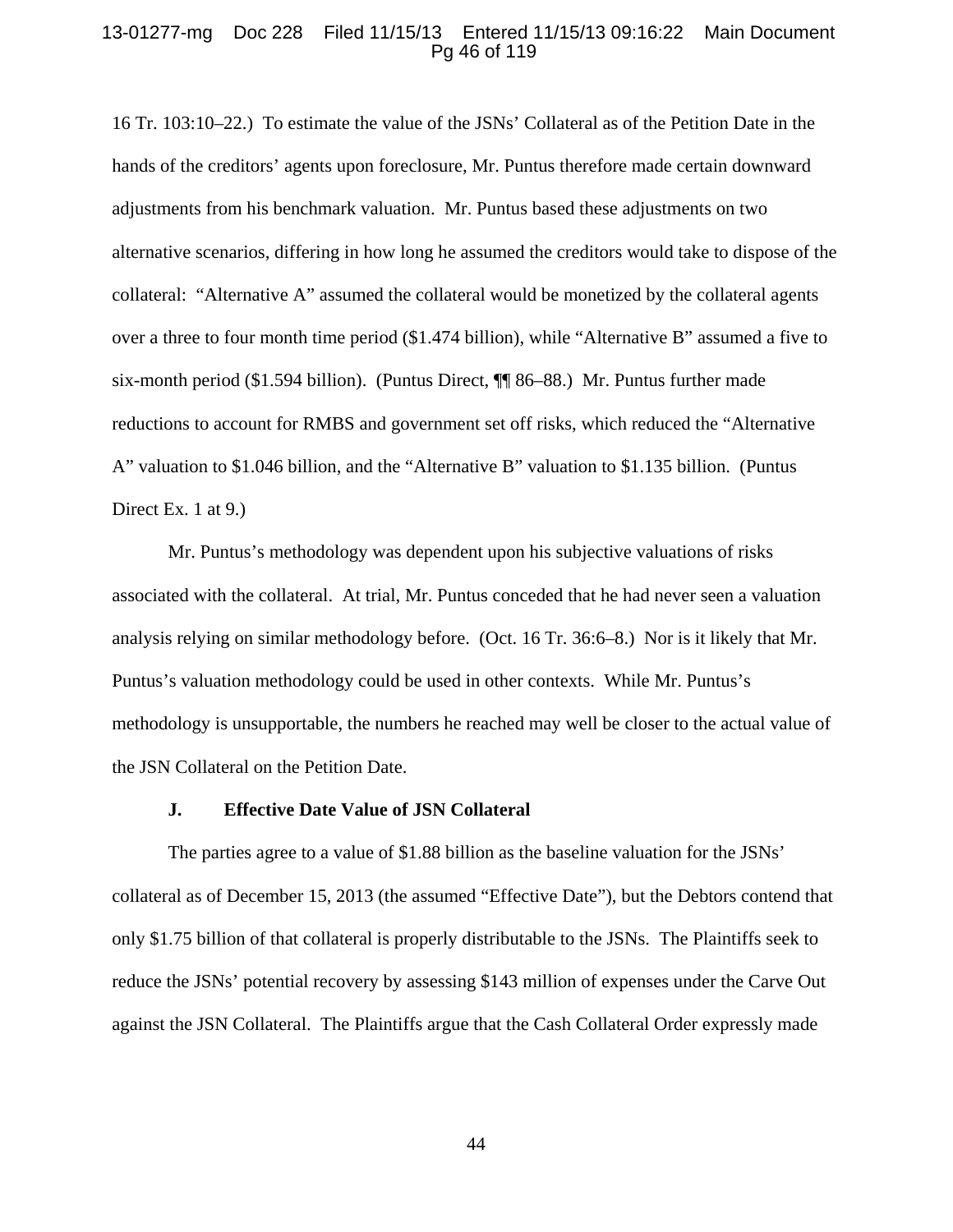### 13-01277-mg Doc 228 Filed 11/15/13 Entered 11/15/13 09:16:22 Main Document Pg 46 of 119

16 Tr. 103:10–22.) To estimate the value of the JSNs' Collateral as of the Petition Date in the hands of the creditors' agents upon foreclosure, Mr. Puntus therefore made certain downward adjustments from his benchmark valuation. Mr. Puntus based these adjustments on two alternative scenarios, differing in how long he assumed the creditors would take to dispose of the collateral: "Alternative A" assumed the collateral would be monetized by the collateral agents over a three to four month time period (\$1.474 billion), while "Alternative B" assumed a five to six-month period (\$1.594 billion). (Puntus Direct, ¶¶ 86–88.) Mr. Puntus further made reductions to account for RMBS and government set off risks, which reduced the "Alternative A" valuation to \$1.046 billion, and the "Alternative B" valuation to \$1.135 billion. (Puntus Direct Ex. 1 at 9.)

Mr. Puntus's methodology was dependent upon his subjective valuations of risks associated with the collateral. At trial, Mr. Puntus conceded that he had never seen a valuation analysis relying on similar methodology before. (Oct. 16 Tr. 36:6–8.) Nor is it likely that Mr. Puntus's valuation methodology could be used in other contexts. While Mr. Puntus's methodology is unsupportable, the numbers he reached may well be closer to the actual value of the JSN Collateral on the Petition Date.

#### **J. Effective Date Value of JSN Collateral**

The parties agree to a value of \$1.88 billion as the baseline valuation for the JSNs' collateral as of December 15, 2013 (the assumed "Effective Date"), but the Debtors contend that only \$1.75 billion of that collateral is properly distributable to the JSNs. The Plaintiffs seek to reduce the JSNs' potential recovery by assessing \$143 million of expenses under the Carve Out against the JSN Collateral. The Plaintiffs argue that the Cash Collateral Order expressly made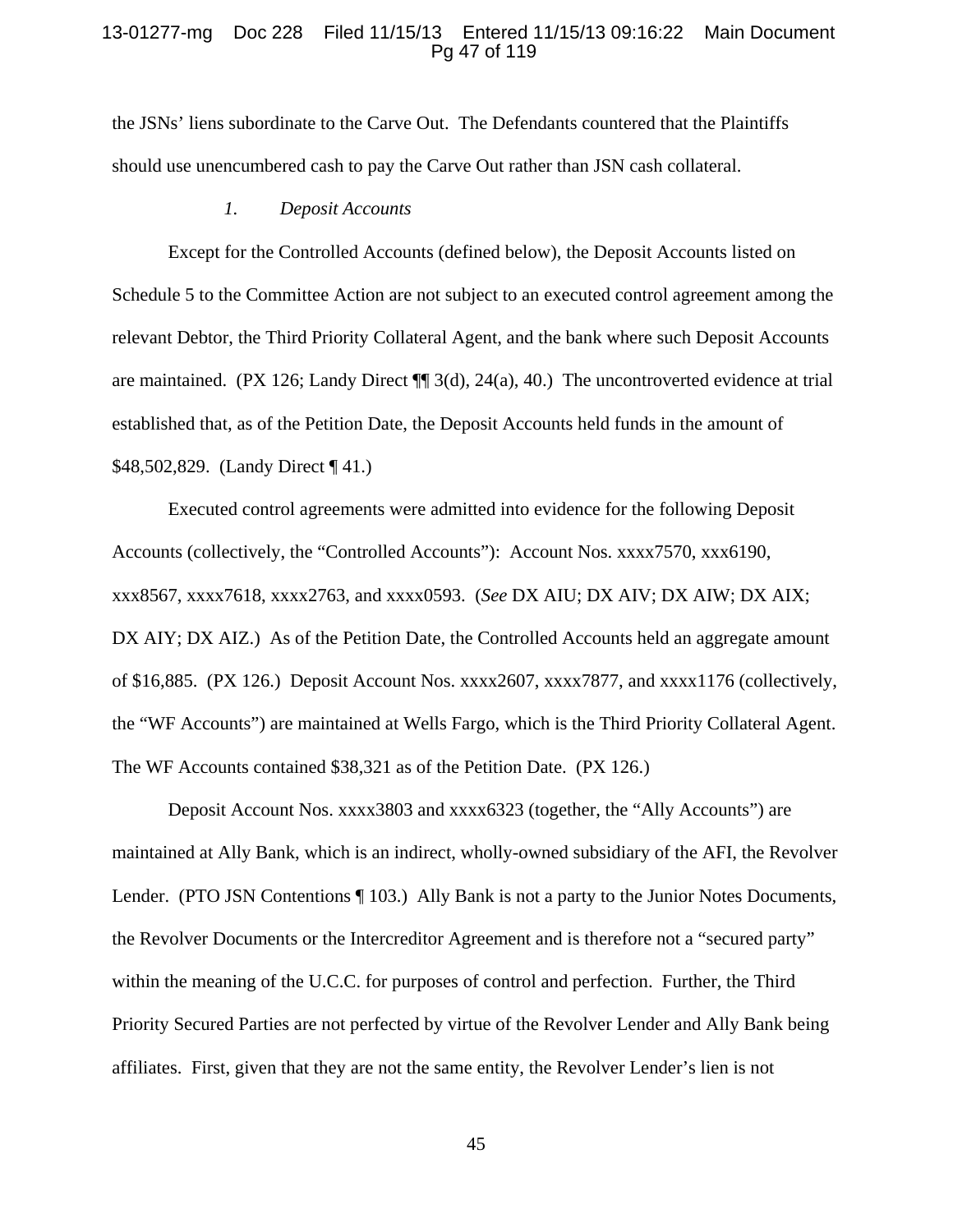### 13-01277-mg Doc 228 Filed 11/15/13 Entered 11/15/13 09:16:22 Main Document Pg 47 of 119

the JSNs' liens subordinate to the Carve Out. The Defendants countered that the Plaintiffs should use unencumbered cash to pay the Carve Out rather than JSN cash collateral.

### *1. Deposit Accounts*

Except for the Controlled Accounts (defined below), the Deposit Accounts listed on Schedule 5 to the Committee Action are not subject to an executed control agreement among the relevant Debtor, the Third Priority Collateral Agent, and the bank where such Deposit Accounts are maintained. (PX 126; Landy Direct ¶¶ 3(d), 24(a), 40.) The uncontroverted evidence at trial established that, as of the Petition Date, the Deposit Accounts held funds in the amount of \$48,502,829. (Landy Direct ¶ 41.)

Executed control agreements were admitted into evidence for the following Deposit Accounts (collectively, the "Controlled Accounts"): Account Nos. xxxx7570, xxx6190, xxx8567, xxxx7618, xxxx2763, and xxxx0593. (*See* DX AIU; DX AIV; DX AIW; DX AIX; DX AIY; DX AIZ.) As of the Petition Date, the Controlled Accounts held an aggregate amount of \$16,885. (PX 126.) Deposit Account Nos. xxxx2607, xxxx7877, and xxxx1176 (collectively, the "WF Accounts") are maintained at Wells Fargo, which is the Third Priority Collateral Agent. The WF Accounts contained \$38,321 as of the Petition Date. (PX 126.)

Deposit Account Nos. xxxx3803 and xxxx6323 (together, the "Ally Accounts") are maintained at Ally Bank, which is an indirect, wholly-owned subsidiary of the AFI, the Revolver Lender. (PTO JSN Contentions ¶ 103.) Ally Bank is not a party to the Junior Notes Documents, the Revolver Documents or the Intercreditor Agreement and is therefore not a "secured party" within the meaning of the U.C.C. for purposes of control and perfection. Further, the Third Priority Secured Parties are not perfected by virtue of the Revolver Lender and Ally Bank being affiliates. First, given that they are not the same entity, the Revolver Lender's lien is not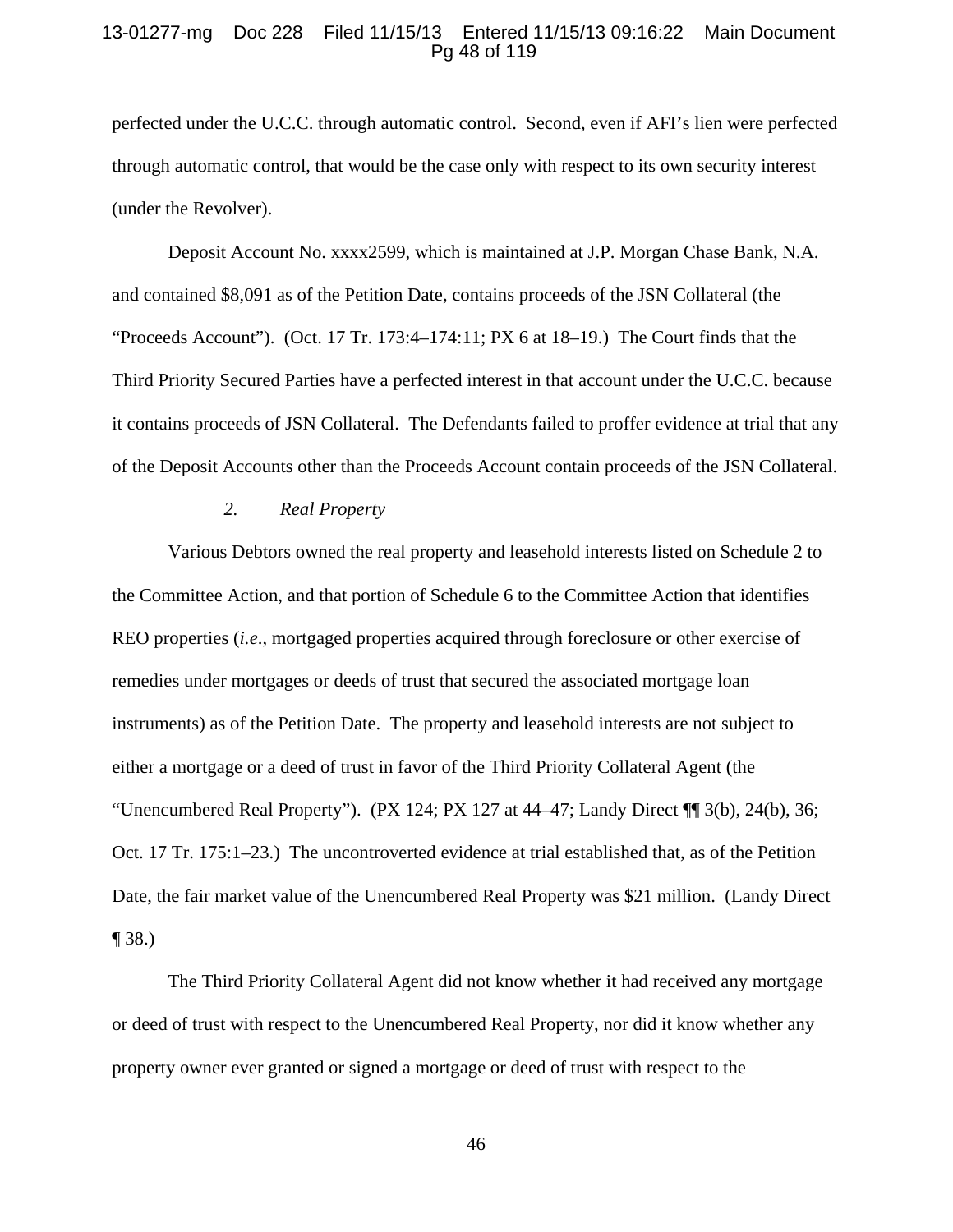### 13-01277-mg Doc 228 Filed 11/15/13 Entered 11/15/13 09:16:22 Main Document Pg 48 of 119

perfected under the U.C.C. through automatic control. Second, even if AFI's lien were perfected through automatic control, that would be the case only with respect to its own security interest (under the Revolver).

Deposit Account No. xxxx2599, which is maintained at J.P. Morgan Chase Bank, N.A. and contained \$8,091 as of the Petition Date, contains proceeds of the JSN Collateral (the "Proceeds Account"). (Oct. 17 Tr. 173:4–174:11; PX 6 at 18–19.) The Court finds that the Third Priority Secured Parties have a perfected interest in that account under the U.C.C. because it contains proceeds of JSN Collateral. The Defendants failed to proffer evidence at trial that any of the Deposit Accounts other than the Proceeds Account contain proceeds of the JSN Collateral.

## *2. Real Property*

Various Debtors owned the real property and leasehold interests listed on Schedule 2 to the Committee Action, and that portion of Schedule 6 to the Committee Action that identifies REO properties (*i.e*., mortgaged properties acquired through foreclosure or other exercise of remedies under mortgages or deeds of trust that secured the associated mortgage loan instruments) as of the Petition Date. The property and leasehold interests are not subject to either a mortgage or a deed of trust in favor of the Third Priority Collateral Agent (the "Unencumbered Real Property").  $(PX 124; PX 127$  at  $44-47;$  Landy Direct  $\P\P$  3(b), 24(b), 36; Oct. 17 Tr. 175:1–23.) The uncontroverted evidence at trial established that, as of the Petition Date, the fair market value of the Unencumbered Real Property was \$21 million. (Landy Direct ¶ 38.)

The Third Priority Collateral Agent did not know whether it had received any mortgage or deed of trust with respect to the Unencumbered Real Property, nor did it know whether any property owner ever granted or signed a mortgage or deed of trust with respect to the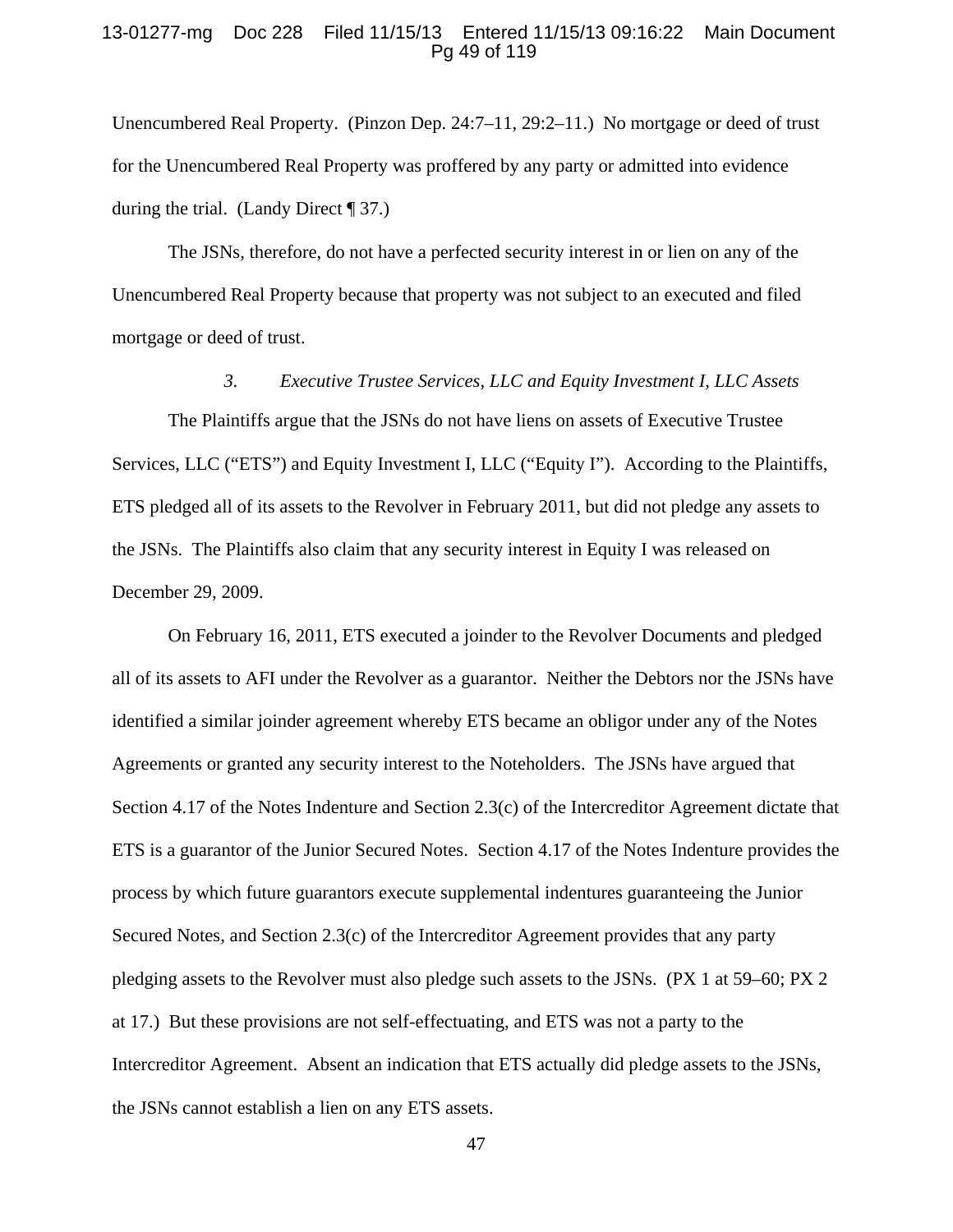### 13-01277-mg Doc 228 Filed 11/15/13 Entered 11/15/13 09:16:22 Main Document Pg 49 of 119

Unencumbered Real Property. (Pinzon Dep. 24:7–11, 29:2–11.) No mortgage or deed of trust for the Unencumbered Real Property was proffered by any party or admitted into evidence during the trial. (Landy Direct  $\P$  37.)

The JSNs, therefore, do not have a perfected security interest in or lien on any of the Unencumbered Real Property because that property was not subject to an executed and filed mortgage or deed of trust.

# *3. Executive Trustee Services, LLC and Equity Investment I, LLC Assets*

The Plaintiffs argue that the JSNs do not have liens on assets of Executive Trustee Services, LLC ("ETS") and Equity Investment I, LLC ("Equity I"). According to the Plaintiffs, ETS pledged all of its assets to the Revolver in February 2011, but did not pledge any assets to the JSNs. The Plaintiffs also claim that any security interest in Equity I was released on December 29, 2009.

On February 16, 2011, ETS executed a joinder to the Revolver Documents and pledged all of its assets to AFI under the Revolver as a guarantor. Neither the Debtors nor the JSNs have identified a similar joinder agreement whereby ETS became an obligor under any of the Notes Agreements or granted any security interest to the Noteholders. The JSNs have argued that Section 4.17 of the Notes Indenture and Section 2.3(c) of the Intercreditor Agreement dictate that ETS is a guarantor of the Junior Secured Notes. Section 4.17 of the Notes Indenture provides the process by which future guarantors execute supplemental indentures guaranteeing the Junior Secured Notes, and Section 2.3(c) of the Intercreditor Agreement provides that any party pledging assets to the Revolver must also pledge such assets to the JSNs. (PX 1 at 59–60; PX 2 at 17.) But these provisions are not self-effectuating, and ETS was not a party to the Intercreditor Agreement. Absent an indication that ETS actually did pledge assets to the JSNs, the JSNs cannot establish a lien on any ETS assets.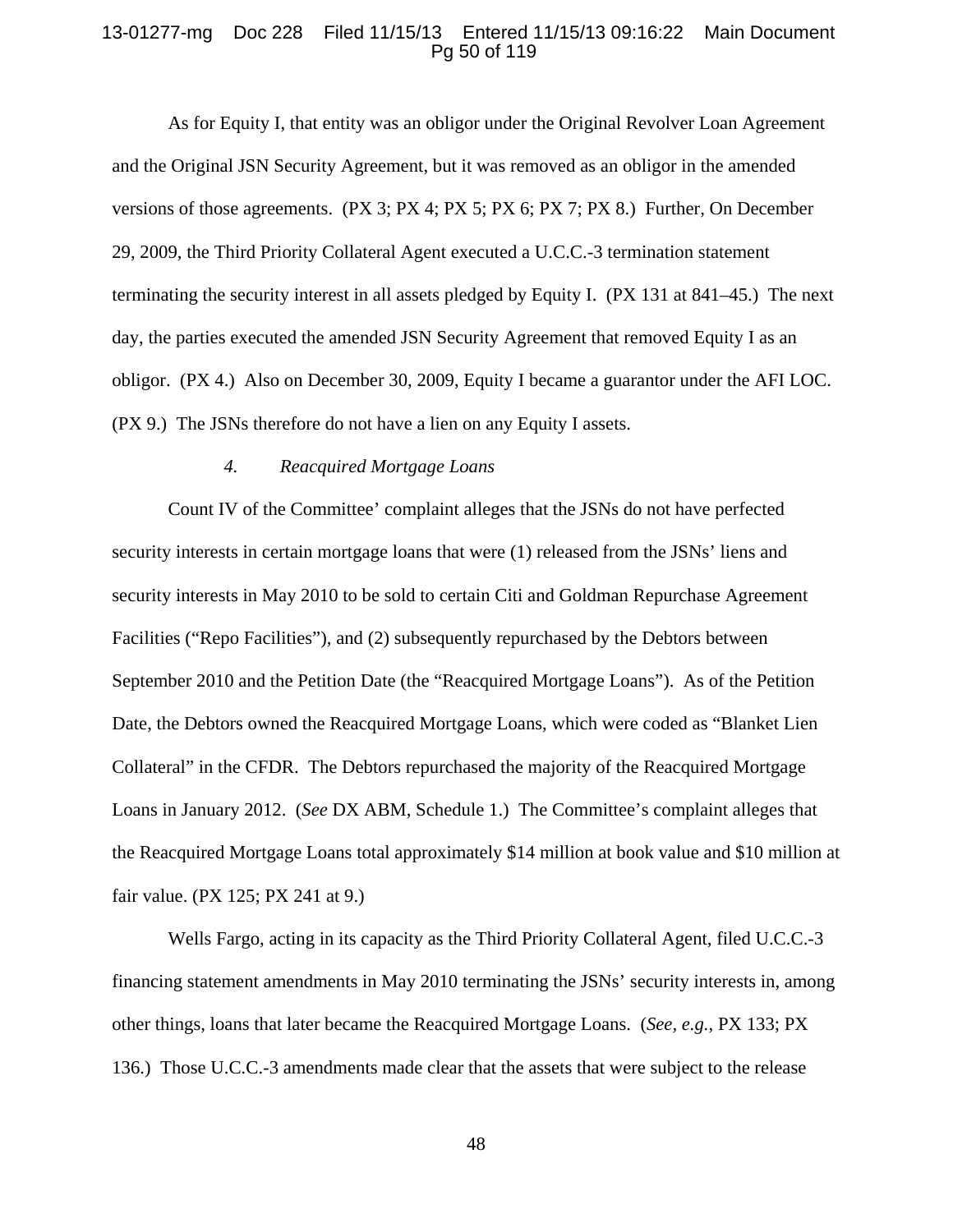### 13-01277-mg Doc 228 Filed 11/15/13 Entered 11/15/13 09:16:22 Main Document Pg 50 of 119

As for Equity I, that entity was an obligor under the Original Revolver Loan Agreement and the Original JSN Security Agreement, but it was removed as an obligor in the amended versions of those agreements. (PX 3; PX 4; PX 5; PX 6; PX 7; PX 8.) Further, On December 29, 2009, the Third Priority Collateral Agent executed a U.C.C.-3 termination statement terminating the security interest in all assets pledged by Equity I. (PX 131 at 841–45.) The next day, the parties executed the amended JSN Security Agreement that removed Equity I as an obligor. (PX 4.) Also on December 30, 2009, Equity I became a guarantor under the AFI LOC. (PX 9.) The JSNs therefore do not have a lien on any Equity I assets.

# *4. Reacquired Mortgage Loans*

Count IV of the Committee' complaint alleges that the JSNs do not have perfected security interests in certain mortgage loans that were (1) released from the JSNs' liens and security interests in May 2010 to be sold to certain Citi and Goldman Repurchase Agreement Facilities ("Repo Facilities"), and (2) subsequently repurchased by the Debtors between September 2010 and the Petition Date (the "Reacquired Mortgage Loans").As of the Petition Date, the Debtors owned the Reacquired Mortgage Loans, which were coded as "Blanket Lien Collateral" in the CFDR. The Debtors repurchased the majority of the Reacquired Mortgage Loans in January 2012. (*See* DX ABM, Schedule 1.) The Committee's complaint alleges that the Reacquired Mortgage Loans total approximately \$14 million at book value and \$10 million at fair value. (PX 125; PX 241 at 9.)

Wells Fargo, acting in its capacity as the Third Priority Collateral Agent, filed U.C.C.-3 financing statement amendments in May 2010 terminating the JSNs' security interests in, among other things, loans that later became the Reacquired Mortgage Loans. (*See, e.g.*, PX 133; PX 136.)Those U.C.C.-3 amendments made clear that the assets that were subject to the release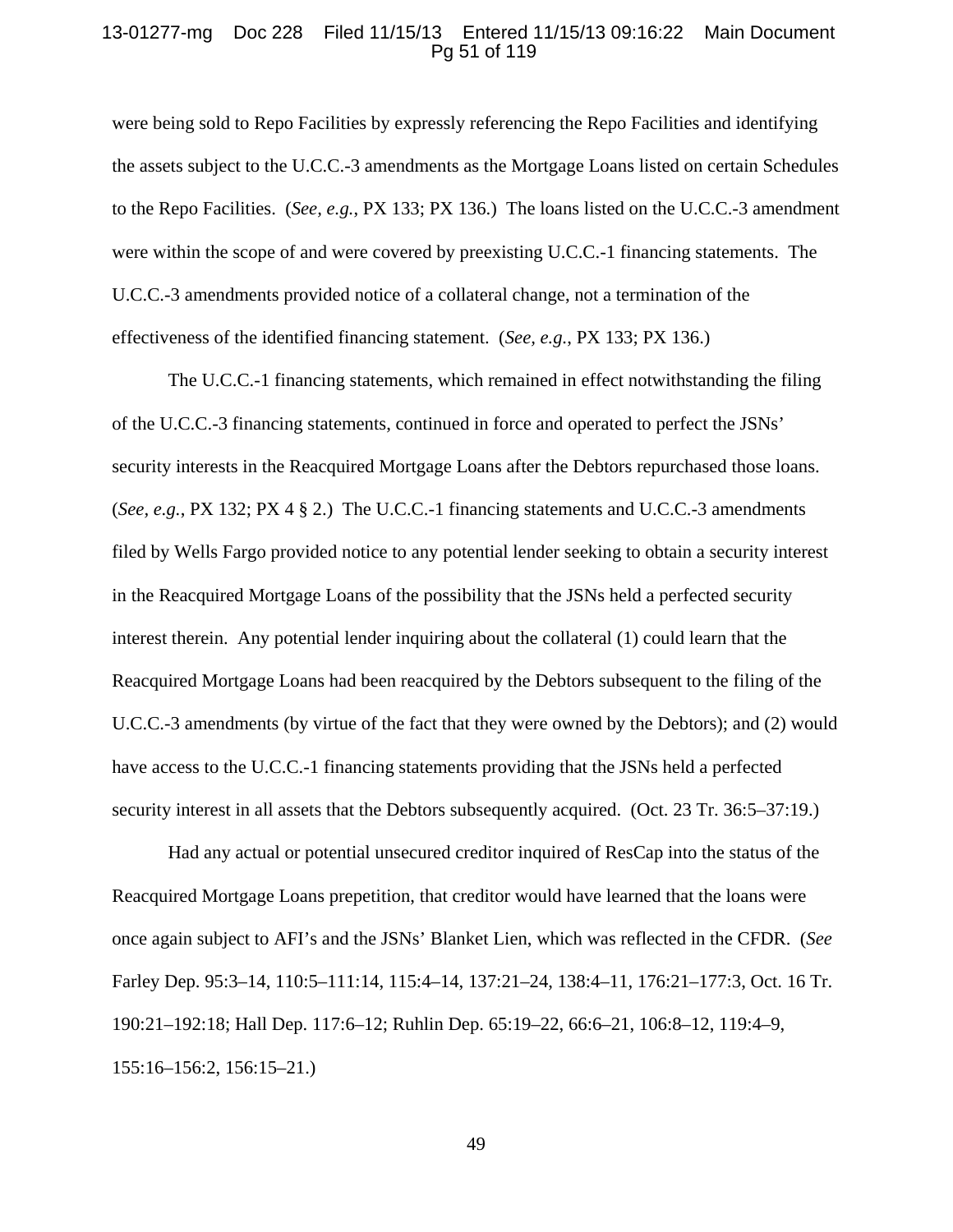### 13-01277-mg Doc 228 Filed 11/15/13 Entered 11/15/13 09:16:22 Main Document Pg 51 of 119

were being sold to Repo Facilities by expressly referencing the Repo Facilities and identifying the assets subject to the U.C.C.-3 amendments as the Mortgage Loans listed on certain Schedules to the Repo Facilities. (*See, e.g.*, PX 133; PX 136.) The loans listed on the U.C.C.-3 amendment were within the scope of and were covered by preexisting U.C.C.-1 financing statements. The U.C.C.-3 amendments provided notice of a collateral change, not a termination of the effectiveness of the identified financing statement. (*See, e.g.*, PX 133; PX 136.)

The U.C.C.-1 financing statements, which remained in effect notwithstanding the filing of the U.C.C.-3 financing statements, continued in force and operated to perfect the JSNs' security interests in the Reacquired Mortgage Loans after the Debtors repurchased those loans. (*See, e.g.*, PX 132; PX 4 § 2.) The U.C.C.-1 financing statements and U.C.C.-3 amendments filed by Wells Fargo provided notice to any potential lender seeking to obtain a security interest in the Reacquired Mortgage Loans of the possibility that the JSNs held a perfected security interest therein. Any potential lender inquiring about the collateral (1) could learn that the Reacquired Mortgage Loans had been reacquired by the Debtors subsequent to the filing of the U.C.C.-3 amendments (by virtue of the fact that they were owned by the Debtors); and (2) would have access to the U.C.C.-1 financing statements providing that the JSNs held a perfected security interest in all assets that the Debtors subsequently acquired. (Oct. 23 Tr. 36:5–37:19.)

Had any actual or potential unsecured creditor inquired of ResCap into the status of the Reacquired Mortgage Loans prepetition, that creditor would have learned that the loans were once again subject to AFI's and the JSNs' Blanket Lien, which was reflected in the CFDR. (*See* Farley Dep. 95:3–14, 110:5–111:14, 115:4–14, 137:21–24, 138:4–11, 176:21–177:3, Oct. 16 Tr. 190:21–192:18; Hall Dep. 117:6–12; Ruhlin Dep. 65:19–22, 66:6–21, 106:8–12, 119:4–9, 155:16–156:2, 156:15–21.)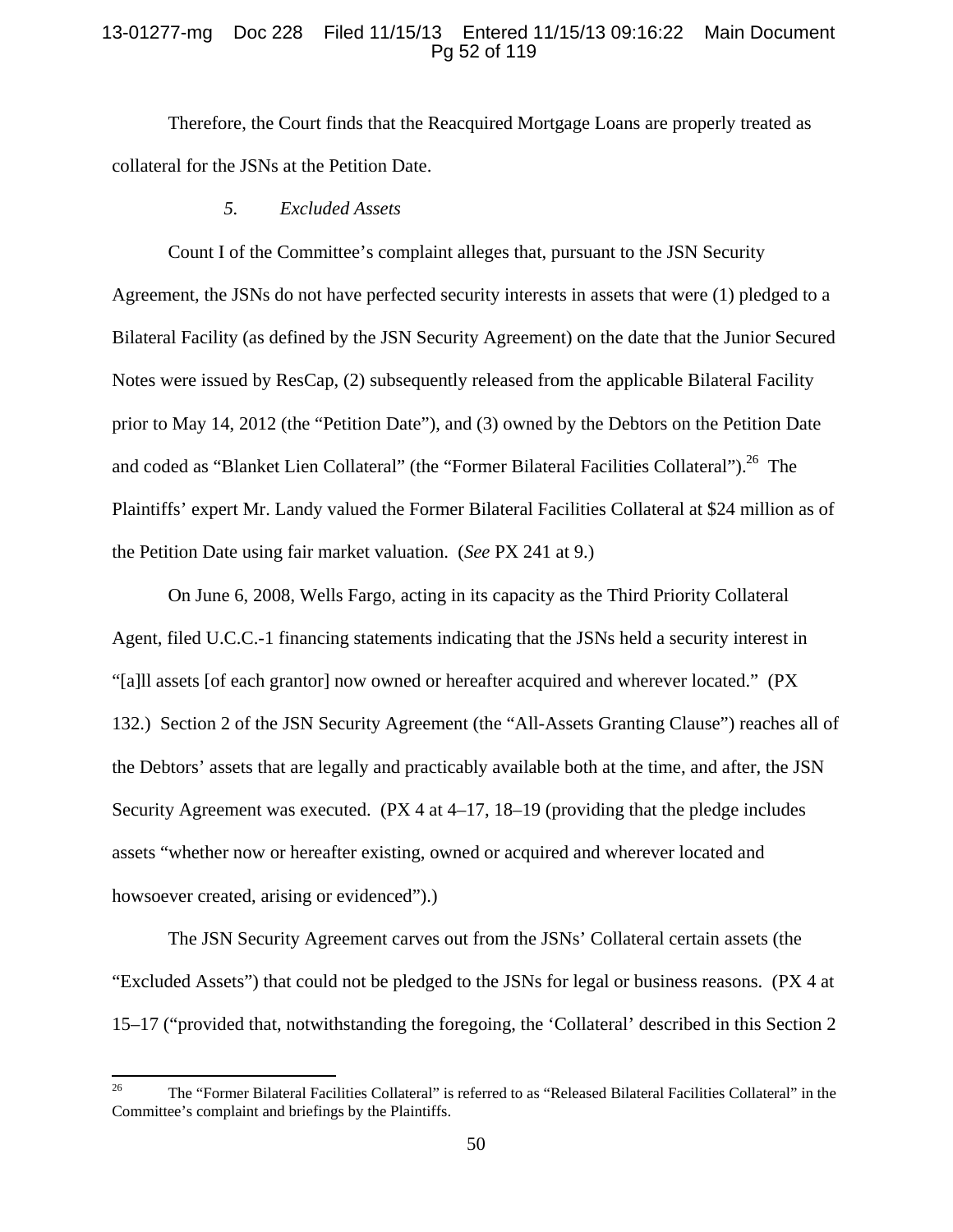# 13-01277-mg Doc 228 Filed 11/15/13 Entered 11/15/13 09:16:22 Main Document Pg 52 of 119

Therefore, the Court finds that the Reacquired Mortgage Loans are properly treated as collateral for the JSNs at the Petition Date.

*5. Excluded Assets* 

 Count I of the Committee's complaint alleges that, pursuant to the JSN Security Agreement, the JSNs do not have perfected security interests in assets that were (1) pledged to a Bilateral Facility (as defined by the JSN Security Agreement) on the date that the Junior Secured Notes were issued by ResCap, (2) subsequently released from the applicable Bilateral Facility prior to May 14, 2012 (the "Petition Date"), and (3) owned by the Debtors on the Petition Date and coded as "Blanket Lien Collateral" (the "Former Bilateral Facilities Collateral").<sup>26</sup> The Plaintiffs' expert Mr. Landy valued the Former Bilateral Facilities Collateral at \$24 million as of the Petition Date using fair market valuation. (*See* PX 241 at 9.)

 On June 6, 2008, Wells Fargo, acting in its capacity as the Third Priority Collateral Agent, filed U.C.C.-1 financing statements indicating that the JSNs held a security interest in "[a]ll assets [of each grantor] now owned or hereafter acquired and wherever located." (PX 132.) Section 2 of the JSN Security Agreement (the "All-Assets Granting Clause") reaches all of the Debtors' assets that are legally and practicably available both at the time, and after, the JSN Security Agreement was executed. (PX 4 at 4–17, 18–19 (providing that the pledge includes assets "whether now or hereafter existing, owned or acquired and wherever located and howsoever created, arising or evidenced".

The JSN Security Agreement carves out from the JSNs' Collateral certain assets (the "Excluded Assets") that could not be pledged to the JSNs for legal or business reasons. (PX 4 at 15–17 ("provided that, notwithstanding the foregoing, the 'Collateral' described in this Section 2

<sup>&</sup>lt;sup>26</sup> The "Former Bilateral Facilities Collateral" is referred to as "Released Bilateral Facilities Collateral" in the Committee's complaint and briefings by the Plaintiffs.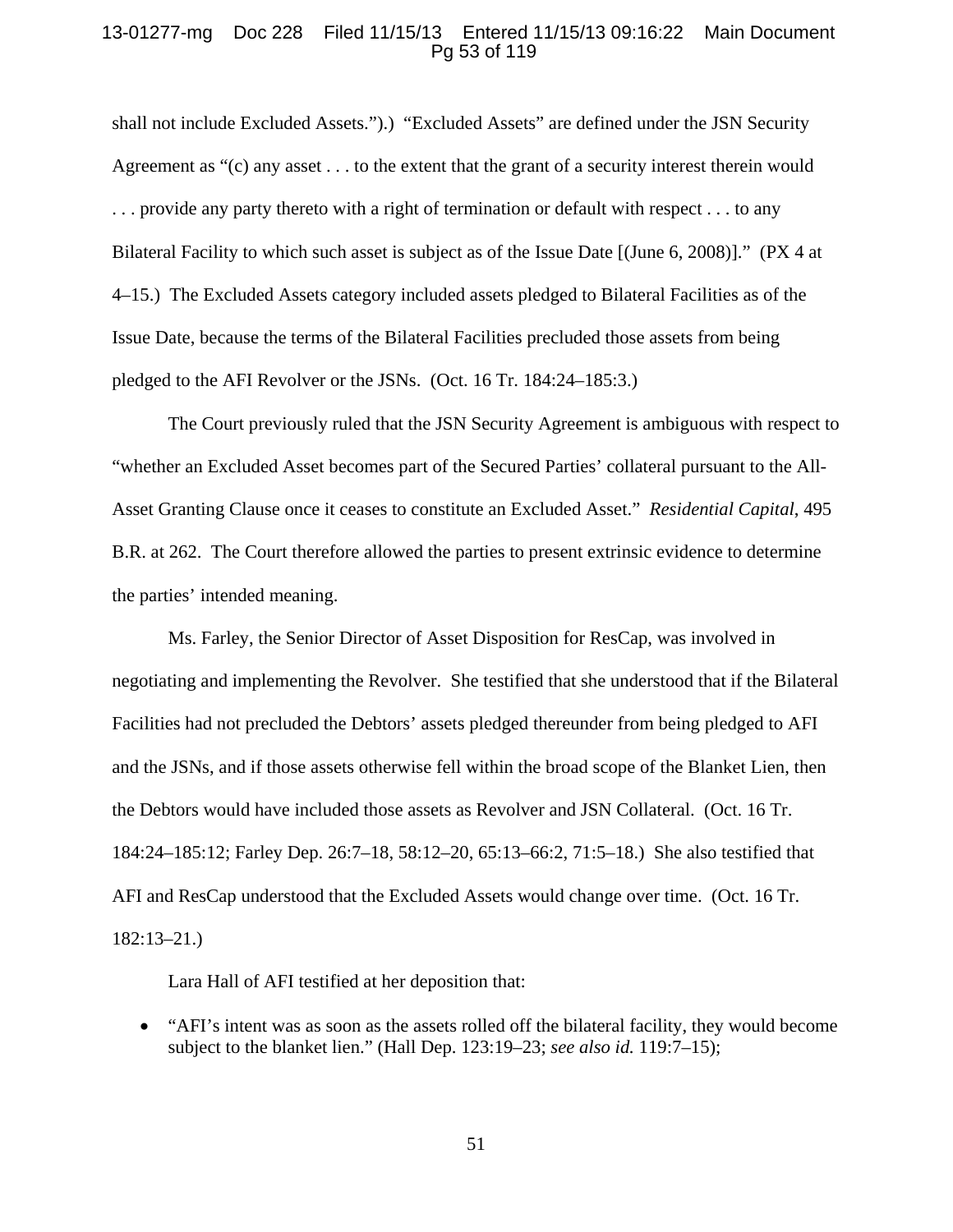# 13-01277-mg Doc 228 Filed 11/15/13 Entered 11/15/13 09:16:22 Main Document Pg 53 of 119

shall not include Excluded Assets.").) "Excluded Assets" are defined under the JSN Security Agreement as "(c) any asset . . . to the extent that the grant of a security interest therein would . . . provide any party thereto with a right of termination or default with respect . . . to any Bilateral Facility to which such asset is subject as of the Issue Date [(June 6, 2008)]." (PX 4 at 4–15.) The Excluded Assets category included assets pledged to Bilateral Facilities as of the Issue Date, because the terms of the Bilateral Facilities precluded those assets from being pledged to the AFI Revolver or the JSNs. (Oct. 16 Tr. 184:24–185:3.)

 The Court previously ruled that the JSN Security Agreement is ambiguous with respect to "whether an Excluded Asset becomes part of the Secured Parties' collateral pursuant to the All-Asset Granting Clause once it ceases to constitute an Excluded Asset." *Residential Capital*, 495 B.R. at 262. The Court therefore allowed the parties to present extrinsic evidence to determine the parties' intended meaning.

Ms. Farley, the Senior Director of Asset Disposition for ResCap, was involved in negotiating and implementing the Revolver. She testified that she understood that if the Bilateral Facilities had not precluded the Debtors' assets pledged thereunder from being pledged to AFI and the JSNs, and if those assets otherwise fell within the broad scope of the Blanket Lien, then the Debtors would have included those assets as Revolver and JSN Collateral. (Oct. 16 Tr. 184:24–185:12; Farley Dep. 26:7–18, 58:12–20, 65:13–66:2, 71:5–18.) She also testified that AFI and ResCap understood that the Excluded Assets would change over time. (Oct. 16 Tr. 182:13–21.)

Lara Hall of AFI testified at her deposition that:

 "AFI's intent was as soon as the assets rolled off the bilateral facility, they would become subject to the blanket lien." (Hall Dep. 123:19–23; *see also id.* 119:7–15);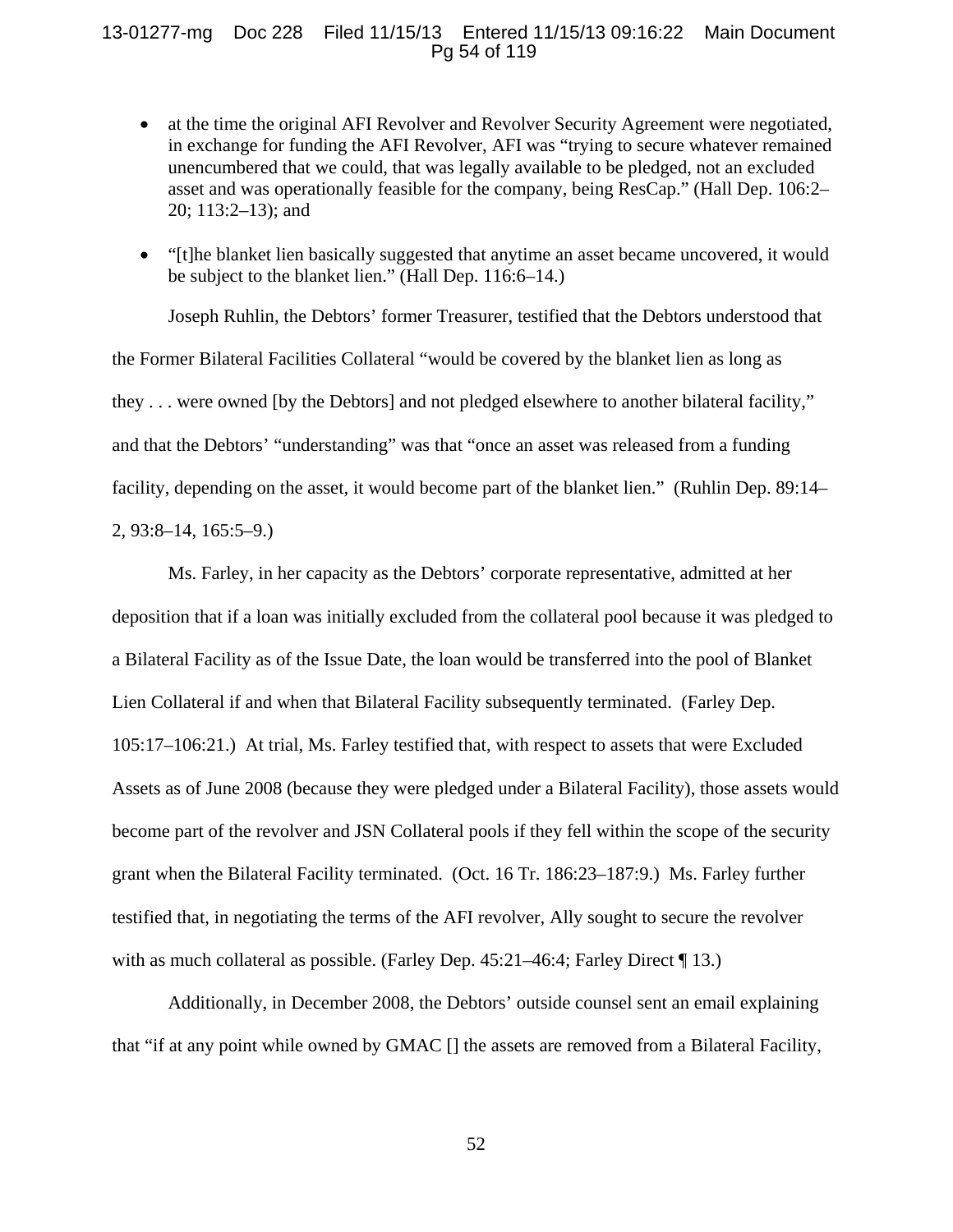# 13-01277-mg Doc 228 Filed 11/15/13 Entered 11/15/13 09:16:22 Main Document Pg 54 of 119

- at the time the original AFI Revolver and Revolver Security Agreement were negotiated, in exchange for funding the AFI Revolver, AFI was "trying to secure whatever remained unencumbered that we could, that was legally available to be pledged, not an excluded asset and was operationally feasible for the company, being ResCap." (Hall Dep. 106:2– 20; 113:2–13); and
- "[t]he blanket lien basically suggested that anytime an asset became uncovered, it would be subject to the blanket lien." (Hall Dep. 116:6–14.)

Joseph Ruhlin, the Debtors' former Treasurer, testified that the Debtors understood that the Former Bilateral Facilities Collateral "would be covered by the blanket lien as long as they . . . were owned [by the Debtors] and not pledged elsewhere to another bilateral facility," and that the Debtors' "understanding" was that "once an asset was released from a funding facility, depending on the asset, it would become part of the blanket lien." (Ruhlin Dep. 89:14– 2, 93:8–14, 165:5–9.)

Ms. Farley, in her capacity as the Debtors' corporate representative, admitted at her deposition that if a loan was initially excluded from the collateral pool because it was pledged to a Bilateral Facility as of the Issue Date, the loan would be transferred into the pool of Blanket Lien Collateral if and when that Bilateral Facility subsequently terminated. (Farley Dep. 105:17–106:21.) At trial, Ms. Farley testified that, with respect to assets that were Excluded Assets as of June 2008 (because they were pledged under a Bilateral Facility), those assets would become part of the revolver and JSN Collateral pools if they fell within the scope of the security grant when the Bilateral Facility terminated. (Oct. 16 Tr. 186:23–187:9.) Ms. Farley further testified that, in negotiating the terms of the AFI revolver, Ally sought to secure the revolver with as much collateral as possible. (Farley Dep. 45:21–46:4; Farley Direct ¶ 13.)

Additionally, in December 2008, the Debtors' outside counsel sent an email explaining that "if at any point while owned by GMAC [] the assets are removed from a Bilateral Facility,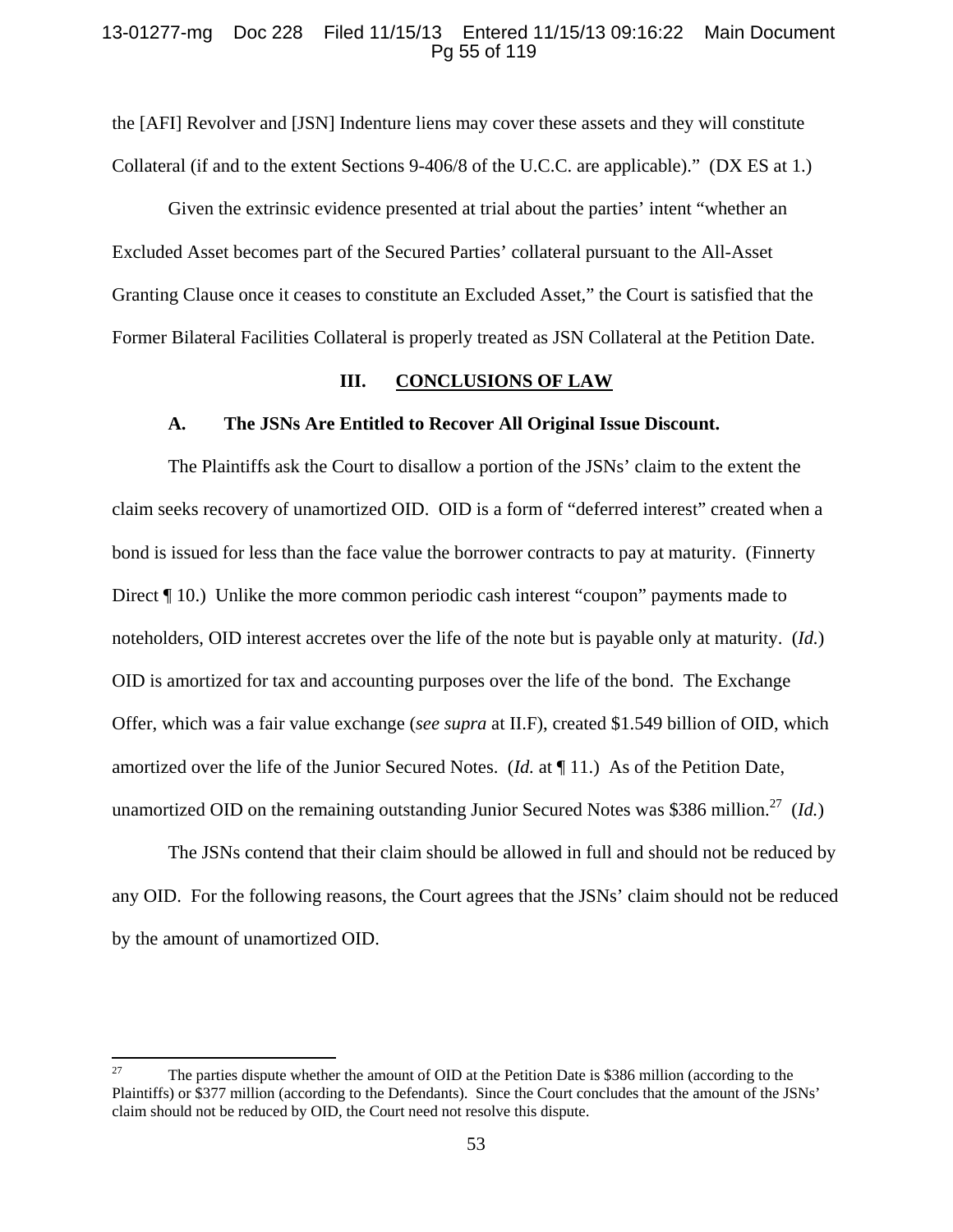# 13-01277-mg Doc 228 Filed 11/15/13 Entered 11/15/13 09:16:22 Main Document Pg 55 of 119

the [AFI] Revolver and [JSN] Indenture liens may cover these assets and they will constitute Collateral (if and to the extent Sections 9-406/8 of the U.C.C. are applicable)." (DX ES at 1.)

Given the extrinsic evidence presented at trial about the parties' intent "whether an Excluded Asset becomes part of the Secured Parties' collateral pursuant to the All-Asset Granting Clause once it ceases to constitute an Excluded Asset," the Court is satisfied that the Former Bilateral Facilities Collateral is properly treated as JSN Collateral at the Petition Date.

#### **III. CONCLUSIONS OF LAW**

#### **A. The JSNs Are Entitled to Recover All Original Issue Discount.**

The Plaintiffs ask the Court to disallow a portion of the JSNs' claim to the extent the claim seeks recovery of unamortized OID. OID is a form of "deferred interest" created when a bond is issued for less than the face value the borrower contracts to pay at maturity. (Finnerty Direct ¶ 10.) Unlike the more common periodic cash interest "coupon" payments made to noteholders, OID interest accretes over the life of the note but is payable only at maturity. (*Id.*) OID is amortized for tax and accounting purposes over the life of the bond. The Exchange Offer, which was a fair value exchange (*see supra* at II.F), created \$1.549 billion of OID, which amortized over the life of the Junior Secured Notes. (*Id.* at ¶ 11.) As of the Petition Date, unamortized OID on the remaining outstanding Junior Secured Notes was \$386 million.<sup>27</sup> (*Id.*)

The JSNs contend that their claim should be allowed in full and should not be reduced by any OID. For the following reasons, the Court agrees that the JSNs' claim should not be reduced by the amount of unamortized OID.

<sup>&</sup>lt;sup>27</sup> The parties dispute whether the amount of OID at the Petition Date is \$386 million (according to the Plaintiffs) or \$377 million (according to the Defendants). Since the Court concludes that the amount of the JSNs' claim should not be reduced by OID, the Court need not resolve this dispute.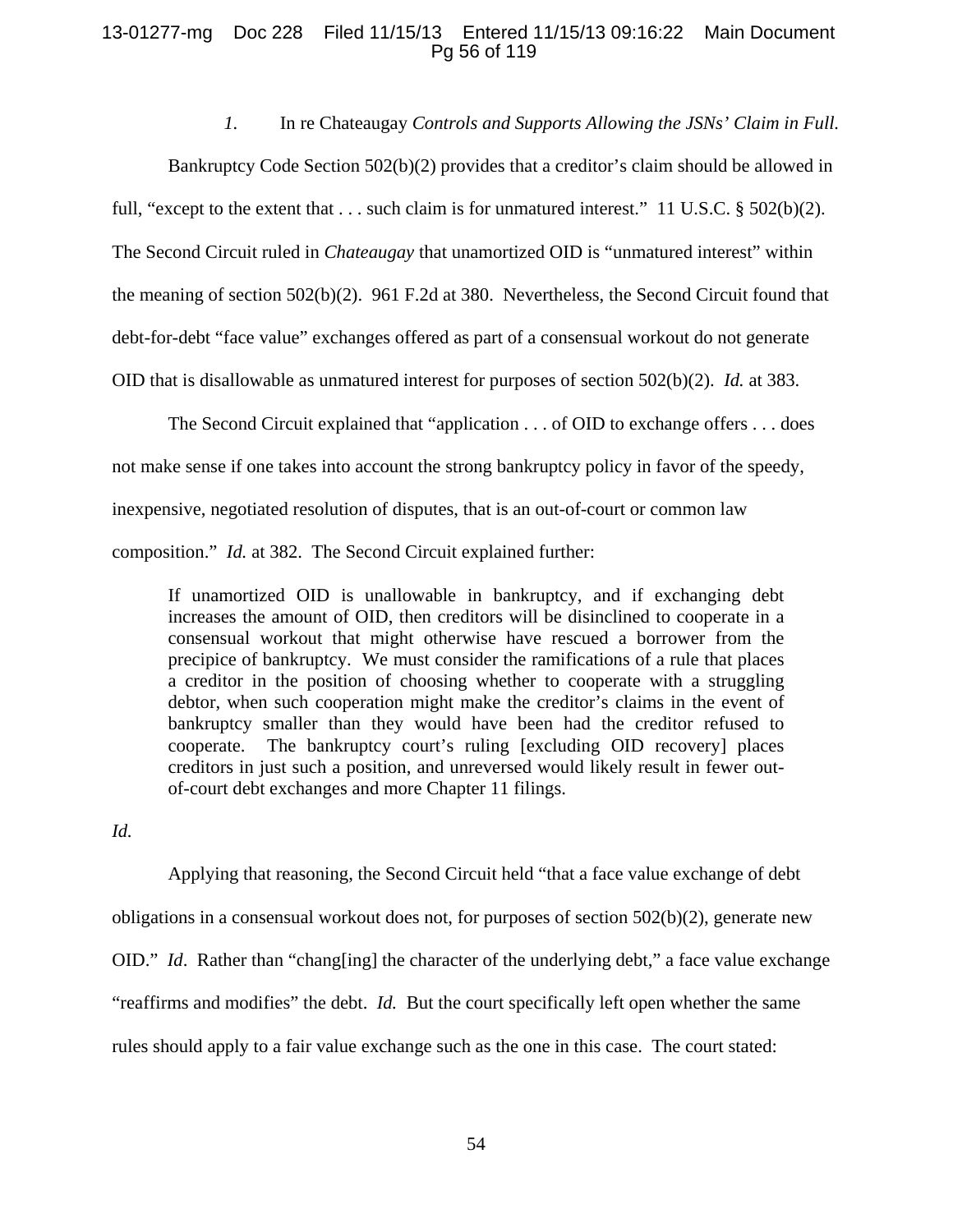# 13-01277-mg Doc 228 Filed 11/15/13 Entered 11/15/13 09:16:22 Main Document Pg 56 of 119

# *1.* In re Chateaugay *Controls and Supports Allowing the JSNs' Claim in Full.*

Bankruptcy Code Section 502(b)(2) provides that a creditor's claim should be allowed in full, "except to the extent that . . . such claim is for unmatured interest." 11 U.S.C. § 502(b)(2). The Second Circuit ruled in *Chateaugay* that unamortized OID is "unmatured interest" within the meaning of section 502(b)(2). 961 F.2d at 380. Nevertheless, the Second Circuit found that debt-for-debt "face value" exchanges offered as part of a consensual workout do not generate OID that is disallowable as unmatured interest for purposes of section 502(b)(2). *Id.* at 383.

The Second Circuit explained that "application . . . of OID to exchange offers . . . does not make sense if one takes into account the strong bankruptcy policy in favor of the speedy, inexpensive, negotiated resolution of disputes, that is an out-of-court or common law composition." *Id.* at 382. The Second Circuit explained further:

If unamortized OID is unallowable in bankruptcy, and if exchanging debt increases the amount of OID, then creditors will be disinclined to cooperate in a consensual workout that might otherwise have rescued a borrower from the precipice of bankruptcy. We must consider the ramifications of a rule that places a creditor in the position of choosing whether to cooperate with a struggling debtor, when such cooperation might make the creditor's claims in the event of bankruptcy smaller than they would have been had the creditor refused to cooperate. The bankruptcy court's ruling [excluding OID recovery] places creditors in just such a position, and unreversed would likely result in fewer outof-court debt exchanges and more Chapter 11 filings.

*Id.*

Applying that reasoning, the Second Circuit held "that a face value exchange of debt obligations in a consensual workout does not, for purposes of section 502(b)(2), generate new OID." *Id*. Rather than "chang[ing] the character of the underlying debt," a face value exchange "reaffirms and modifies" the debt. *Id.* But the court specifically left open whether the same rules should apply to a fair value exchange such as the one in this case. The court stated: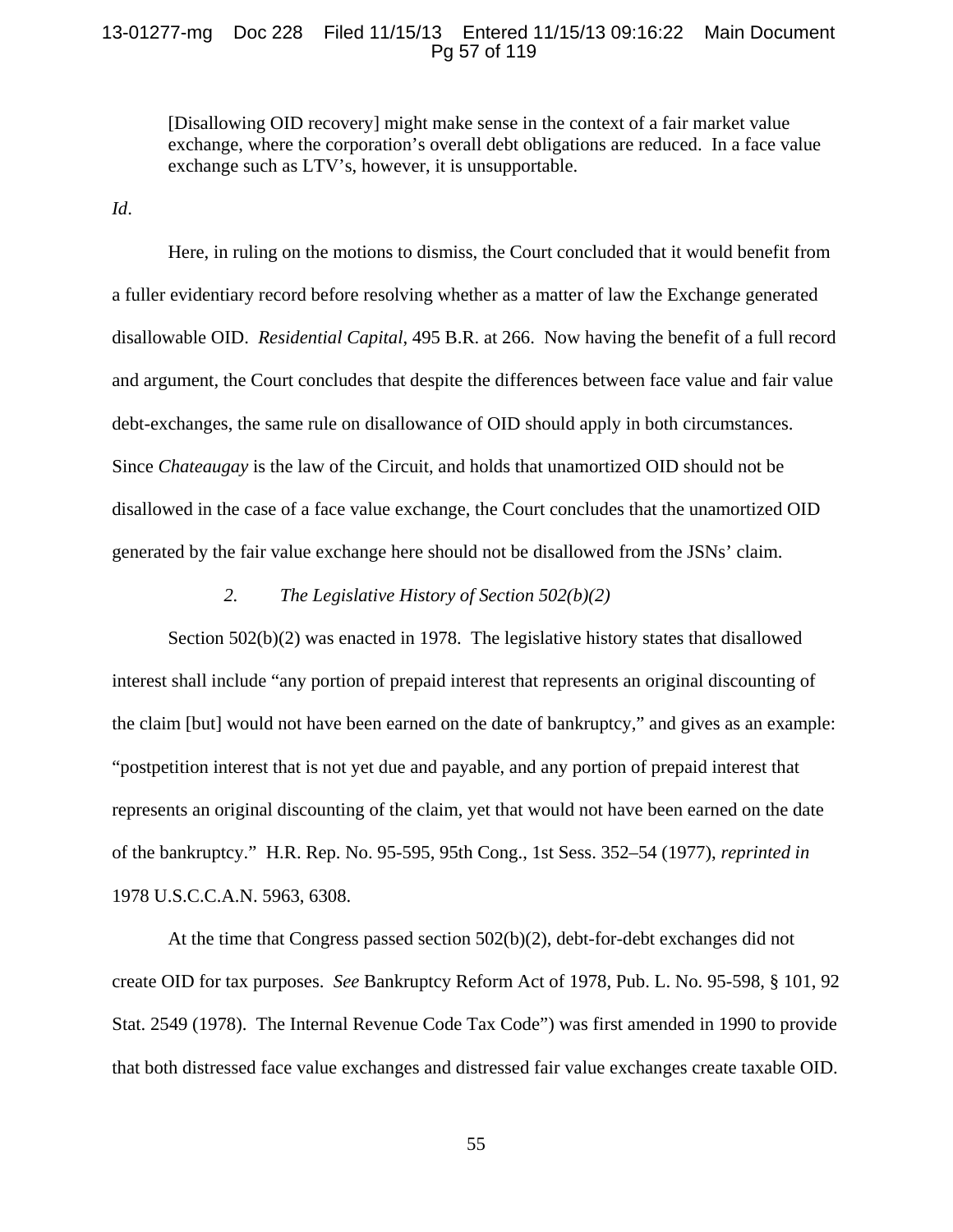# 13-01277-mg Doc 228 Filed 11/15/13 Entered 11/15/13 09:16:22 Main Document Pg 57 of 119

[Disallowing OID recovery] might make sense in the context of a fair market value exchange, where the corporation's overall debt obligations are reduced. In a face value exchange such as LTV's, however, it is unsupportable.

*Id*.

Here, in ruling on the motions to dismiss, the Court concluded that it would benefit from a fuller evidentiary record before resolving whether as a matter of law the Exchange generated disallowable OID. *Residential Capital*, 495 B.R. at 266. Now having the benefit of a full record and argument, the Court concludes that despite the differences between face value and fair value debt-exchanges, the same rule on disallowance of OID should apply in both circumstances. Since *Chateaugay* is the law of the Circuit, and holds that unamortized OID should not be disallowed in the case of a face value exchange, the Court concludes that the unamortized OID generated by the fair value exchange here should not be disallowed from the JSNs' claim.

## *2. The Legislative History of Section 502(b)(2)*

Section 502(b)(2) was enacted in 1978. The legislative history states that disallowed interest shall include "any portion of prepaid interest that represents an original discounting of the claim [but] would not have been earned on the date of bankruptcy," and gives as an example: "postpetition interest that is not yet due and payable, and any portion of prepaid interest that represents an original discounting of the claim, yet that would not have been earned on the date of the bankruptcy." H.R. Rep. No. 95-595, 95th Cong., 1st Sess. 352–54 (1977), *reprinted in* 1978 U.S.C.C.A.N. 5963, 6308.

At the time that Congress passed section 502(b)(2), debt-for-debt exchanges did not create OID for tax purposes. *See* Bankruptcy Reform Act of 1978, Pub. L. No. 95-598, § 101, 92 Stat. 2549 (1978). The Internal Revenue Code Tax Code") was first amended in 1990 to provide that both distressed face value exchanges and distressed fair value exchanges create taxable OID.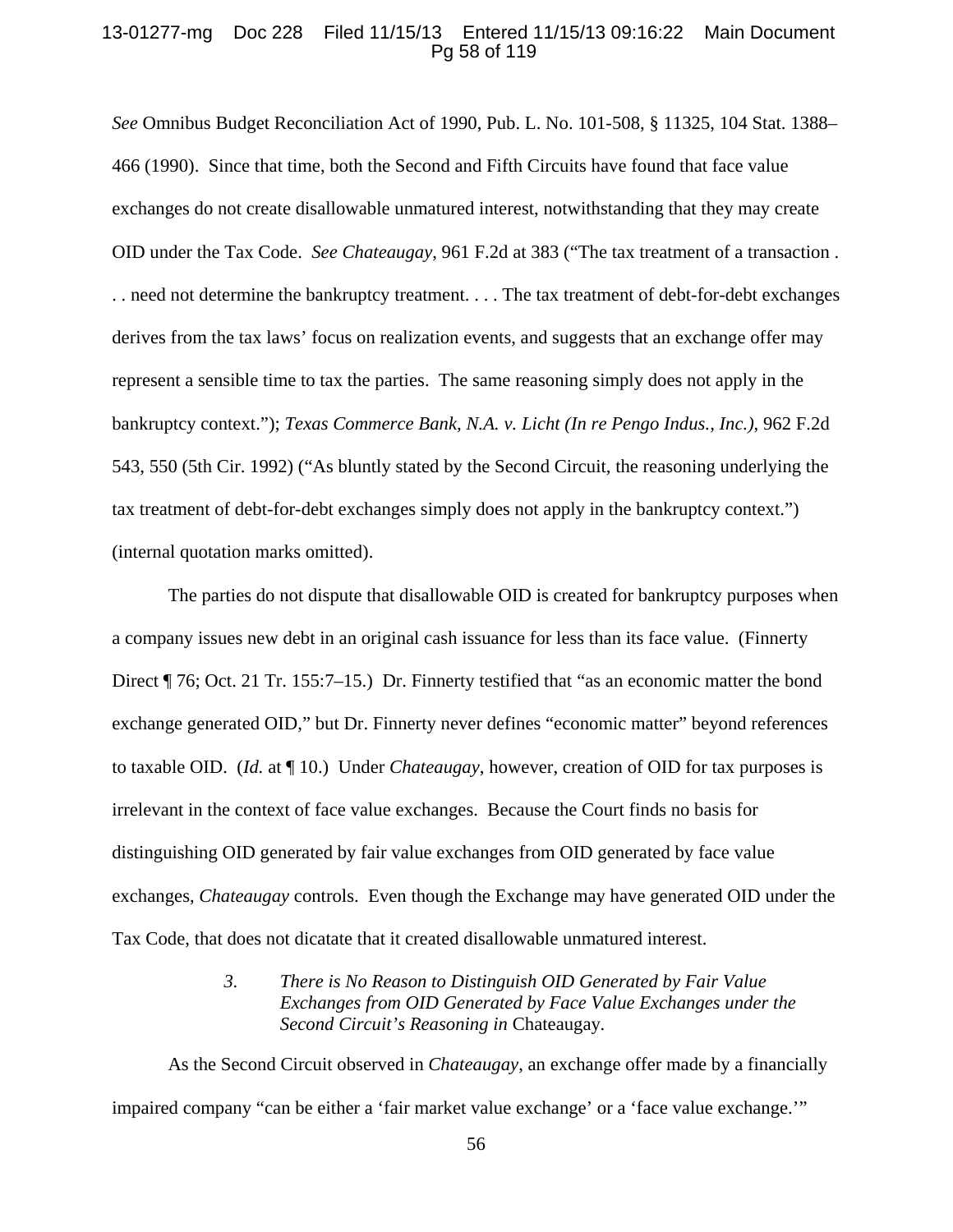## 13-01277-mg Doc 228 Filed 11/15/13 Entered 11/15/13 09:16:22 Main Document Pg 58 of 119

*See* Omnibus Budget Reconciliation Act of 1990, Pub. L. No. 101-508, § 11325, 104 Stat. 1388– 466 (1990). Since that time, both the Second and Fifth Circuits have found that face value exchanges do not create disallowable unmatured interest, notwithstanding that they may create OID under the Tax Code. *See Chateaugay*, 961 F.2d at 383 ("The tax treatment of a transaction . . . need not determine the bankruptcy treatment. . . . The tax treatment of debt-for-debt exchanges derives from the tax laws' focus on realization events, and suggests that an exchange offer may represent a sensible time to tax the parties. The same reasoning simply does not apply in the bankruptcy context."); *Texas Commerce Bank, N.A. v. Licht (In re Pengo Indus., Inc.)*, 962 F.2d 543, 550 (5th Cir. 1992) ("As bluntly stated by the Second Circuit, the reasoning underlying the tax treatment of debt-for-debt exchanges simply does not apply in the bankruptcy context.") (internal quotation marks omitted).

The parties do not dispute that disallowable OID is created for bankruptcy purposes when a company issues new debt in an original cash issuance for less than its face value. (Finnerty Direct ¶ 76; Oct. 21 Tr. 155:7–15.) Dr. Finnerty testified that "as an economic matter the bond exchange generated OID," but Dr. Finnerty never defines "economic matter" beyond references to taxable OID. (*Id.* at ¶ 10.) Under *Chateaugay*, however, creation of OID for tax purposes is irrelevant in the context of face value exchanges. Because the Court finds no basis for distinguishing OID generated by fair value exchanges from OID generated by face value exchanges, *Chateaugay* controls. Even though the Exchange may have generated OID under the Tax Code, that does not dicatate that it created disallowable unmatured interest.

> *3. There is No Reason to Distinguish OID Generated by Fair Value Exchanges from OID Generated by Face Value Exchanges under the Second Circuit's Reasoning in* Chateaugay*.*

As the Second Circuit observed in *Chateaugay*, an exchange offer made by a financially impaired company "can be either a 'fair market value exchange' or a 'face value exchange.'"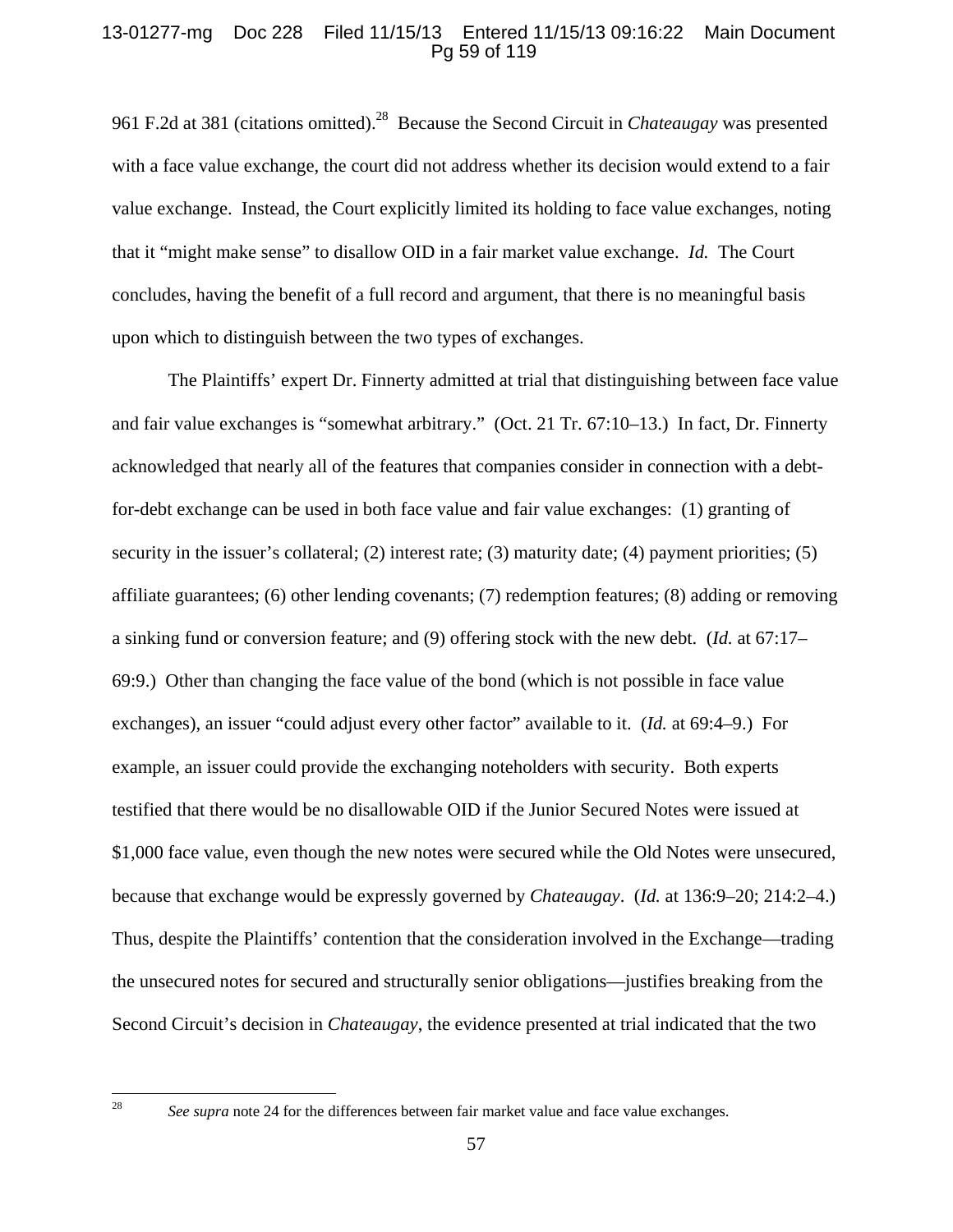# 13-01277-mg Doc 228 Filed 11/15/13 Entered 11/15/13 09:16:22 Main Document Pg 59 of 119

961 F.2d at 381 (citations omitted).28 Because the Second Circuit in *Chateaugay* was presented with a face value exchange, the court did not address whether its decision would extend to a fair value exchange. Instead, the Court explicitly limited its holding to face value exchanges, noting that it "might make sense" to disallow OID in a fair market value exchange. *Id.* The Court concludes, having the benefit of a full record and argument, that there is no meaningful basis upon which to distinguish between the two types of exchanges.

The Plaintiffs' expert Dr. Finnerty admitted at trial that distinguishing between face value and fair value exchanges is "somewhat arbitrary." (Oct. 21 Tr. 67:10–13.) In fact, Dr. Finnerty acknowledged that nearly all of the features that companies consider in connection with a debtfor-debt exchange can be used in both face value and fair value exchanges: (1) granting of security in the issuer's collateral; (2) interest rate; (3) maturity date; (4) payment priorities; (5) affiliate guarantees; (6) other lending covenants; (7) redemption features; (8) adding or removing a sinking fund or conversion feature; and (9) offering stock with the new debt. (*Id.* at 67:17– 69:9.) Other than changing the face value of the bond (which is not possible in face value exchanges), an issuer "could adjust every other factor" available to it. (*Id.* at 69:4–9.) For example, an issuer could provide the exchanging noteholders with security. Both experts testified that there would be no disallowable OID if the Junior Secured Notes were issued at \$1,000 face value, even though the new notes were secured while the Old Notes were unsecured, because that exchange would be expressly governed by *Chateaugay*. (*Id.* at 136:9–20; 214:2–4.) Thus, despite the Plaintiffs' contention that the consideration involved in the Exchange—trading the unsecured notes for secured and structurally senior obligations—justifies breaking from the Second Circuit's decision in *Chateaugay*, the evidence presented at trial indicated that the two

<sup>28</sup> *See supra* note 24 for the differences between fair market value and face value exchanges.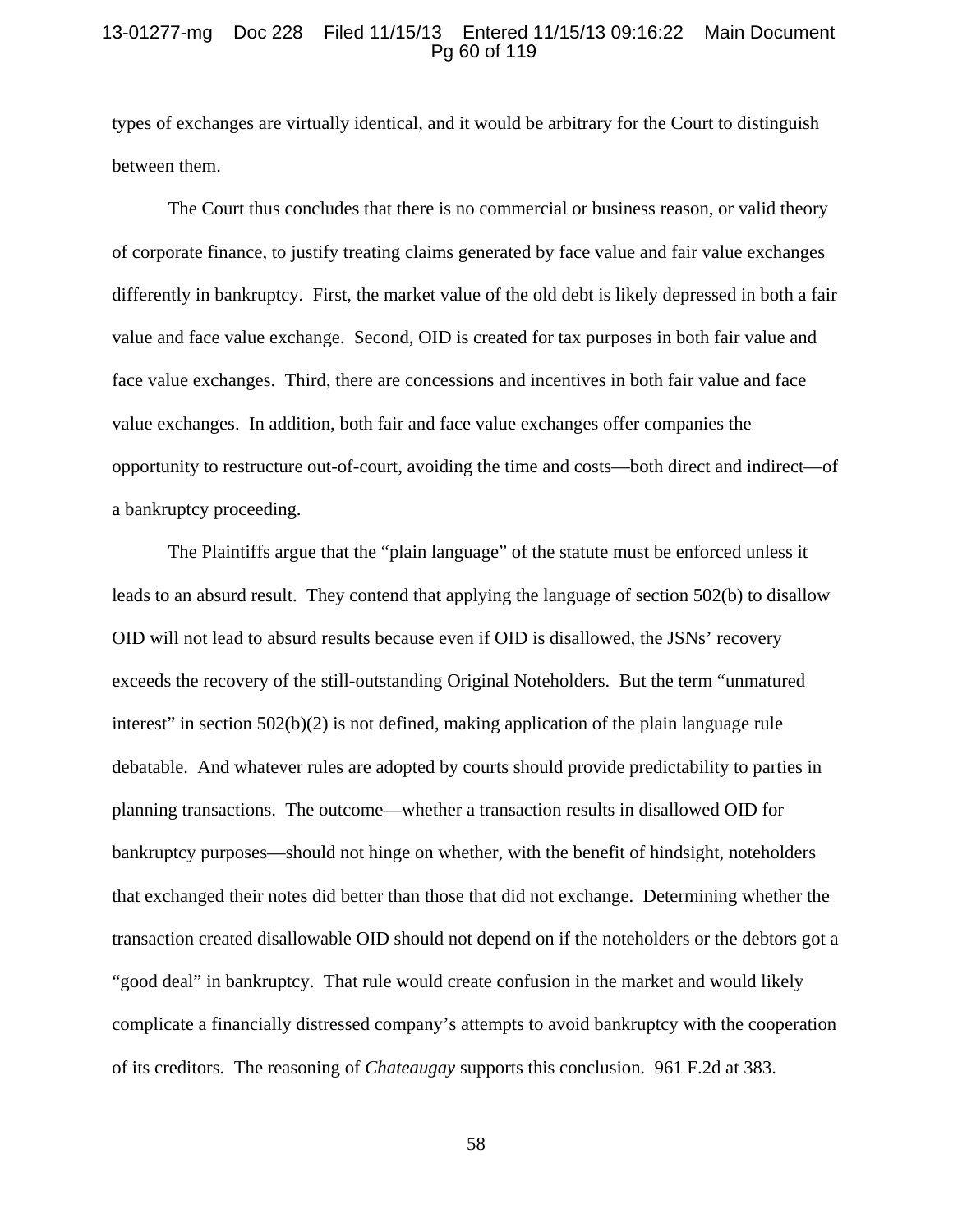# 13-01277-mg Doc 228 Filed 11/15/13 Entered 11/15/13 09:16:22 Main Document Pg 60 of 119

types of exchanges are virtually identical, and it would be arbitrary for the Court to distinguish between them.

The Court thus concludes that there is no commercial or business reason, or valid theory of corporate finance, to justify treating claims generated by face value and fair value exchanges differently in bankruptcy. First, the market value of the old debt is likely depressed in both a fair value and face value exchange. Second, OID is created for tax purposes in both fair value and face value exchanges. Third, there are concessions and incentives in both fair value and face value exchanges. In addition, both fair and face value exchanges offer companies the opportunity to restructure out-of-court, avoiding the time and costs—both direct and indirect—of a bankruptcy proceeding.

The Plaintiffs argue that the "plain language" of the statute must be enforced unless it leads to an absurd result. They contend that applying the language of section 502(b) to disallow OID will not lead to absurd results because even if OID is disallowed, the JSNs' recovery exceeds the recovery of the still-outstanding Original Noteholders. But the term "unmatured interest" in section  $502(b)(2)$  is not defined, making application of the plain language rule debatable. And whatever rules are adopted by courts should provide predictability to parties in planning transactions. The outcome—whether a transaction results in disallowed OID for bankruptcy purposes—should not hinge on whether, with the benefit of hindsight, noteholders that exchanged their notes did better than those that did not exchange. Determining whether the transaction created disallowable OID should not depend on if the noteholders or the debtors got a "good deal" in bankruptcy. That rule would create confusion in the market and would likely complicate a financially distressed company's attempts to avoid bankruptcy with the cooperation of its creditors. The reasoning of *Chateaugay* supports this conclusion. 961 F.2d at 383.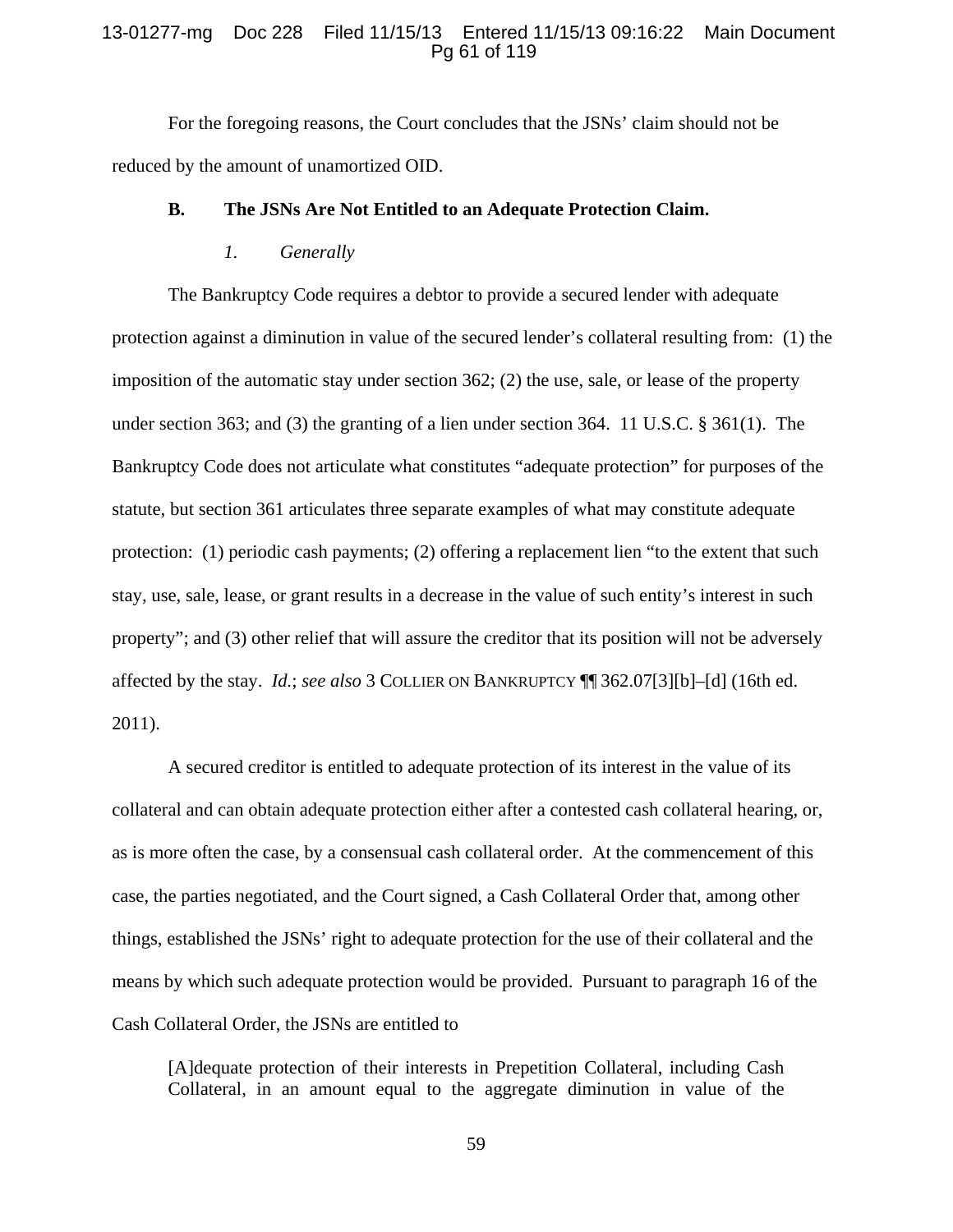## 13-01277-mg Doc 228 Filed 11/15/13 Entered 11/15/13 09:16:22 Main Document Pg 61 of 119

For the foregoing reasons, the Court concludes that the JSNs' claim should not be reduced by the amount of unamortized OID.

### **B. The JSNs Are Not Entitled to an Adequate Protection Claim.**

#### *1. Generally*

The Bankruptcy Code requires a debtor to provide a secured lender with adequate protection against a diminution in value of the secured lender's collateral resulting from: (1) the imposition of the automatic stay under section 362; (2) the use, sale, or lease of the property under section 363; and (3) the granting of a lien under section 364. 11 U.S.C. § 361(1). The Bankruptcy Code does not articulate what constitutes "adequate protection" for purposes of the statute, but section 361 articulates three separate examples of what may constitute adequate protection: (1) periodic cash payments; (2) offering a replacement lien "to the extent that such stay, use, sale, lease, or grant results in a decrease in the value of such entity's interest in such property"; and (3) other relief that will assure the creditor that its position will not be adversely affected by the stay. *Id.*; *see also* 3 COLLIER ON BANKRUPTCY ¶¶ 362.07[3][b]–[d] (16th ed. 2011).

A secured creditor is entitled to adequate protection of its interest in the value of its collateral and can obtain adequate protection either after a contested cash collateral hearing, or, as is more often the case, by a consensual cash collateral order. At the commencement of this case, the parties negotiated, and the Court signed, a Cash Collateral Order that, among other things, established the JSNs' right to adequate protection for the use of their collateral and the means by which such adequate protection would be provided. Pursuant to paragraph 16 of the Cash Collateral Order, the JSNs are entitled to

[A]dequate protection of their interests in Prepetition Collateral, including Cash Collateral, in an amount equal to the aggregate diminution in value of the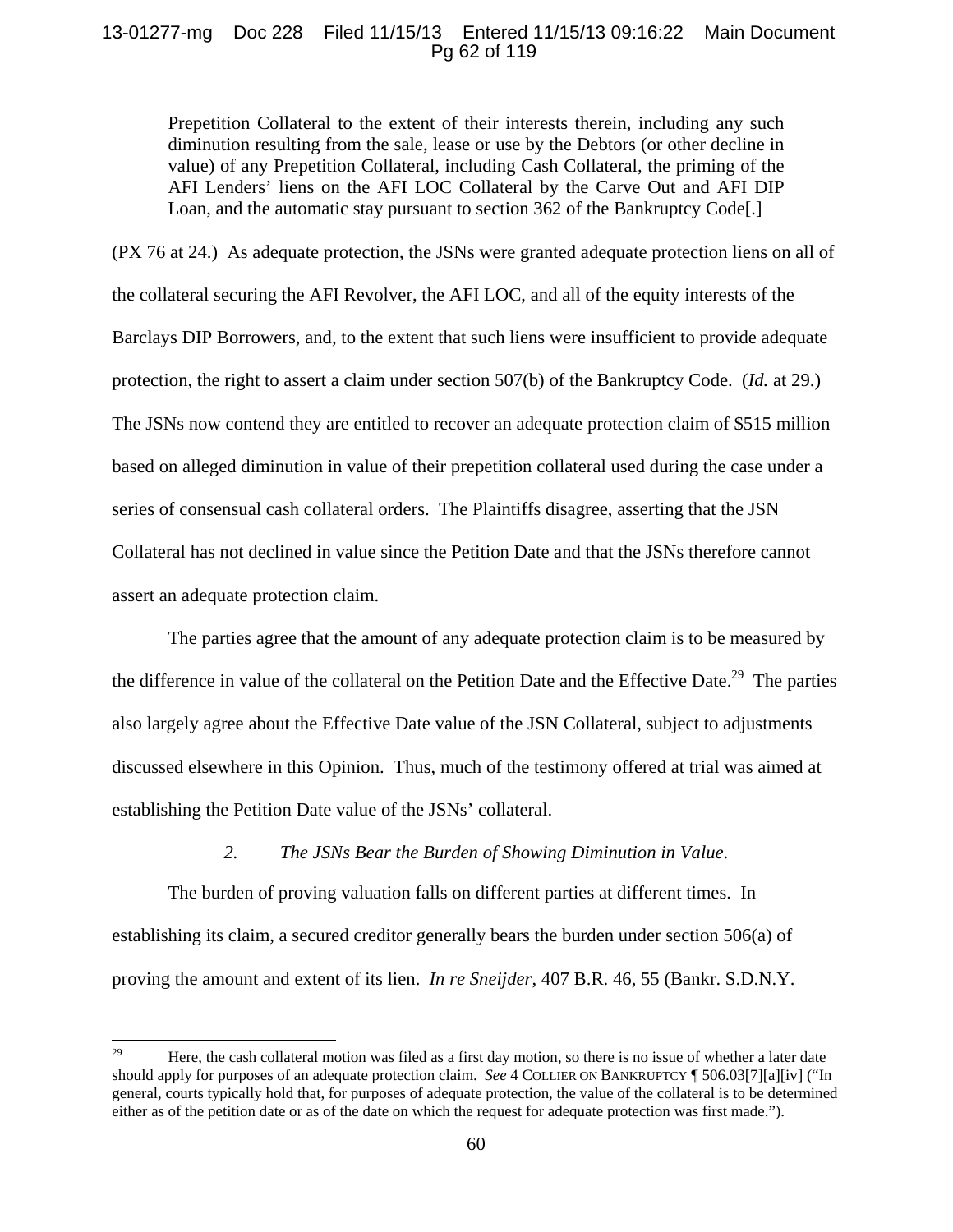# 13-01277-mg Doc 228 Filed 11/15/13 Entered 11/15/13 09:16:22 Main Document Pg 62 of 119

Prepetition Collateral to the extent of their interests therein, including any such diminution resulting from the sale, lease or use by the Debtors (or other decline in value) of any Prepetition Collateral, including Cash Collateral, the priming of the AFI Lenders' liens on the AFI LOC Collateral by the Carve Out and AFI DIP Loan, and the automatic stay pursuant to section 362 of the Bankruptcy Code[.]

(PX 76 at 24.) As adequate protection, the JSNs were granted adequate protection liens on all of the collateral securing the AFI Revolver, the AFI LOC, and all of the equity interests of the Barclays DIP Borrowers, and, to the extent that such liens were insufficient to provide adequate protection, the right to assert a claim under section 507(b) of the Bankruptcy Code. (*Id.* at 29.) The JSNs now contend they are entitled to recover an adequate protection claim of \$515 million based on alleged diminution in value of their prepetition collateral used during the case under a series of consensual cash collateral orders. The Plaintiffs disagree, asserting that the JSN Collateral has not declined in value since the Petition Date and that the JSNs therefore cannot assert an adequate protection claim.

 The parties agree that the amount of any adequate protection claim is to be measured by the difference in value of the collateral on the Petition Date and the Effective Date.<sup>29</sup> The parties also largely agree about the Effective Date value of the JSN Collateral, subject to adjustments discussed elsewhere in this Opinion. Thus, much of the testimony offered at trial was aimed at establishing the Petition Date value of the JSNs' collateral.

## *2. The JSNs Bear the Burden of Showing Diminution in Value*.

The burden of proving valuation falls on different parties at different times. In establishing its claim, a secured creditor generally bears the burden under section 506(a) of proving the amount and extent of its lien. *In re Sneijder*, 407 B.R. 46, 55 (Bankr. S.D.N.Y.

<sup>&</sup>lt;sup>29</sup> Here, the cash collateral motion was filed as a first day motion, so there is no issue of whether a later date should apply for purposes of an adequate protection claim. *See* 4 COLLIER ON BANKRUPTCY ¶ 506.03[7][a][iv] ("In general, courts typically hold that, for purposes of adequate protection, the value of the collateral is to be determined either as of the petition date or as of the date on which the request for adequate protection was first made.").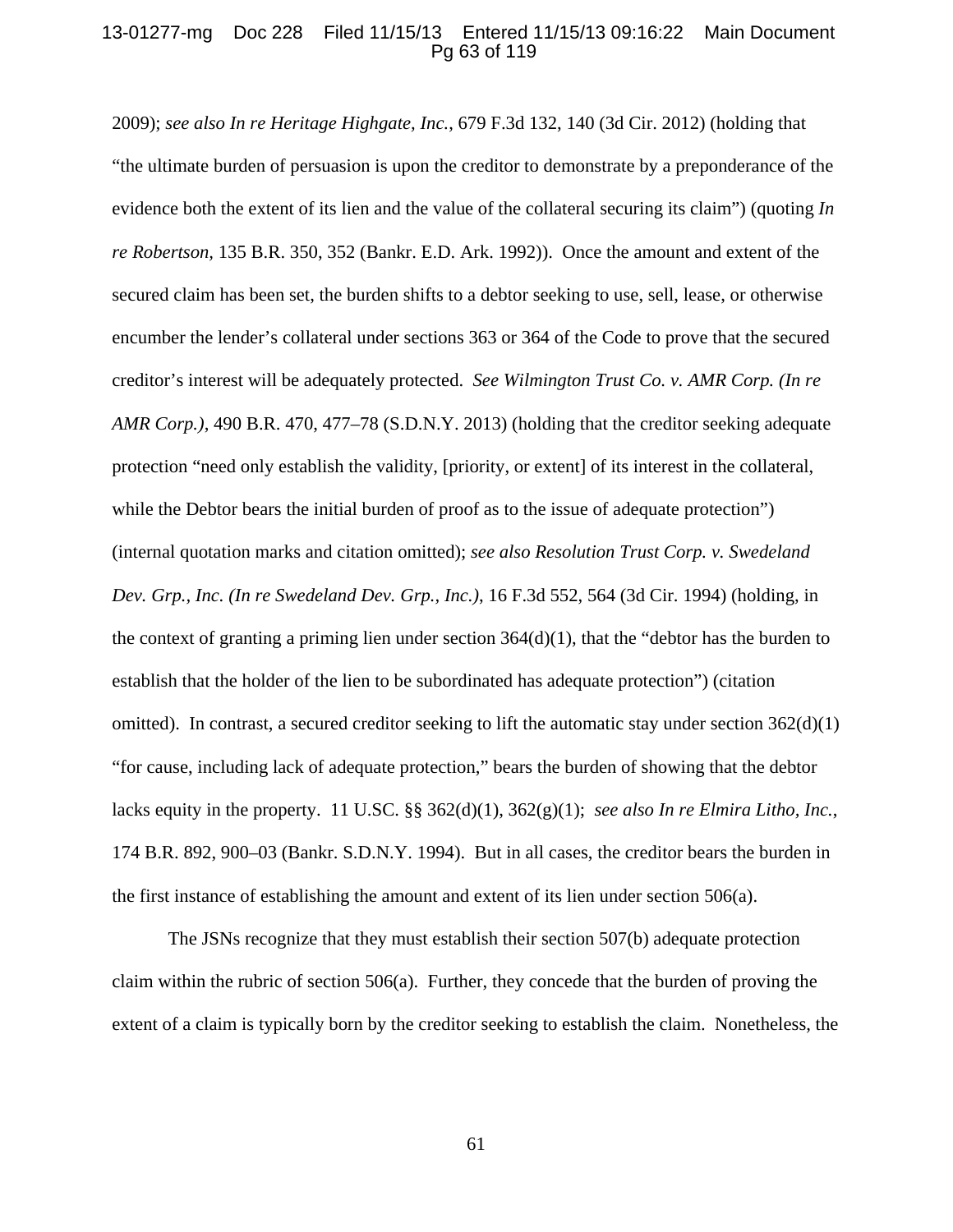# 13-01277-mg Doc 228 Filed 11/15/13 Entered 11/15/13 09:16:22 Main Document Pg 63 of 119

2009); *see also In re Heritage Highgate, Inc.*, 679 F.3d 132, 140 (3d Cir. 2012) (holding that "the ultimate burden of persuasion is upon the creditor to demonstrate by a preponderance of the evidence both the extent of its lien and the value of the collateral securing its claim") (quoting *In re Robertson,* 135 B.R. 350, 352 (Bankr. E.D. Ark. 1992)). Once the amount and extent of the secured claim has been set, the burden shifts to a debtor seeking to use, sell, lease, or otherwise encumber the lender's collateral under sections 363 or 364 of the Code to prove that the secured creditor's interest will be adequately protected. *See Wilmington Trust Co. v. AMR Corp. (In re AMR Corp.)*, 490 B.R. 470, 477–78 (S.D.N.Y. 2013) (holding that the creditor seeking adequate protection "need only establish the validity, [priority, or extent] of its interest in the collateral, while the Debtor bears the initial burden of proof as to the issue of adequate protection") (internal quotation marks and citation omitted); *see also Resolution Trust Corp. v. Swedeland Dev. Grp., Inc. (In re Swedeland Dev. Grp., Inc.)*, 16 F.3d 552, 564 (3d Cir. 1994) (holding, in the context of granting a priming lien under section 364(d)(1), that the "debtor has the burden to establish that the holder of the lien to be subordinated has adequate protection") (citation omitted). In contrast, a secured creditor seeking to lift the automatic stay under section  $362(d)(1)$ "for cause, including lack of adequate protection," bears the burden of showing that the debtor lacks equity in the property. 11 U.SC. §§ 362(d)(1), 362(g)(1); *see also In re Elmira Litho, Inc.*, 174 B.R. 892, 900–03 (Bankr. S.D.N.Y. 1994). But in all cases, the creditor bears the burden in the first instance of establishing the amount and extent of its lien under section  $506(a)$ .

The JSNs recognize that they must establish their section 507(b) adequate protection claim within the rubric of section 506(a). Further, they concede that the burden of proving the extent of a claim is typically born by the creditor seeking to establish the claim. Nonetheless, the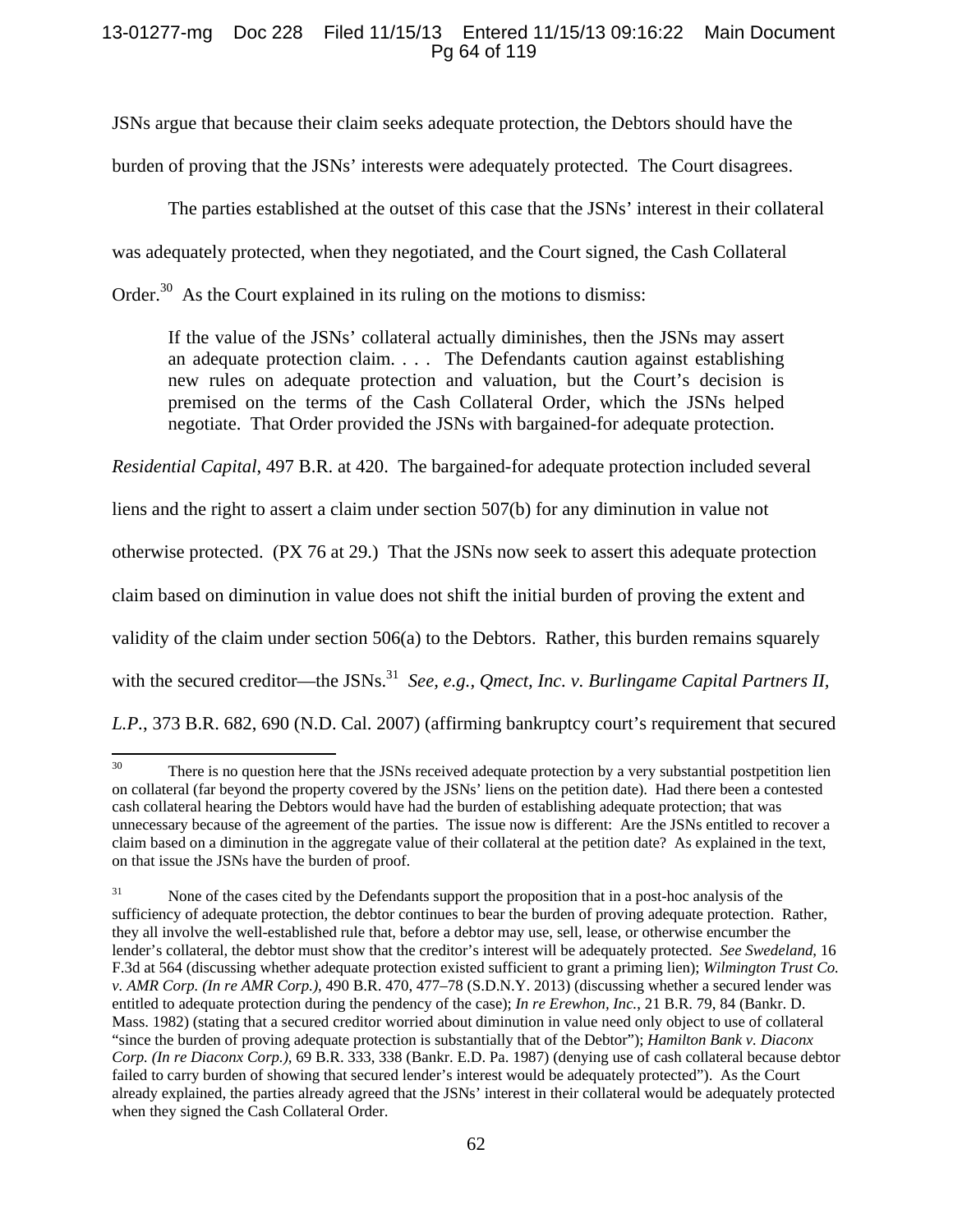# 13-01277-mg Doc 228 Filed 11/15/13 Entered 11/15/13 09:16:22 Main Document Pg 64 of 119

JSNs argue that because their claim seeks adequate protection, the Debtors should have the burden of proving that the JSNs' interests were adequately protected. The Court disagrees.

 The parties established at the outset of this case that the JSNs' interest in their collateral was adequately protected, when they negotiated, and the Court signed, the Cash Collateral

Order.<sup>30</sup> As the Court explained in its ruling on the motions to dismiss:

If the value of the JSNs' collateral actually diminishes, then the JSNs may assert an adequate protection claim. . . . The Defendants caution against establishing new rules on adequate protection and valuation, but the Court's decision is premised on the terms of the Cash Collateral Order, which the JSNs helped negotiate. That Order provided the JSNs with bargained-for adequate protection.

*Residential Capital*, 497 B.R. at 420. The bargained-for adequate protection included several

liens and the right to assert a claim under section 507(b) for any diminution in value not

otherwise protected. (PX 76 at 29.) That the JSNs now seek to assert this adequate protection

claim based on diminution in value does not shift the initial burden of proving the extent and

validity of the claim under section 506(a) to the Debtors. Rather, this burden remains squarely

with the secured creditor—the JSNs.<sup>31</sup> *See, e.g., Qmect, Inc. v. Burlingame Capital Partners II,* 

*L.P.*, 373 B.R. 682, 690 (N.D. Cal. 2007) (affirming bankruptcy court's requirement that secured

<sup>&</sup>lt;sup>30</sup> There is no question here that the JSNs received adequate protection by a very substantial postpetition lien on collateral (far beyond the property covered by the JSNs' liens on the petition date). Had there been a contested cash collateral hearing the Debtors would have had the burden of establishing adequate protection; that was unnecessary because of the agreement of the parties. The issue now is different: Are the JSNs entitled to recover a claim based on a diminution in the aggregate value of their collateral at the petition date? As explained in the text, on that issue the JSNs have the burden of proof.

<sup>&</sup>lt;sup>31</sup> None of the cases cited by the Defendants support the proposition that in a post-hoc analysis of the sufficiency of adequate protection, the debtor continues to bear the burden of proving adequate protection. Rather, they all involve the well-established rule that, before a debtor may use, sell, lease, or otherwise encumber the lender's collateral, the debtor must show that the creditor's interest will be adequately protected. *See Swedeland*, 16 F.3d at 564 (discussing whether adequate protection existed sufficient to grant a priming lien); *Wilmington Trust Co. v. AMR Corp. (In re AMR Corp.)*, 490 B.R. 470, 477–78 (S.D.N.Y. 2013) (discussing whether a secured lender was entitled to adequate protection during the pendency of the case); *In re Erewhon, Inc.*, 21 B.R. 79, 84 (Bankr. D. Mass. 1982) (stating that a secured creditor worried about diminution in value need only object to use of collateral "since the burden of proving adequate protection is substantially that of the Debtor"); *Hamilton Bank v. Diaconx Corp. (In re Diaconx Corp.)*, 69 B.R. 333, 338 (Bankr. E.D. Pa. 1987) (denying use of cash collateral because debtor failed to carry burden of showing that secured lender's interest would be adequately protected"). As the Court already explained, the parties already agreed that the JSNs' interest in their collateral would be adequately protected when they signed the Cash Collateral Order.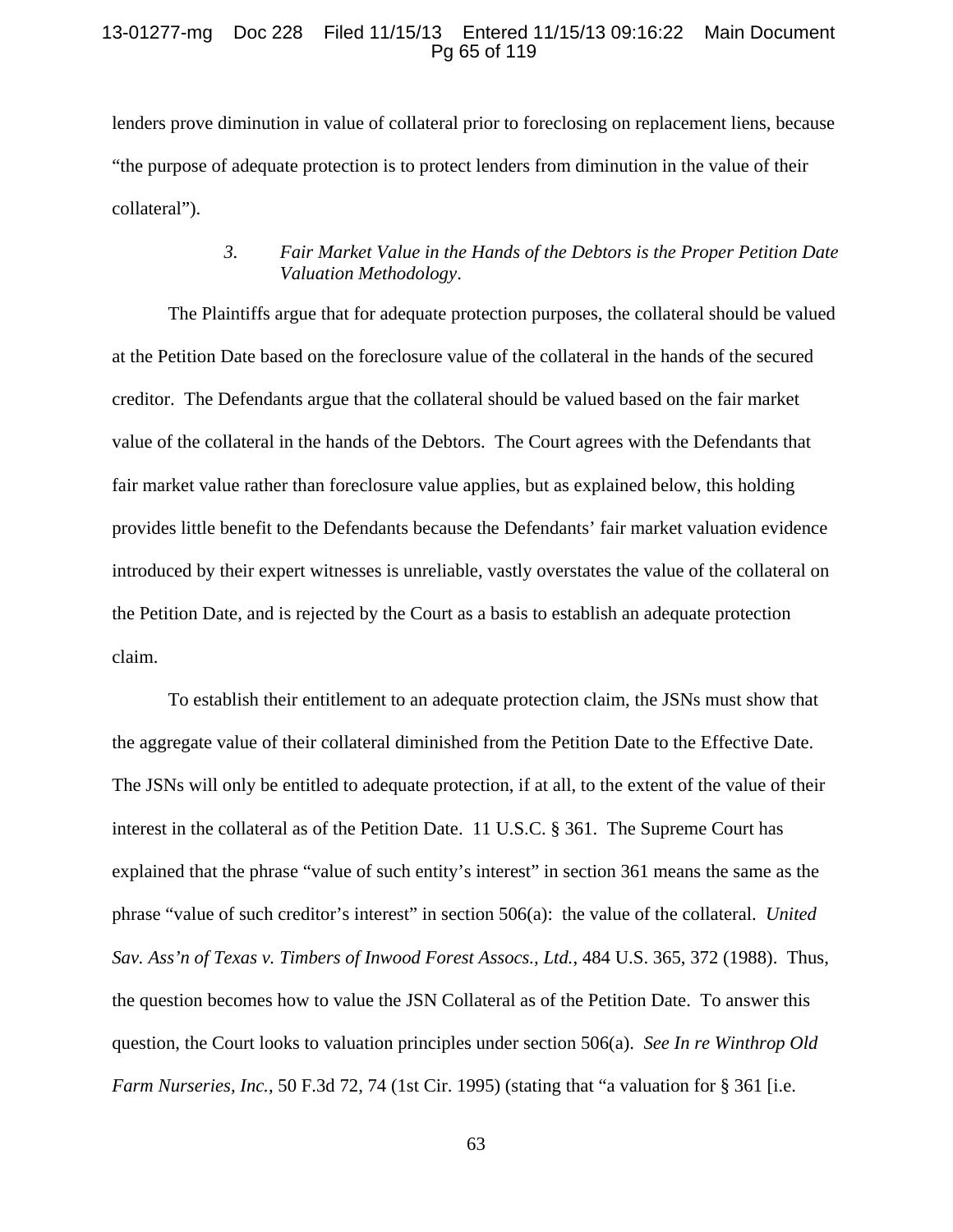## 13-01277-mg Doc 228 Filed 11/15/13 Entered 11/15/13 09:16:22 Main Document Pg 65 of 119

lenders prove diminution in value of collateral prior to foreclosing on replacement liens, because "the purpose of adequate protection is to protect lenders from diminution in the value of their collateral").

# *3. Fair Market Value in the Hands of the Debtors is the Proper Petition Date Valuation Methodology*.

The Plaintiffs argue that for adequate protection purposes, the collateral should be valued at the Petition Date based on the foreclosure value of the collateral in the hands of the secured creditor. The Defendants argue that the collateral should be valued based on the fair market value of the collateral in the hands of the Debtors. The Court agrees with the Defendants that fair market value rather than foreclosure value applies, but as explained below, this holding provides little benefit to the Defendants because the Defendants' fair market valuation evidence introduced by their expert witnesses is unreliable, vastly overstates the value of the collateral on the Petition Date, and is rejected by the Court as a basis to establish an adequate protection claim.

To establish their entitlement to an adequate protection claim, the JSNs must show that the aggregate value of their collateral diminished from the Petition Date to the Effective Date. The JSNs will only be entitled to adequate protection, if at all, to the extent of the value of their interest in the collateral as of the Petition Date. 11 U.S.C. § 361. The Supreme Court has explained that the phrase "value of such entity's interest" in section 361 means the same as the phrase "value of such creditor's interest" in section 506(a): the value of the collateral. *United Sav. Ass'n of Texas v. Timbers of Inwood Forest Assocs., Ltd.*, 484 U.S. 365, 372 (1988). Thus, the question becomes how to value the JSN Collateral as of the Petition Date. To answer this question, the Court looks to valuation principles under section 506(a). *See In re Winthrop Old Farm Nurseries, Inc.*, 50 F.3d 72, 74 (1st Cir. 1995) (stating that "a valuation for § 361 [i.e.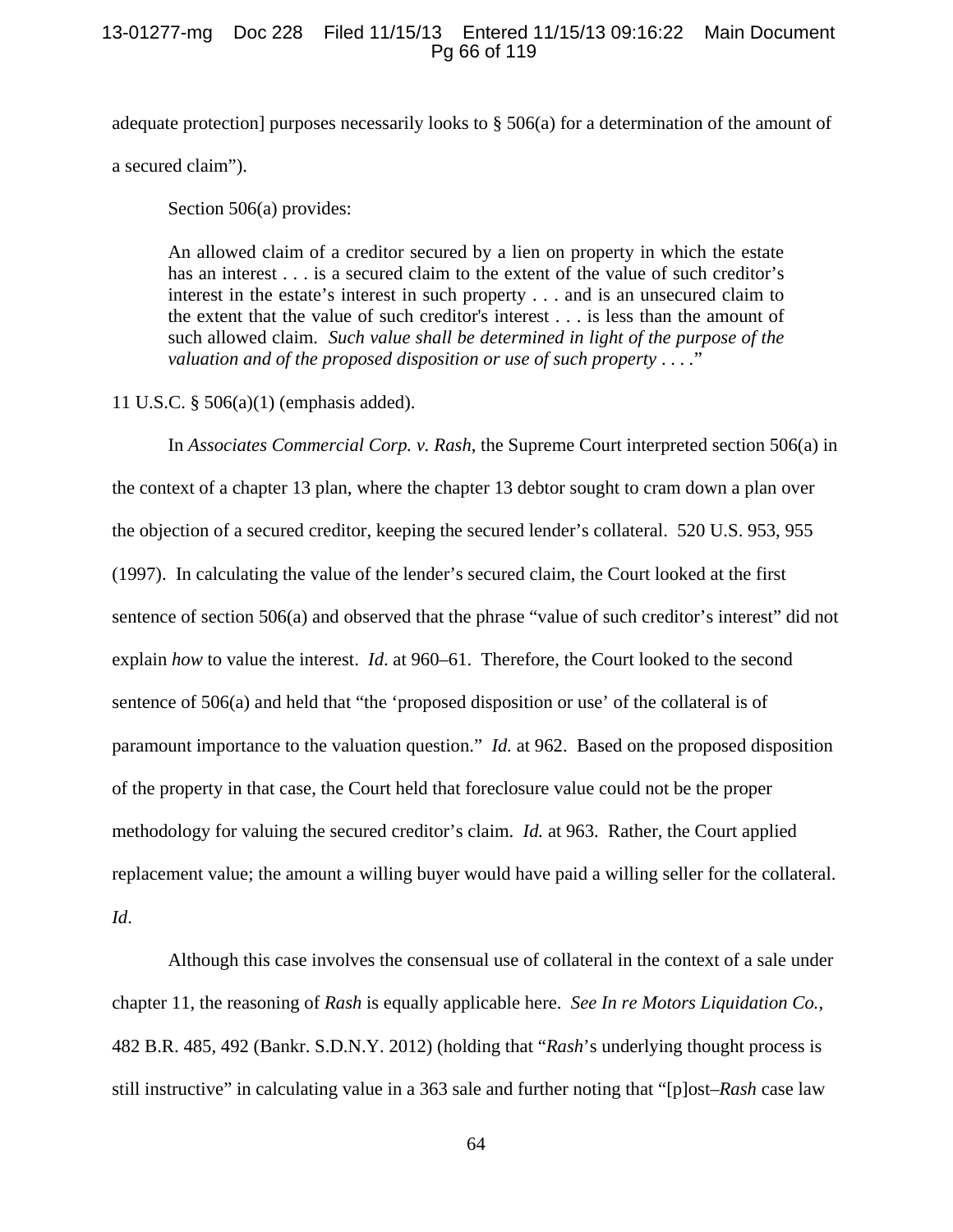# 13-01277-mg Doc 228 Filed 11/15/13 Entered 11/15/13 09:16:22 Main Document Pg 66 of 119

adequate protection] purposes necessarily looks to § 506(a) for a determination of the amount of a secured claim").

Section 506(a) provides:

An allowed claim of a creditor secured by a lien on property in which the estate has an interest . . . is a secured claim to the extent of the value of such creditor's interest in the estate's interest in such property . . . and is an unsecured claim to the extent that the value of such creditor's interest . . . is less than the amount of such allowed claim. *Such value shall be determined in light of the purpose of the valuation and of the proposed disposition or use of such property* . . . *.*"

11 U.S.C. § 506(a)(1) (emphasis added).

In *Associates Commercial Corp. v. Rash*, the Supreme Court interpreted section 506(a) in the context of a chapter 13 plan, where the chapter 13 debtor sought to cram down a plan over the objection of a secured creditor, keeping the secured lender's collateral. 520 U.S. 953, 955 (1997). In calculating the value of the lender's secured claim, the Court looked at the first sentence of section 506(a) and observed that the phrase "value of such creditor's interest" did not explain *how* to value the interest. *Id*. at 960–61. Therefore, the Court looked to the second sentence of 506(a) and held that "the 'proposed disposition or use' of the collateral is of paramount importance to the valuation question." *Id.* at 962. Based on the proposed disposition of the property in that case, the Court held that foreclosure value could not be the proper methodology for valuing the secured creditor's claim. *Id.* at 963. Rather, the Court applied replacement value; the amount a willing buyer would have paid a willing seller for the collateral. *Id*.

Although this case involves the consensual use of collateral in the context of a sale under chapter 11, the reasoning of *Rash* is equally applicable here. *See In re Motors Liquidation Co.*, 482 B.R. 485, 492 (Bankr. S.D.N.Y. 2012) (holding that "*Rash*'s underlying thought process is still instructive" in calculating value in a 363 sale and further noting that "[p]ost–*Rash* case law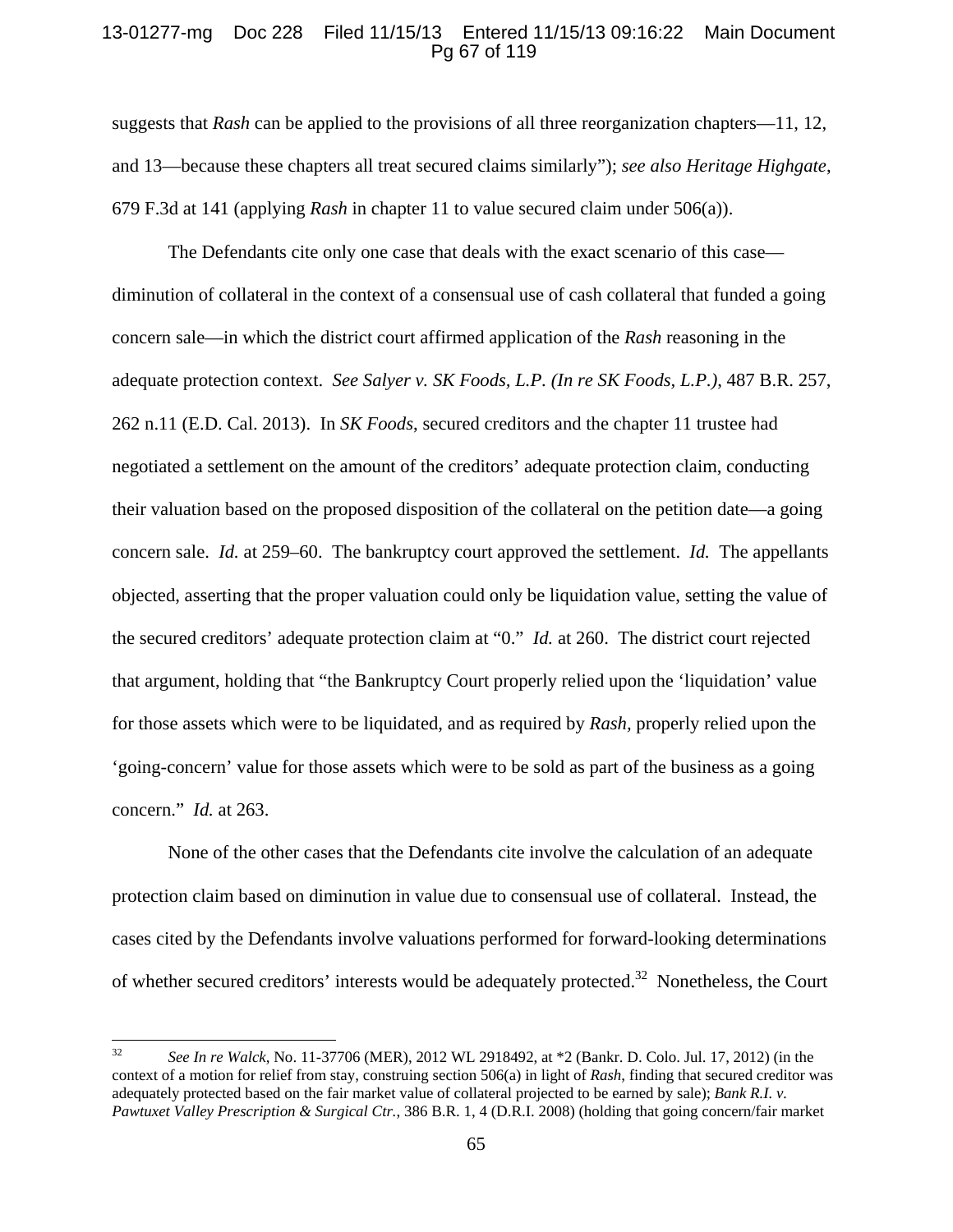## 13-01277-mg Doc 228 Filed 11/15/13 Entered 11/15/13 09:16:22 Main Document Pg 67 of 119

suggests that *Rash* can be applied to the provisions of all three reorganization chapters—11, 12, and 13—because these chapters all treat secured claims similarly"); *see also Heritage Highgate*, 679 F.3d at 141 (applying *Rash* in chapter 11 to value secured claim under 506(a)).

The Defendants cite only one case that deals with the exact scenario of this case diminution of collateral in the context of a consensual use of cash collateral that funded a going concern sale—in which the district court affirmed application of the *Rash* reasoning in the adequate protection context. *See Salyer v. SK Foods, L.P. (In re SK Foods, L.P.)*, 487 B.R. 257, 262 n.11 (E.D. Cal. 2013). In *SK Foods*, secured creditors and the chapter 11 trustee had negotiated a settlement on the amount of the creditors' adequate protection claim, conducting their valuation based on the proposed disposition of the collateral on the petition date—a going concern sale. *Id.* at 259–60. The bankruptcy court approved the settlement. *Id.* The appellants objected, asserting that the proper valuation could only be liquidation value, setting the value of the secured creditors' adequate protection claim at "0." *Id.* at 260. The district court rejected that argument, holding that "the Bankruptcy Court properly relied upon the 'liquidation' value for those assets which were to be liquidated, and as required by *Rash,* properly relied upon the 'going-concern' value for those assets which were to be sold as part of the business as a going concern." *Id.* at 263.

None of the other cases that the Defendants cite involve the calculation of an adequate protection claim based on diminution in value due to consensual use of collateral. Instead, the cases cited by the Defendants involve valuations performed for forward-looking determinations of whether secured creditors' interests would be adequately protected.<sup>32</sup> Nonetheless, the Court

<sup>32</sup> *See In re Walck*, No. 11-37706 (MER), 2012 WL 2918492, at \*2 (Bankr. D. Colo. Jul. 17, 2012) (in the context of a motion for relief from stay, construing section 506(a) in light of *Rash*, finding that secured creditor was adequately protected based on the fair market value of collateral projected to be earned by sale); *Bank R.I. v. Pawtuxet Valley Prescription & Surgical Ctr.*, 386 B.R. 1, 4 (D.R.I. 2008) (holding that going concern/fair market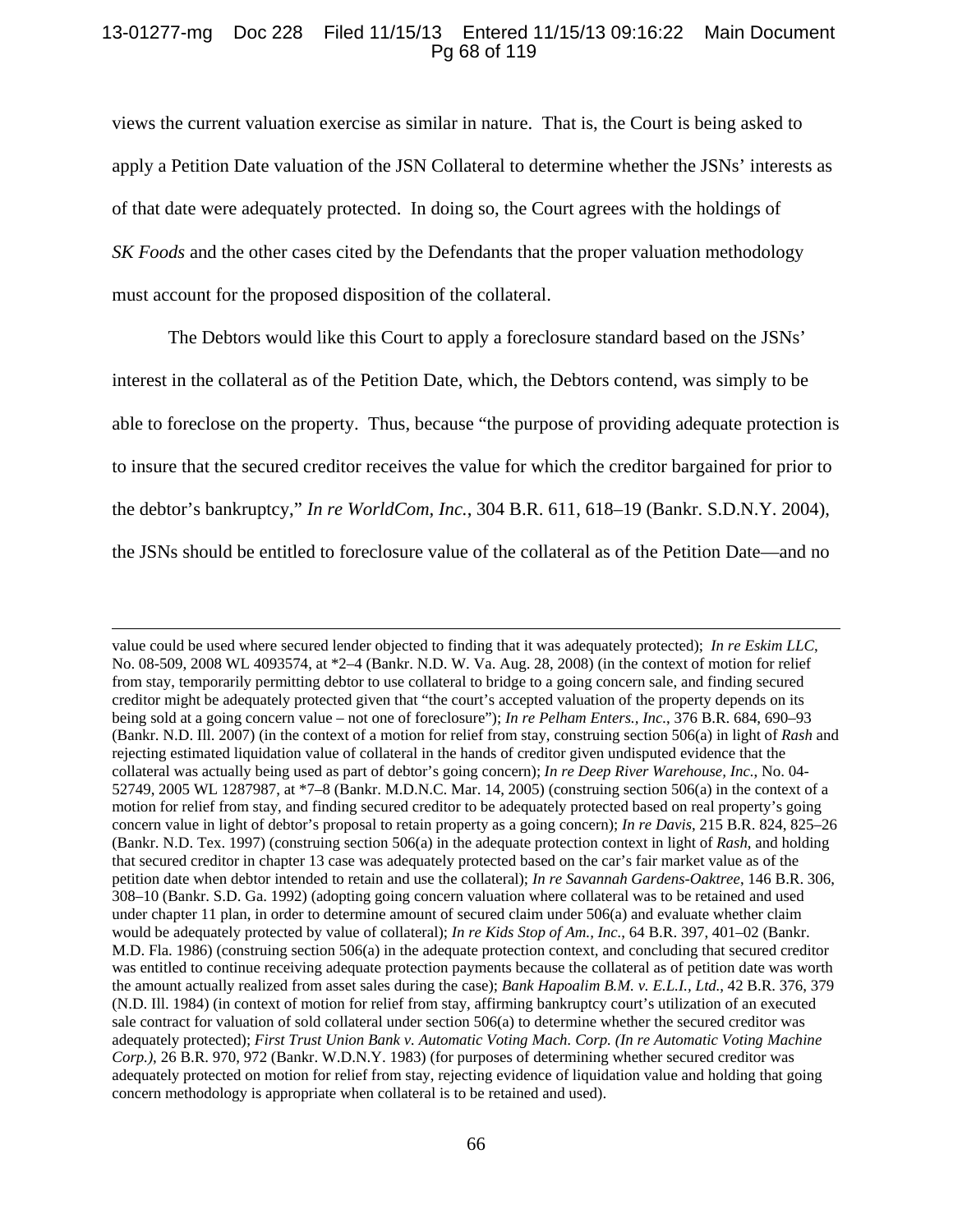# 13-01277-mg Doc 228 Filed 11/15/13 Entered 11/15/13 09:16:22 Main Document Pg 68 of 119

views the current valuation exercise as similar in nature. That is, the Court is being asked to apply a Petition Date valuation of the JSN Collateral to determine whether the JSNs' interests as of that date were adequately protected. In doing so, the Court agrees with the holdings of *SK Foods* and the other cases cited by the Defendants that the proper valuation methodology must account for the proposed disposition of the collateral.

 The Debtors would like this Court to apply a foreclosure standard based on the JSNs' interest in the collateral as of the Petition Date, which, the Debtors contend, was simply to be able to foreclose on the property. Thus, because "the purpose of providing adequate protection is to insure that the secured creditor receives the value for which the creditor bargained for prior to the debtor's bankruptcy," *In re WorldCom, Inc.*, 304 B.R. 611, 618–19 (Bankr. S.D.N.Y. 2004), the JSNs should be entitled to foreclosure value of the collateral as of the Petition Date—and no

<u> 1989 - Johann Stein, marwolaethau a gweledydd a ganlad y ganlad y ganlad y ganlad y ganlad y ganlad y ganlad</u>

value could be used where secured lender objected to finding that it was adequately protected); *In re Eskim LLC*, No. 08-509, 2008 WL 4093574, at \*2–4 (Bankr. N.D. W. Va. Aug. 28, 2008) (in the context of motion for relief from stay, temporarily permitting debtor to use collateral to bridge to a going concern sale, and finding secured creditor might be adequately protected given that "the court's accepted valuation of the property depends on its being sold at a going concern value – not one of foreclosure"); *In re Pelham Enters., Inc.*, 376 B.R. 684, 690–93 (Bankr. N.D. Ill. 2007) (in the context of a motion for relief from stay, construing section 506(a) in light of *Rash* and rejecting estimated liquidation value of collateral in the hands of creditor given undisputed evidence that the collateral was actually being used as part of debtor's going concern); *In re Deep River Warehouse, Inc.*, No. 04- 52749, 2005 WL 1287987, at \*7–8 (Bankr. M.D.N.C. Mar. 14, 2005) (construing section 506(a) in the context of a motion for relief from stay, and finding secured creditor to be adequately protected based on real property's going concern value in light of debtor's proposal to retain property as a going concern); *In re Davis*, 215 B.R. 824, 825–26 (Bankr. N.D. Tex. 1997) (construing section 506(a) in the adequate protection context in light of *Rash*, and holding that secured creditor in chapter 13 case was adequately protected based on the car's fair market value as of the petition date when debtor intended to retain and use the collateral); *In re Savannah Gardens-Oaktree*, 146 B.R. 306, 308–10 (Bankr. S.D. Ga. 1992) (adopting going concern valuation where collateral was to be retained and used under chapter 11 plan, in order to determine amount of secured claim under 506(a) and evaluate whether claim would be adequately protected by value of collateral); *In re Kids Stop of Am., Inc.*, 64 B.R. 397, 401–02 (Bankr. M.D. Fla. 1986) (construing section 506(a) in the adequate protection context, and concluding that secured creditor was entitled to continue receiving adequate protection payments because the collateral as of petition date was worth the amount actually realized from asset sales during the case); *Bank Hapoalim B.M. v. E.L.I., Ltd.*, 42 B.R. 376, 379 (N.D. Ill. 1984) (in context of motion for relief from stay, affirming bankruptcy court's utilization of an executed sale contract for valuation of sold collateral under section 506(a) to determine whether the secured creditor was adequately protected); *First Trust Union Bank v. Automatic Voting Mach. Corp. (In re Automatic Voting Machine Corp.)*, 26 B.R. 970, 972 (Bankr. W.D.N.Y. 1983) (for purposes of determining whether secured creditor was adequately protected on motion for relief from stay, rejecting evidence of liquidation value and holding that going concern methodology is appropriate when collateral is to be retained and used).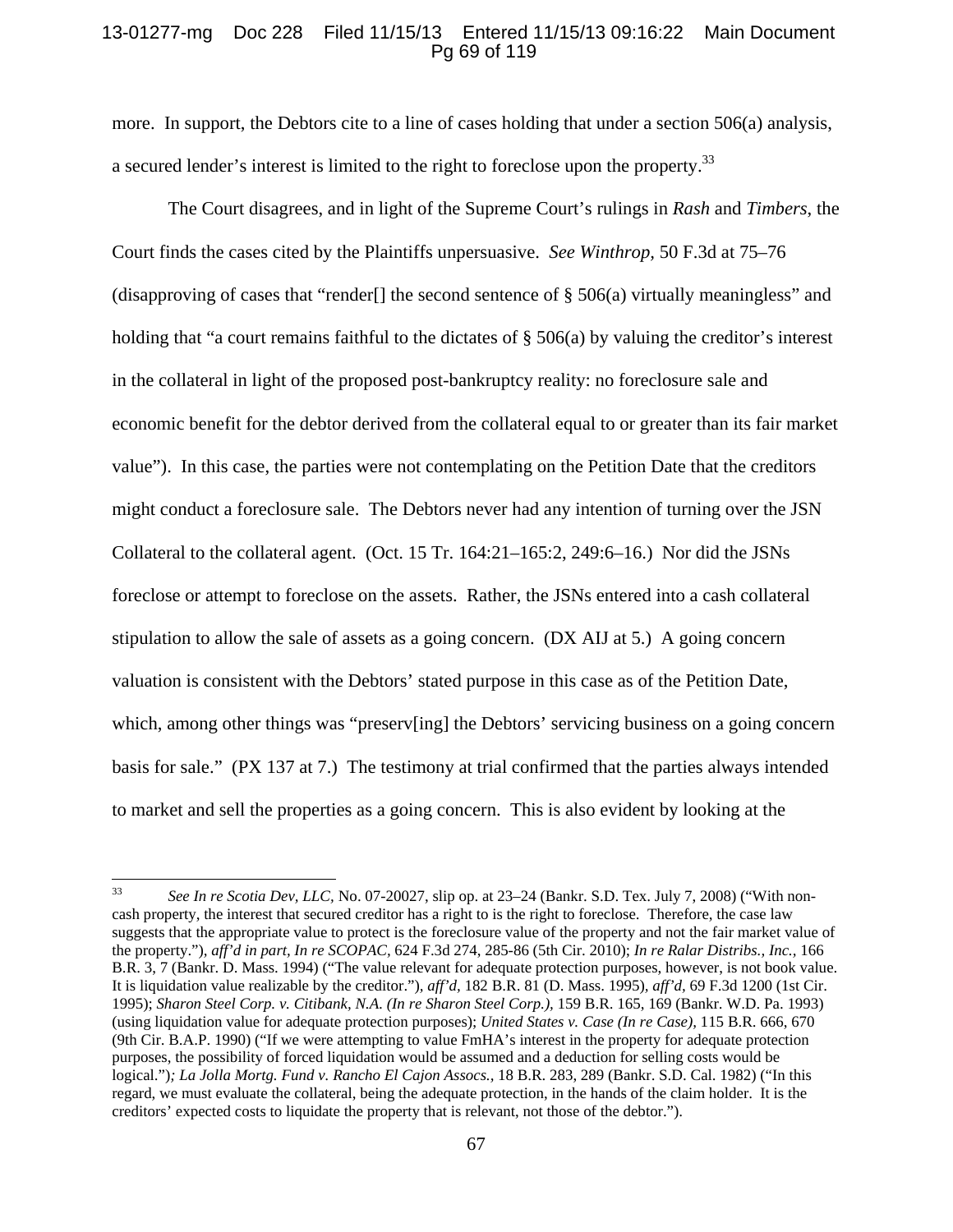## 13-01277-mg Doc 228 Filed 11/15/13 Entered 11/15/13 09:16:22 Main Document Pg 69 of 119

more. In support, the Debtors cite to a line of cases holding that under a section 506(a) analysis, a secured lender's interest is limited to the right to foreclose upon the property.33

The Court disagrees, and in light of the Supreme Court's rulings in *Rash* and *Timbers*, the Court finds the cases cited by the Plaintiffs unpersuasive. *See Winthrop,* 50 F.3d at 75–76 (disapproving of cases that "render.] the second sentence of  $\S$  506(a) virtually meaningless" and holding that "a court remains faithful to the dictates of  $\S$  506(a) by valuing the creditor's interest in the collateral in light of the proposed post-bankruptcy reality: no foreclosure sale and economic benefit for the debtor derived from the collateral equal to or greater than its fair market value"). In this case, the parties were not contemplating on the Petition Date that the creditors might conduct a foreclosure sale. The Debtors never had any intention of turning over the JSN Collateral to the collateral agent. (Oct. 15 Tr. 164:21–165:2, 249:6–16.) Nor did the JSNs foreclose or attempt to foreclose on the assets. Rather, the JSNs entered into a cash collateral stipulation to allow the sale of assets as a going concern. (DX AIJ at 5.) A going concern valuation is consistent with the Debtors' stated purpose in this case as of the Petition Date, which, among other things was "preserv[ing] the Debtors' servicing business on a going concern basis for sale." (PX 137 at 7.) The testimony at trial confirmed that the parties always intended to market and sell the properties as a going concern. This is also evident by looking at the

<sup>33</sup> *See In re Scotia Dev, LLC,* No. 07-20027, slip op. at 23–24 (Bankr. S.D. Tex. July 7, 2008) ("With noncash property, the interest that secured creditor has a right to is the right to foreclose. Therefore, the case law suggests that the appropriate value to protect is the foreclosure value of the property and not the fair market value of the property.")*, aff'd in part, In re SCOPAC,* 624 F.3d 274, 285-86 (5th Cir. 2010); *In re Ralar Distribs., Inc.,* 166 B.R. 3, 7 (Bankr. D. Mass. 1994) ("The value relevant for adequate protection purposes, however, is not book value. It is liquidation value realizable by the creditor.")*, aff'd,* 182 B.R. 81 (D. Mass. 1995)*, aff'd,* 69 F.3d 1200 (1st Cir. 1995); *Sharon Steel Corp. v. Citibank, N.A. (In re Sharon Steel Corp.),* 159 B.R. 165, 169 (Bankr. W.D. Pa. 1993) (using liquidation value for adequate protection purposes); *United States v. Case (In re Case),* 115 B.R. 666, 670 (9th Cir. B.A.P. 1990) ("If we were attempting to value FmHA's interest in the property for adequate protection purposes, the possibility of forced liquidation would be assumed and a deduction for selling costs would be logical.")*; La Jolla Mortg. Fund v. Rancho El Cajon Assocs.,* 18 B.R. 283, 289 (Bankr. S.D. Cal. 1982) ("In this regard, we must evaluate the collateral, being the adequate protection, in the hands of the claim holder. It is the creditors' expected costs to liquidate the property that is relevant, not those of the debtor.").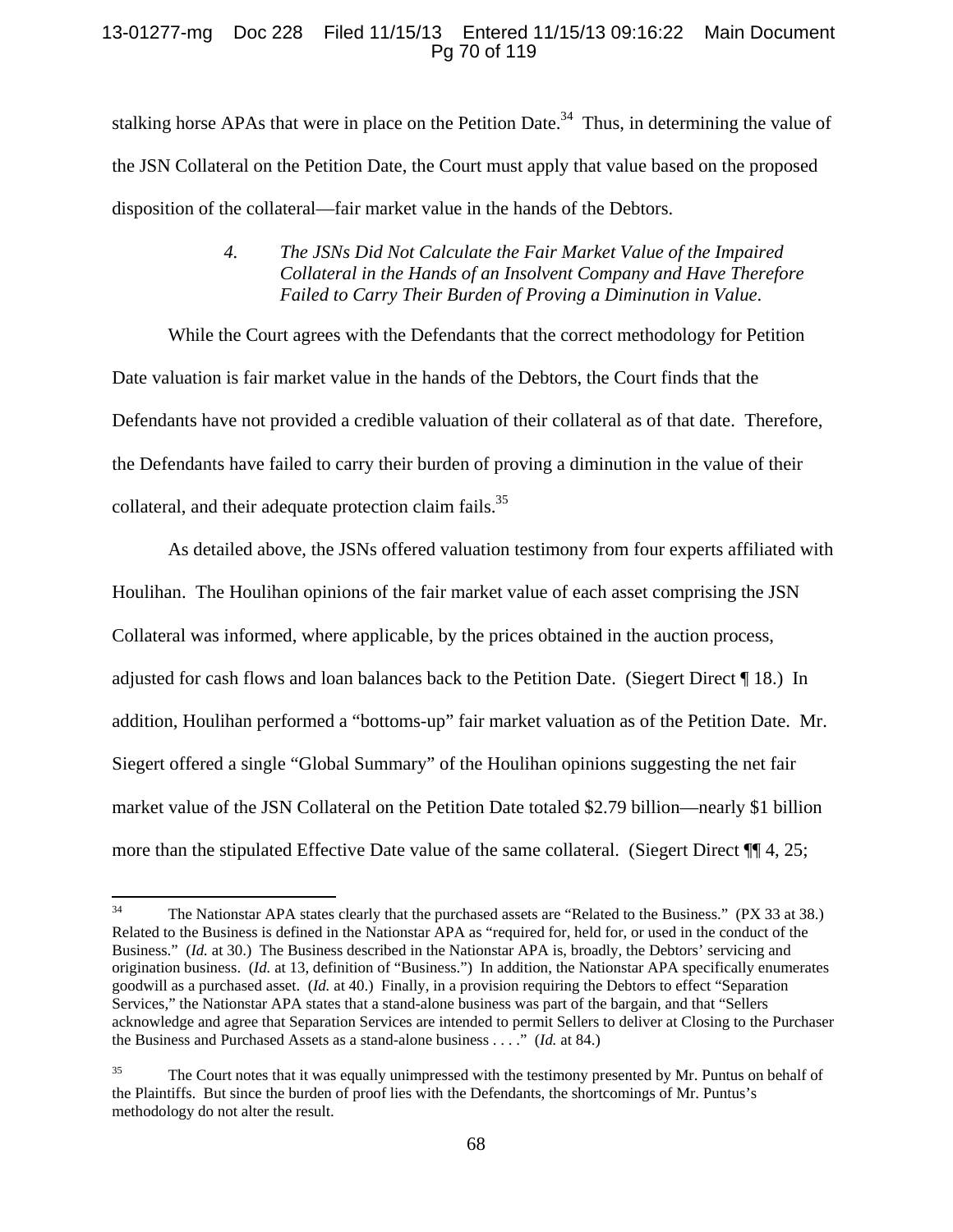# 13-01277-mg Doc 228 Filed 11/15/13 Entered 11/15/13 09:16:22 Main Document Pg 70 of 119

stalking horse APAs that were in place on the Petition Date.<sup>34</sup> Thus, in determining the value of the JSN Collateral on the Petition Date, the Court must apply that value based on the proposed disposition of the collateral—fair market value in the hands of the Debtors.

# *4. The JSNs Did Not Calculate the Fair Market Value of the Impaired Collateral in the Hands of an Insolvent Company and Have Therefore Failed to Carry Their Burden of Proving a Diminution in Value*.

While the Court agrees with the Defendants that the correct methodology for Petition Date valuation is fair market value in the hands of the Debtors, the Court finds that the Defendants have not provided a credible valuation of their collateral as of that date. Therefore, the Defendants have failed to carry their burden of proving a diminution in the value of their collateral, and their adequate protection claim fails.<sup>35</sup>

As detailed above, the JSNs offered valuation testimony from four experts affiliated with Houlihan. The Houlihan opinions of the fair market value of each asset comprising the JSN Collateral was informed, where applicable, by the prices obtained in the auction process, adjusted for cash flows and loan balances back to the Petition Date. (Siegert Direct ¶ 18.) In addition, Houlihan performed a "bottoms-up" fair market valuation as of the Petition Date. Mr. Siegert offered a single "Global Summary" of the Houlihan opinions suggesting the net fair market value of the JSN Collateral on the Petition Date totaled \$2.79 billion—nearly \$1 billion more than the stipulated Effective Date value of the same collateral. (Siegert Direct ¶¶ 4, 25;

<sup>&</sup>lt;sup>34</sup> The Nationstar APA states clearly that the purchased assets are "Related to the Business." (PX 33 at 38.) Related to the Business is defined in the Nationstar APA as "required for, held for, or used in the conduct of the Business." (*Id.* at 30.) The Business described in the Nationstar APA is, broadly, the Debtors' servicing and origination business. (*Id.* at 13, definition of "Business.") In addition, the Nationstar APA specifically enumerates goodwill as a purchased asset. (*Id.* at 40.) Finally, in a provision requiring the Debtors to effect "Separation Services," the Nationstar APA states that a stand-alone business was part of the bargain, and that "Sellers acknowledge and agree that Separation Services are intended to permit Sellers to deliver at Closing to the Purchaser the Business and Purchased Assets as a stand-alone business . . . ." (*Id.* at 84.)

<sup>&</sup>lt;sup>35</sup> The Court notes that it was equally unimpressed with the testimony presented by Mr. Puntus on behalf of the Plaintiffs. But since the burden of proof lies with the Defendants, the shortcomings of Mr. Puntus's methodology do not alter the result.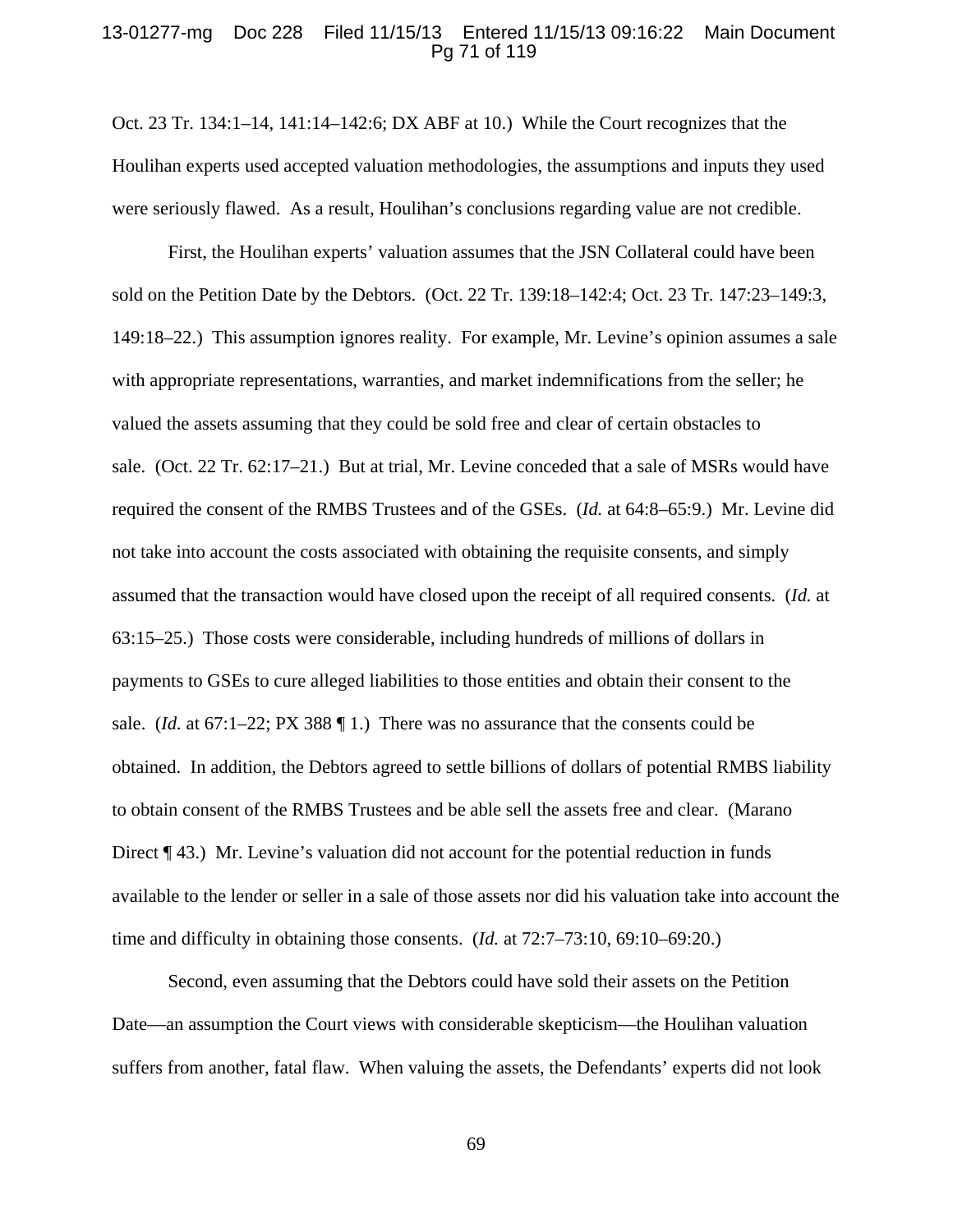# 13-01277-mg Doc 228 Filed 11/15/13 Entered 11/15/13 09:16:22 Main Document Pg 71 of 119

Oct. 23 Tr. 134:1–14, 141:14–142:6; DX ABF at 10.) While the Court recognizes that the Houlihan experts used accepted valuation methodologies, the assumptions and inputs they used were seriously flawed. As a result, Houlihan's conclusions regarding value are not credible.

First, the Houlihan experts' valuation assumes that the JSN Collateral could have been sold on the Petition Date by the Debtors. (Oct. 22 Tr. 139:18–142:4; Oct. 23 Tr. 147:23–149:3, 149:18–22.) This assumption ignores reality. For example, Mr. Levine's opinion assumes a sale with appropriate representations, warranties, and market indemnifications from the seller; he valued the assets assuming that they could be sold free and clear of certain obstacles to sale. (Oct. 22 Tr. 62:17–21.) But at trial, Mr. Levine conceded that a sale of MSRs would have required the consent of the RMBS Trustees and of the GSEs. (*Id.* at 64:8–65:9.) Mr. Levine did not take into account the costs associated with obtaining the requisite consents, and simply assumed that the transaction would have closed upon the receipt of all required consents. (*Id.* at 63:15–25.) Those costs were considerable, including hundreds of millions of dollars in payments to GSEs to cure alleged liabilities to those entities and obtain their consent to the sale. (*Id.* at  $67:1-22$ ; PX 388  $\P$  1.) There was no assurance that the consents could be obtained. In addition, the Debtors agreed to settle billions of dollars of potential RMBS liability to obtain consent of the RMBS Trustees and be able sell the assets free and clear. (Marano Direct ¶ 43.) Mr. Levine's valuation did not account for the potential reduction in funds available to the lender or seller in a sale of those assets nor did his valuation take into account the time and difficulty in obtaining those consents. (*Id.* at 72:7–73:10, 69:10–69:20.)

Second, even assuming that the Debtors could have sold their assets on the Petition Date—an assumption the Court views with considerable skepticism—the Houlihan valuation suffers from another, fatal flaw. When valuing the assets, the Defendants' experts did not look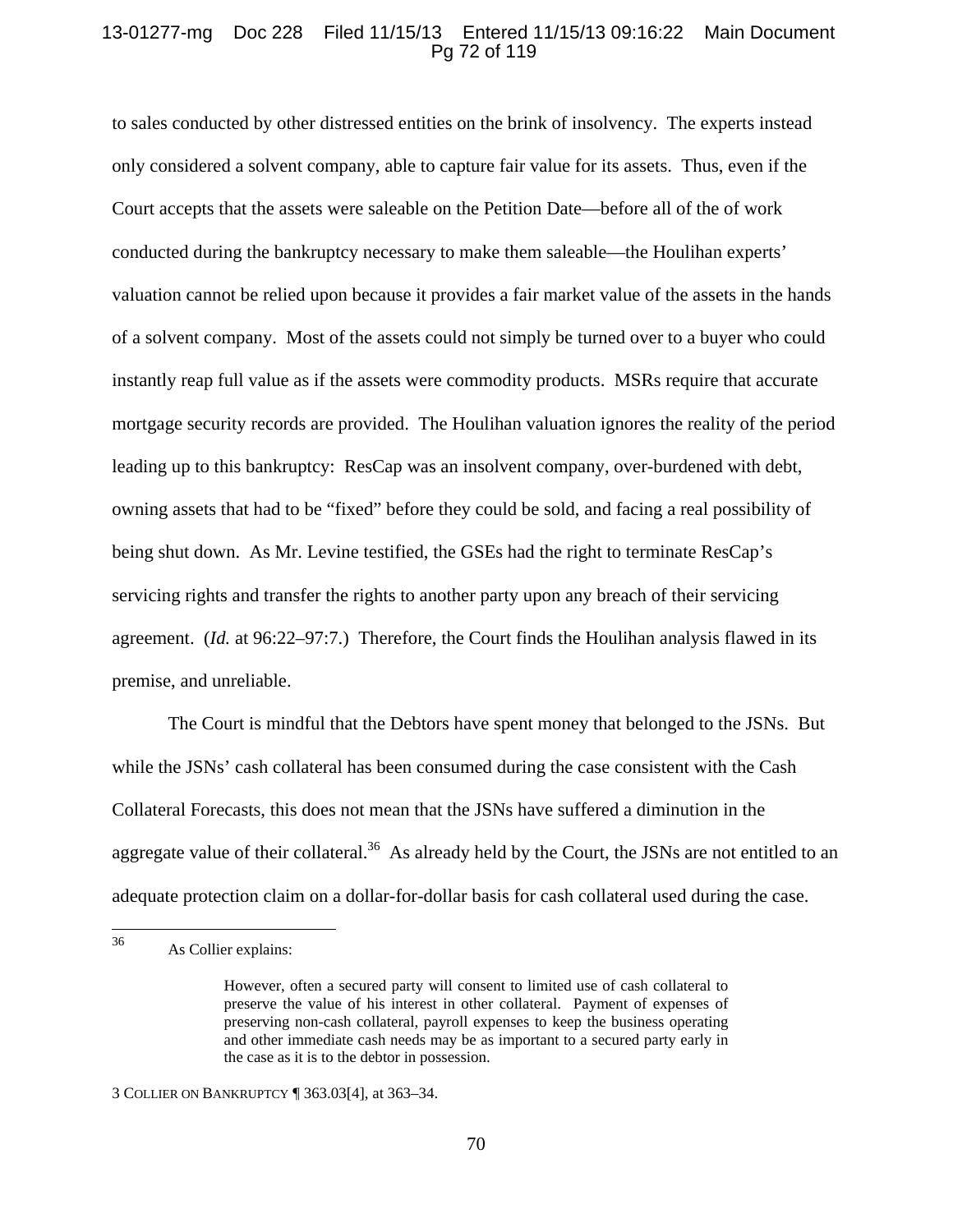# 13-01277-mg Doc 228 Filed 11/15/13 Entered 11/15/13 09:16:22 Main Document Pg 72 of 119

to sales conducted by other distressed entities on the brink of insolvency. The experts instead only considered a solvent company, able to capture fair value for its assets. Thus, even if the Court accepts that the assets were saleable on the Petition Date—before all of the of work conducted during the bankruptcy necessary to make them saleable—the Houlihan experts' valuation cannot be relied upon because it provides a fair market value of the assets in the hands of a solvent company. Most of the assets could not simply be turned over to a buyer who could instantly reap full value as if the assets were commodity products. MSRs require that accurate mortgage security records are provided. The Houlihan valuation ignores the reality of the period leading up to this bankruptcy: ResCap was an insolvent company, over-burdened with debt, owning assets that had to be "fixed" before they could be sold, and facing a real possibility of being shut down. As Mr. Levine testified, the GSEs had the right to terminate ResCap's servicing rights and transfer the rights to another party upon any breach of their servicing agreement. (*Id.* at 96:22–97:7.) Therefore, the Court finds the Houlihan analysis flawed in its premise, and unreliable.

The Court is mindful that the Debtors have spent money that belonged to the JSNs. But while the JSNs' cash collateral has been consumed during the case consistent with the Cash Collateral Forecasts, this does not mean that the JSNs have suffered a diminution in the aggregate value of their collateral.<sup>36</sup> As already held by the Court, the JSNs are not entitled to an adequate protection claim on a dollar-for-dollar basis for cash collateral used during the case.

<sup>36</sup> As Collier explains:

However, often a secured party will consent to limited use of cash collateral to preserve the value of his interest in other collateral. Payment of expenses of preserving non-cash collateral, payroll expenses to keep the business operating and other immediate cash needs may be as important to a secured party early in the case as it is to the debtor in possession.

<sup>3</sup> COLLIER ON BANKRUPTCY ¶ 363.03[4], at 363–34.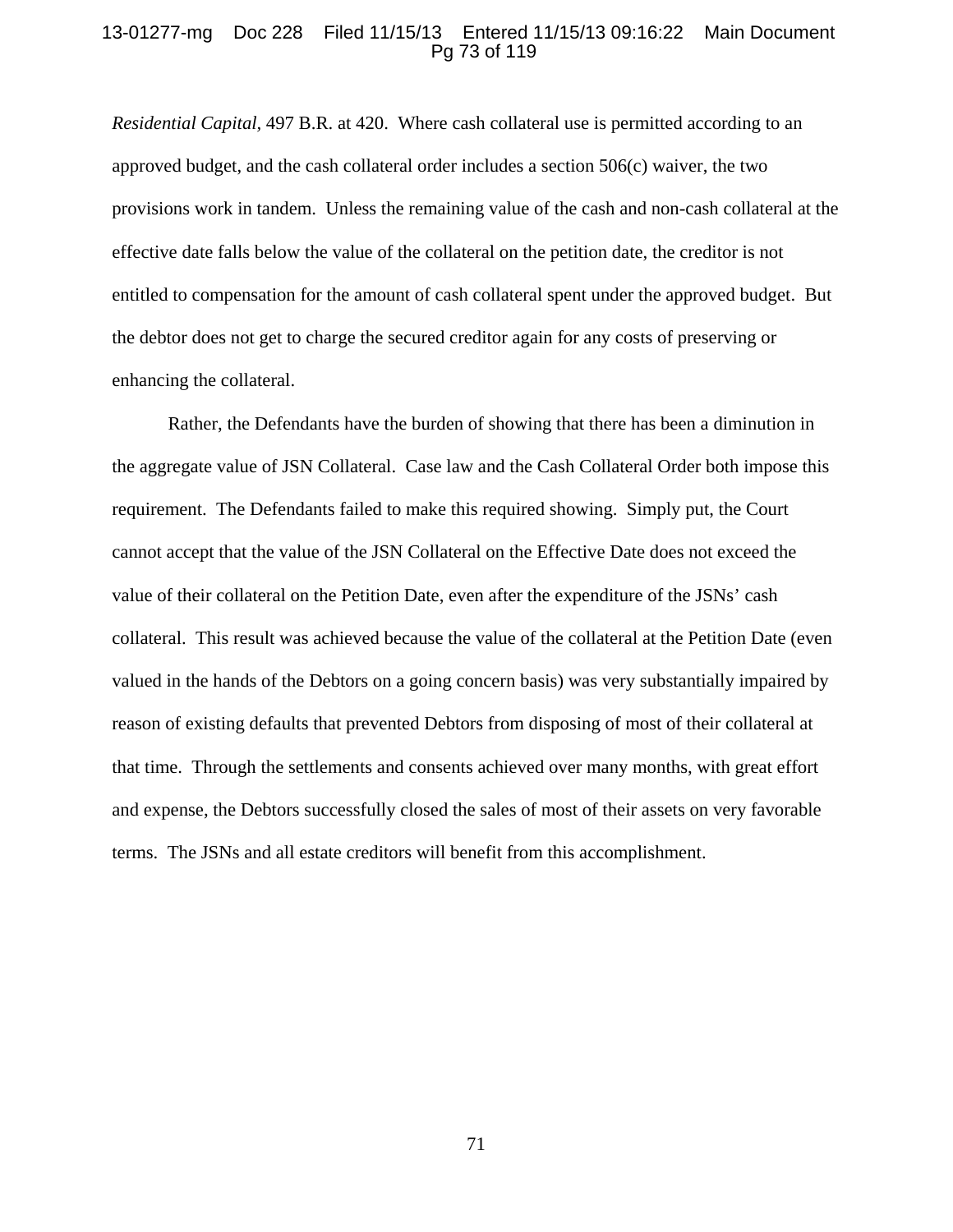### 13-01277-mg Doc 228 Filed 11/15/13 Entered 11/15/13 09:16:22 Main Document Pg 73 of 119

*Residential Capital,* 497 B.R. at 420. Where cash collateral use is permitted according to an approved budget, and the cash collateral order includes a section 506(c) waiver, the two provisions work in tandem. Unless the remaining value of the cash and non-cash collateral at the effective date falls below the value of the collateral on the petition date, the creditor is not entitled to compensation for the amount of cash collateral spent under the approved budget. But the debtor does not get to charge the secured creditor again for any costs of preserving or enhancing the collateral.

Rather, the Defendants have the burden of showing that there has been a diminution in the aggregate value of JSN Collateral. Case law and the Cash Collateral Order both impose this requirement. The Defendants failed to make this required showing. Simply put, the Court cannot accept that the value of the JSN Collateral on the Effective Date does not exceed the value of their collateral on the Petition Date, even after the expenditure of the JSNs' cash collateral. This result was achieved because the value of the collateral at the Petition Date (even valued in the hands of the Debtors on a going concern basis) was very substantially impaired by reason of existing defaults that prevented Debtors from disposing of most of their collateral at that time. Through the settlements and consents achieved over many months, with great effort and expense, the Debtors successfully closed the sales of most of their assets on very favorable terms. The JSNs and all estate creditors will benefit from this accomplishment.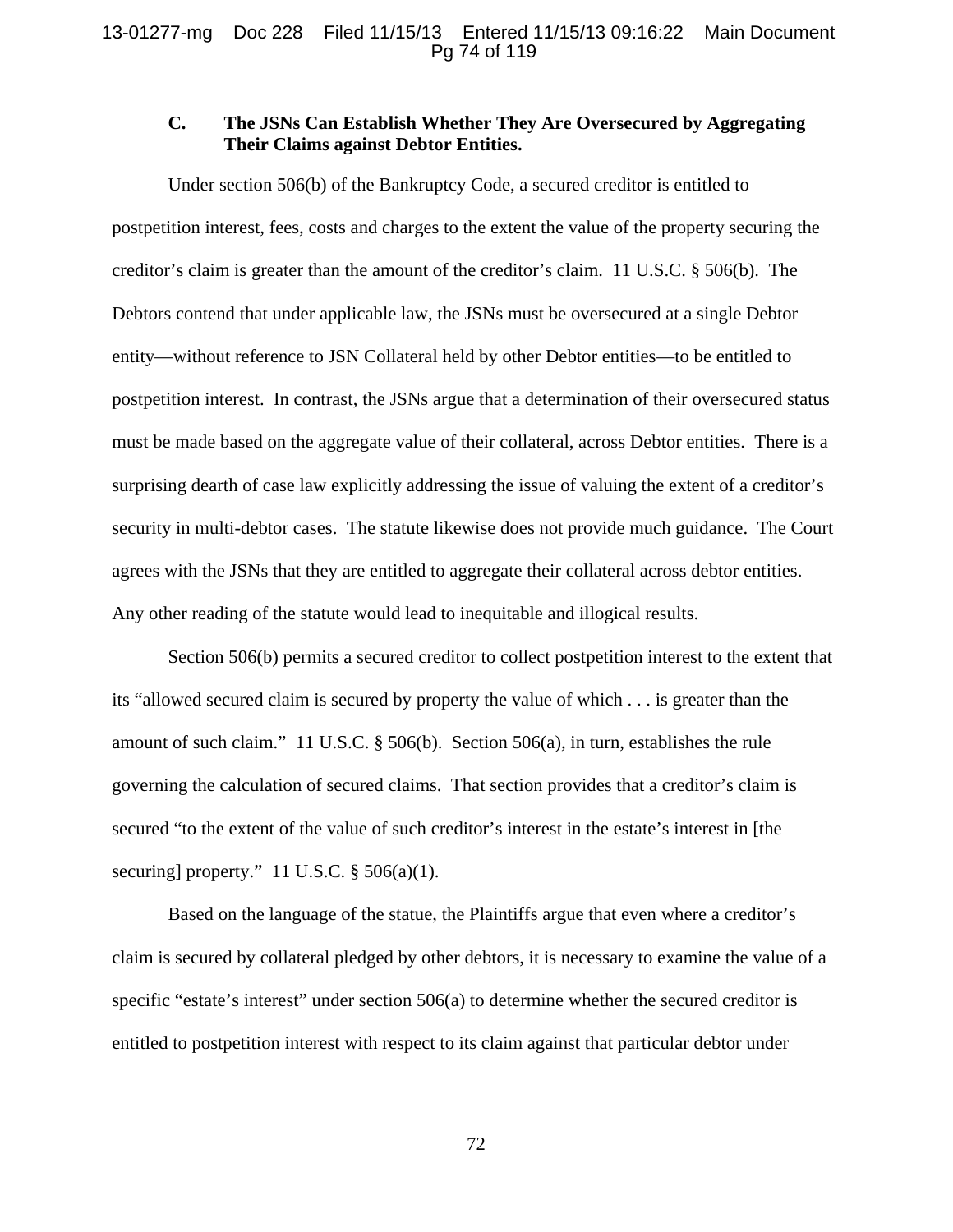# **C. The JSNs Can Establish Whether They Are Oversecured by Aggregating Their Claims against Debtor Entities.**

Under section 506(b) of the Bankruptcy Code, a secured creditor is entitled to postpetition interest, fees, costs and charges to the extent the value of the property securing the creditor's claim is greater than the amount of the creditor's claim. 11 U.S.C. § 506(b). The Debtors contend that under applicable law, the JSNs must be oversecured at a single Debtor entity—without reference to JSN Collateral held by other Debtor entities—to be entitled to postpetition interest. In contrast, the JSNs argue that a determination of their oversecured status must be made based on the aggregate value of their collateral, across Debtor entities. There is a surprising dearth of case law explicitly addressing the issue of valuing the extent of a creditor's security in multi-debtor cases. The statute likewise does not provide much guidance. The Court agrees with the JSNs that they are entitled to aggregate their collateral across debtor entities. Any other reading of the statute would lead to inequitable and illogical results.

Section 506(b) permits a secured creditor to collect postpetition interest to the extent that its "allowed secured claim is secured by property the value of which . . . is greater than the amount of such claim." 11 U.S.C. § 506(b). Section 506(a), in turn, establishes the rule governing the calculation of secured claims. That section provides that a creditor's claim is secured "to the extent of the value of such creditor's interest in the estate's interest in [the securing] property." 11 U.S.C.  $\S$  506(a)(1).

Based on the language of the statue, the Plaintiffs argue that even where a creditor's claim is secured by collateral pledged by other debtors, it is necessary to examine the value of a specific "estate's interest" under section 506(a) to determine whether the secured creditor is entitled to postpetition interest with respect to its claim against that particular debtor under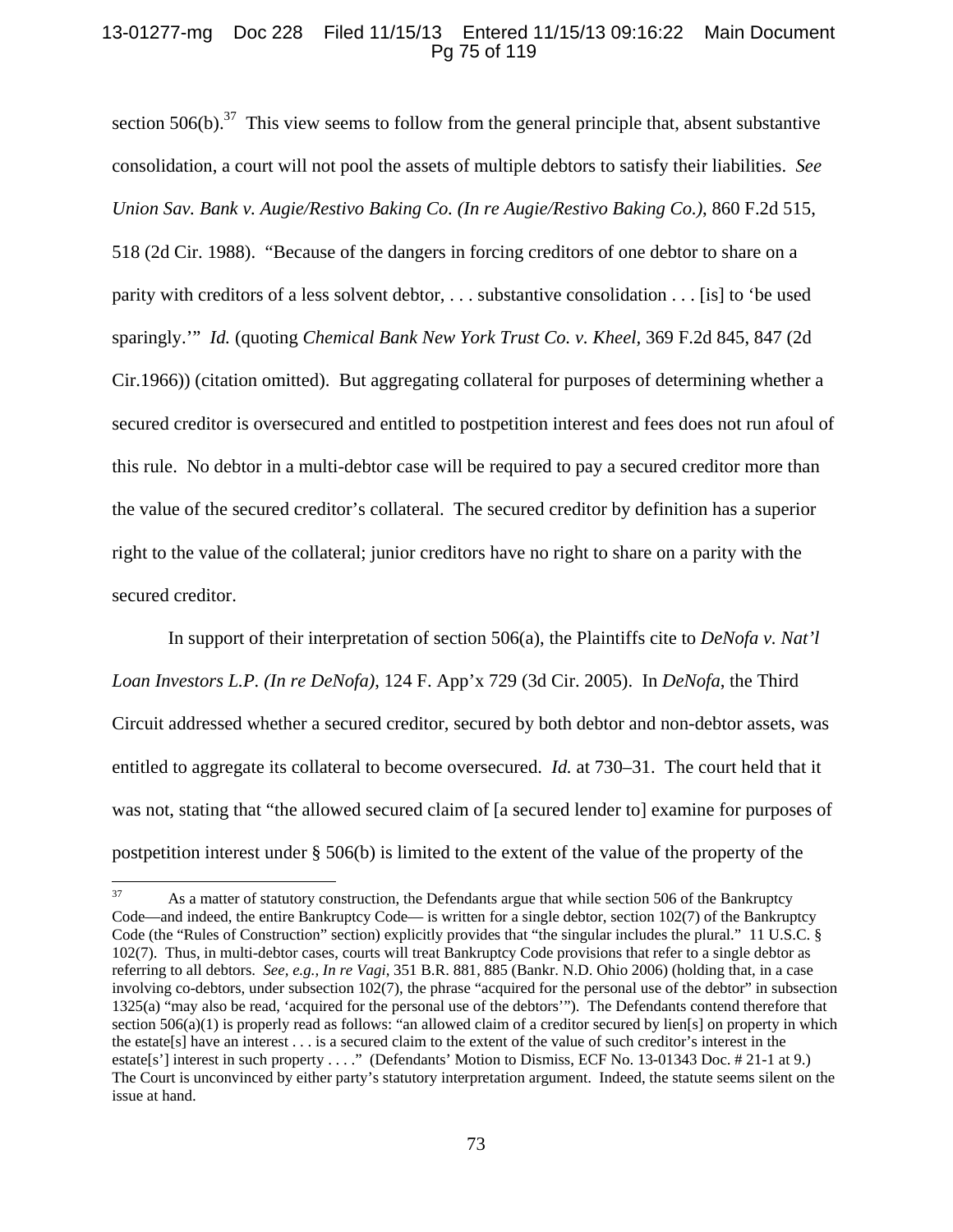## 13-01277-mg Doc 228 Filed 11/15/13 Entered 11/15/13 09:16:22 Main Document Pg 75 of 119

section  $506(b)$ .<sup>37</sup> This view seems to follow from the general principle that, absent substantive consolidation, a court will not pool the assets of multiple debtors to satisfy their liabilities. *See Union Sav. Bank v. Augie/Restivo Baking Co. (In re Augie/Restivo Baking Co.)*, 860 F.2d 515, 518 (2d Cir. 1988). "Because of the dangers in forcing creditors of one debtor to share on a parity with creditors of a less solvent debtor, . . . substantive consolidation . . . [is] to 'be used sparingly.'" *Id.* (quoting *Chemical Bank New York Trust Co. v. Kheel,* 369 F.2d 845, 847 (2d Cir.1966)) (citation omitted). But aggregating collateral for purposes of determining whether a secured creditor is oversecured and entitled to postpetition interest and fees does not run afoul of this rule. No debtor in a multi-debtor case will be required to pay a secured creditor more than the value of the secured creditor's collateral. The secured creditor by definition has a superior right to the value of the collateral; junior creditors have no right to share on a parity with the secured creditor.

In support of their interpretation of section 506(a), the Plaintiffs cite to *DeNofa v. Nat'l Loan Investors L.P. (In re DeNofa)*, 124 F. App'x 729 (3d Cir. 2005). In *DeNofa*, the Third Circuit addressed whether a secured creditor, secured by both debtor and non-debtor assets, was entitled to aggregate its collateral to become oversecured. *Id.* at 730–31. The court held that it was not, stating that "the allowed secured claim of [a secured lender to] examine for purposes of postpetition interest under § 506(b) is limited to the extent of the value of the property of the

<sup>&</sup>lt;sup>37</sup> As a matter of statutory construction, the Defendants argue that while section 506 of the Bankruptcy Code—and indeed, the entire Bankruptcy Code— is written for a single debtor, section 102(7) of the Bankruptcy Code (the "Rules of Construction" section) explicitly provides that "the singular includes the plural." 11 U.S.C. § 102(7). Thus, in multi-debtor cases, courts will treat Bankruptcy Code provisions that refer to a single debtor as referring to all debtors. *See, e.g., In re Vagi*, 351 B.R. 881, 885 (Bankr. N.D. Ohio 2006) (holding that, in a case involving co-debtors, under subsection 102(7), the phrase "acquired for the personal use of the debtor" in subsection 1325(a) "may also be read, 'acquired for the personal use of the debtors'"). The Defendants contend therefore that section 506(a)(1) is properly read as follows: "an allowed claim of a creditor secured by lien[s] on property in which the estate[s] have an interest . . . is a secured claim to the extent of the value of such creditor's interest in the estate[s'] interest in such property . . . ." (Defendants' Motion to Dismiss, ECF No. 13-01343 Doc. # 21-1 at 9.) The Court is unconvinced by either party's statutory interpretation argument. Indeed, the statute seems silent on the issue at hand.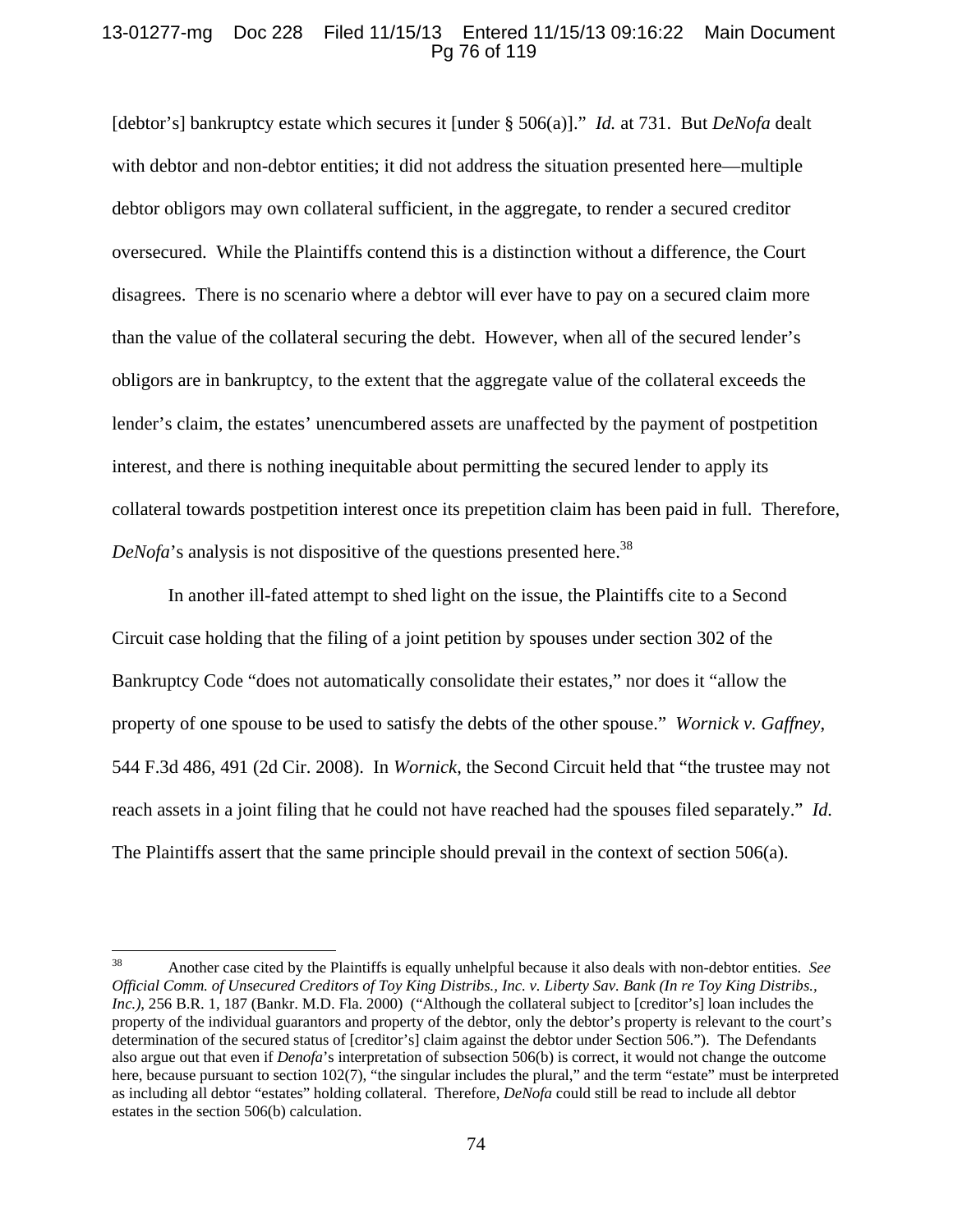## 13-01277-mg Doc 228 Filed 11/15/13 Entered 11/15/13 09:16:22 Main Document Pg 76 of 119

[debtor's] bankruptcy estate which secures it [under § 506(a)]." *Id.* at 731. But *DeNofa* dealt with debtor and non-debtor entities; it did not address the situation presented here—multiple debtor obligors may own collateral sufficient, in the aggregate, to render a secured creditor oversecured. While the Plaintiffs contend this is a distinction without a difference, the Court disagrees. There is no scenario where a debtor will ever have to pay on a secured claim more than the value of the collateral securing the debt. However, when all of the secured lender's obligors are in bankruptcy, to the extent that the aggregate value of the collateral exceeds the lender's claim, the estates' unencumbered assets are unaffected by the payment of postpetition interest, and there is nothing inequitable about permitting the secured lender to apply its collateral towards postpetition interest once its prepetition claim has been paid in full. Therefore,  $DeNofa$ 's analysis is not dispositive of the questions presented here.<sup>38</sup>

In another ill-fated attempt to shed light on the issue, the Plaintiffs cite to a Second Circuit case holding that the filing of a joint petition by spouses under section 302 of the Bankruptcy Code "does not automatically consolidate their estates," nor does it "allow the property of one spouse to be used to satisfy the debts of the other spouse." *Wornick v. Gaffney*, 544 F.3d 486, 491 (2d Cir. 2008). In *Wornick*, the Second Circuit held that "the trustee may not reach assets in a joint filing that he could not have reached had the spouses filed separately." *Id.* The Plaintiffs assert that the same principle should prevail in the context of section 506(a).

<sup>38</sup> Another case cited by the Plaintiffs is equally unhelpful because it also deals with non-debtor entities. *See Official Comm. of Unsecured Creditors of Toy King Distribs., Inc. v. Liberty Sav. Bank (In re Toy King Distribs., Inc.)*, 256 B.R. 1, 187 (Bankr. M.D. Fla. 2000) ("Although the collateral subject to [creditor's] loan includes the property of the individual guarantors and property of the debtor, only the debtor's property is relevant to the court's determination of the secured status of [creditor's] claim against the debtor under Section 506."). The Defendants also argue out that even if *Denofa*'s interpretation of subsection 506(b) is correct, it would not change the outcome here, because pursuant to section 102(7), "the singular includes the plural," and the term "estate" must be interpreted as including all debtor "estates" holding collateral. Therefore, *DeNofa* could still be read to include all debtor estates in the section 506(b) calculation.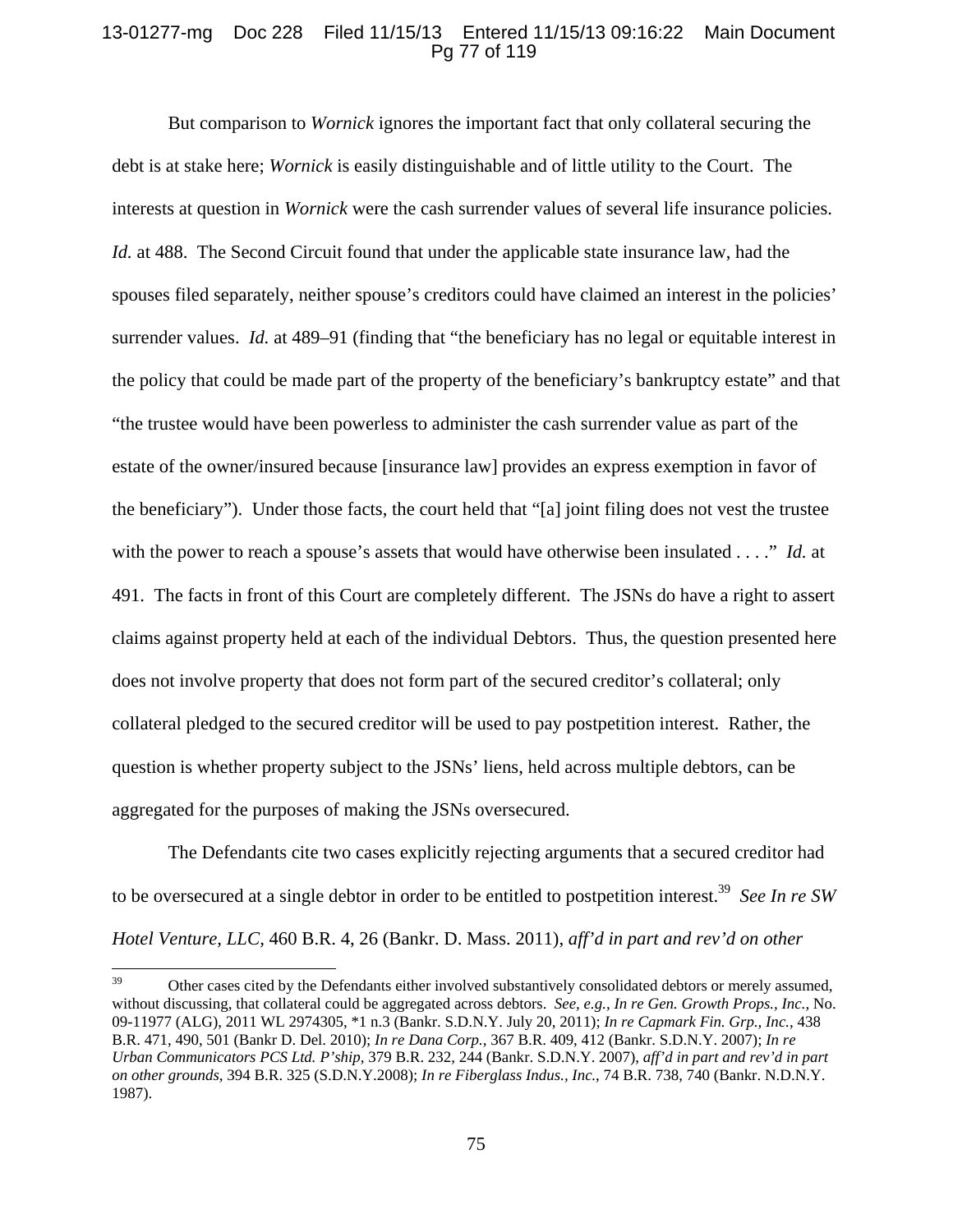## 13-01277-mg Doc 228 Filed 11/15/13 Entered 11/15/13 09:16:22 Main Document Pg 77 of 119

But comparison to *Wornick* ignores the important fact that only collateral securing the debt is at stake here; *Wornick* is easily distinguishable and of little utility to the Court. The interests at question in *Wornick* were the cash surrender values of several life insurance policies. *Id.* at 488. The Second Circuit found that under the applicable state insurance law, had the spouses filed separately, neither spouse's creditors could have claimed an interest in the policies' surrender values. *Id.* at 489–91 (finding that "the beneficiary has no legal or equitable interest in the policy that could be made part of the property of the beneficiary's bankruptcy estate" and that "the trustee would have been powerless to administer the cash surrender value as part of the estate of the owner/insured because [insurance law] provides an express exemption in favor of the beneficiary"). Under those facts, the court held that "[a] joint filing does not vest the trustee with the power to reach a spouse's assets that would have otherwise been insulated . . . ." *Id.* at 491. The facts in front of this Court are completely different. The JSNs do have a right to assert claims against property held at each of the individual Debtors. Thus, the question presented here does not involve property that does not form part of the secured creditor's collateral; only collateral pledged to the secured creditor will be used to pay postpetition interest. Rather, the question is whether property subject to the JSNs' liens, held across multiple debtors, can be aggregated for the purposes of making the JSNs oversecured.

The Defendants cite two cases explicitly rejecting arguments that a secured creditor had to be oversecured at a single debtor in order to be entitled to postpetition interest.39 *See In re SW Hotel Venture, LLC,* 460 B.R. 4, 26 (Bankr. D. Mass. 2011), *aff'd in part and rev'd on other* 

<sup>&</sup>lt;sup>39</sup> Other cases cited by the Defendants either involved substantively consolidated debtors or merely assumed, without discussing, that collateral could be aggregated across debtors. *See, e.g., In re Gen. Growth Props., Inc.,* No. 09-11977 (ALG), 2011 WL 2974305, \*1 n.3 (Bankr. S.D.N.Y. July 20, 2011); *In re Capmark Fin. Grp., Inc.*, 438 B.R. 471, 490, 501 (Bankr D. Del. 2010); *In re Dana Corp.*, 367 B.R. 409, 412 (Bankr. S.D.N.Y. 2007); *In re Urban Communicators PCS Ltd. P'ship*, 379 B.R. 232, 244 (Bankr. S.D.N.Y. 2007), *aff'd in part and rev'd in part on other grounds*, 394 B.R. 325 (S.D.N.Y.2008); *In re Fiberglass Indus., Inc.*, 74 B.R. 738, 740 (Bankr. N.D.N.Y. 1987).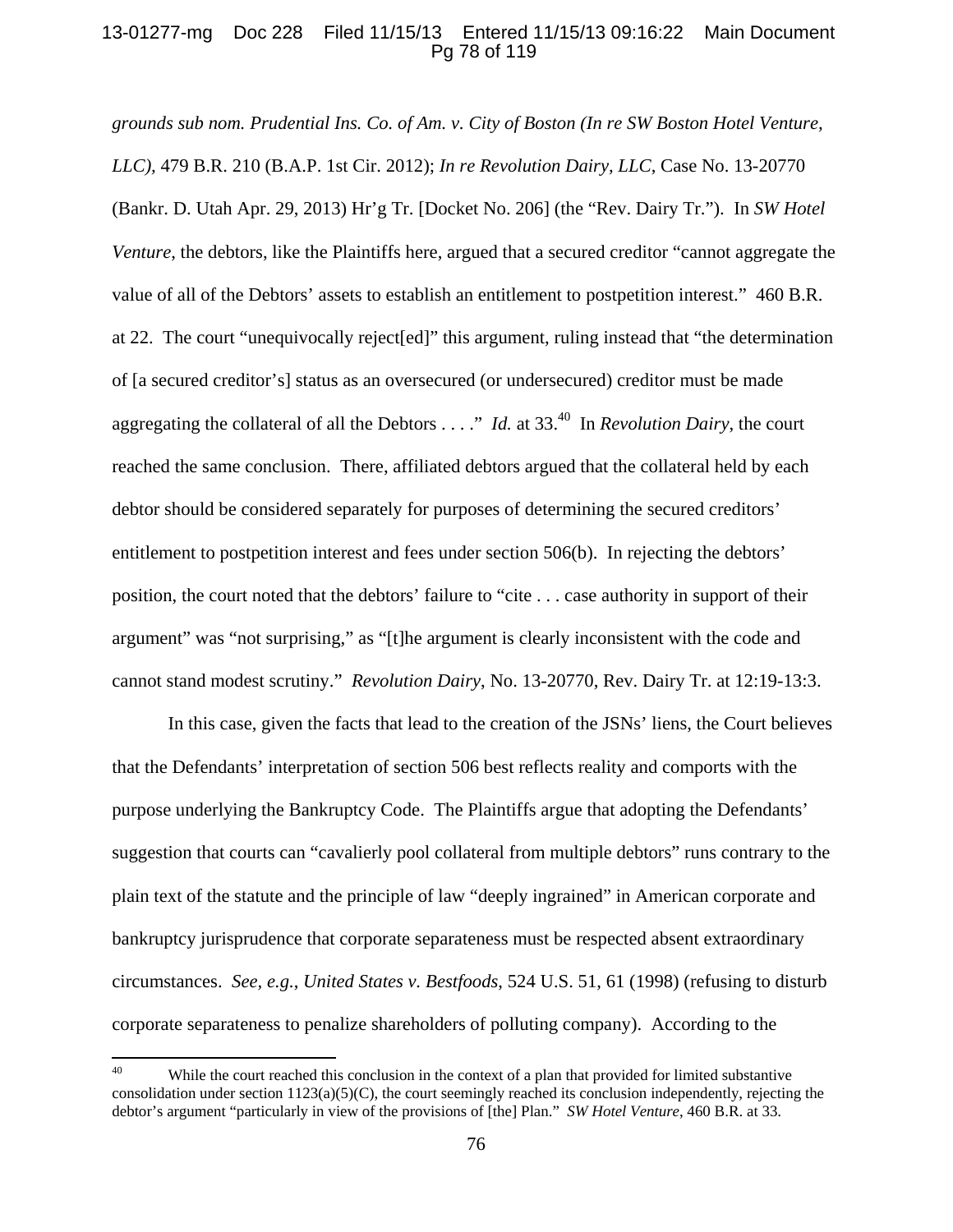## 13-01277-mg Doc 228 Filed 11/15/13 Entered 11/15/13 09:16:22 Main Document Pg 78 of 119

*grounds sub nom. Prudential Ins. Co. of Am. v. City of Boston (In re SW Boston Hotel Venture, LLC),* 479 B.R. 210 (B.A.P. 1st Cir. 2012); *In re Revolution Dairy, LLC*, Case No. 13-20770 (Bankr. D. Utah Apr. 29, 2013) Hr'g Tr. [Docket No. 206] (the "Rev. Dairy Tr."). In *SW Hotel Venture*, the debtors, like the Plaintiffs here, argued that a secured creditor "cannot aggregate the value of all of the Debtors' assets to establish an entitlement to postpetition interest." 460 B.R. at 22. The court "unequivocally reject[ed]" this argument, ruling instead that "the determination of [a secured creditor's] status as an oversecured (or undersecured) creditor must be made aggregating the collateral of all the Debtors . . . ." *Id.* at 33.40 In *Revolution Dairy*, the court reached the same conclusion. There, affiliated debtors argued that the collateral held by each debtor should be considered separately for purposes of determining the secured creditors' entitlement to postpetition interest and fees under section 506(b). In rejecting the debtors' position, the court noted that the debtors' failure to "cite . . . case authority in support of their argument" was "not surprising," as "[t]he argument is clearly inconsistent with the code and cannot stand modest scrutiny." *Revolution Dairy*, No. 13-20770, Rev. Dairy Tr. at 12:19-13:3.

In this case, given the facts that lead to the creation of the JSNs' liens, the Court believes that the Defendants' interpretation of section 506 best reflects reality and comports with the purpose underlying the Bankruptcy Code. The Plaintiffs argue that adopting the Defendants' suggestion that courts can "cavalierly pool collateral from multiple debtors" runs contrary to the plain text of the statute and the principle of law "deeply ingrained" in American corporate and bankruptcy jurisprudence that corporate separateness must be respected absent extraordinary circumstances. *See, e.g.*, *United States v. Bestfoods*, 524 U.S. 51, 61 (1998) (refusing to disturb corporate separateness to penalize shareholders of polluting company). According to the

<sup>&</sup>lt;sup>40</sup> While the court reached this conclusion in the context of a plan that provided for limited substantive consolidation under section  $1123(a)(5)(C)$ , the court seemingly reached its conclusion independently, rejecting the debtor's argument "particularly in view of the provisions of [the] Plan." *SW Hotel Venture*, 460 B.R. at 33.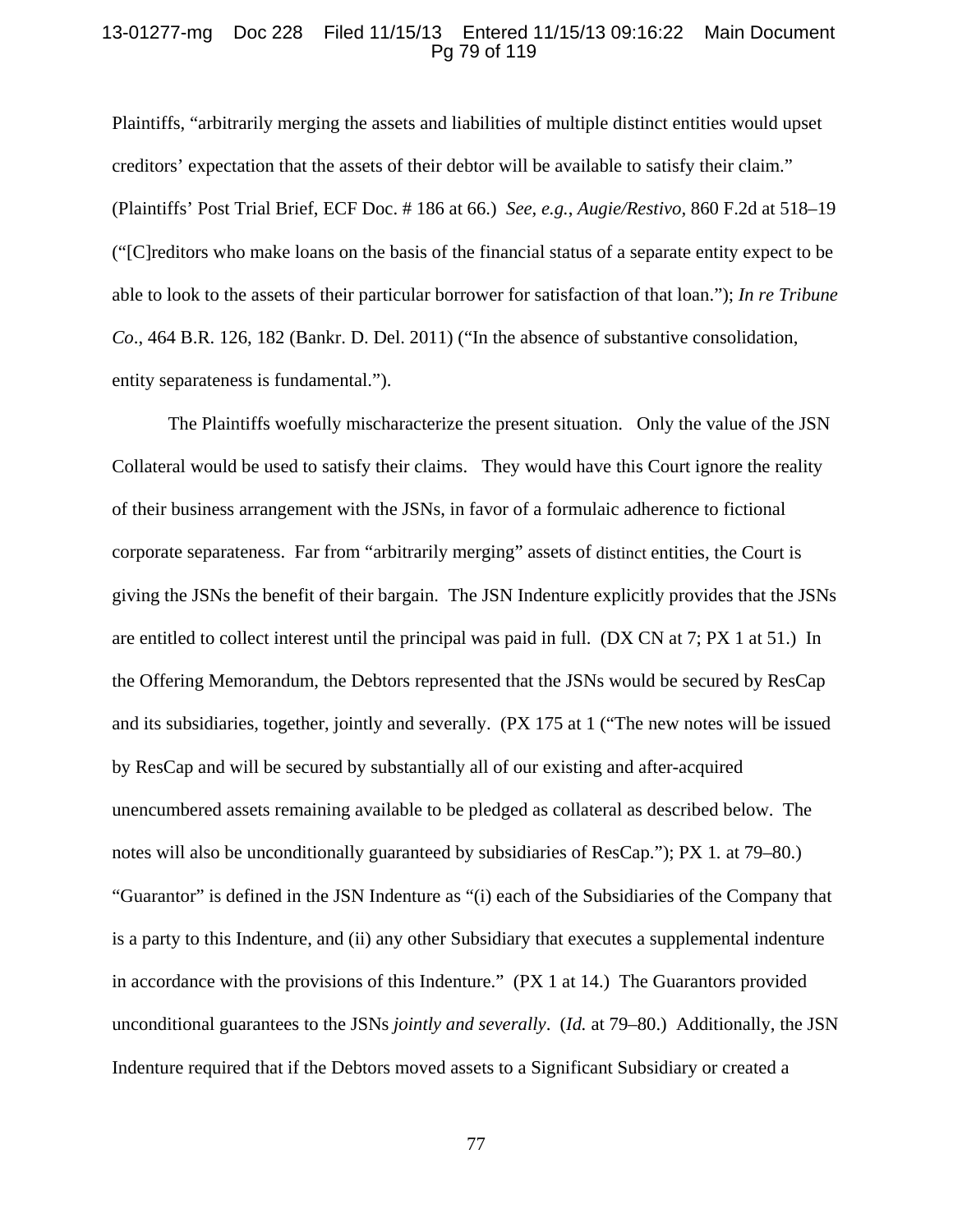### 13-01277-mg Doc 228 Filed 11/15/13 Entered 11/15/13 09:16:22 Main Document Pg 79 of 119

Plaintiffs, "arbitrarily merging the assets and liabilities of multiple distinct entities would upset creditors' expectation that the assets of their debtor will be available to satisfy their claim." (Plaintiffs' Post Trial Brief, ECF Doc. # 186 at 66.) *See, e.g.*, *Augie/Restivo,* 860 F.2d at 518–19 ("[C]reditors who make loans on the basis of the financial status of a separate entity expect to be able to look to the assets of their particular borrower for satisfaction of that loan."); *In re Tribune Co*., 464 B.R. 126, 182 (Bankr. D. Del. 2011) ("In the absence of substantive consolidation, entity separateness is fundamental.").

The Plaintiffs woefully mischaracterize the present situation. Only the value of the JSN Collateral would be used to satisfy their claims. They would have this Court ignore the reality of their business arrangement with the JSNs, in favor of a formulaic adherence to fictional corporate separateness. Far from "arbitrarily merging" assets of distinct entities, the Court is giving the JSNs the benefit of their bargain. The JSN Indenture explicitly provides that the JSNs are entitled to collect interest until the principal was paid in full. (DX CN at 7; PX 1 at 51.) In the Offering Memorandum, the Debtors represented that the JSNs would be secured by ResCap and its subsidiaries, together, jointly and severally. (PX 175 at 1 ("The new notes will be issued by ResCap and will be secured by substantially all of our existing and after-acquired unencumbered assets remaining available to be pledged as collateral as described below. The notes will also be unconditionally guaranteed by subsidiaries of ResCap."); PX 1*.* at 79–80.) "Guarantor" is defined in the JSN Indenture as "(i) each of the Subsidiaries of the Company that is a party to this Indenture, and (ii) any other Subsidiary that executes a supplemental indenture in accordance with the provisions of this Indenture." (PX 1 at 14.) The Guarantors provided unconditional guarantees to the JSNs *jointly and severally*. (*Id.* at 79–80.) Additionally, the JSN Indenture required that if the Debtors moved assets to a Significant Subsidiary or created a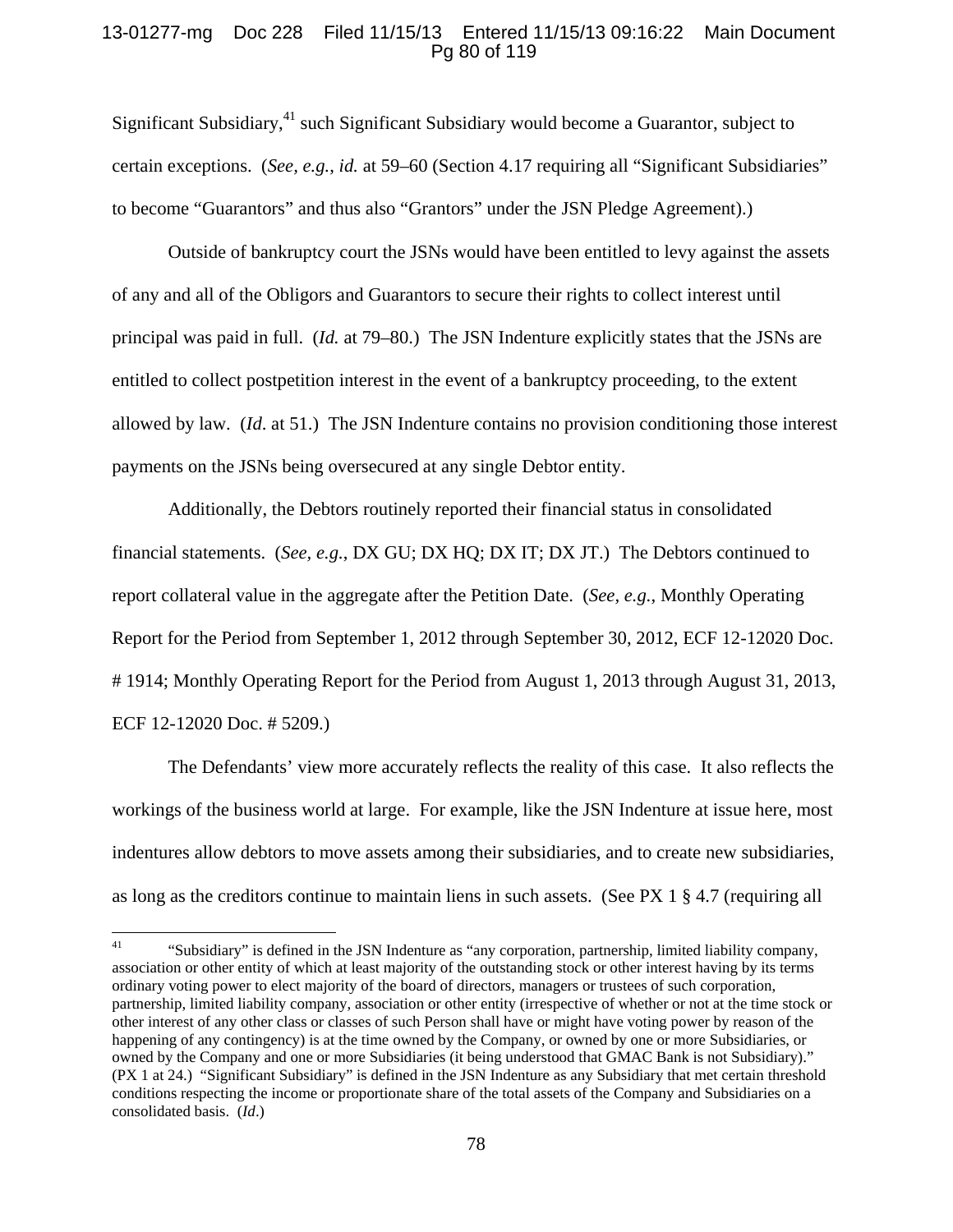## 13-01277-mg Doc 228 Filed 11/15/13 Entered 11/15/13 09:16:22 Main Document Pg 80 of 119

Significant Subsidiary,<sup>41</sup> such Significant Subsidiary would become a Guarantor, subject to certain exceptions. (*See, e.g.*, *id.* at 59–60 (Section 4.17 requiring all "Significant Subsidiaries" to become "Guarantors" and thus also "Grantors" under the JSN Pledge Agreement).)

Outside of bankruptcy court the JSNs would have been entitled to levy against the assets of any and all of the Obligors and Guarantors to secure their rights to collect interest until principal was paid in full. (*Id.* at 79–80.) The JSN Indenture explicitly states that the JSNs are entitled to collect postpetition interest in the event of a bankruptcy proceeding, to the extent allowed by law. (*Id*. at 51.) The JSN Indenture contains no provision conditioning those interest payments on the JSNs being oversecured at any single Debtor entity.

Additionally, the Debtors routinely reported their financial status in consolidated financial statements. (*See, e.g.*, DX GU; DX HQ; DX IT; DX JT.) The Debtors continued to report collateral value in the aggregate after the Petition Date. (*See, e.g.*, Monthly Operating Report for the Period from September 1, 2012 through September 30, 2012, ECF 12-12020 Doc. # 1914; Monthly Operating Report for the Period from August 1, 2013 through August 31, 2013, ECF 12-12020 Doc. # 5209.)

The Defendants' view more accurately reflects the reality of this case. It also reflects the workings of the business world at large. For example, like the JSN Indenture at issue here, most indentures allow debtors to move assets among their subsidiaries, and to create new subsidiaries, as long as the creditors continue to maintain liens in such assets. (See PX 1 § 4.7 (requiring all

<sup>41 &</sup>quot;Subsidiary" is defined in the JSN Indenture as "any corporation, partnership, limited liability company, association or other entity of which at least majority of the outstanding stock or other interest having by its terms ordinary voting power to elect majority of the board of directors, managers or trustees of such corporation, partnership, limited liability company, association or other entity (irrespective of whether or not at the time stock or other interest of any other class or classes of such Person shall have or might have voting power by reason of the happening of any contingency) is at the time owned by the Company, or owned by one or more Subsidiaries, or owned by the Company and one or more Subsidiaries (it being understood that GMAC Bank is not Subsidiary)." (PX 1 at 24.) "Significant Subsidiary" is defined in the JSN Indenture as any Subsidiary that met certain threshold conditions respecting the income or proportionate share of the total assets of the Company and Subsidiaries on a consolidated basis. (*Id*.)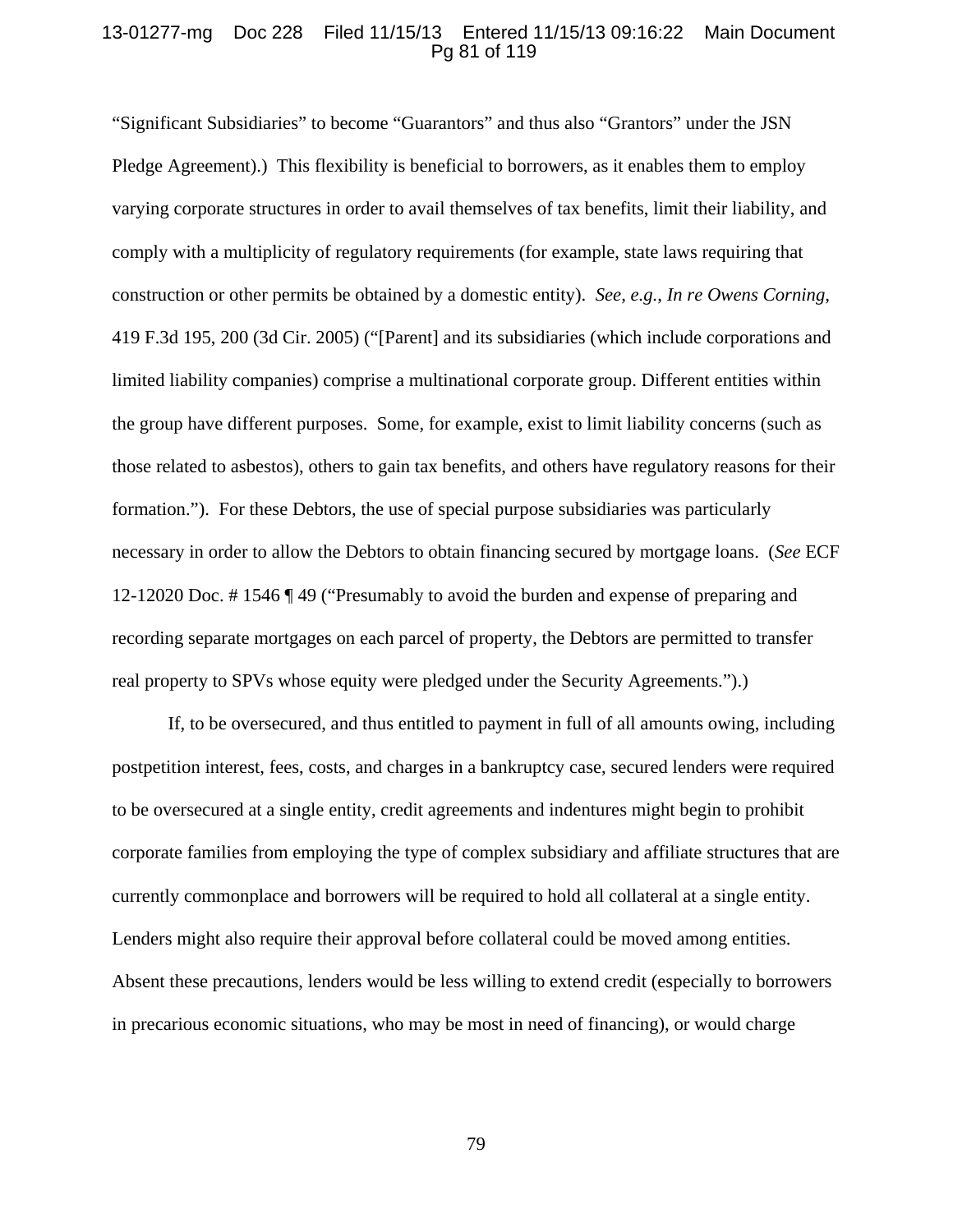## 13-01277-mg Doc 228 Filed 11/15/13 Entered 11/15/13 09:16:22 Main Document Pg 81 of 119

"Significant Subsidiaries" to become "Guarantors" and thus also "Grantors" under the JSN Pledge Agreement).) This flexibility is beneficial to borrowers, as it enables them to employ varying corporate structures in order to avail themselves of tax benefits, limit their liability, and comply with a multiplicity of regulatory requirements (for example, state laws requiring that construction or other permits be obtained by a domestic entity). *See, e.g.*, *In re Owens Corning*, 419 F.3d 195, 200 (3d Cir. 2005) ("[Parent] and its subsidiaries (which include corporations and limited liability companies) comprise a multinational corporate group. Different entities within the group have different purposes. Some, for example, exist to limit liability concerns (such as those related to asbestos), others to gain tax benefits, and others have regulatory reasons for their formation."). For these Debtors, the use of special purpose subsidiaries was particularly necessary in order to allow the Debtors to obtain financing secured by mortgage loans. (*See* ECF 12-12020 Doc. # 1546 ¶ 49 ("Presumably to avoid the burden and expense of preparing and recording separate mortgages on each parcel of property, the Debtors are permitted to transfer real property to SPVs whose equity were pledged under the Security Agreements.").)

If, to be oversecured, and thus entitled to payment in full of all amounts owing, including postpetition interest, fees, costs, and charges in a bankruptcy case, secured lenders were required to be oversecured at a single entity, credit agreements and indentures might begin to prohibit corporate families from employing the type of complex subsidiary and affiliate structures that are currently commonplace and borrowers will be required to hold all collateral at a single entity. Lenders might also require their approval before collateral could be moved among entities. Absent these precautions, lenders would be less willing to extend credit (especially to borrowers in precarious economic situations, who may be most in need of financing), or would charge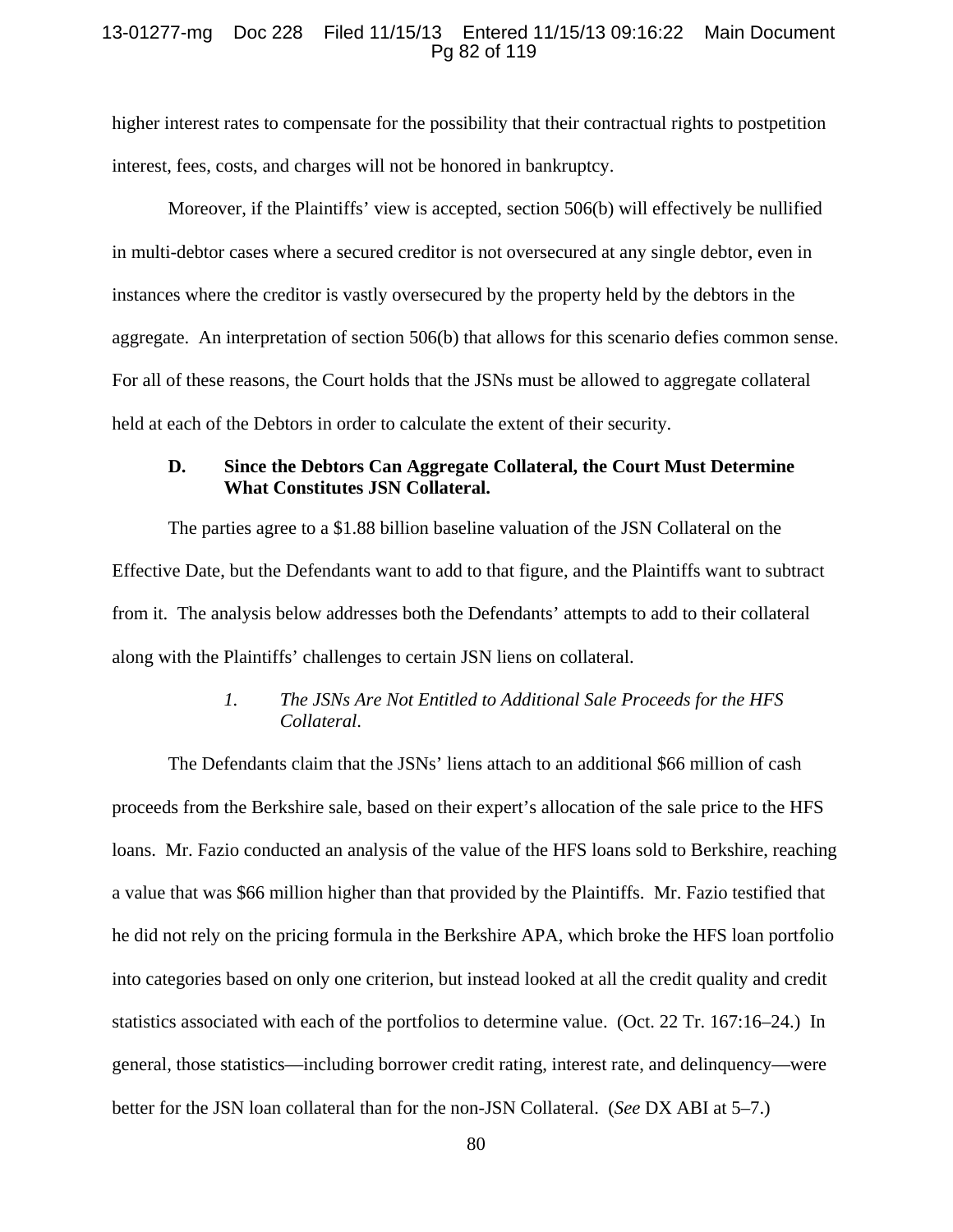### 13-01277-mg Doc 228 Filed 11/15/13 Entered 11/15/13 09:16:22 Main Document Pg 82 of 119

higher interest rates to compensate for the possibility that their contractual rights to postpetition interest, fees, costs, and charges will not be honored in bankruptcy.

Moreover, if the Plaintiffs' view is accepted, section 506(b) will effectively be nullified in multi-debtor cases where a secured creditor is not oversecured at any single debtor, even in instances where the creditor is vastly oversecured by the property held by the debtors in the aggregate. An interpretation of section 506(b) that allows for this scenario defies common sense. For all of these reasons, the Court holds that the JSNs must be allowed to aggregate collateral held at each of the Debtors in order to calculate the extent of their security.

# **D. Since the Debtors Can Aggregate Collateral, the Court Must Determine What Constitutes JSN Collateral.**

The parties agree to a \$1.88 billion baseline valuation of the JSN Collateral on the Effective Date, but the Defendants want to add to that figure, and the Plaintiffs want to subtract from it. The analysis below addresses both the Defendants' attempts to add to their collateral along with the Plaintiffs' challenges to certain JSN liens on collateral.

# *1. The JSNs Are Not Entitled to Additional Sale Proceeds for the HFS Collateral*.

The Defendants claim that the JSNs' liens attach to an additional \$66 million of cash proceeds from the Berkshire sale, based on their expert's allocation of the sale price to the HFS loans. Mr. Fazio conducted an analysis of the value of the HFS loans sold to Berkshire, reaching a value that was \$66 million higher than that provided by the Plaintiffs. Mr. Fazio testified that he did not rely on the pricing formula in the Berkshire APA, which broke the HFS loan portfolio into categories based on only one criterion, but instead looked at all the credit quality and credit statistics associated with each of the portfolios to determine value. (Oct. 22 Tr. 167:16–24.) In general, those statistics—including borrower credit rating, interest rate, and delinquency—were better for the JSN loan collateral than for the non-JSN Collateral. (*See* DX ABI at 5–7.)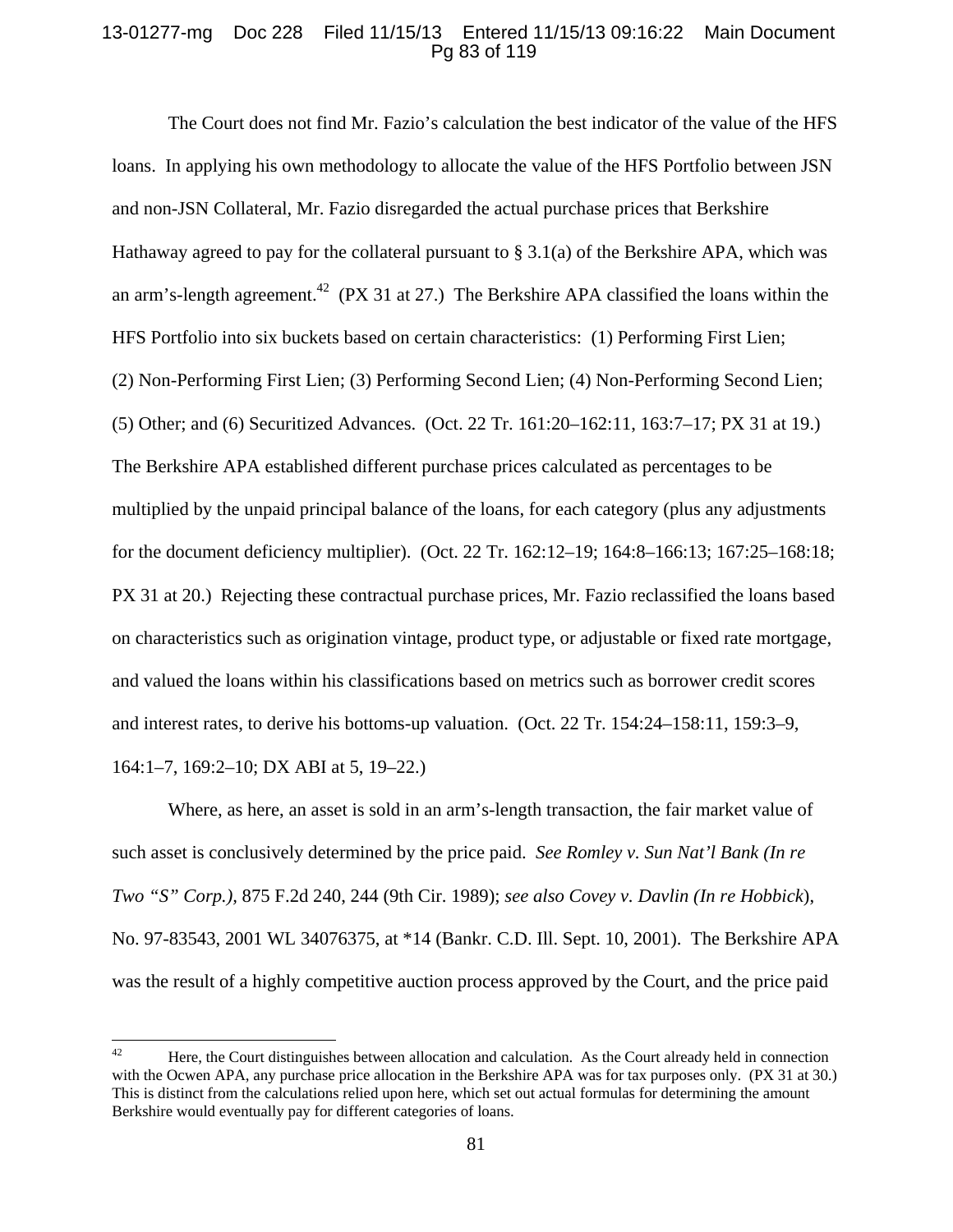## 13-01277-mg Doc 228 Filed 11/15/13 Entered 11/15/13 09:16:22 Main Document Pg 83 of 119

The Court does not find Mr. Fazio's calculation the best indicator of the value of the HFS loans. In applying his own methodology to allocate the value of the HFS Portfolio between JSN and non-JSN Collateral, Mr. Fazio disregarded the actual purchase prices that Berkshire Hathaway agreed to pay for the collateral pursuant to  $\S 3.1(a)$  of the Berkshire APA, which was an arm's-length agreement.<sup>42</sup> (PX 31 at 27.) The Berkshire APA classified the loans within the HFS Portfolio into six buckets based on certain characteristics: (1) Performing First Lien; (2) Non-Performing First Lien; (3) Performing Second Lien; (4) Non-Performing Second Lien; (5) Other; and (6) Securitized Advances. (Oct. 22 Tr. 161:20–162:11, 163:7–17; PX 31 at 19.) The Berkshire APA established different purchase prices calculated as percentages to be multiplied by the unpaid principal balance of the loans, for each category (plus any adjustments for the document deficiency multiplier). (Oct. 22 Tr. 162:12–19; 164:8–166:13; 167:25–168:18; PX 31 at 20.) Rejecting these contractual purchase prices, Mr. Fazio reclassified the loans based on characteristics such as origination vintage, product type, or adjustable or fixed rate mortgage, and valued the loans within his classifications based on metrics such as borrower credit scores and interest rates, to derive his bottoms-up valuation. (Oct. 22 Tr. 154:24–158:11, 159:3–9, 164:1–7, 169:2–10; DX ABI at 5, 19–22.)

Where, as here, an asset is sold in an arm's-length transaction, the fair market value of such asset is conclusively determined by the price paid. *See Romley v. Sun Nat'l Bank (In re Two "S" Corp.),* 875 F.2d 240, 244 (9th Cir. 1989); *see also Covey v. Davlin (In re Hobbick*), No. 97-83543, 2001 WL 34076375, at \*14 (Bankr. C.D. Ill. Sept. 10, 2001). The Berkshire APA was the result of a highly competitive auction process approved by the Court, and the price paid

<sup>&</sup>lt;sup>42</sup> Here, the Court distinguishes between allocation and calculation. As the Court already held in connection with the Ocwen APA, any purchase price allocation in the Berkshire APA was for tax purposes only. (PX 31 at 30.) This is distinct from the calculations relied upon here, which set out actual formulas for determining the amount Berkshire would eventually pay for different categories of loans.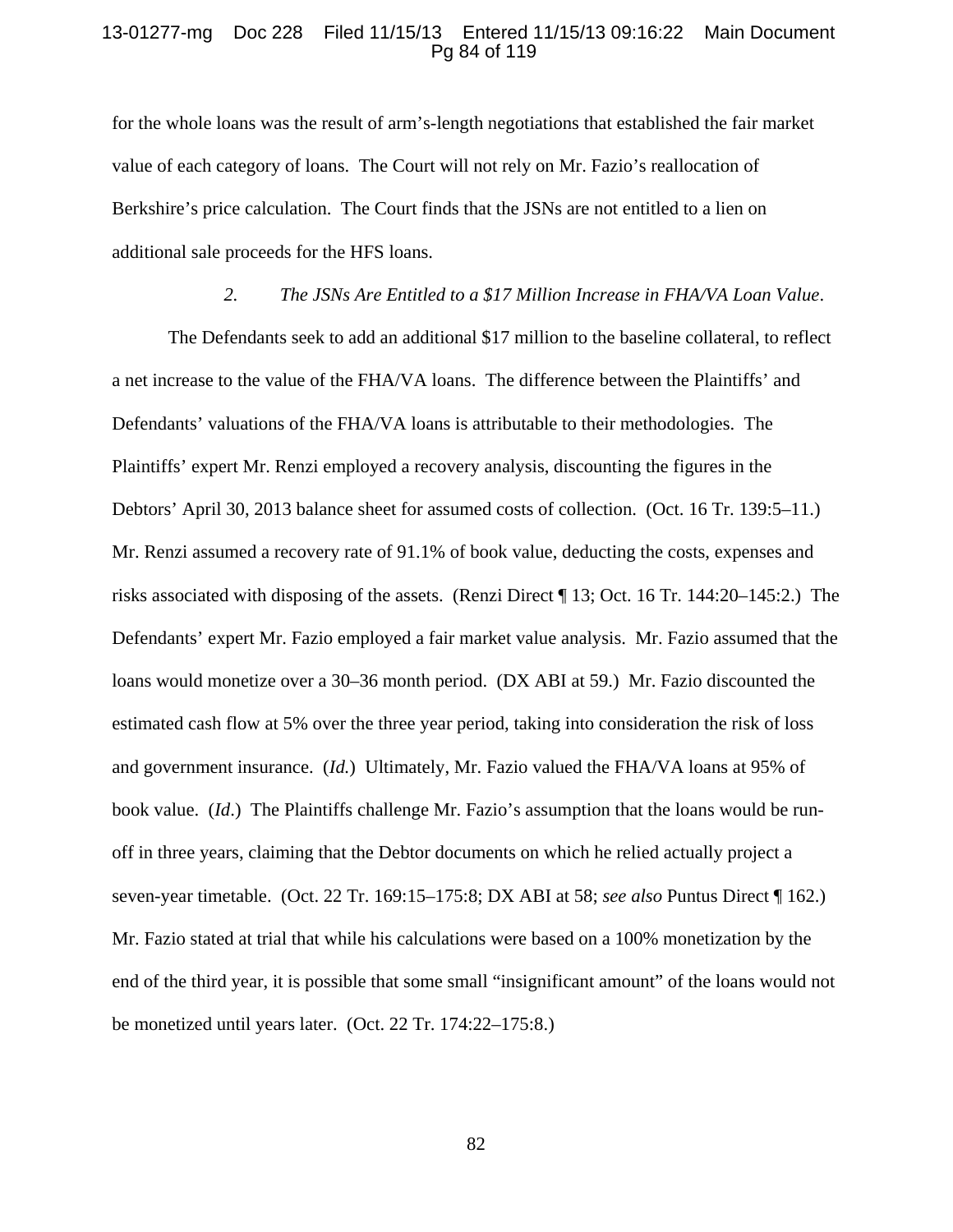### 13-01277-mg Doc 228 Filed 11/15/13 Entered 11/15/13 09:16:22 Main Document Pg 84 of 119

for the whole loans was the result of arm's-length negotiations that established the fair market value of each category of loans. The Court will not rely on Mr. Fazio's reallocation of Berkshire's price calculation. The Court finds that the JSNs are not entitled to a lien on additional sale proceeds for the HFS loans.

## *2. The JSNs Are Entitled to a \$17 Million Increase in FHA/VA Loan Value*.

The Defendants seek to add an additional \$17 million to the baseline collateral, to reflect a net increase to the value of the FHA/VA loans. The difference between the Plaintiffs' and Defendants' valuations of the FHA/VA loans is attributable to their methodologies. The Plaintiffs' expert Mr. Renzi employed a recovery analysis, discounting the figures in the Debtors' April 30, 2013 balance sheet for assumed costs of collection. (Oct. 16 Tr. 139:5–11.) Mr. Renzi assumed a recovery rate of 91.1% of book value, deducting the costs, expenses and risks associated with disposing of the assets. (Renzi Direct ¶ 13; Oct. 16 Tr. 144:20–145:2.) The Defendants' expert Mr. Fazio employed a fair market value analysis. Mr. Fazio assumed that the loans would monetize over a 30–36 month period. (DX ABI at 59.) Mr. Fazio discounted the estimated cash flow at 5% over the three year period, taking into consideration the risk of loss and government insurance. (*Id.*) Ultimately, Mr. Fazio valued the FHA/VA loans at 95% of book value. (*Id*.) The Plaintiffs challenge Mr. Fazio's assumption that the loans would be runoff in three years, claiming that the Debtor documents on which he relied actually project a seven-year timetable. (Oct. 22 Tr. 169:15–175:8; DX ABI at 58; *see also* Puntus Direct ¶ 162.) Mr. Fazio stated at trial that while his calculations were based on a 100% monetization by the end of the third year, it is possible that some small "insignificant amount" of the loans would not be monetized until years later. (Oct. 22 Tr. 174:22–175:8.)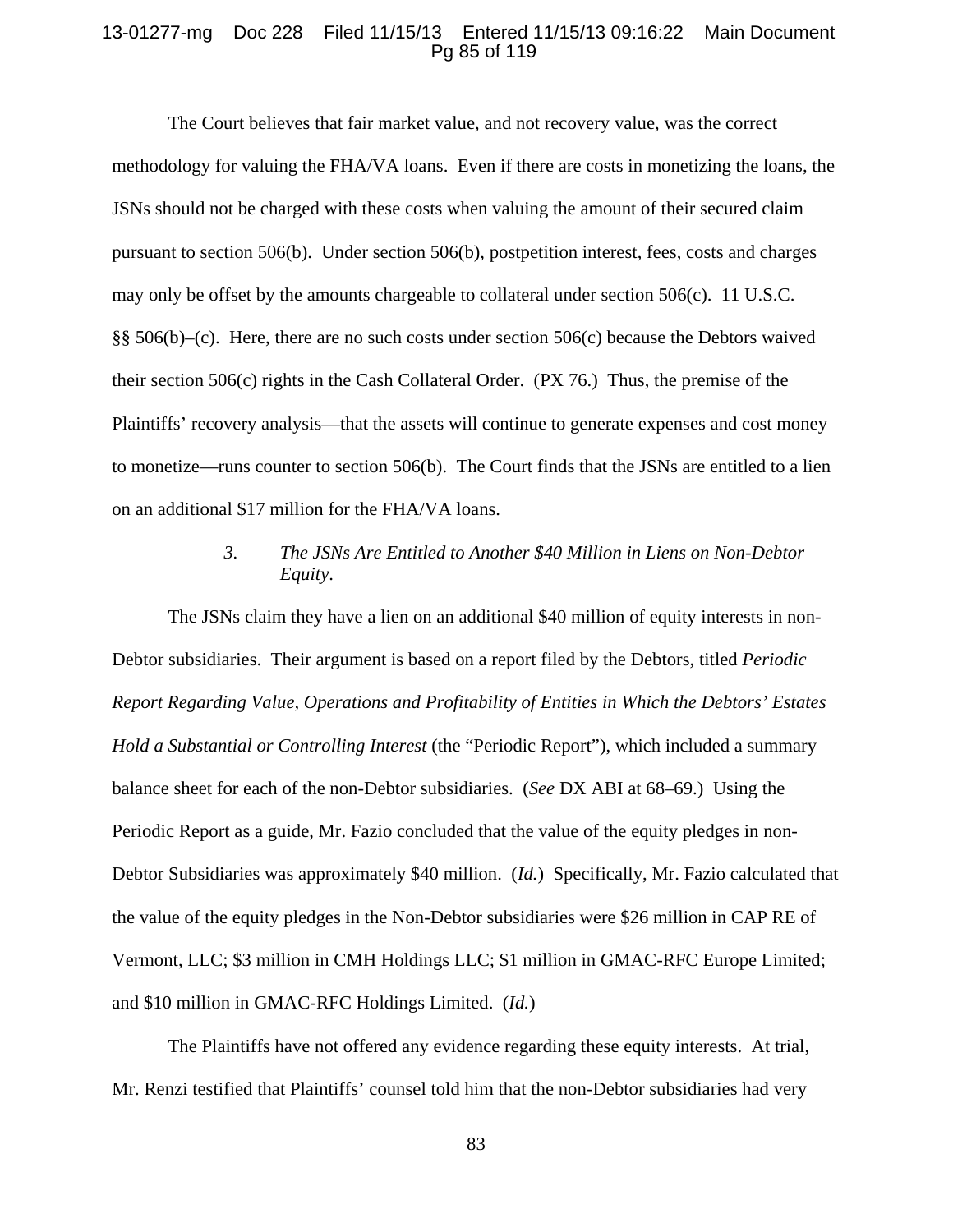### 13-01277-mg Doc 228 Filed 11/15/13 Entered 11/15/13 09:16:22 Main Document Pg 85 of 119

 The Court believes that fair market value, and not recovery value, was the correct methodology for valuing the FHA/VA loans. Even if there are costs in monetizing the loans, the JSNs should not be charged with these costs when valuing the amount of their secured claim pursuant to section 506(b). Under section 506(b), postpetition interest, fees, costs and charges may only be offset by the amounts chargeable to collateral under section 506(c). 11 U.S.C. §§ 506(b)–(c). Here, there are no such costs under section 506(c) because the Debtors waived their section 506(c) rights in the Cash Collateral Order. (PX 76.) Thus, the premise of the Plaintiffs' recovery analysis—that the assets will continue to generate expenses and cost money to monetize—runs counter to section 506(b). The Court finds that the JSNs are entitled to a lien on an additional \$17 million for the FHA/VA loans.

# *3. The JSNs Are Entitled to Another \$40 Million in Liens on Non-Debtor Equity*.

The JSNs claim they have a lien on an additional \$40 million of equity interests in non-Debtor subsidiaries. Their argument is based on a report filed by the Debtors, titled *Periodic Report Regarding Value, Operations and Profitability of Entities in Which the Debtors' Estates Hold a Substantial or Controlling Interest* (the "Periodic Report"), which included a summary balance sheet for each of the non-Debtor subsidiaries. (*See* DX ABI at 68–69.) Using the Periodic Report as a guide, Mr. Fazio concluded that the value of the equity pledges in non-Debtor Subsidiaries was approximately \$40 million. (*Id.*) Specifically, Mr. Fazio calculated that the value of the equity pledges in the Non-Debtor subsidiaries were \$26 million in CAP RE of Vermont, LLC; \$3 million in CMH Holdings LLC; \$1 million in GMAC-RFC Europe Limited; and \$10 million in GMAC-RFC Holdings Limited. (*Id.*)

The Plaintiffs have not offered any evidence regarding these equity interests. At trial, Mr. Renzi testified that Plaintiffs' counsel told him that the non-Debtor subsidiaries had very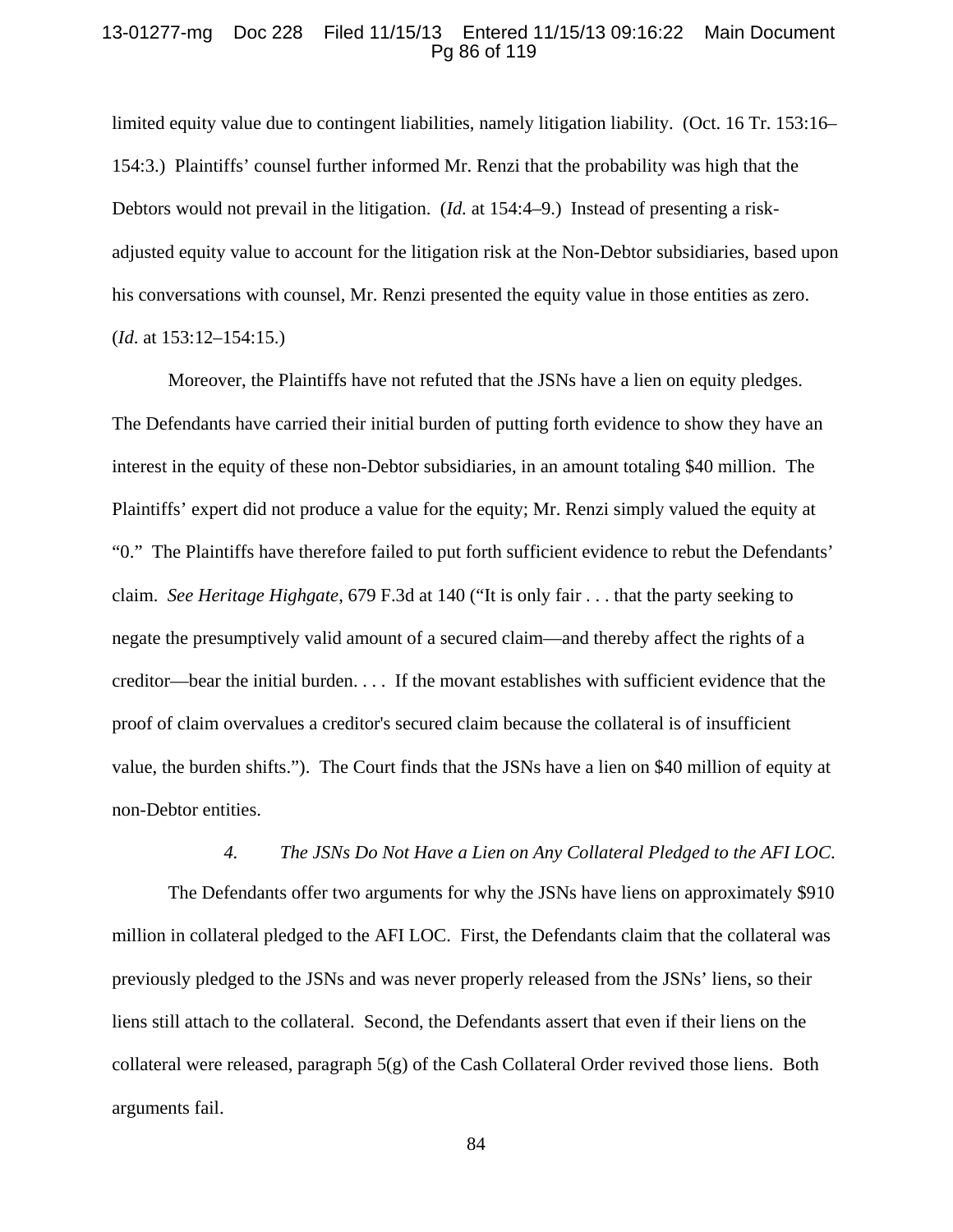### 13-01277-mg Doc 228 Filed 11/15/13 Entered 11/15/13 09:16:22 Main Document Pg 86 of 119

limited equity value due to contingent liabilities, namely litigation liability. (Oct. 16 Tr. 153:16– 154:3.) Plaintiffs' counsel further informed Mr. Renzi that the probability was high that the Debtors would not prevail in the litigation. (*Id.* at 154:4–9.) Instead of presenting a riskadjusted equity value to account for the litigation risk at the Non-Debtor subsidiaries, based upon his conversations with counsel, Mr. Renzi presented the equity value in those entities as zero. (*Id*. at 153:12–154:15.)

Moreover, the Plaintiffs have not refuted that the JSNs have a lien on equity pledges. The Defendants have carried their initial burden of putting forth evidence to show they have an interest in the equity of these non-Debtor subsidiaries, in an amount totaling \$40 million. The Plaintiffs' expert did not produce a value for the equity; Mr. Renzi simply valued the equity at "0." The Plaintiffs have therefore failed to put forth sufficient evidence to rebut the Defendants' claim. *See Heritage Highgate*, 679 F.3d at 140 ("It is only fair . . . that the party seeking to negate the presumptively valid amount of a secured claim—and thereby affect the rights of a creditor—bear the initial burden. . . . If the movant establishes with sufficient evidence that the proof of claim overvalues a creditor's secured claim because the collateral is of insufficient value, the burden shifts."). The Court finds that the JSNs have a lien on \$40 million of equity at non-Debtor entities.

### *4. The JSNs Do Not Have a Lien on Any Collateral Pledged to the AFI LOC*.

The Defendants offer two arguments for why the JSNs have liens on approximately \$910 million in collateral pledged to the AFI LOC. First, the Defendants claim that the collateral was previously pledged to the JSNs and was never properly released from the JSNs' liens, so their liens still attach to the collateral. Second, the Defendants assert that even if their liens on the collateral were released, paragraph  $5(g)$  of the Cash Collateral Order revived those liens. Both arguments fail.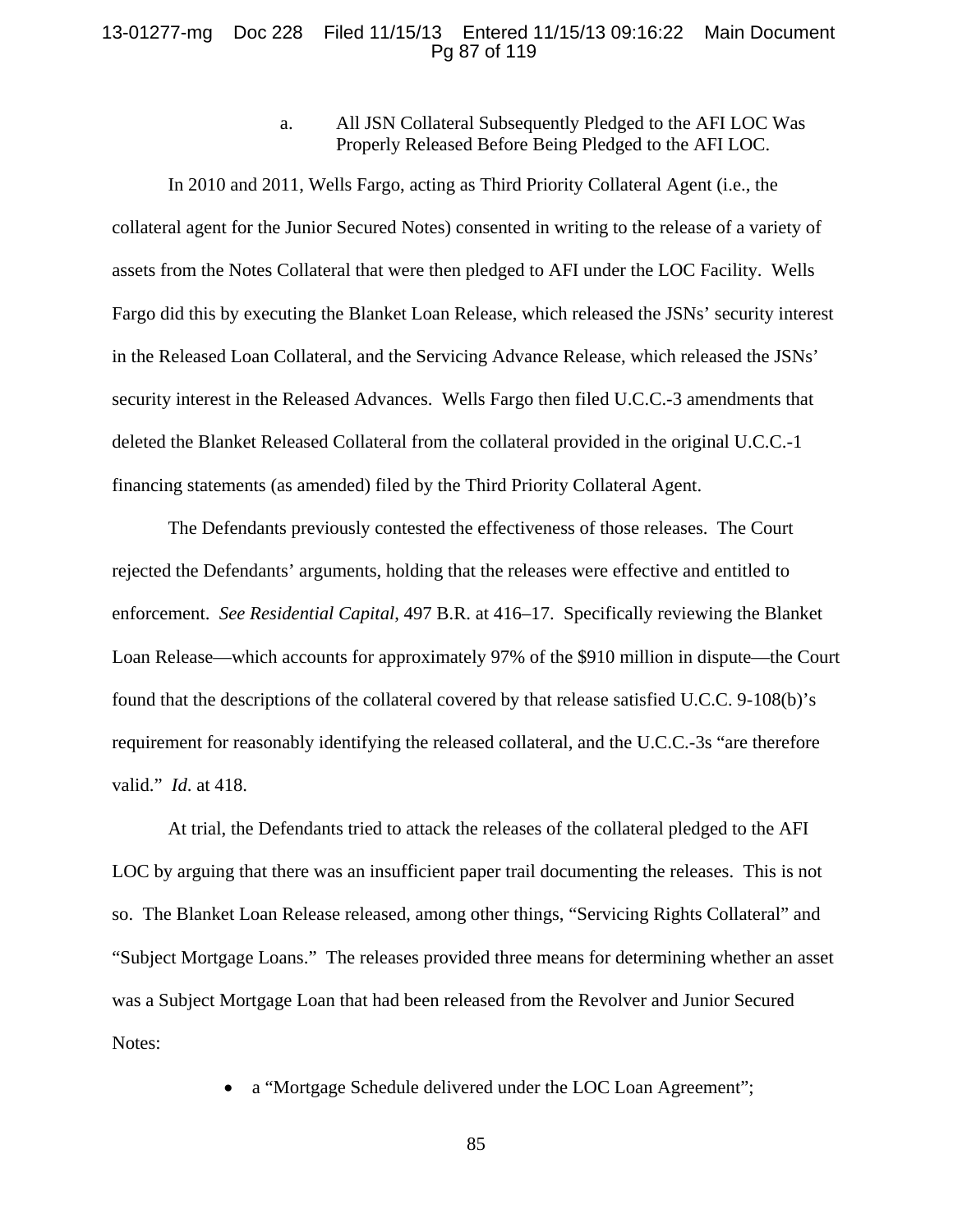## 13-01277-mg Doc 228 Filed 11/15/13 Entered 11/15/13 09:16:22 Main Document Pg 87 of 119

a. All JSN Collateral Subsequently Pledged to the AFI LOC Was Properly Released Before Being Pledged to the AFI LOC.

In 2010 and 2011, Wells Fargo, acting as Third Priority Collateral Agent (i.e., the collateral agent for the Junior Secured Notes) consented in writing to the release of a variety of assets from the Notes Collateral that were then pledged to AFI under the LOC Facility. Wells Fargo did this by executing the Blanket Loan Release, which released the JSNs' security interest in the Released Loan Collateral, and the Servicing Advance Release, which released the JSNs' security interest in the Released Advances.Wells Fargo then filed U.C.C.-3 amendments that deleted the Blanket Released Collateral from the collateral provided in the original U.C.C.-1 financing statements (as amended) filed by the Third Priority Collateral Agent.

The Defendants previously contested the effectiveness of those releases. The Court rejected the Defendants' arguments, holding that the releases were effective and entitled to enforcement. *See Residential Capital*, 497 B.R. at 416–17. Specifically reviewing the Blanket Loan Release—which accounts for approximately 97% of the \$910 million in dispute—the Court found that the descriptions of the collateral covered by that release satisfied U.C.C. 9-108(b)'s requirement for reasonably identifying the released collateral, and the U.C.C.-3s "are therefore valid." *Id*. at 418.

At trial, the Defendants tried to attack the releases of the collateral pledged to the AFI LOC by arguing that there was an insufficient paper trail documenting the releases. This is not so. The Blanket Loan Release released, among other things, "Servicing Rights Collateral" and "Subject Mortgage Loans." The releases provided three means for determining whether an asset was a Subject Mortgage Loan that had been released from the Revolver and Junior Secured Notes:

a "Mortgage Schedule delivered under the LOC Loan Agreement";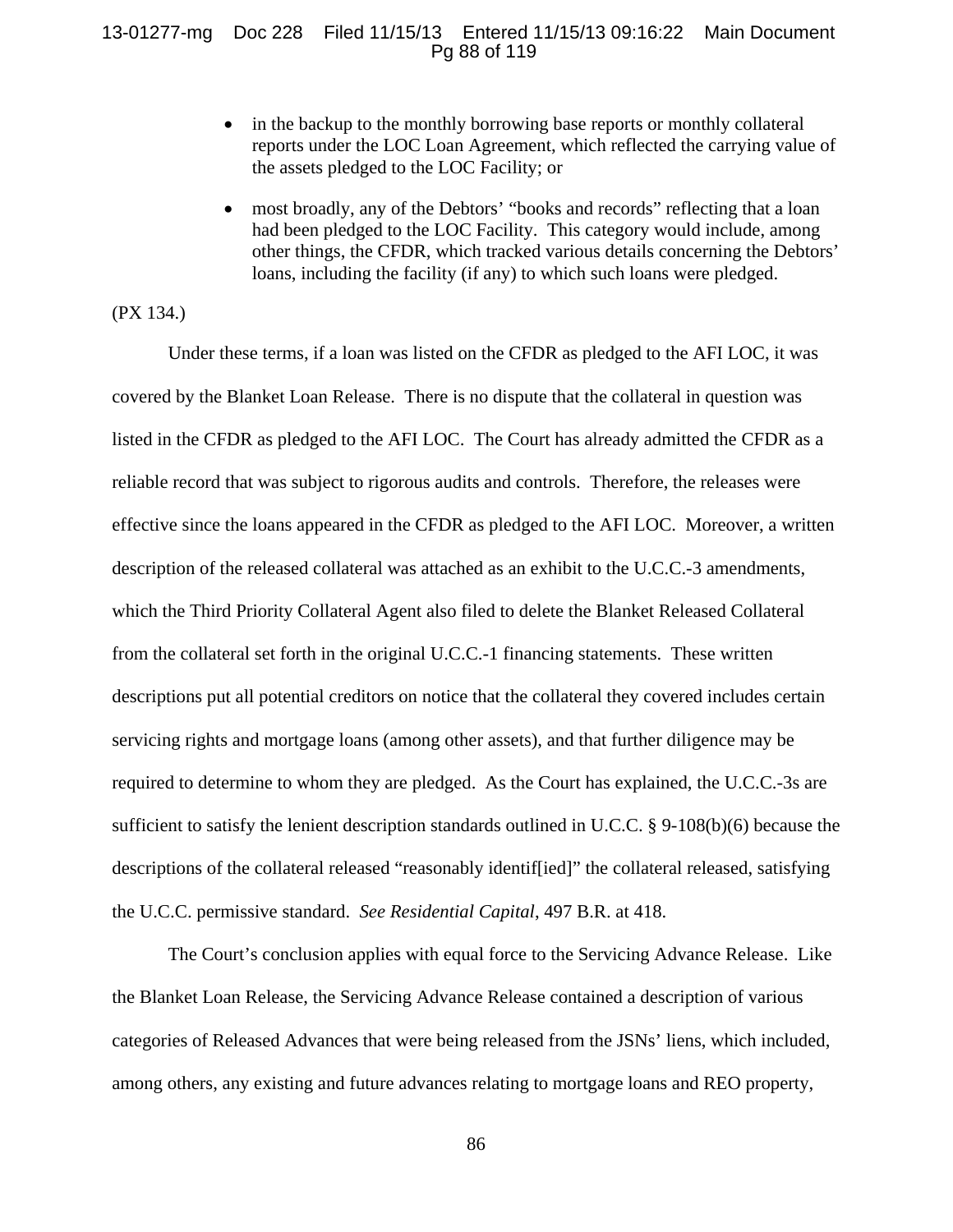## 13-01277-mg Doc 228 Filed 11/15/13 Entered 11/15/13 09:16:22 Main Document Pg 88 of 119

- in the backup to the monthly borrowing base reports or monthly collateral reports under the LOC Loan Agreement, which reflected the carrying value of the assets pledged to the LOC Facility; or
- most broadly, any of the Debtors' "books and records" reflecting that a loan had been pledged to the LOC Facility. This category would include, among other things, the CFDR, which tracked various details concerning the Debtors' loans, including the facility (if any) to which such loans were pledged.

(PX 134.)

Under these terms, if a loan was listed on the CFDR as pledged to the AFI LOC, it was covered by the Blanket Loan Release. There is no dispute that the collateral in question was listed in the CFDR as pledged to the AFI LOC. The Court has already admitted the CFDR as a reliable record that was subject to rigorous audits and controls. Therefore, the releases were effective since the loans appeared in the CFDR as pledged to the AFI LOC. Moreover, a written description of the released collateral was attached as an exhibit to the U.C.C.-3 amendments, which the Third Priority Collateral Agent also filed to delete the Blanket Released Collateral from the collateral set forth in the original U.C.C.-1 financing statements. These written descriptions put all potential creditors on notice that the collateral they covered includes certain servicing rights and mortgage loans (among other assets), and that further diligence may be required to determine to whom they are pledged. As the Court has explained, the U.C.C.-3s are sufficient to satisfy the lenient description standards outlined in U.C.C. § 9-108(b)(6) because the descriptions of the collateral released "reasonably identif[ied]" the collateral released, satisfying the U.C.C. permissive standard. *See Residential Capital*, 497 B.R. at 418.

The Court's conclusion applies with equal force to the Servicing Advance Release. Like the Blanket Loan Release, the Servicing Advance Release contained a description of various categories of Released Advances that were being released from the JSNs' liens, which included, among others, any existing and future advances relating to mortgage loans and REO property,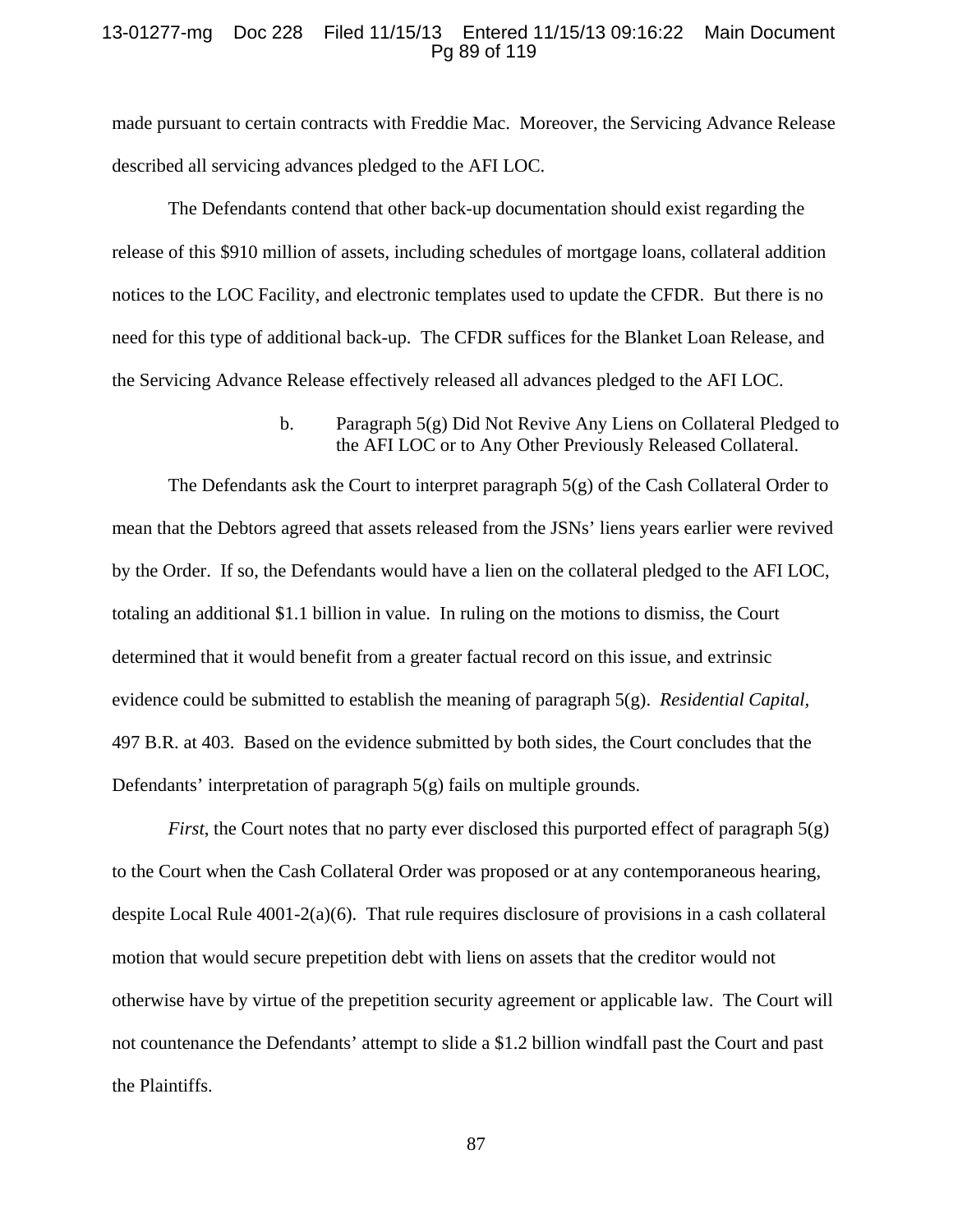### 13-01277-mg Doc 228 Filed 11/15/13 Entered 11/15/13 09:16:22 Main Document Pg 89 of 119

made pursuant to certain contracts with Freddie Mac. Moreover, the Servicing Advance Release described all servicing advances pledged to the AFI LOC.

The Defendants contend that other back-up documentation should exist regarding the release of this \$910 million of assets, including schedules of mortgage loans, collateral addition notices to the LOC Facility, and electronic templates used to update the CFDR. But there is no need for this type of additional back-up. The CFDR suffices for the Blanket Loan Release, and the Servicing Advance Release effectively released all advances pledged to the AFI LOC.

> b. Paragraph 5(g) Did Not Revive Any Liens on Collateral Pledged to the AFI LOC or to Any Other Previously Released Collateral.

The Defendants ask the Court to interpret paragraph 5(g) of the Cash Collateral Order to mean that the Debtors agreed that assets released from the JSNs' liens years earlier were revived by the Order. If so, the Defendants would have a lien on the collateral pledged to the AFI LOC, totaling an additional \$1.1 billion in value. In ruling on the motions to dismiss, the Court determined that it would benefit from a greater factual record on this issue, and extrinsic evidence could be submitted to establish the meaning of paragraph 5(g). *Residential Capital,*  497 B.R. at 403. Based on the evidence submitted by both sides, the Court concludes that the Defendants' interpretation of paragraph 5(g) fails on multiple grounds.

*First*, the Court notes that no party ever disclosed this purported effect of paragraph  $5(g)$ to the Court when the Cash Collateral Order was proposed or at any contemporaneous hearing, despite Local Rule 4001-2(a)(6). That rule requires disclosure of provisions in a cash collateral motion that would secure prepetition debt with liens on assets that the creditor would not otherwise have by virtue of the prepetition security agreement or applicable law. The Court will not countenance the Defendants' attempt to slide a \$1.2 billion windfall past the Court and past the Plaintiffs.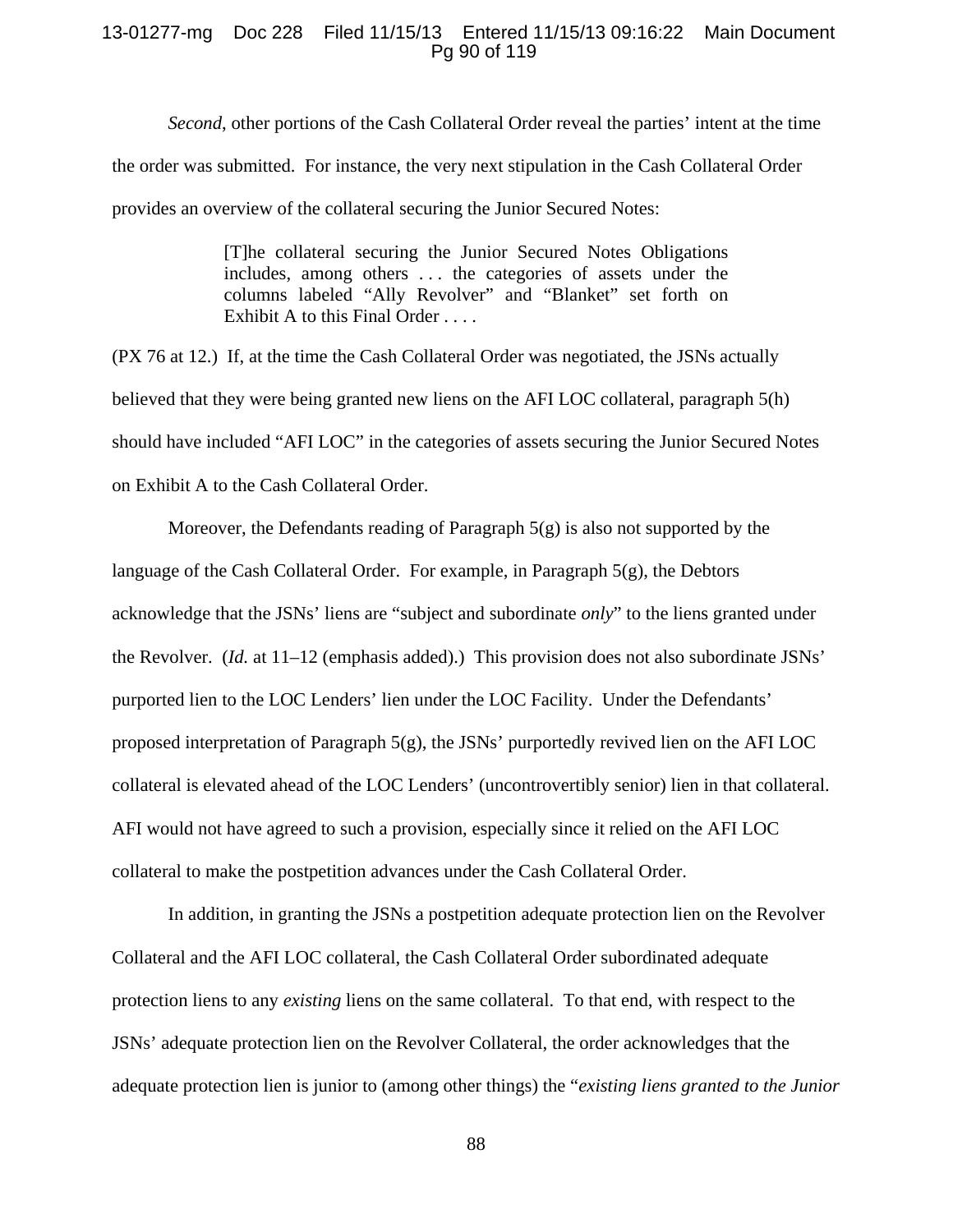## 13-01277-mg Doc 228 Filed 11/15/13 Entered 11/15/13 09:16:22 Main Document Pg 90 of 119

*Second*, other portions of the Cash Collateral Order reveal the parties' intent at the time the order was submitted. For instance, the very next stipulation in the Cash Collateral Order provides an overview of the collateral securing the Junior Secured Notes:

> [T]he collateral securing the Junior Secured Notes Obligations includes, among others . . . the categories of assets under the columns labeled "Ally Revolver" and "Blanket" set forth on Exhibit A to this Final Order . . . .

(PX 76 at 12.) If, at the time the Cash Collateral Order was negotiated, the JSNs actually believed that they were being granted new liens on the AFI LOC collateral, paragraph 5(h) should have included "AFI LOC" in the categories of assets securing the Junior Secured Notes on Exhibit A to the Cash Collateral Order.

Moreover, the Defendants reading of Paragraph 5(g) is also not supported by the language of the Cash Collateral Order. For example, in Paragraph 5(g), the Debtors acknowledge that the JSNs' liens are "subject and subordinate *only*" to the liens granted under the Revolver. (*Id.* at 11–12 (emphasis added).) This provision does not also subordinate JSNs' purported lien to the LOC Lenders' lien under the LOC Facility. Under the Defendants' proposed interpretation of Paragraph  $5(g)$ , the JSNs' purportedly revived lien on the AFI LOC collateral is elevated ahead of the LOC Lenders' (uncontrovertibly senior) lien in that collateral. AFI would not have agreed to such a provision, especially since it relied on the AFI LOC collateral to make the postpetition advances under the Cash Collateral Order.

In addition, in granting the JSNs a postpetition adequate protection lien on the Revolver Collateral and the AFI LOC collateral, the Cash Collateral Order subordinated adequate protection liens to any *existing* liens on the same collateral. To that end, with respect to the JSNs' adequate protection lien on the Revolver Collateral, the order acknowledges that the adequate protection lien is junior to (among other things) the "*existing liens granted to the Junior*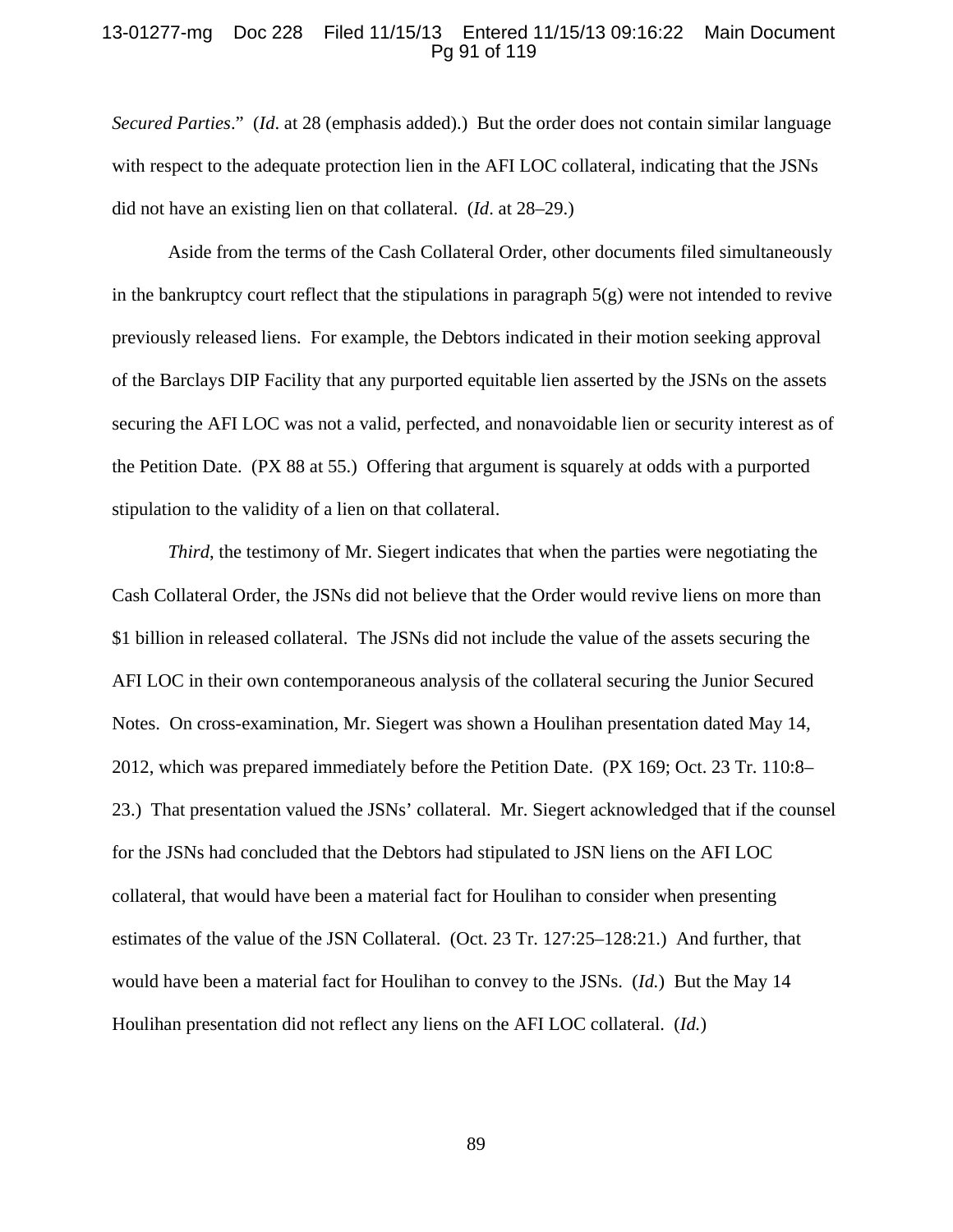## 13-01277-mg Doc 228 Filed 11/15/13 Entered 11/15/13 09:16:22 Main Document Pg 91 of 119

*Secured Parties*." (*Id*. at 28 (emphasis added).) But the order does not contain similar language with respect to the adequate protection lien in the AFI LOC collateral, indicating that the JSNs did not have an existing lien on that collateral. (*Id*. at 28–29.)

Aside from the terms of the Cash Collateral Order, other documents filed simultaneously in the bankruptcy court reflect that the stipulations in paragraph  $5(g)$  were not intended to revive previously released liens. For example, the Debtors indicated in their motion seeking approval of the Barclays DIP Facility that any purported equitable lien asserted by the JSNs on the assets securing the AFI LOC was not a valid, perfected, and nonavoidable lien or security interest as of the Petition Date. (PX 88 at 55.) Offering that argument is squarely at odds with a purported stipulation to the validity of a lien on that collateral.

*Third*, the testimony of Mr. Siegert indicates that when the parties were negotiating the Cash Collateral Order, the JSNs did not believe that the Order would revive liens on more than \$1 billion in released collateral. The JSNs did not include the value of the assets securing the AFI LOC in their own contemporaneous analysis of the collateral securing the Junior Secured Notes. On cross-examination, Mr. Siegert was shown a Houlihan presentation dated May 14, 2012, which was prepared immediately before the Petition Date. (PX 169; Oct. 23 Tr. 110:8– 23.) That presentation valued the JSNs' collateral. Mr. Siegert acknowledged that if the counsel for the JSNs had concluded that the Debtors had stipulated to JSN liens on the AFI LOC collateral, that would have been a material fact for Houlihan to consider when presenting estimates of the value of the JSN Collateral. (Oct. 23 Tr. 127:25–128:21.) And further, that would have been a material fact for Houlihan to convey to the JSNs. (*Id.*) But the May 14 Houlihan presentation did not reflect any liens on the AFI LOC collateral. (*Id.*)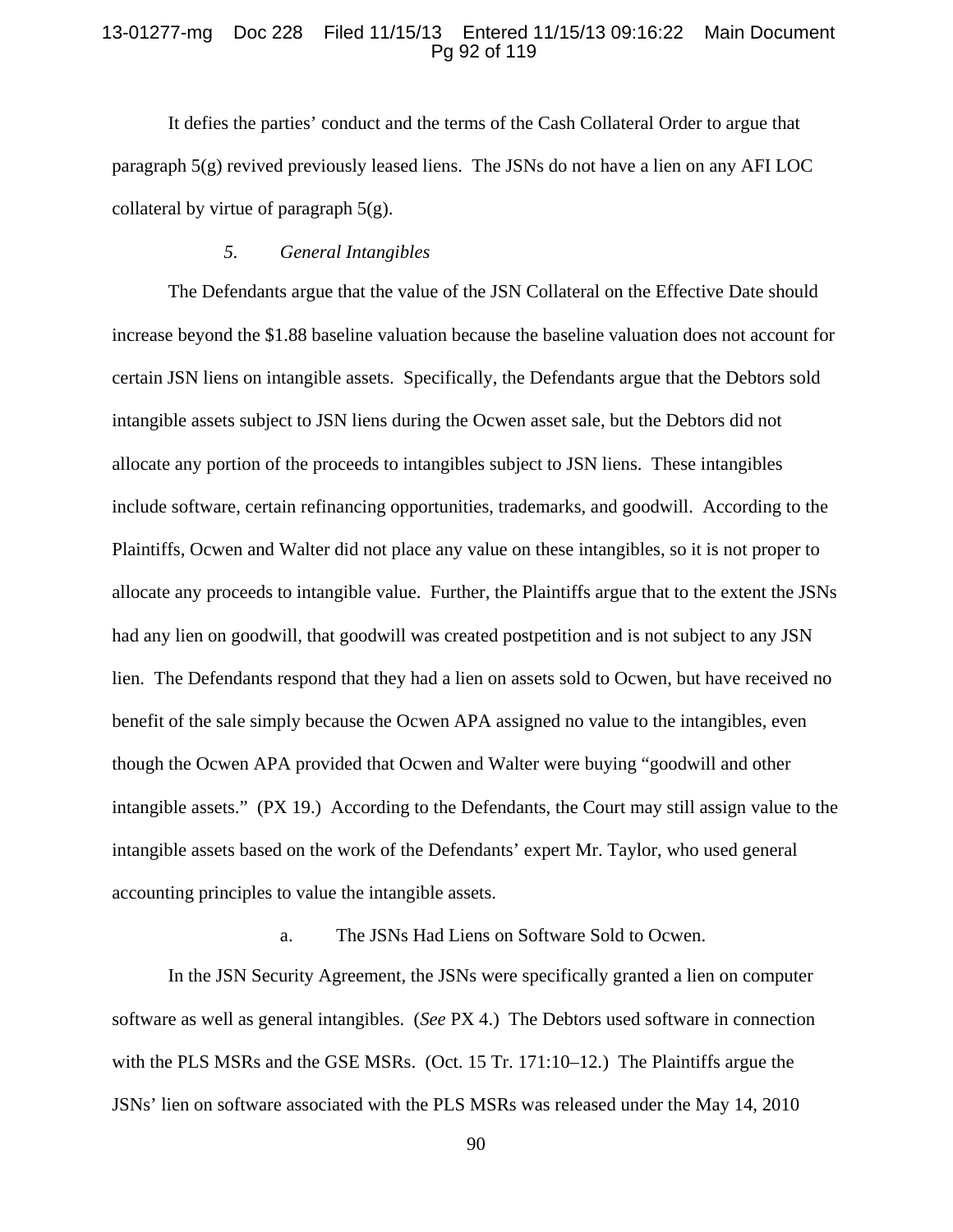### 13-01277-mg Doc 228 Filed 11/15/13 Entered 11/15/13 09:16:22 Main Document Pg 92 of 119

It defies the parties' conduct and the terms of the Cash Collateral Order to argue that paragraph 5(g) revived previously leased liens. The JSNs do not have a lien on any AFI LOC collateral by virtue of paragraph  $5(g)$ .

#### *5. General Intangibles*

The Defendants argue that the value of the JSN Collateral on the Effective Date should increase beyond the \$1.88 baseline valuation because the baseline valuation does not account for certain JSN liens on intangible assets. Specifically, the Defendants argue that the Debtors sold intangible assets subject to JSN liens during the Ocwen asset sale, but the Debtors did not allocate any portion of the proceeds to intangibles subject to JSN liens. These intangibles include software, certain refinancing opportunities, trademarks, and goodwill. According to the Plaintiffs, Ocwen and Walter did not place any value on these intangibles, so it is not proper to allocate any proceeds to intangible value. Further, the Plaintiffs argue that to the extent the JSNs had any lien on goodwill, that goodwill was created postpetition and is not subject to any JSN lien. The Defendants respond that they had a lien on assets sold to Ocwen, but have received no benefit of the sale simply because the Ocwen APA assigned no value to the intangibles, even though the Ocwen APA provided that Ocwen and Walter were buying "goodwill and other intangible assets." (PX 19.) According to the Defendants, the Court may still assign value to the intangible assets based on the work of the Defendants' expert Mr. Taylor, who used general accounting principles to value the intangible assets.

# a. The JSNs Had Liens on Software Sold to Ocwen.

In the JSN Security Agreement, the JSNs were specifically granted a lien on computer software as well as general intangibles. (*See* PX 4.) The Debtors used software in connection with the PLS MSRs and the GSE MSRs. (Oct. 15 Tr. 171:10–12*.*) The Plaintiffs argue the JSNs' lien on software associated with the PLS MSRs was released under the May 14, 2010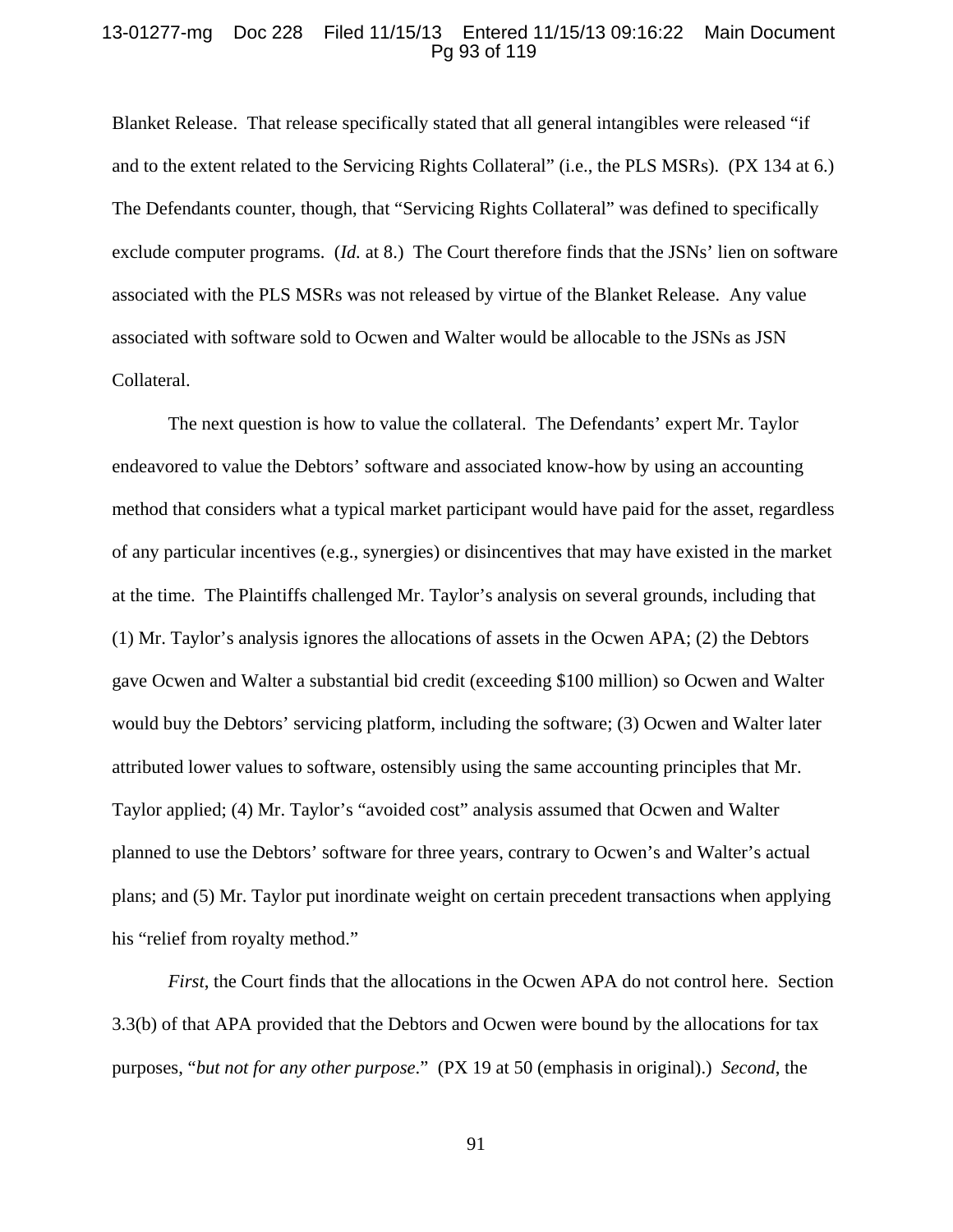## 13-01277-mg Doc 228 Filed 11/15/13 Entered 11/15/13 09:16:22 Main Document Pg 93 of 119

Blanket Release. That release specifically stated that all general intangibles were released "if and to the extent related to the Servicing Rights Collateral" (i.e., the PLS MSRs). (PX 134 at 6.) The Defendants counter, though, that "Servicing Rights Collateral" was defined to specifically exclude computer programs. (*Id.* at 8.) The Court therefore finds that the JSNs' lien on software associated with the PLS MSRs was not released by virtue of the Blanket Release. Any value associated with software sold to Ocwen and Walter would be allocable to the JSNs as JSN Collateral.

The next question is how to value the collateral. The Defendants' expert Mr. Taylor endeavored to value the Debtors' software and associated know-how by using an accounting method that considers what a typical market participant would have paid for the asset, regardless of any particular incentives (e.g., synergies) or disincentives that may have existed in the market at the time. The Plaintiffs challenged Mr. Taylor's analysis on several grounds, including that (1) Mr. Taylor's analysis ignores the allocations of assets in the Ocwen APA; (2) the Debtors gave Ocwen and Walter a substantial bid credit (exceeding \$100 million) so Ocwen and Walter would buy the Debtors' servicing platform, including the software; (3) Ocwen and Walter later attributed lower values to software, ostensibly using the same accounting principles that Mr. Taylor applied; (4) Mr. Taylor's "avoided cost" analysis assumed that Ocwen and Walter planned to use the Debtors' software for three years, contrary to Ocwen's and Walter's actual plans; and (5) Mr. Taylor put inordinate weight on certain precedent transactions when applying his "relief from royalty method."

*First*, the Court finds that the allocations in the Ocwen APA do not control here. Section 3.3(b) of that APA provided that the Debtors and Ocwen were bound by the allocations for tax purposes, "*but not for any other purpose*." (PX 19 at 50 (emphasis in original).) *Second*, the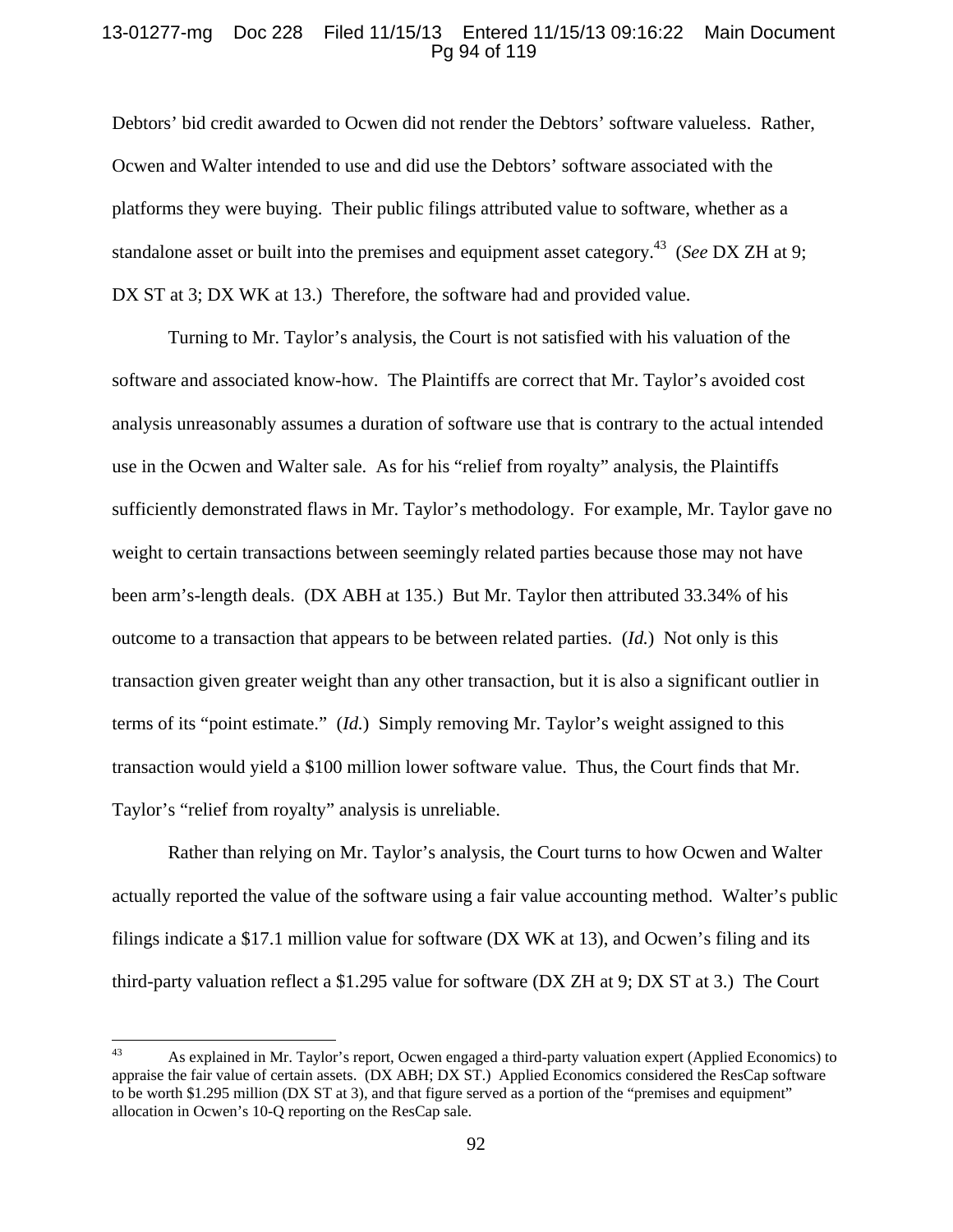## 13-01277-mg Doc 228 Filed 11/15/13 Entered 11/15/13 09:16:22 Main Document Pg 94 of 119

Debtors' bid credit awarded to Ocwen did not render the Debtors' software valueless. Rather, Ocwen and Walter intended to use and did use the Debtors' software associated with the platforms they were buying. Their public filings attributed value to software, whether as a standalone asset or built into the premises and equipment asset category.43 (*See* DX ZH at 9; DX ST at 3; DX WK at 13.) Therefore, the software had and provided value.

Turning to Mr. Taylor's analysis, the Court is not satisfied with his valuation of the software and associated know-how. The Plaintiffs are correct that Mr. Taylor's avoided cost analysis unreasonably assumes a duration of software use that is contrary to the actual intended use in the Ocwen and Walter sale. As for his "relief from royalty" analysis, the Plaintiffs sufficiently demonstrated flaws in Mr. Taylor's methodology. For example, Mr. Taylor gave no weight to certain transactions between seemingly related parties because those may not have been arm's-length deals. (DX ABH at 135.) But Mr. Taylor then attributed 33.34% of his outcome to a transaction that appears to be between related parties. (*Id.*) Not only is this transaction given greater weight than any other transaction, but it is also a significant outlier in terms of its "point estimate." (*Id.*) Simply removing Mr. Taylor's weight assigned to this transaction would yield a \$100 million lower software value. Thus, the Court finds that Mr. Taylor's "relief from royalty" analysis is unreliable.

Rather than relying on Mr. Taylor's analysis, the Court turns to how Ocwen and Walter actually reported the value of the software using a fair value accounting method. Walter's public filings indicate a \$17.1 million value for software (DX WK at 13), and Ocwen's filing and its third-party valuation reflect a \$1.295 value for software (DX ZH at 9; DX ST at 3.) The Court

<sup>43</sup> As explained in Mr. Taylor's report, Ocwen engaged a third-party valuation expert (Applied Economics) to appraise the fair value of certain assets. (DX ABH; DX ST.) Applied Economics considered the ResCap software to be worth \$1.295 million (DX ST at 3), and that figure served as a portion of the "premises and equipment" allocation in Ocwen's 10-Q reporting on the ResCap sale.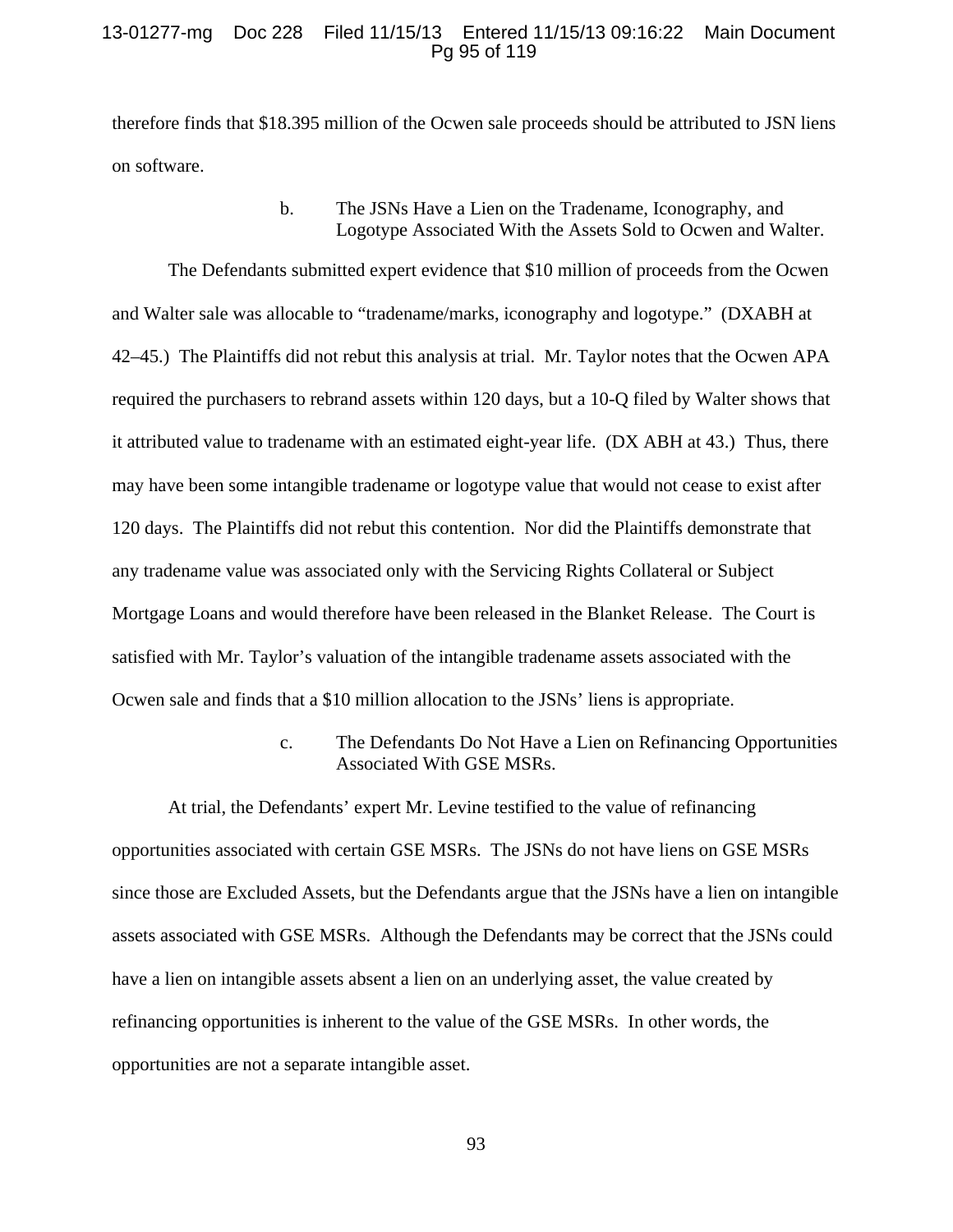### 13-01277-mg Doc 228 Filed 11/15/13 Entered 11/15/13 09:16:22 Main Document Pg 95 of 119

therefore finds that \$18.395 million of the Ocwen sale proceeds should be attributed to JSN liens on software.

# b. The JSNs Have a Lien on the Tradename, Iconography, and Logotype Associated With the Assets Sold to Ocwen and Walter.

The Defendants submitted expert evidence that \$10 million of proceeds from the Ocwen and Walter sale was allocable to "tradename/marks, iconography and logotype." (DXABH at 42–45.) The Plaintiffs did not rebut this analysis at trial. Mr. Taylor notes that the Ocwen APA required the purchasers to rebrand assets within 120 days, but a 10-Q filed by Walter shows that it attributed value to tradename with an estimated eight-year life. (DX ABH at 43.) Thus, there may have been some intangible tradename or logotype value that would not cease to exist after 120 days. The Plaintiffs did not rebut this contention. Nor did the Plaintiffs demonstrate that any tradename value was associated only with the Servicing Rights Collateral or Subject Mortgage Loans and would therefore have been released in the Blanket Release. The Court is satisfied with Mr. Taylor's valuation of the intangible tradename assets associated with the Ocwen sale and finds that a \$10 million allocation to the JSNs' liens is appropriate.

> c. The Defendants Do Not Have a Lien on Refinancing Opportunities Associated With GSE MSRs.

At trial, the Defendants' expert Mr. Levine testified to the value of refinancing opportunities associated with certain GSE MSRs. The JSNs do not have liens on GSE MSRs since those are Excluded Assets, but the Defendants argue that the JSNs have a lien on intangible assets associated with GSE MSRs. Although the Defendants may be correct that the JSNs could have a lien on intangible assets absent a lien on an underlying asset, the value created by refinancing opportunities is inherent to the value of the GSE MSRs. In other words, the opportunities are not a separate intangible asset.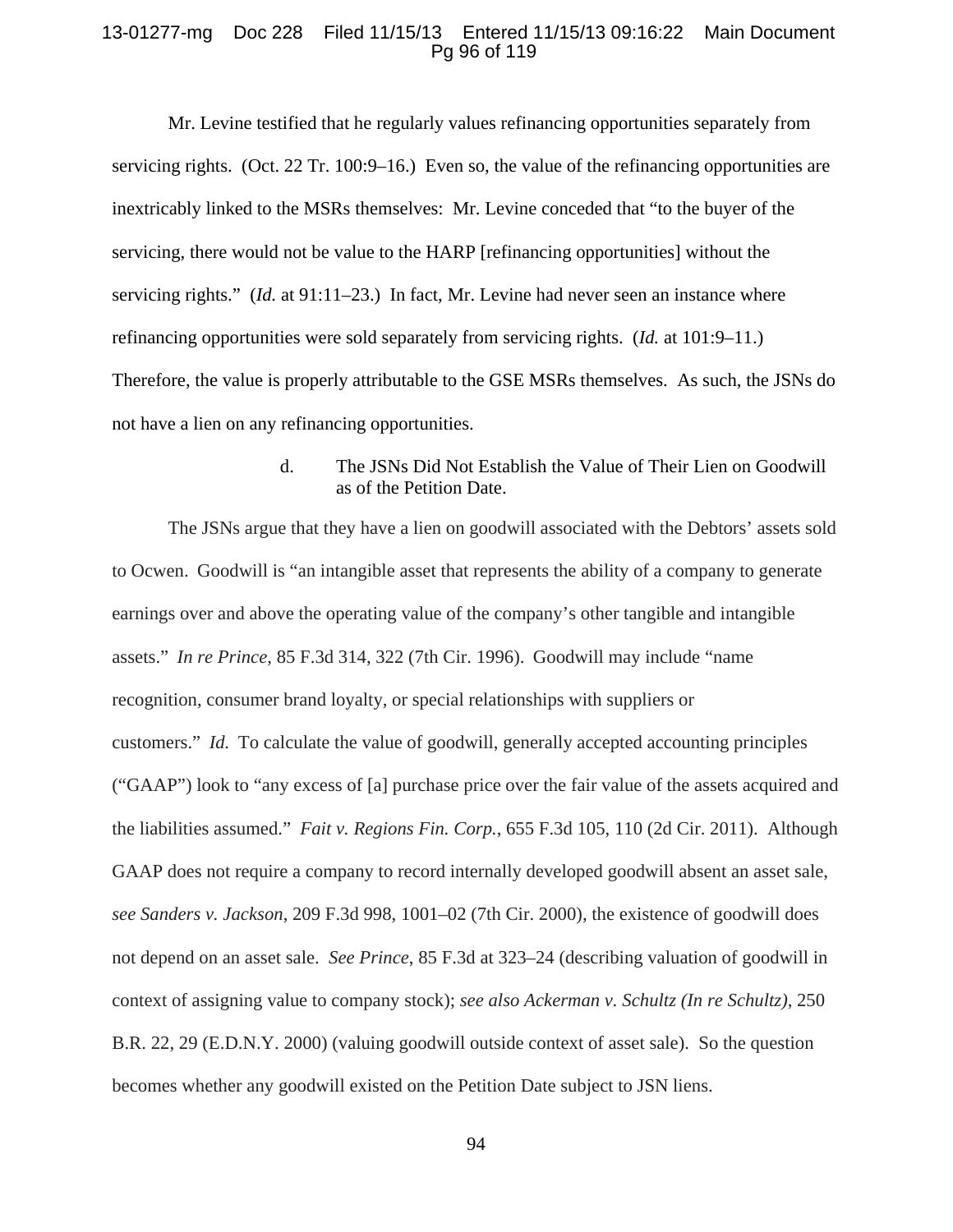### 13-01277-mg Doc 228 Filed 11/15/13 Entered 11/15/13 09:16:22 Main Document Pg 96 of 119

Mr. Levine testified that he regularly values refinancing opportunities separately from servicing rights. (Oct. 22 Tr. 100:9–16.) Even so, the value of the refinancing opportunities are inextricably linked to the MSRs themselves: Mr. Levine conceded that "to the buyer of the servicing, there would not be value to the HARP [refinancing opportunities] without the servicing rights." (*Id.* at 91:11–23.) In fact, Mr. Levine had never seen an instance where refinancing opportunities were sold separately from servicing rights. (*Id.* at 101:9–11.) Therefore, the value is properly attributable to the GSE MSRs themselves. As such, the JSNs do not have a lien on any refinancing opportunities.

> d. The JSNs Did Not Establish the Value of Their Lien on Goodwill as of the Petition Date.

The JSNs argue that they have a lien on goodwill associated with the Debtors' assets sold to Ocwen. Goodwill is "an intangible asset that represents the ability of a company to generate earnings over and above the operating value of the company's other tangible and intangible assets." *In re Prince*, 85 F.3d 314, 322 (7th Cir. 1996). Goodwill may include "name recognition, consumer brand loyalty, or special relationships with suppliers or customers." *Id.* To calculate the value of goodwill, generally accepted accounting principles ("GAAP") look to "any excess of [a] purchase price over the fair value of the assets acquired and the liabilities assumed." *Fait v. Regions Fin. Corp.*, 655 F.3d 105, 110 (2d Cir. 2011). Although GAAP does not require a company to record internally developed goodwill absent an asset sale, *see Sanders v. Jackson*, 209 F.3d 998, 1001–02 (7th Cir. 2000), the existence of goodwill does not depend on an asset sale. *See Prince*, 85 F.3d at 323–24 (describing valuation of goodwill in context of assigning value to company stock); *see also Ackerman v. Schultz (In re Schultz)*, 250 B.R. 22, 29 (E.D.N.Y. 2000) (valuing goodwill outside context of asset sale). So the question becomes whether any goodwill existed on the Petition Date subject to JSN liens.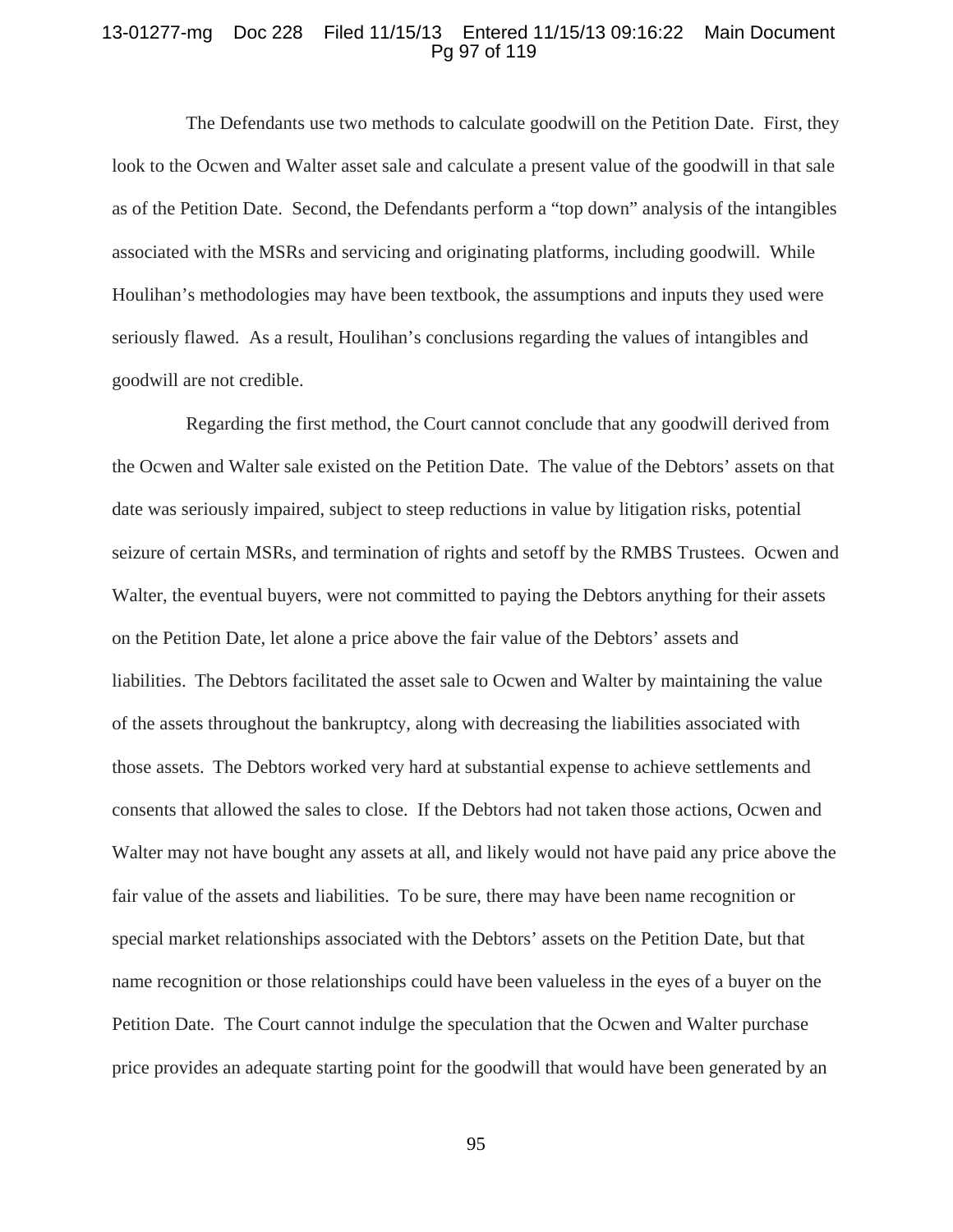### 13-01277-mg Doc 228 Filed 11/15/13 Entered 11/15/13 09:16:22 Main Document Pg 97 of 119

The Defendants use two methods to calculate goodwill on the Petition Date. First, they look to the Ocwen and Walter asset sale and calculate a present value of the goodwill in that sale as of the Petition Date. Second, the Defendants perform a "top down" analysis of the intangibles associated with the MSRs and servicing and originating platforms, including goodwill. While Houlihan's methodologies may have been textbook, the assumptions and inputs they used were seriously flawed. As a result, Houlihan's conclusions regarding the values of intangibles and goodwill are not credible.

Regarding the first method, the Court cannot conclude that any goodwill derived from the Ocwen and Walter sale existed on the Petition Date. The value of the Debtors' assets on that date was seriously impaired, subject to steep reductions in value by litigation risks, potential seizure of certain MSRs, and termination of rights and setoff by the RMBS Trustees. Ocwen and Walter, the eventual buyers, were not committed to paying the Debtors anything for their assets on the Petition Date, let alone a price above the fair value of the Debtors' assets and liabilities. The Debtors facilitated the asset sale to Ocwen and Walter by maintaining the value of the assets throughout the bankruptcy, along with decreasing the liabilities associated with those assets. The Debtors worked very hard at substantial expense to achieve settlements and consents that allowed the sales to close. If the Debtors had not taken those actions, Ocwen and Walter may not have bought any assets at all, and likely would not have paid any price above the fair value of the assets and liabilities. To be sure, there may have been name recognition or special market relationships associated with the Debtors' assets on the Petition Date, but that name recognition or those relationships could have been valueless in the eyes of a buyer on the Petition Date. The Court cannot indulge the speculation that the Ocwen and Walter purchase price provides an adequate starting point for the goodwill that would have been generated by an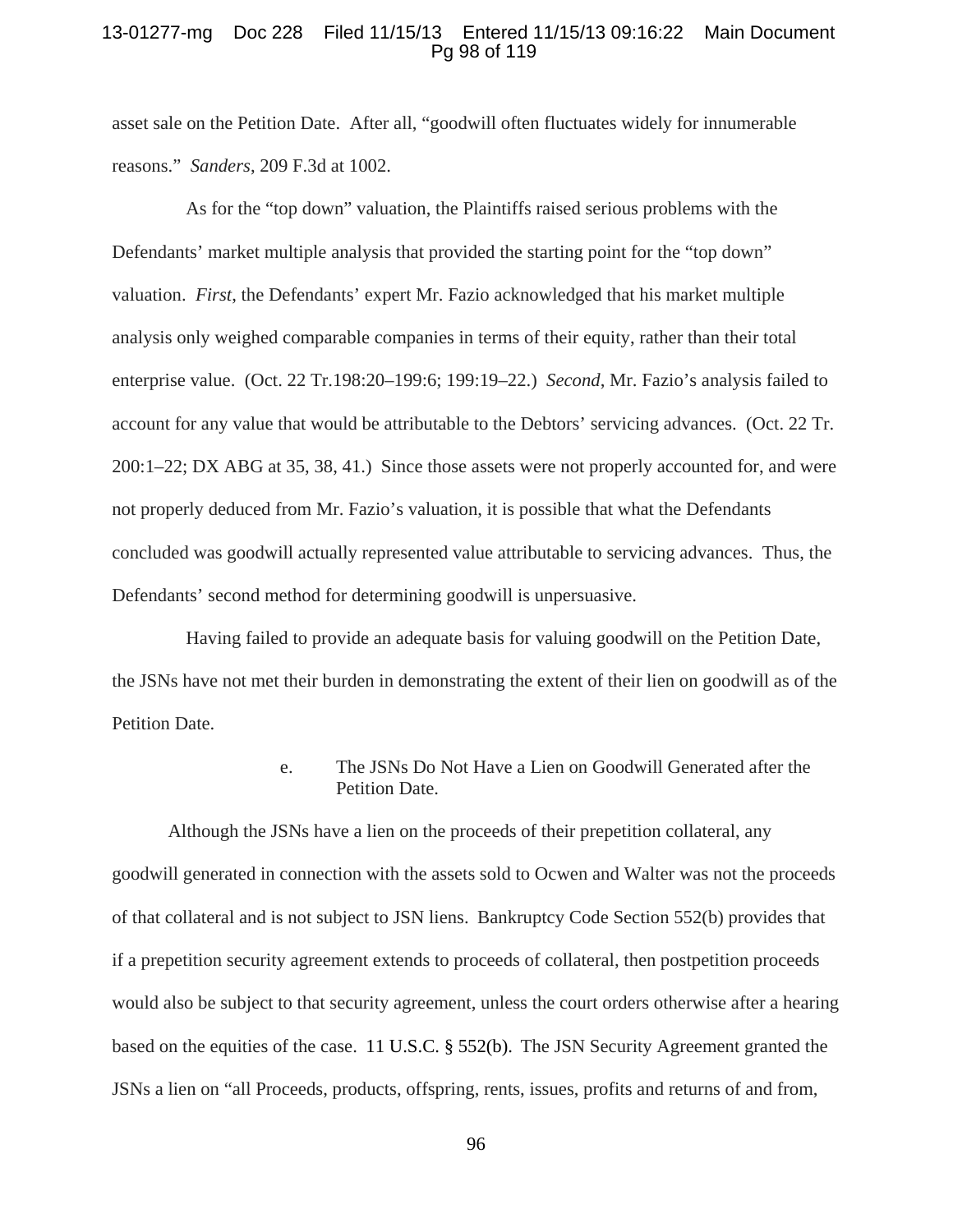## 13-01277-mg Doc 228 Filed 11/15/13 Entered 11/15/13 09:16:22 Main Document Pg 98 of 119

asset sale on the Petition Date. After all, "goodwill often fluctuates widely for innumerable reasons." *Sanders*, 209 F.3d at 1002.

As for the "top down" valuation, the Plaintiffs raised serious problems with the Defendants' market multiple analysis that provided the starting point for the "top down" valuation. *First*, the Defendants' expert Mr. Fazio acknowledged that his market multiple analysis only weighed comparable companies in terms of their equity, rather than their total enterprise value. (Oct. 22 Tr.198:20–199:6; 199:19–22.) *Second*, Mr. Fazio's analysis failed to account for any value that would be attributable to the Debtors' servicing advances. (Oct. 22 Tr. 200:1–22; DX ABG at 35, 38, 41.) Since those assets were not properly accounted for, and were not properly deduced from Mr. Fazio's valuation, it is possible that what the Defendants concluded was goodwill actually represented value attributable to servicing advances. Thus, the Defendants' second method for determining goodwill is unpersuasive.

Having failed to provide an adequate basis for valuing goodwill on the Petition Date, the JSNs have not met their burden in demonstrating the extent of their lien on goodwill as of the Petition Date.

> e. The JSNs Do Not Have a Lien on Goodwill Generated after the Petition Date.

Although the JSNs have a lien on the proceeds of their prepetition collateral, any goodwill generated in connection with the assets sold to Ocwen and Walter was not the proceeds of that collateral and is not subject to JSN liens. Bankruptcy Code Section 552(b) provides that if a prepetition security agreement extends to proceeds of collateral, then postpetition proceeds would also be subject to that security agreement, unless the court orders otherwise after a hearing based on the equities of the case. 11 U.S.C. § 552(b). The JSN Security Agreement granted the JSNs a lien on "all Proceeds, products, offspring, rents, issues, profits and returns of and from,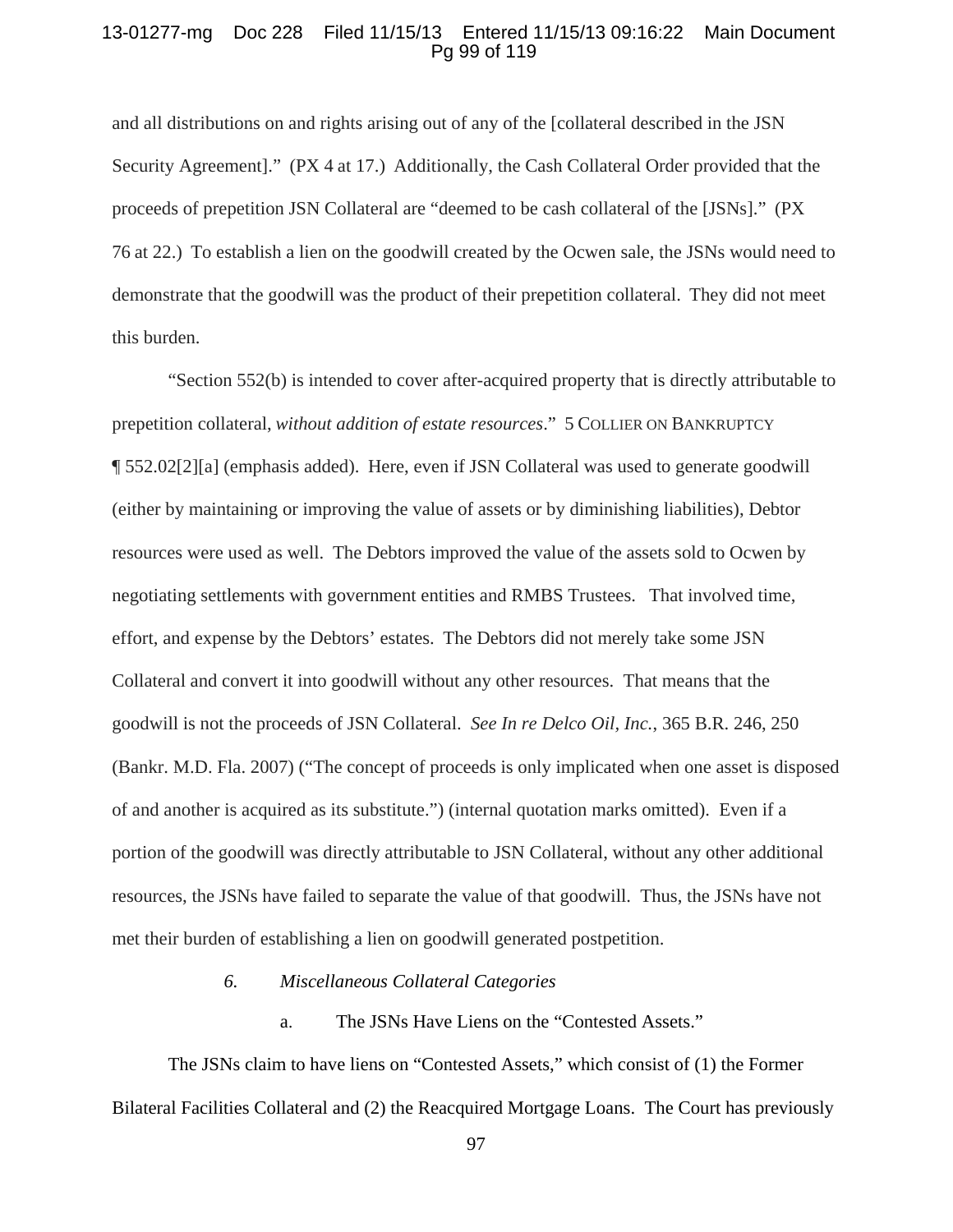### 13-01277-mg Doc 228 Filed 11/15/13 Entered 11/15/13 09:16:22 Main Document Pg 99 of 119

and all distributions on and rights arising out of any of the [collateral described in the JSN Security Agreement]." (PX 4 at 17.) Additionally, the Cash Collateral Order provided that the proceeds of prepetition JSN Collateral are "deemed to be cash collateral of the [JSNs]." (PX 76 at 22.) To establish a lien on the goodwill created by the Ocwen sale, the JSNs would need to demonstrate that the goodwill was the product of their prepetition collateral. They did not meet this burden.

"Section 552(b) is intended to cover after-acquired property that is directly attributable to prepetition collateral, *without addition of estate resources*." 5 COLLIER ON BANKRUPTCY ¶ 552.02[2][a] (emphasis added). Here, even if JSN Collateral was used to generate goodwill (either by maintaining or improving the value of assets or by diminishing liabilities), Debtor resources were used as well. The Debtors improved the value of the assets sold to Ocwen by negotiating settlements with government entities and RMBS Trustees. That involved time, effort, and expense by the Debtors' estates. The Debtors did not merely take some JSN Collateral and convert it into goodwill without any other resources. That means that the goodwill is not the proceeds of JSN Collateral. *See In re Delco Oil, Inc.*, 365 B.R. 246, 250 (Bankr. M.D. Fla. 2007) ("The concept of proceeds is only implicated when one asset is disposed of and another is acquired as its substitute.") (internal quotation marks omitted). Even if a portion of the goodwill was directly attributable to JSN Collateral, without any other additional resources, the JSNs have failed to separate the value of that goodwill. Thus, the JSNs have not met their burden of establishing a lien on goodwill generated postpetition.

### *6. Miscellaneous Collateral Categories*

a. The JSNs Have Liens on the "Contested Assets."

The JSNs claim to have liens on "Contested Assets," which consist of (1) the Former Bilateral Facilities Collateral and (2) the Reacquired Mortgage Loans. The Court has previously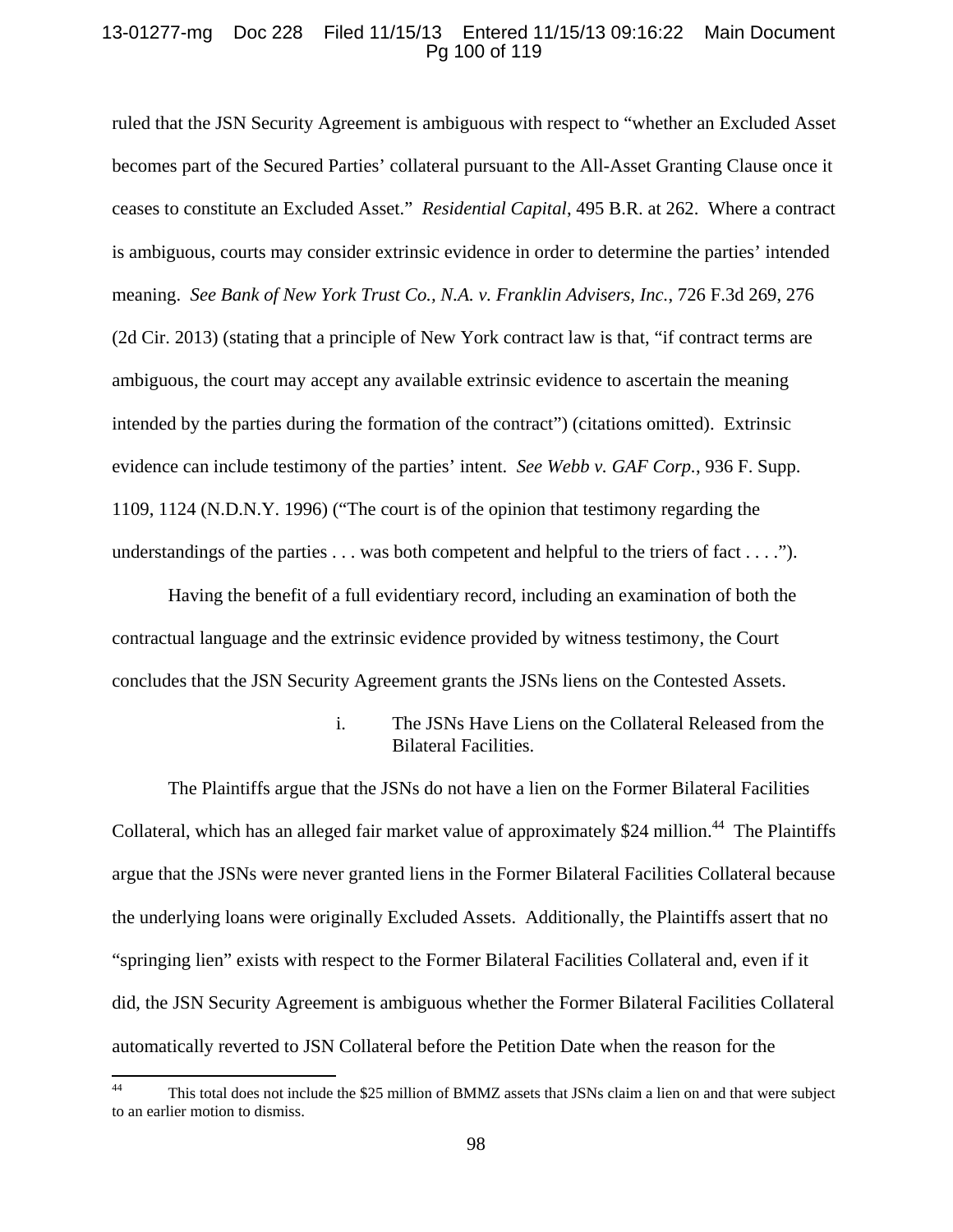## 13-01277-mg Doc 228 Filed 11/15/13 Entered 11/15/13 09:16:22 Main Document Pg 100 of 119

ruled that the JSN Security Agreement is ambiguous with respect to "whether an Excluded Asset becomes part of the Secured Parties' collateral pursuant to the All-Asset Granting Clause once it ceases to constitute an Excluded Asset." *Residential Capital*, 495 B.R. at 262. Where a contract is ambiguous, courts may consider extrinsic evidence in order to determine the parties' intended meaning. *See Bank of New York Trust Co., N.A. v. Franklin Advisers, Inc.*, 726 F.3d 269, 276 (2d Cir. 2013) (stating that a principle of New York contract law is that, "if contract terms are ambiguous, the court may accept any available extrinsic evidence to ascertain the meaning intended by the parties during the formation of the contract") (citations omitted). Extrinsic evidence can include testimony of the parties' intent. *See Webb v. GAF Corp.*, 936 F. Supp. 1109, 1124 (N.D.N.Y. 1996) ("The court is of the opinion that testimony regarding the understandings of the parties  $\dots$  was both competent and helpful to the triers of fact  $\dots$ .").

Having the benefit of a full evidentiary record, including an examination of both the contractual language and the extrinsic evidence provided by witness testimony, the Court concludes that the JSN Security Agreement grants the JSNs liens on the Contested Assets.

## i. The JSNs Have Liens on the Collateral Released from the Bilateral Facilities.

The Plaintiffs argue that the JSNs do not have a lien on the Former Bilateral Facilities Collateral, which has an alleged fair market value of approximately \$24 million.<sup>44</sup> The Plaintiffs argue that the JSNs were never granted liens in the Former Bilateral Facilities Collateral because the underlying loans were originally Excluded Assets. Additionally, the Plaintiffs assert that no "springing lien" exists with respect to the Former Bilateral Facilities Collateral and, even if it did, the JSN Security Agreement is ambiguous whether the Former Bilateral Facilities Collateral automatically reverted to JSN Collateral before the Petition Date when the reason for the

<sup>&</sup>lt;sup>44</sup> This total does not include the \$25 million of BMMZ assets that JSNs claim a lien on and that were subject to an earlier motion to dismiss.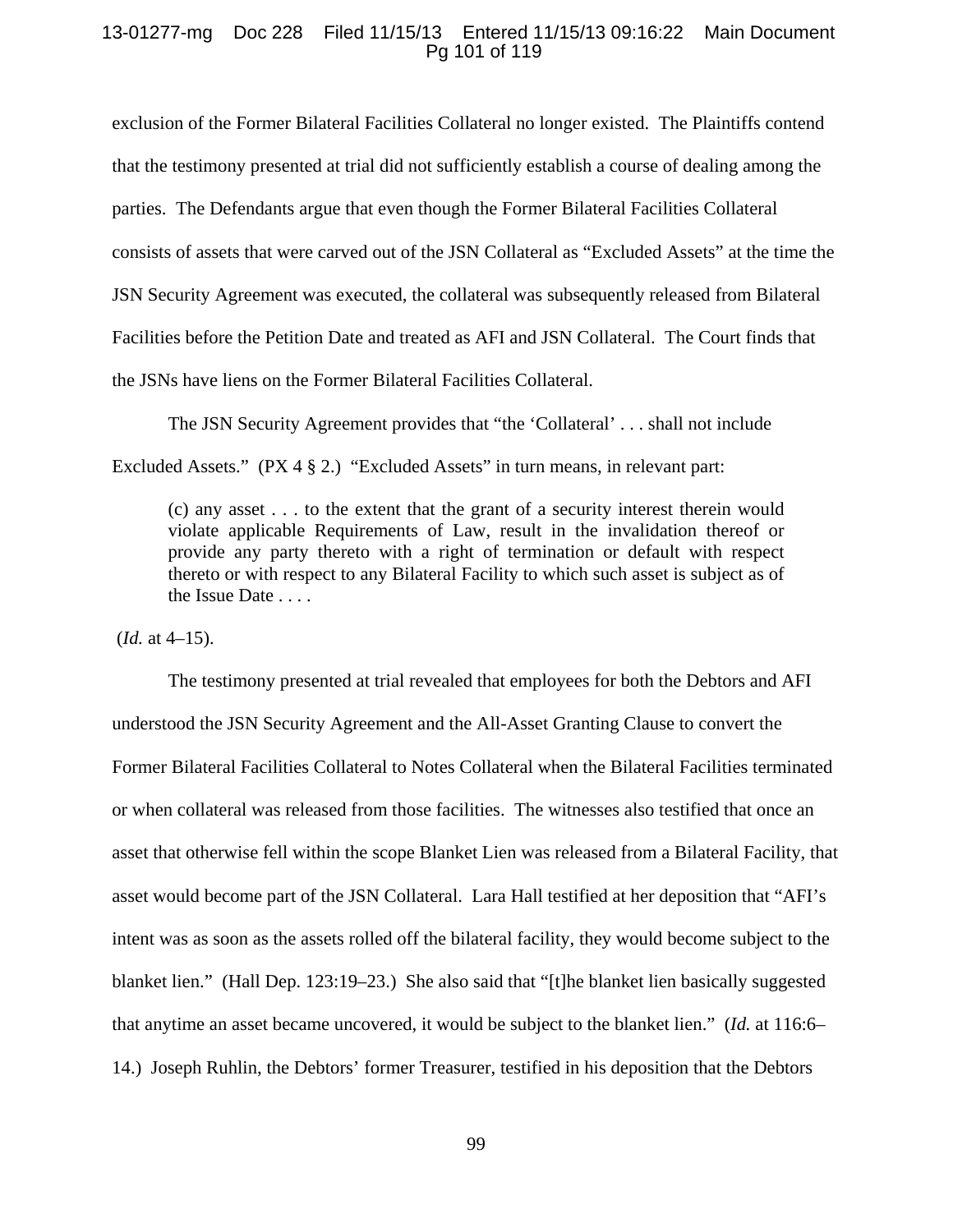## 13-01277-mg Doc 228 Filed 11/15/13 Entered 11/15/13 09:16:22 Main Document Pg 101 of 119

exclusion of the Former Bilateral Facilities Collateral no longer existed. The Plaintiffs contend that the testimony presented at trial did not sufficiently establish a course of dealing among the parties. The Defendants argue that even though the Former Bilateral Facilities Collateral consists of assets that were carved out of the JSN Collateral as "Excluded Assets" at the time the JSN Security Agreement was executed, the collateral was subsequently released from Bilateral Facilities before the Petition Date and treated as AFI and JSN Collateral. The Court finds that the JSNs have liens on the Former Bilateral Facilities Collateral.

The JSN Security Agreement provides that "the 'Collateral' . . . shall not include Excluded Assets." (PX 4 § 2.) "Excluded Assets" in turn means, in relevant part:

(c) any asset . . . to the extent that the grant of a security interest therein would violate applicable Requirements of Law, result in the invalidation thereof or provide any party thereto with a right of termination or default with respect thereto or with respect to any Bilateral Facility to which such asset is subject as of the Issue Date . . . .

(*Id.* at 4–15).

The testimony presented at trial revealed that employees for both the Debtors and AFI understood the JSN Security Agreement and the All-Asset Granting Clause to convert the Former Bilateral Facilities Collateral to Notes Collateral when the Bilateral Facilities terminated or when collateral was released from those facilities. The witnesses also testified that once an asset that otherwise fell within the scope Blanket Lien was released from a Bilateral Facility, that asset would become part of the JSN Collateral. Lara Hall testified at her deposition that "AFI's intent was as soon as the assets rolled off the bilateral facility, they would become subject to the blanket lien." (Hall Dep. 123:19–23.) She also said that "[t]he blanket lien basically suggested that anytime an asset became uncovered, it would be subject to the blanket lien." (*Id.* at 116:6– 14.) Joseph Ruhlin, the Debtors' former Treasurer, testified in his deposition that the Debtors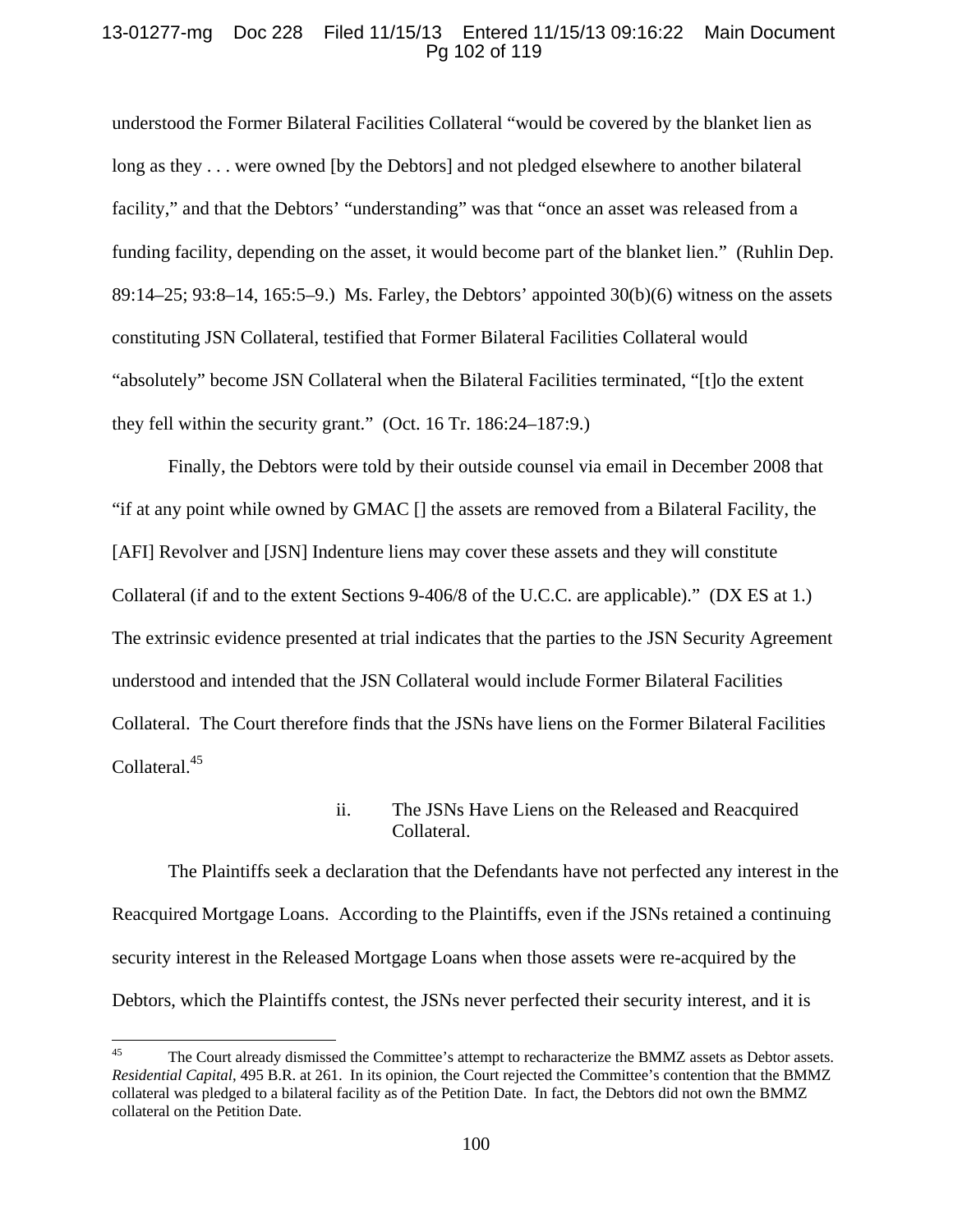## 13-01277-mg Doc 228 Filed 11/15/13 Entered 11/15/13 09:16:22 Main Document Pg 102 of 119

understood the Former Bilateral Facilities Collateral "would be covered by the blanket lien as long as they . . . were owned [by the Debtors] and not pledged elsewhere to another bilateral facility," and that the Debtors' "understanding" was that "once an asset was released from a funding facility, depending on the asset, it would become part of the blanket lien." (Ruhlin Dep. 89:14–25; 93:8–14, 165:5–9.) Ms. Farley, the Debtors' appointed 30(b)(6) witness on the assets constituting JSN Collateral, testified that Former Bilateral Facilities Collateral would "absolutely" become JSN Collateral when the Bilateral Facilities terminated, "[t]o the extent they fell within the security grant." (Oct. 16 Tr. 186:24–187:9.)

Finally, the Debtors were told by their outside counsel via email in December 2008 that "if at any point while owned by GMAC [] the assets are removed from a Bilateral Facility, the [AFI] Revolver and [JSN] Indenture liens may cover these assets and they will constitute Collateral (if and to the extent Sections 9-406/8 of the U.C.C. are applicable)." (DX ES at 1.) The extrinsic evidence presented at trial indicates that the parties to the JSN Security Agreement understood and intended that the JSN Collateral would include Former Bilateral Facilities Collateral. The Court therefore finds that the JSNs have liens on the Former Bilateral Facilities Collateral.<sup>45</sup>

# ii. The JSNs Have Liens on the Released and Reacquired Collateral.

 The Plaintiffs seek a declaration that the Defendants have not perfected any interest in the Reacquired Mortgage Loans. According to the Plaintiffs, even if the JSNs retained a continuing security interest in the Released Mortgage Loans when those assets were re-acquired by the Debtors, which the Plaintiffs contest, the JSNs never perfected their security interest, and it is

<sup>&</sup>lt;sup>45</sup> The Court already dismissed the Committee's attempt to recharacterize the BMMZ assets as Debtor assets. *Residential Capital*, 495 B.R. at 261. In its opinion, the Court rejected the Committee's contention that the BMMZ collateral was pledged to a bilateral facility as of the Petition Date. In fact, the Debtors did not own the BMMZ collateral on the Petition Date.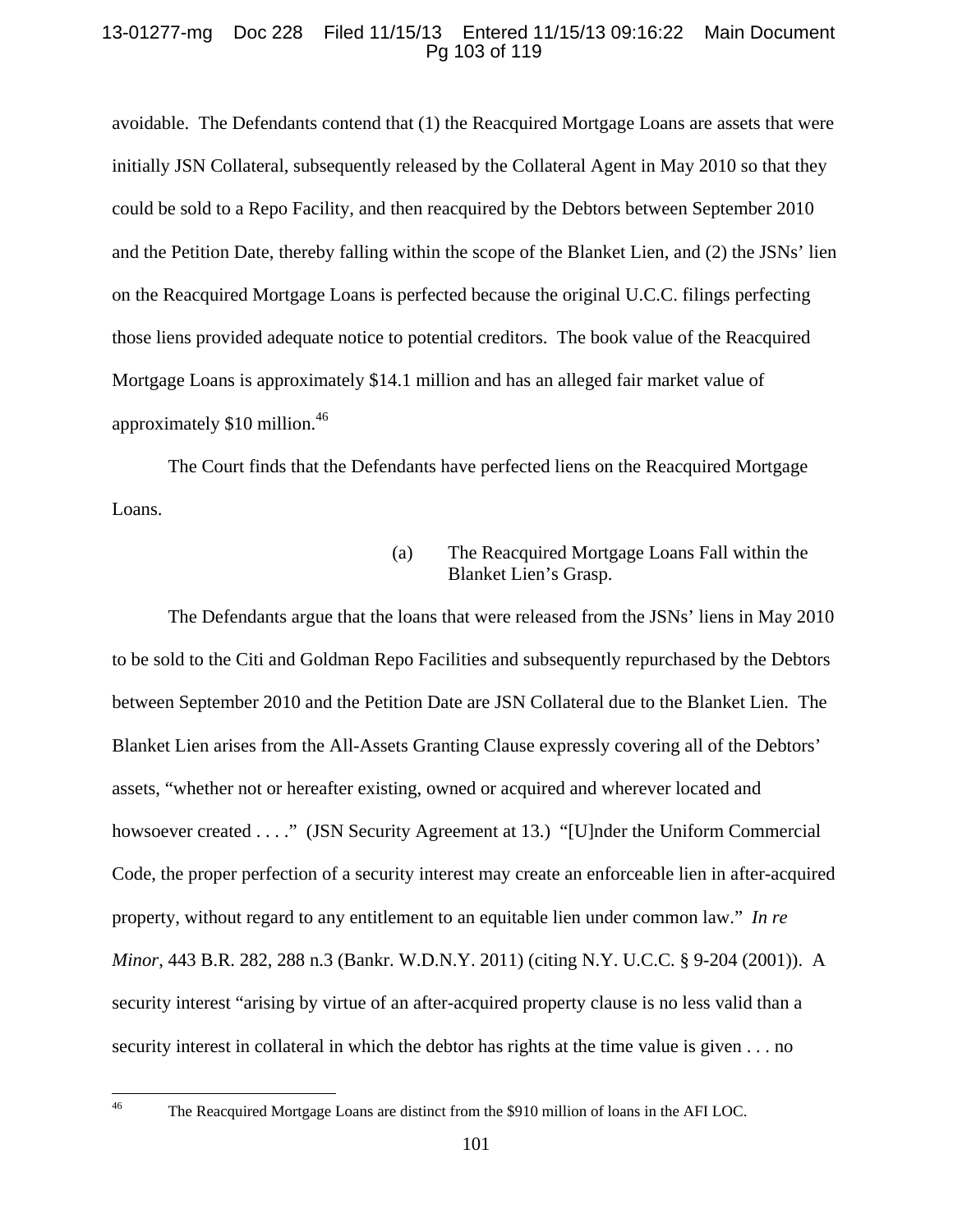# 13-01277-mg Doc 228 Filed 11/15/13 Entered 11/15/13 09:16:22 Main Document Pg 103 of 119

avoidable. The Defendants contend that (1) the Reacquired Mortgage Loans are assets that were initially JSN Collateral, subsequently released by the Collateral Agent in May 2010 so that they could be sold to a Repo Facility, and then reacquired by the Debtors between September 2010 and the Petition Date, thereby falling within the scope of the Blanket Lien, and (2) the JSNs' lien on the Reacquired Mortgage Loans is perfected because the original U.C.C. filings perfecting those liens provided adequate notice to potential creditors. The book value of the Reacquired Mortgage Loans is approximately \$14.1 million and has an alleged fair market value of approximately  $$10$  million.<sup>46</sup>

The Court finds that the Defendants have perfected liens on the Reacquired Mortgage Loans.

> (a) The Reacquired Mortgage Loans Fall within the Blanket Lien's Grasp.

The Defendants argue that the loans that were released from the JSNs' liens in May 2010 to be sold to the Citi and Goldman Repo Facilities and subsequently repurchased by the Debtors between September 2010 and the Petition Date are JSN Collateral due to the Blanket Lien. The Blanket Lien arises from the All-Assets Granting Clause expressly covering all of the Debtors' assets, "whether not or hereafter existing, owned or acquired and wherever located and howsoever created . . . ." (JSN Security Agreement at 13.) "[U]nder the Uniform Commercial Code, the proper perfection of a security interest may create an enforceable lien in after-acquired property, without regard to any entitlement to an equitable lien under common law." *In re Minor*, 443 B.R. 282, 288 n.3 (Bankr. W.D.N.Y. 2011) (citing N.Y. U.C.C. § 9-204 (2001)). A security interest "arising by virtue of an after-acquired property clause is no less valid than a security interest in collateral in which the debtor has rights at the time value is given . . . no

<sup>&</sup>lt;sup>46</sup> The Reacquired Mortgage Loans are distinct from the \$910 million of loans in the AFI LOC.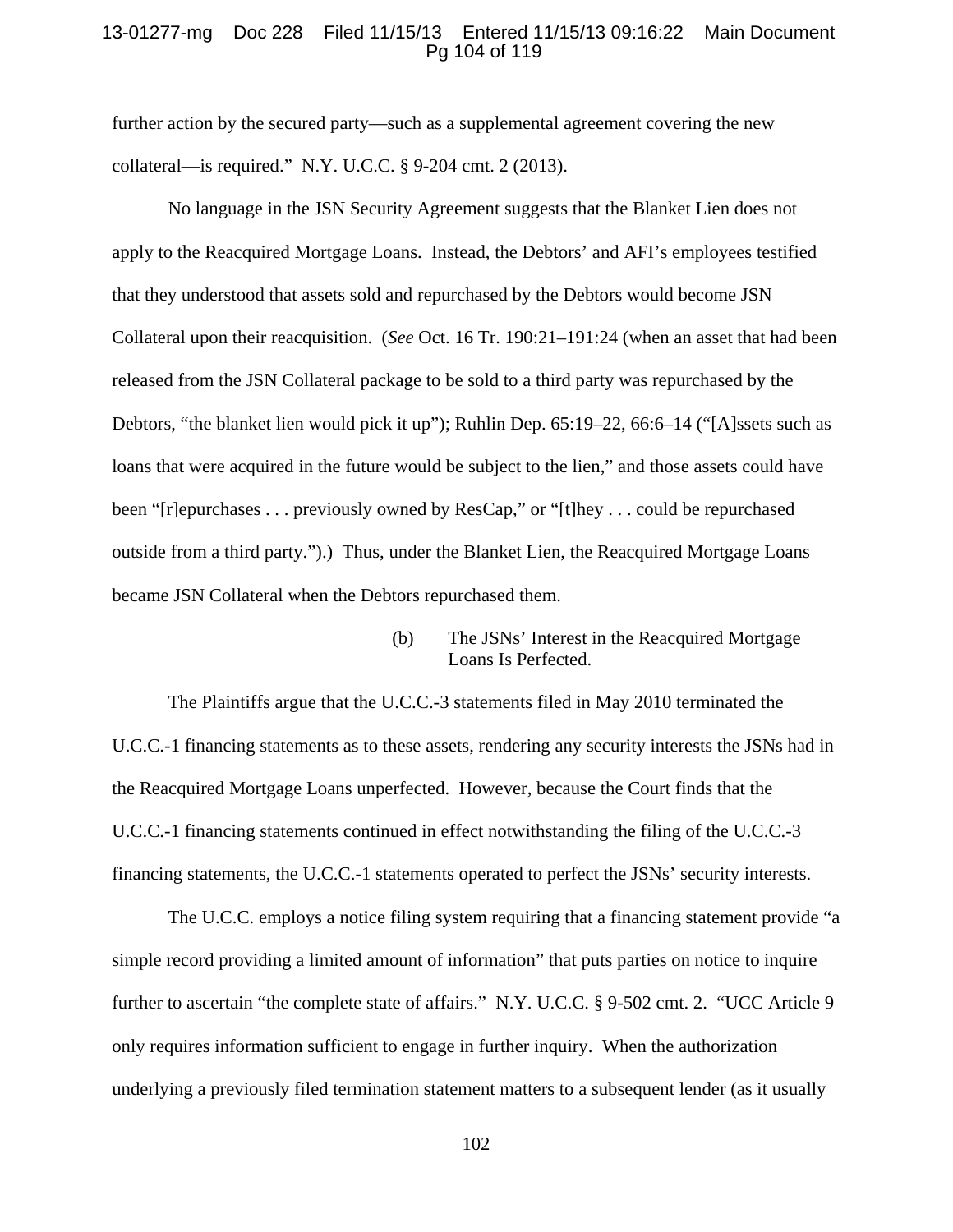## 13-01277-mg Doc 228 Filed 11/15/13 Entered 11/15/13 09:16:22 Main Document Pg 104 of 119

further action by the secured party—such as a supplemental agreement covering the new collateral—is required." N.Y. U.C.C. § 9-204 cmt. 2 (2013).

No language in the JSN Security Agreement suggests that the Blanket Lien does not apply to the Reacquired Mortgage Loans. Instead, the Debtors' and AFI's employees testified that they understood that assets sold and repurchased by the Debtors would become JSN Collateral upon their reacquisition. (*See* Oct. 16 Tr. 190:21–191:24 (when an asset that had been released from the JSN Collateral package to be sold to a third party was repurchased by the Debtors, "the blanket lien would pick it up"); Ruhlin Dep. 65:19–22, 66:6–14 ("[A]ssets such as loans that were acquired in the future would be subject to the lien," and those assets could have been "[r]epurchases . . . previously owned by ResCap," or "[t]hey . . . could be repurchased outside from a third party.").) Thus, under the Blanket Lien, the Reacquired Mortgage Loans became JSN Collateral when the Debtors repurchased them.

> (b) The JSNs' Interest in the Reacquired Mortgage Loans Is Perfected.

The Plaintiffs argue that the U.C.C.-3 statements filed in May 2010 terminated the U.C.C.-1 financing statements as to these assets, rendering any security interests the JSNs had in the Reacquired Mortgage Loans unperfected. However, because the Court finds that the U.C.C.-1 financing statements continued in effect notwithstanding the filing of the U.C.C.-3 financing statements, the U.C.C.-1 statements operated to perfect the JSNs' security interests.

The U.C.C. employs a notice filing system requiring that a financing statement provide "a simple record providing a limited amount of information" that puts parties on notice to inquire further to ascertain "the complete state of affairs." N.Y. U.C.C. § 9-502 cmt. 2. "UCC Article 9 only requires information sufficient to engage in further inquiry. When the authorization underlying a previously filed termination statement matters to a subsequent lender (as it usually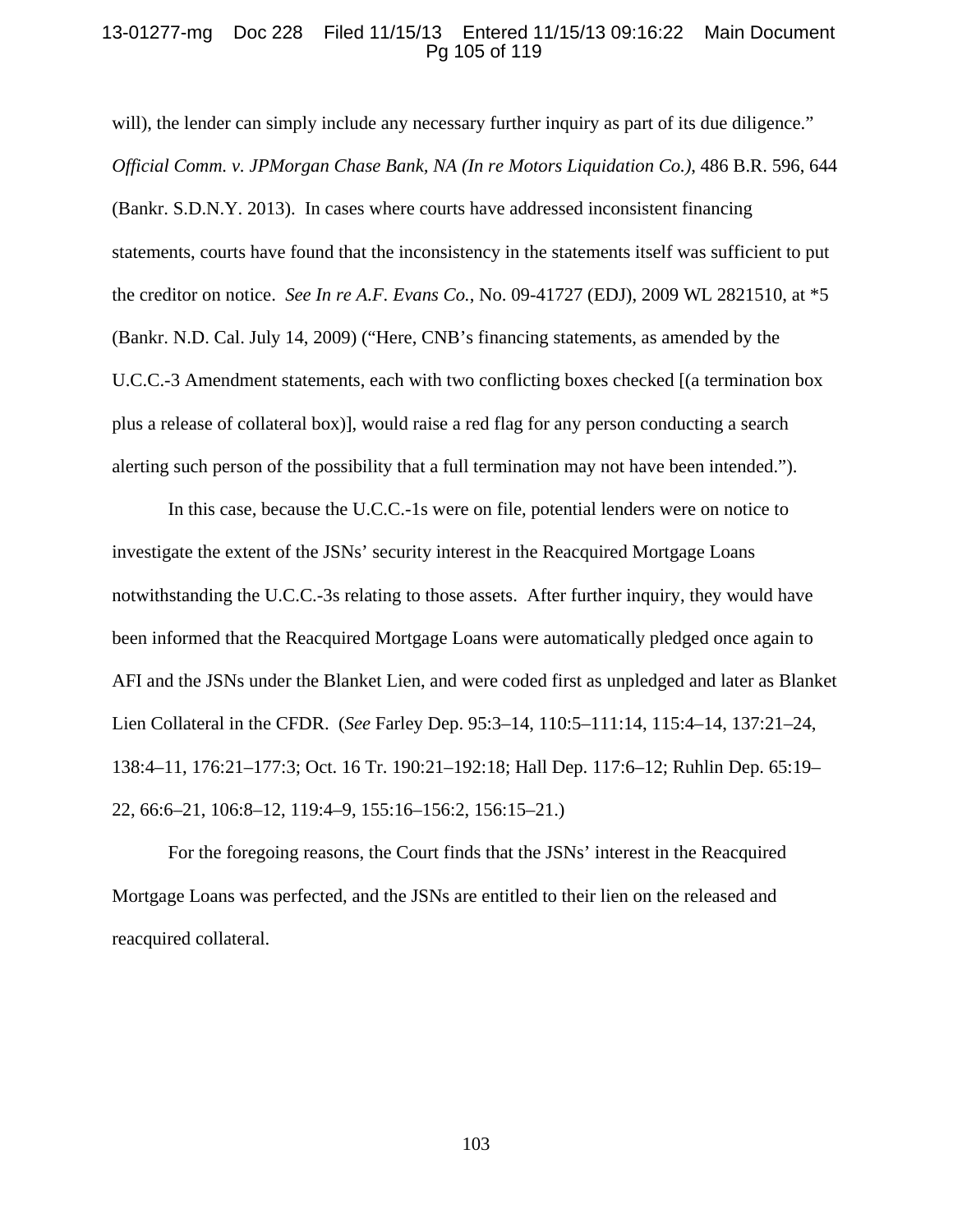## 13-01277-mg Doc 228 Filed 11/15/13 Entered 11/15/13 09:16:22 Main Document Pg 105 of 119

will), the lender can simply include any necessary further inquiry as part of its due diligence." *Official Comm. v. JPMorgan Chase Bank, NA (In re Motors Liquidation Co.)*, 486 B.R. 596, 644 (Bankr. S.D.N.Y. 2013). In cases where courts have addressed inconsistent financing statements, courts have found that the inconsistency in the statements itself was sufficient to put the creditor on notice. *See In re A.F. Evans Co.*, No. 09-41727 (EDJ), 2009 WL 2821510, at \*5 (Bankr. N.D. Cal. July 14, 2009) ("Here, CNB's financing statements, as amended by the U.C.C.-3 Amendment statements, each with two conflicting boxes checked [(a termination box plus a release of collateral box)], would raise a red flag for any person conducting a search alerting such person of the possibility that a full termination may not have been intended.").

In this case, because the U.C.C.-1s were on file, potential lenders were on notice to investigate the extent of the JSNs' security interest in the Reacquired Mortgage Loans notwithstanding the U.C.C.-3s relating to those assets. After further inquiry, they would have been informed that the Reacquired Mortgage Loans were automatically pledged once again to AFI and the JSNs under the Blanket Lien, and were coded first as unpledged and later as Blanket Lien Collateral in the CFDR. (*See* Farley Dep. 95:3–14, 110:5–111:14, 115:4–14, 137:21–24, 138:4–11, 176:21–177:3; Oct. 16 Tr. 190:21–192:18; Hall Dep. 117:6–12; Ruhlin Dep. 65:19– 22, 66:6–21, 106:8–12, 119:4–9, 155:16–156:2, 156:15–21.)

For the foregoing reasons, the Court finds that the JSNs' interest in the Reacquired Mortgage Loans was perfected, and the JSNs are entitled to their lien on the released and reacquired collateral.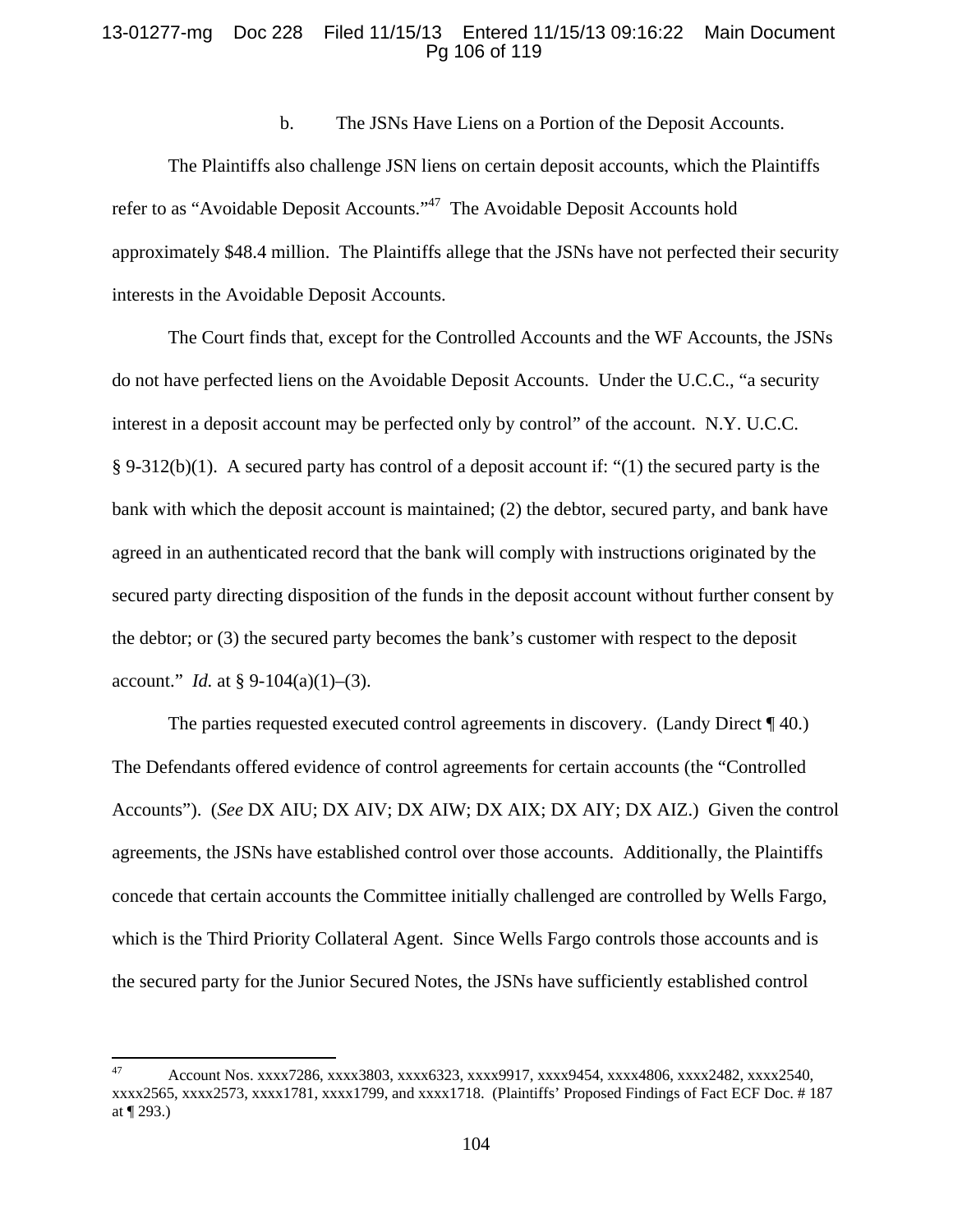## 13-01277-mg Doc 228 Filed 11/15/13 Entered 11/15/13 09:16:22 Main Document Pg 106 of 119

b. The JSNs Have Liens on a Portion of the Deposit Accounts.

 The Plaintiffs also challenge JSN liens on certain deposit accounts, which the Plaintiffs refer to as "Avoidable Deposit Accounts."<sup>47</sup> The Avoidable Deposit Accounts hold approximately \$48.4 million. The Plaintiffs allege that the JSNs have not perfected their security interests in the Avoidable Deposit Accounts.

 The Court finds that, except for the Controlled Accounts and the WF Accounts, the JSNs do not have perfected liens on the Avoidable Deposit Accounts. Under the U.C.C., "a security interest in a deposit account may be perfected only by control" of the account. N.Y. U.C.C. § 9-312(b)(1). A secured party has control of a deposit account if: "(1) the secured party is the bank with which the deposit account is maintained; (2) the debtor, secured party, and bank have agreed in an authenticated record that the bank will comply with instructions originated by the secured party directing disposition of the funds in the deposit account without further consent by the debtor; or (3) the secured party becomes the bank's customer with respect to the deposit account." *Id.* at § 9-104(a)(1)–(3).

The parties requested executed control agreements in discovery. (Landy Direct ¶ 40.) The Defendants offered evidence of control agreements for certain accounts (the "Controlled Accounts"). (*See* DX AIU; DX AIV; DX AIW; DX AIX; DX AIY; DX AIZ.) Given the control agreements, the JSNs have established control over those accounts. Additionally, the Plaintiffs concede that certain accounts the Committee initially challenged are controlled by Wells Fargo, which is the Third Priority Collateral Agent. Since Wells Fargo controls those accounts and is the secured party for the Junior Secured Notes, the JSNs have sufficiently established control

<sup>47</sup> Account Nos. xxxx7286, xxxx3803, xxxx6323, xxxx9917, xxxx9454, xxxx4806, xxxx2482, xxxx2540, xxxx2565, xxxx2573, xxxx1781, xxxx1799, and xxxx1718. (Plaintiffs' Proposed Findings of Fact ECF Doc. # 187 at ¶ 293.)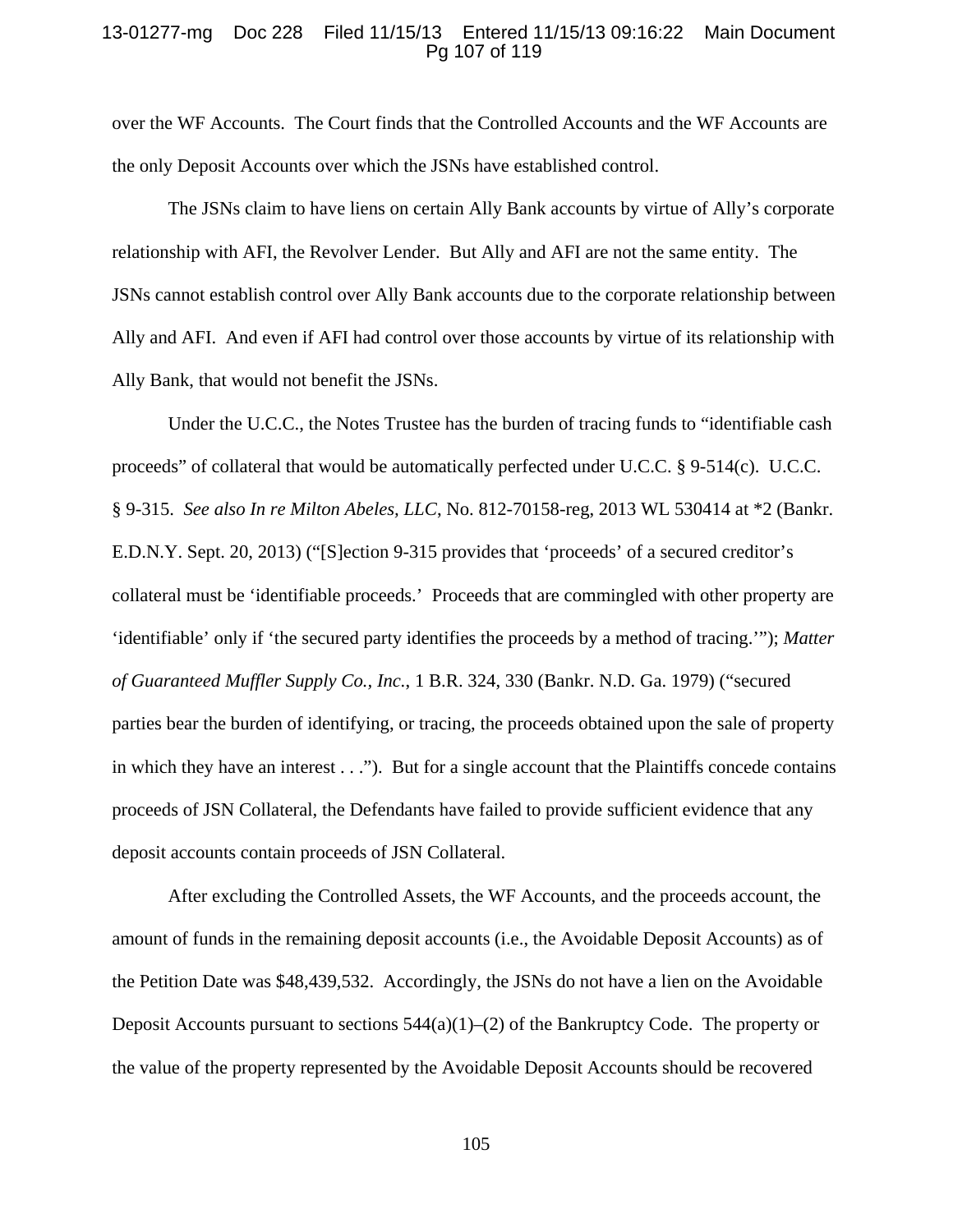### 13-01277-mg Doc 228 Filed 11/15/13 Entered 11/15/13 09:16:22 Main Document Pg 107 of 119

over the WF Accounts. The Court finds that the Controlled Accounts and the WF Accounts are the only Deposit Accounts over which the JSNs have established control.

The JSNs claim to have liens on certain Ally Bank accounts by virtue of Ally's corporate relationship with AFI, the Revolver Lender. But Ally and AFI are not the same entity. The JSNs cannot establish control over Ally Bank accounts due to the corporate relationship between Ally and AFI. And even if AFI had control over those accounts by virtue of its relationship with Ally Bank, that would not benefit the JSNs.

Under the U.C.C., the Notes Trustee has the burden of tracing funds to "identifiable cash proceeds" of collateral that would be automatically perfected under U.C.C. § 9-514(c). U.C.C. § 9-315. *See also In re Milton Abeles, LLC*, No. 812-70158-reg, 2013 WL 530414 at \*2 (Bankr. E.D.N.Y. Sept. 20, 2013) ("[S]ection 9-315 provides that 'proceeds' of a secured creditor's collateral must be 'identifiable proceeds.' Proceeds that are commingled with other property are 'identifiable' only if 'the secured party identifies the proceeds by a method of tracing.'"); *Matter of Guaranteed Muffler Supply Co., Inc.*, 1 B.R. 324, 330 (Bankr. N.D. Ga. 1979) ("secured parties bear the burden of identifying, or tracing, the proceeds obtained upon the sale of property in which they have an interest . . ."). But for a single account that the Plaintiffs concede contains proceeds of JSN Collateral, the Defendants have failed to provide sufficient evidence that any deposit accounts contain proceeds of JSN Collateral.

After excluding the Controlled Assets, the WF Accounts, and the proceeds account, the amount of funds in the remaining deposit accounts (i.e., the Avoidable Deposit Accounts) as of the Petition Date was \$48,439,532. Accordingly, the JSNs do not have a lien on the Avoidable Deposit Accounts pursuant to sections  $544(a)(1)$ –(2) of the Bankruptcy Code. The property or the value of the property represented by the Avoidable Deposit Accounts should be recovered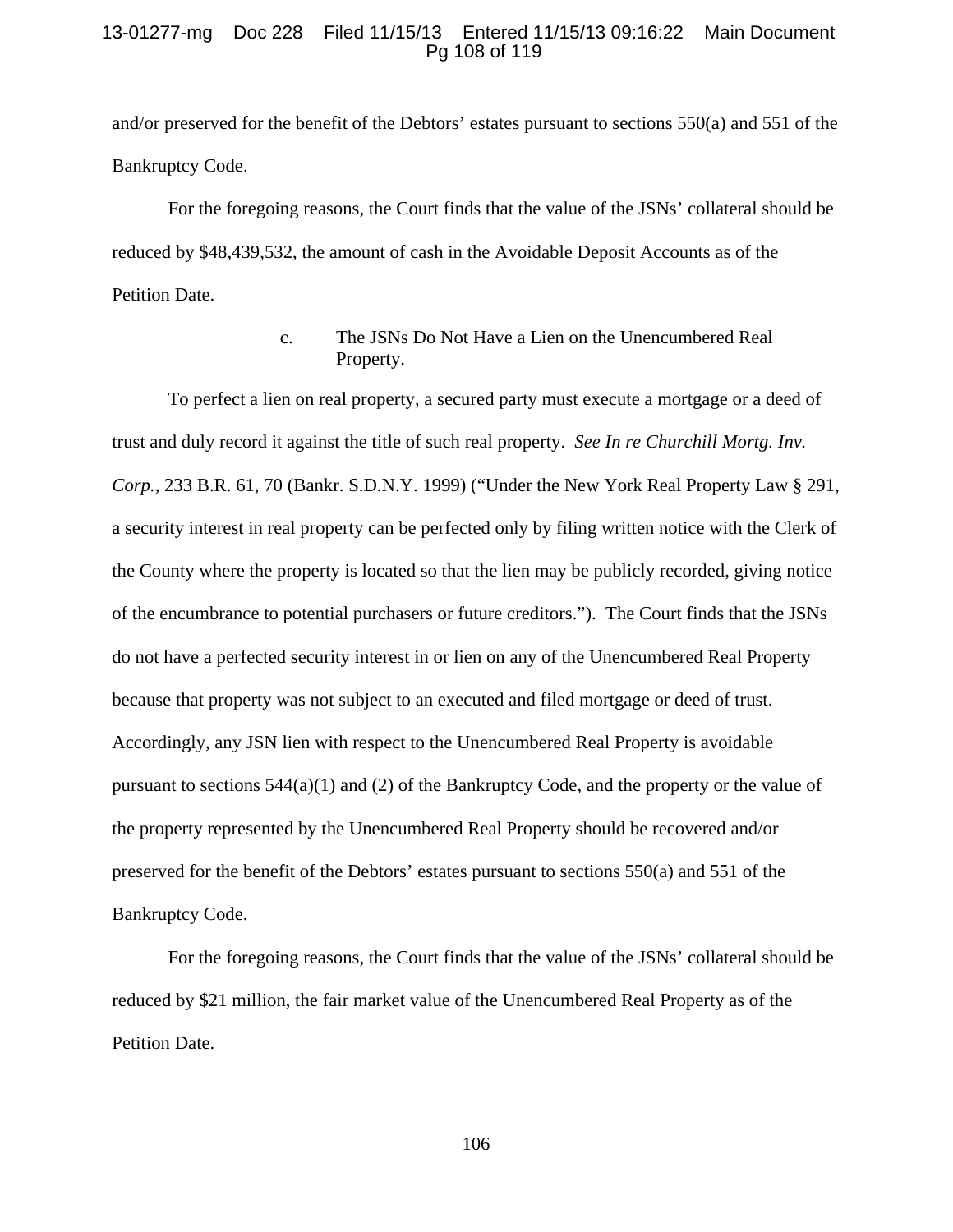## 13-01277-mg Doc 228 Filed 11/15/13 Entered 11/15/13 09:16:22 Main Document Pg 108 of 119

and/or preserved for the benefit of the Debtors' estates pursuant to sections 550(a) and 551 of the Bankruptcy Code.

For the foregoing reasons, the Court finds that the value of the JSNs' collateral should be reduced by \$48,439,532, the amount of cash in the Avoidable Deposit Accounts as of the Petition Date.

# c. The JSNs Do Not Have a Lien on the Unencumbered Real Property.

 To perfect a lien on real property, a secured party must execute a mortgage or a deed of trust and duly record it against the title of such real property. *See In re Churchill Mortg. Inv. Corp.*, 233 B.R. 61, 70 (Bankr. S.D.N.Y. 1999) ("Under the New York Real Property Law § 291, a security interest in real property can be perfected only by filing written notice with the Clerk of the County where the property is located so that the lien may be publicly recorded, giving notice of the encumbrance to potential purchasers or future creditors."). The Court finds that the JSNs do not have a perfected security interest in or lien on any of the Unencumbered Real Property because that property was not subject to an executed and filed mortgage or deed of trust. Accordingly, any JSN lien with respect to the Unencumbered Real Property is avoidable pursuant to sections  $544(a)(1)$  and (2) of the Bankruptcy Code, and the property or the value of the property represented by the Unencumbered Real Property should be recovered and/or preserved for the benefit of the Debtors' estates pursuant to sections 550(a) and 551 of the Bankruptcy Code.

 For the foregoing reasons, the Court finds that the value of the JSNs' collateral should be reduced by \$21 million, the fair market value of the Unencumbered Real Property as of the Petition Date.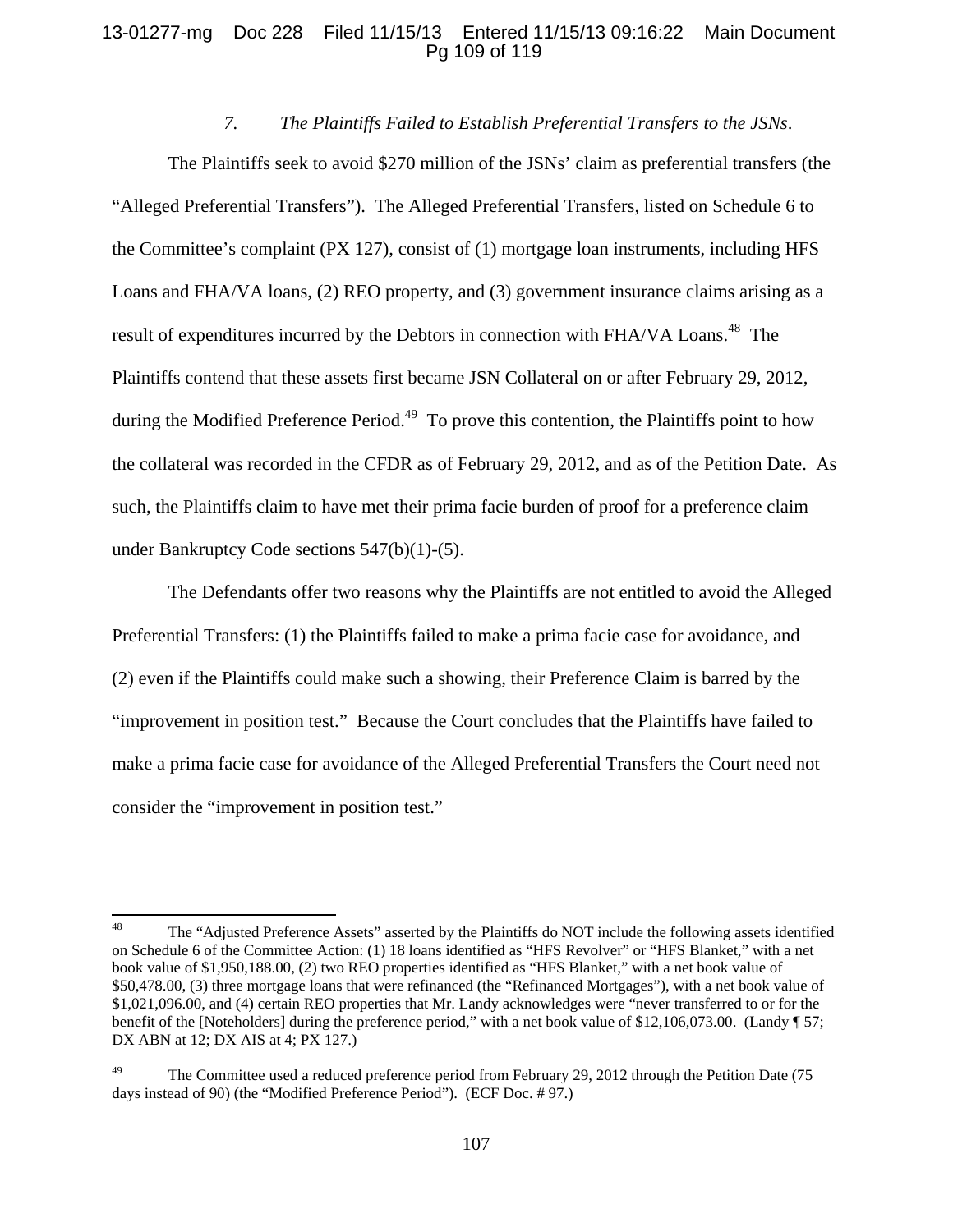## 13-01277-mg Doc 228 Filed 11/15/13 Entered 11/15/13 09:16:22 Main Document Pg 109 of 119

## *7. The Plaintiffs Failed to Establish Preferential Transfers to the JSNs*.

The Plaintiffs seek to avoid \$270 million of the JSNs' claim as preferential transfers (the "Alleged Preferential Transfers"). The Alleged Preferential Transfers, listed on Schedule 6 to the Committee's complaint (PX 127), consist of (1) mortgage loan instruments, including HFS Loans and FHA/VA loans, (2) REO property, and (3) government insurance claims arising as a result of expenditures incurred by the Debtors in connection with FHA/VA Loans.<sup>48</sup> The Plaintiffs contend that these assets first became JSN Collateral on or after February 29, 2012, during the Modified Preference Period.<sup>49</sup> To prove this contention, the Plaintiffs point to how the collateral was recorded in the CFDR as of February 29, 2012, and as of the Petition Date. As such, the Plaintiffs claim to have met their prima facie burden of proof for a preference claim under Bankruptcy Code sections 547(b)(1)-(5).

The Defendants offer two reasons why the Plaintiffs are not entitled to avoid the Alleged Preferential Transfers: (1) the Plaintiffs failed to make a prima facie case for avoidance, and (2) even if the Plaintiffs could make such a showing, their Preference Claim is barred by the "improvement in position test." Because the Court concludes that the Plaintiffs have failed to make a prima facie case for avoidance of the Alleged Preferential Transfers the Court need not consider the "improvement in position test."

<sup>&</sup>lt;sup>48</sup> The "Adjusted Preference Assets" asserted by the Plaintiffs do NOT include the following assets identified on Schedule 6 of the Committee Action: (1) 18 loans identified as "HFS Revolver" or "HFS Blanket," with a net book value of \$1,950,188.00, (2) two REO properties identified as "HFS Blanket," with a net book value of \$50,478.00, (3) three mortgage loans that were refinanced (the "Refinanced Mortgages"), with a net book value of \$1,021,096.00, and (4) certain REO properties that Mr. Landy acknowledges were "never transferred to or for the benefit of the [Noteholders] during the preference period," with a net book value of \$12,106,073.00. (Landy ¶ 57; DX ABN at 12; DX AIS at 4; PX 127.)

The Committee used a reduced preference period from February 29, 2012 through the Petition Date (75 days instead of 90) (the "Modified Preference Period"). (ECF Doc. # 97.)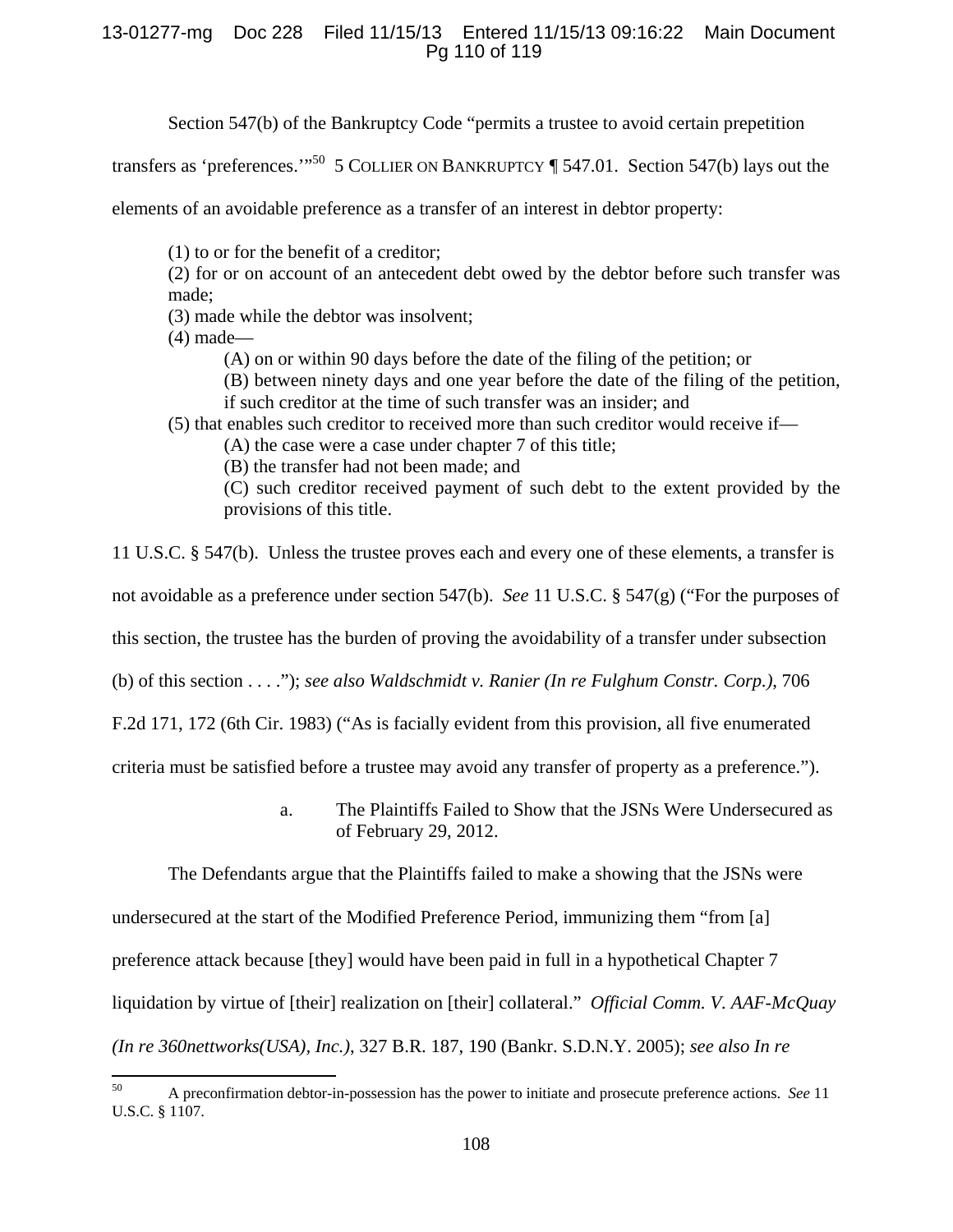## 13-01277-mg Doc 228 Filed 11/15/13 Entered 11/15/13 09:16:22 Main Document Pg 110 of 119

Section 547(b) of the Bankruptcy Code "permits a trustee to avoid certain prepetition

transfers as 'preferences.'"<sup>50</sup> 5 COLLIER ON BANKRUPTCY ¶ 547.01. Section 547(b) lays out the

elements of an avoidable preference as a transfer of an interest in debtor property:

(1) to or for the benefit of a creditor;

(2) for or on account of an antecedent debt owed by the debtor before such transfer was made;

(3) made while the debtor was insolvent;

(4) made—

(A) on or within 90 days before the date of the filing of the petition; or

(B) between ninety days and one year before the date of the filing of the petition, if such creditor at the time of such transfer was an insider; and

(5) that enables such creditor to received more than such creditor would receive if—

(A) the case were a case under chapter 7 of this title;

(B) the transfer had not been made; and

(C) such creditor received payment of such debt to the extent provided by the provisions of this title.

11 U.S.C. § 547(b). Unless the trustee proves each and every one of these elements, a transfer is

not avoidable as a preference under section 547(b). *See* 11 U.S.C. § 547(g) ("For the purposes of

this section, the trustee has the burden of proving the avoidability of a transfer under subsection

(b) of this section . . . ."); *see also Waldschmidt v. Ranier (In re Fulghum Constr. Corp.)*, 706

F.2d 171, 172 (6th Cir. 1983) ("As is facially evident from this provision, all five enumerated

criteria must be satisfied before a trustee may avoid any transfer of property as a preference.").

a. The Plaintiffs Failed to Show that the JSNs Were Undersecured as of February 29, 2012.

The Defendants argue that the Plaintiffs failed to make a showing that the JSNs were undersecured at the start of the Modified Preference Period, immunizing them "from [a] preference attack because [they] would have been paid in full in a hypothetical Chapter 7 liquidation by virtue of [their] realization on [their] collateral." *Official Comm. V. AAF-McQuay (In re 360nettworks(USA), Inc.)*, 327 B.R. 187, 190 (Bankr. S.D.N.Y. 2005); *see also In re* 

<sup>50</sup> A preconfirmation debtor-in-possession has the power to initiate and prosecute preference actions. *See* 11 U.S.C. § 1107.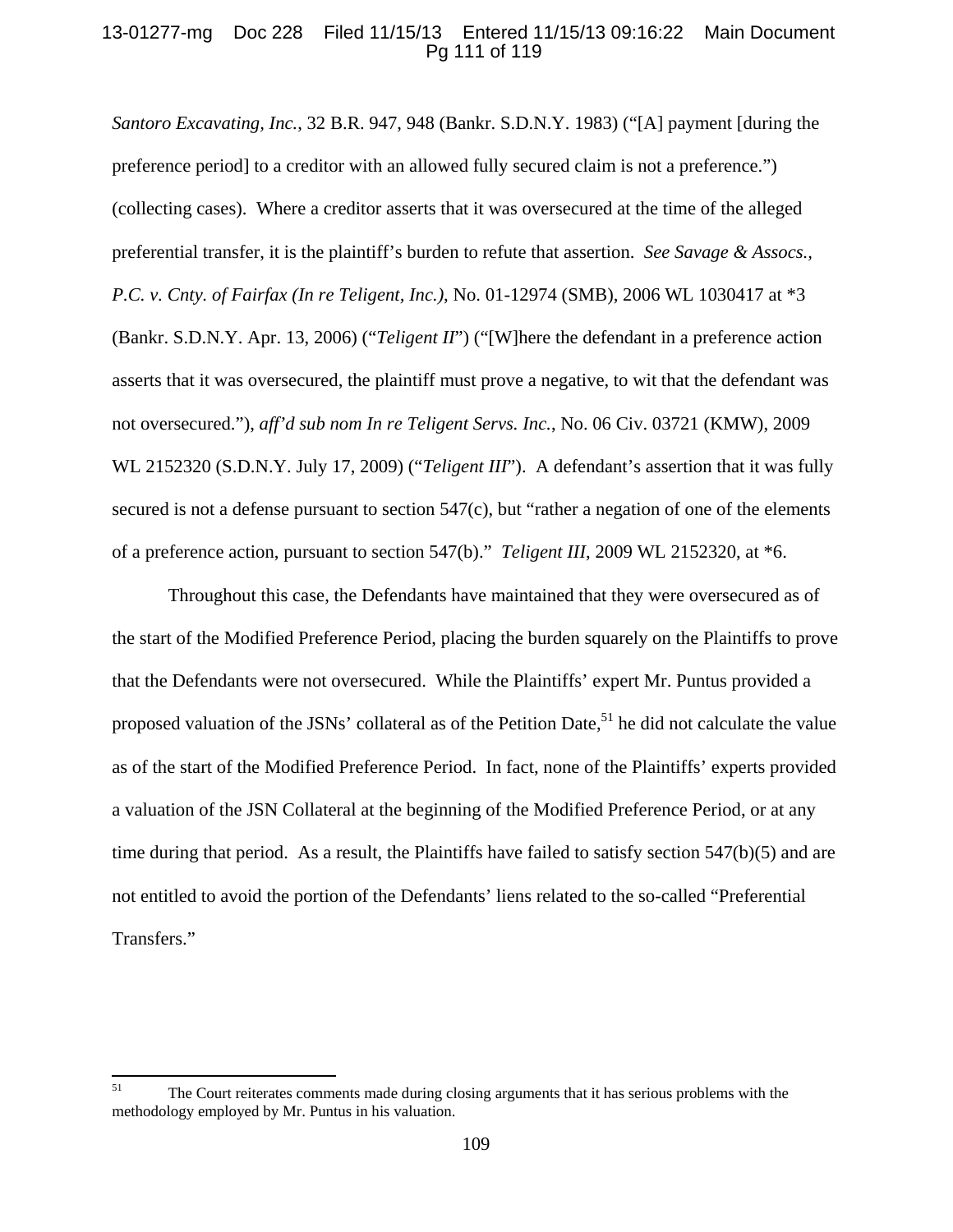### 13-01277-mg Doc 228 Filed 11/15/13 Entered 11/15/13 09:16:22 Main Document Pg 111 of 119

*Santoro Excavating, Inc.*, 32 B.R. 947, 948 (Bankr. S.D.N.Y. 1983) ("[A] payment [during the preference period] to a creditor with an allowed fully secured claim is not a preference.") (collecting cases). Where a creditor asserts that it was oversecured at the time of the alleged preferential transfer, it is the plaintiff's burden to refute that assertion. *See Savage & Assocs., P.C. v. Cnty. of Fairfax (In re Teligent, Inc.)*, No. 01-12974 (SMB), 2006 WL 1030417 at \*3 (Bankr. S.D.N.Y. Apr. 13, 2006) ("*Teligent II*") ("[W]here the defendant in a preference action asserts that it was oversecured, the plaintiff must prove a negative, to wit that the defendant was not oversecured."), *aff'd sub nom In re Teligent Servs. Inc.*, No. 06 Civ. 03721 (KMW), 2009 WL 2152320 (S.D.N.Y. July 17, 2009) ("*Teligent III*"). A defendant's assertion that it was fully secured is not a defense pursuant to section  $547(c)$ , but "rather a negation of one of the elements" of a preference action, pursuant to section 547(b)." *Teligent III*, 2009 WL 2152320, at \*6.

Throughout this case, the Defendants have maintained that they were oversecured as of the start of the Modified Preference Period, placing the burden squarely on the Plaintiffs to prove that the Defendants were not oversecured. While the Plaintiffs' expert Mr. Puntus provided a proposed valuation of the JSNs' collateral as of the Petition Date,<sup>51</sup> he did not calculate the value as of the start of the Modified Preference Period. In fact, none of the Plaintiffs' experts provided a valuation of the JSN Collateral at the beginning of the Modified Preference Period, or at any time during that period. As a result, the Plaintiffs have failed to satisfy section 547(b)(5) and are not entitled to avoid the portion of the Defendants' liens related to the so-called "Preferential Transfers."

<sup>&</sup>lt;sup>51</sup> The Court reiterates comments made during closing arguments that it has serious problems with the methodology employed by Mr. Puntus in his valuation.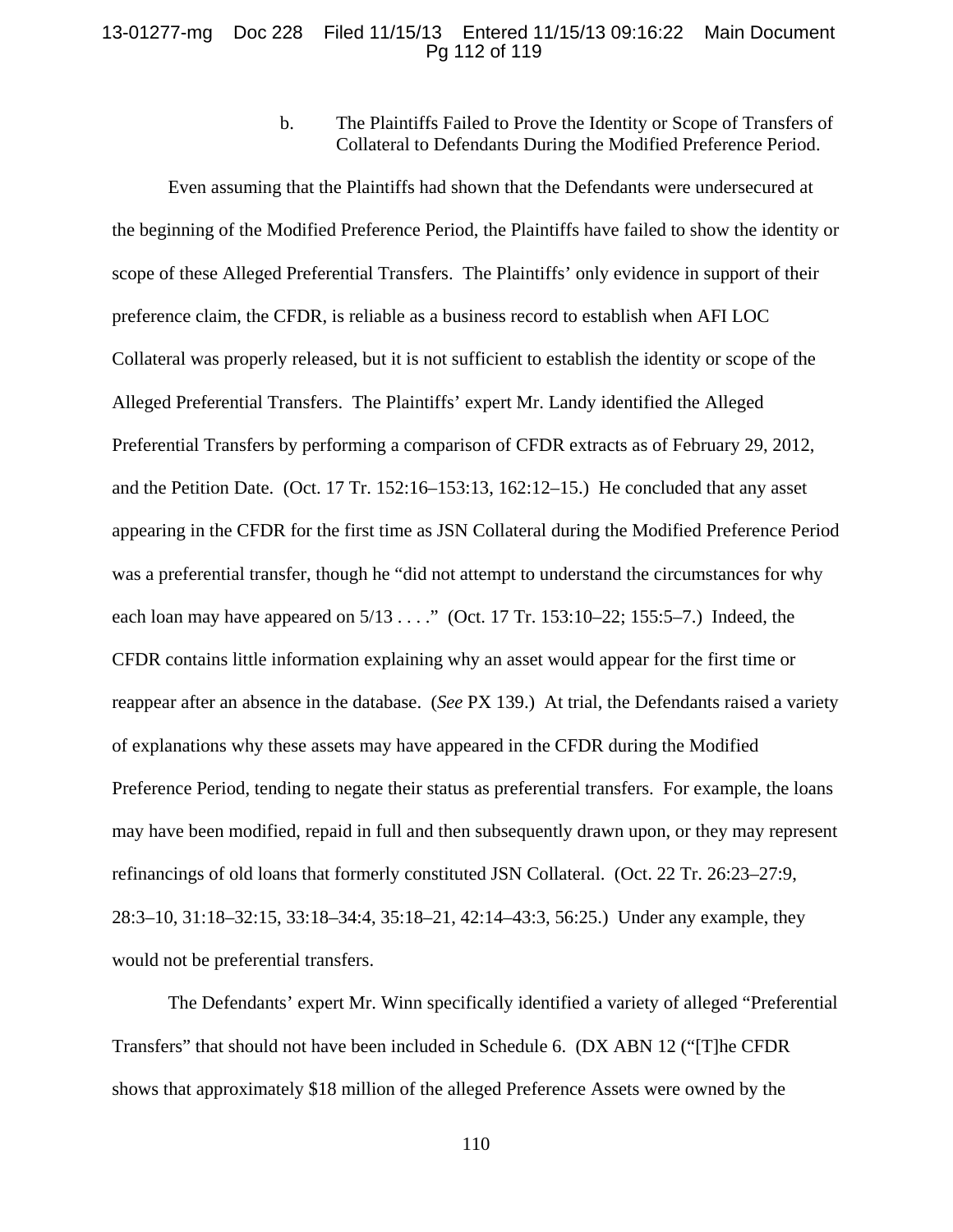### 13-01277-mg Doc 228 Filed 11/15/13 Entered 11/15/13 09:16:22 Main Document Pg 112 of 119

b. The Plaintiffs Failed to Prove the Identity or Scope of Transfers of Collateral to Defendants During the Modified Preference Period.

Even assuming that the Plaintiffs had shown that the Defendants were undersecured at the beginning of the Modified Preference Period, the Plaintiffs have failed to show the identity or scope of these Alleged Preferential Transfers. The Plaintiffs' only evidence in support of their preference claim, the CFDR, is reliable as a business record to establish when AFI LOC Collateral was properly released, but it is not sufficient to establish the identity or scope of the Alleged Preferential Transfers. The Plaintiffs' expert Mr. Landy identified the Alleged Preferential Transfers by performing a comparison of CFDR extracts as of February 29, 2012, and the Petition Date. (Oct. 17 Tr. 152:16–153:13, 162:12–15.) He concluded that any asset appearing in the CFDR for the first time as JSN Collateral during the Modified Preference Period was a preferential transfer, though he "did not attempt to understand the circumstances for why each loan may have appeared on  $5/13$  . . . ." (Oct. 17 Tr. 153:10–22; 155:5–7.) Indeed, the CFDR contains little information explaining why an asset would appear for the first time or reappear after an absence in the database. (*See* PX 139.) At trial, the Defendants raised a variety of explanations why these assets may have appeared in the CFDR during the Modified Preference Period, tending to negate their status as preferential transfers. For example, the loans may have been modified, repaid in full and then subsequently drawn upon, or they may represent refinancings of old loans that formerly constituted JSN Collateral. (Oct. 22 Tr. 26:23–27:9, 28:3–10, 31:18–32:15, 33:18–34:4, 35:18–21, 42:14–43:3, 56:25.) Under any example, they would not be preferential transfers.

The Defendants' expert Mr. Winn specifically identified a variety of alleged "Preferential Transfers" that should not have been included in Schedule 6. (DX ABN 12 ("[T]he CFDR shows that approximately \$18 million of the alleged Preference Assets were owned by the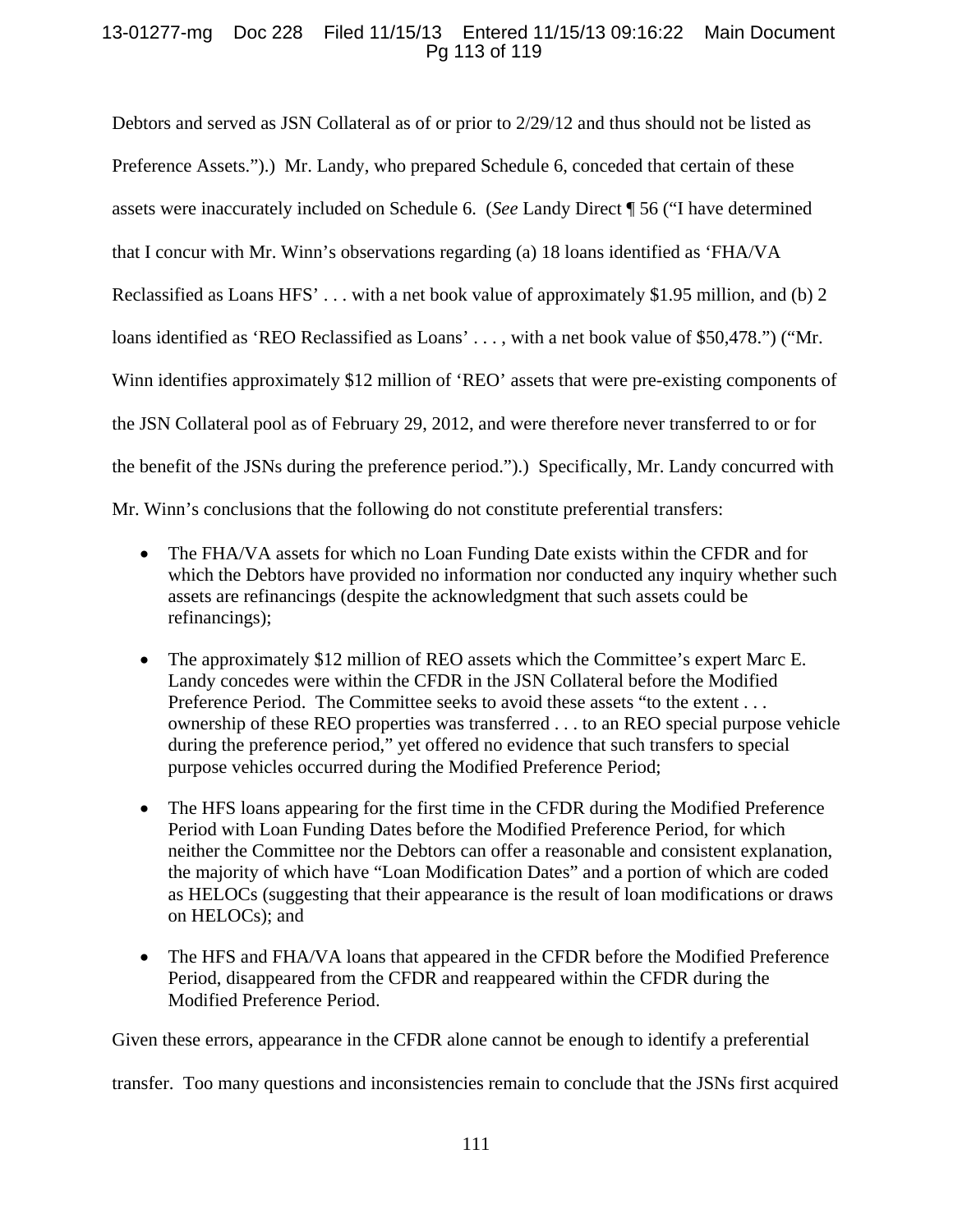# 13-01277-mg Doc 228 Filed 11/15/13 Entered 11/15/13 09:16:22 Main Document Pg 113 of 119

Debtors and served as JSN Collateral as of or prior to 2/29/12 and thus should not be listed as Preference Assets.").) Mr. Landy, who prepared Schedule 6, conceded that certain of these assets were inaccurately included on Schedule 6. (*See* Landy Direct ¶ 56 ("I have determined that I concur with Mr. Winn's observations regarding (a) 18 loans identified as 'FHA/VA Reclassified as Loans HFS' . . . with a net book value of approximately \$1.95 million, and (b) 2 loans identified as 'REO Reclassified as Loans' ..., with a net book value of \$50,478.") ("Mr. Winn identifies approximately \$12 million of 'REO' assets that were pre-existing components of the JSN Collateral pool as of February 29, 2012, and were therefore never transferred to or for the benefit of the JSNs during the preference period.").) Specifically, Mr. Landy concurred with Mr. Winn's conclusions that the following do not constitute preferential transfers:

- The FHA/VA assets for which no Loan Funding Date exists within the CFDR and for which the Debtors have provided no information nor conducted any inquiry whether such assets are refinancings (despite the acknowledgment that such assets could be refinancings);
- The approximately \$12 million of REO assets which the Committee's expert Marc E. Landy concedes were within the CFDR in the JSN Collateral before the Modified Preference Period. The Committee seeks to avoid these assets "to the extent . . . ownership of these REO properties was transferred . . . to an REO special purpose vehicle during the preference period," yet offered no evidence that such transfers to special purpose vehicles occurred during the Modified Preference Period;
- The HFS loans appearing for the first time in the CFDR during the Modified Preference Period with Loan Funding Dates before the Modified Preference Period, for which neither the Committee nor the Debtors can offer a reasonable and consistent explanation, the majority of which have "Loan Modification Dates" and a portion of which are coded as HELOCs (suggesting that their appearance is the result of loan modifications or draws on HELOCs); and
- The HFS and FHA/VA loans that appeared in the CFDR before the Modified Preference Period, disappeared from the CFDR and reappeared within the CFDR during the Modified Preference Period.

Given these errors, appearance in the CFDR alone cannot be enough to identify a preferential

transfer. Too many questions and inconsistencies remain to conclude that the JSNs first acquired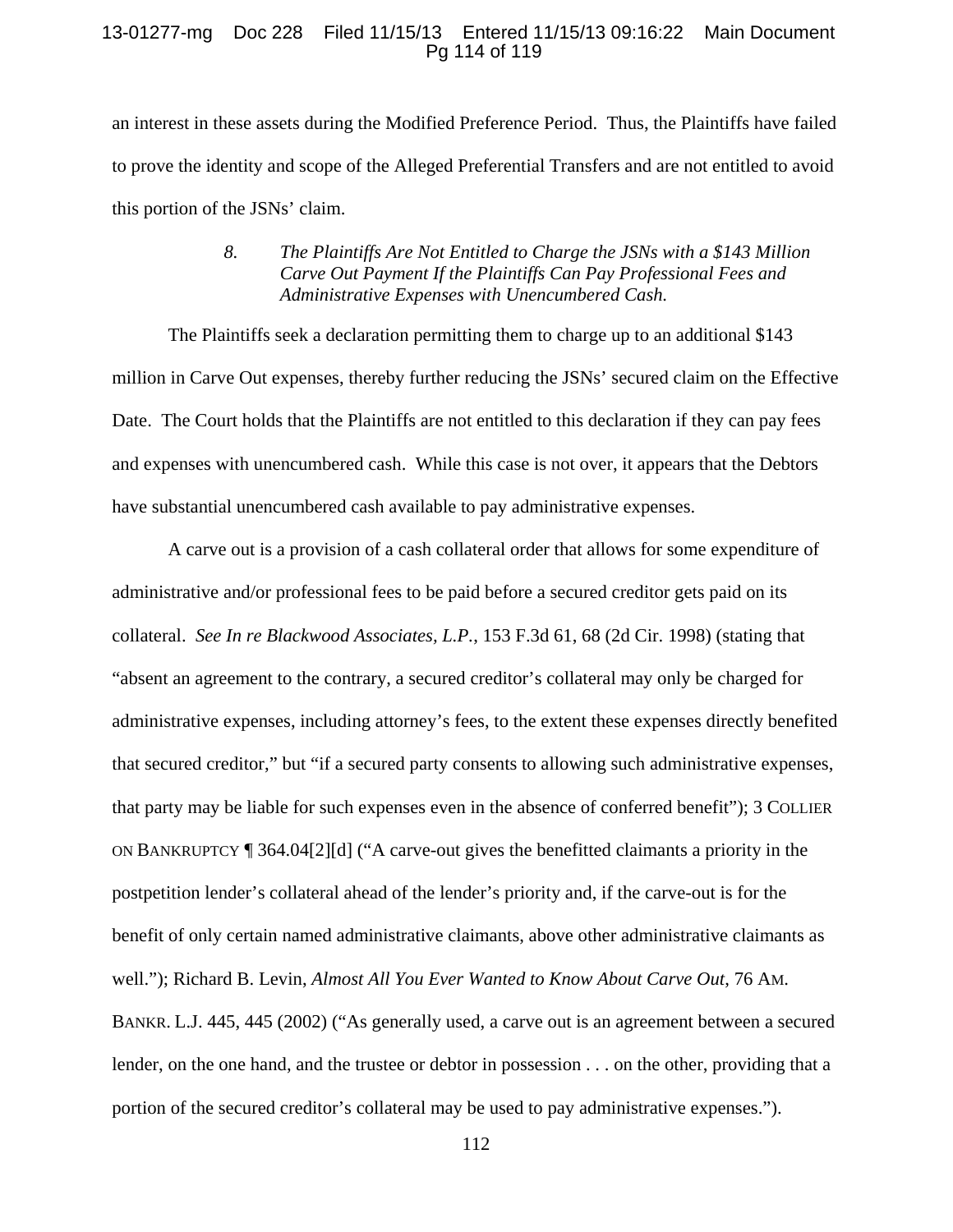### 13-01277-mg Doc 228 Filed 11/15/13 Entered 11/15/13 09:16:22 Main Document Pg 114 of 119

an interest in these assets during the Modified Preference Period. Thus, the Plaintiffs have failed to prove the identity and scope of the Alleged Preferential Transfers and are not entitled to avoid this portion of the JSNs' claim.

## *8. The Plaintiffs Are Not Entitled to Charge the JSNs with a \$143 Million Carve Out Payment If the Plaintiffs Can Pay Professional Fees and Administrative Expenses with Unencumbered Cash.*

The Plaintiffs seek a declaration permitting them to charge up to an additional \$143 million in Carve Out expenses, thereby further reducing the JSNs' secured claim on the Effective Date. The Court holds that the Plaintiffs are not entitled to this declaration if they can pay fees and expenses with unencumbered cash. While this case is not over, it appears that the Debtors have substantial unencumbered cash available to pay administrative expenses.

A carve out is a provision of a cash collateral order that allows for some expenditure of administrative and/or professional fees to be paid before a secured creditor gets paid on its collateral. *See In re Blackwood Associates, L.P.*, 153 F.3d 61, 68 (2d Cir. 1998) (stating that "absent an agreement to the contrary, a secured creditor's collateral may only be charged for administrative expenses, including attorney's fees, to the extent these expenses directly benefited that secured creditor," but "if a secured party consents to allowing such administrative expenses, that party may be liable for such expenses even in the absence of conferred benefit"); 3 COLLIER ON BANKRUPTCY ¶ 364.04[2][d] ("A carve-out gives the benefitted claimants a priority in the postpetition lender's collateral ahead of the lender's priority and, if the carve-out is for the benefit of only certain named administrative claimants, above other administrative claimants as well."); Richard B. Levin, *Almost All You Ever Wanted to Know About Carve Out*, 76 AM. BANKR. L.J. 445, 445 (2002) ("As generally used, a carve out is an agreement between a secured lender, on the one hand, and the trustee or debtor in possession . . . on the other, providing that a portion of the secured creditor's collateral may be used to pay administrative expenses.").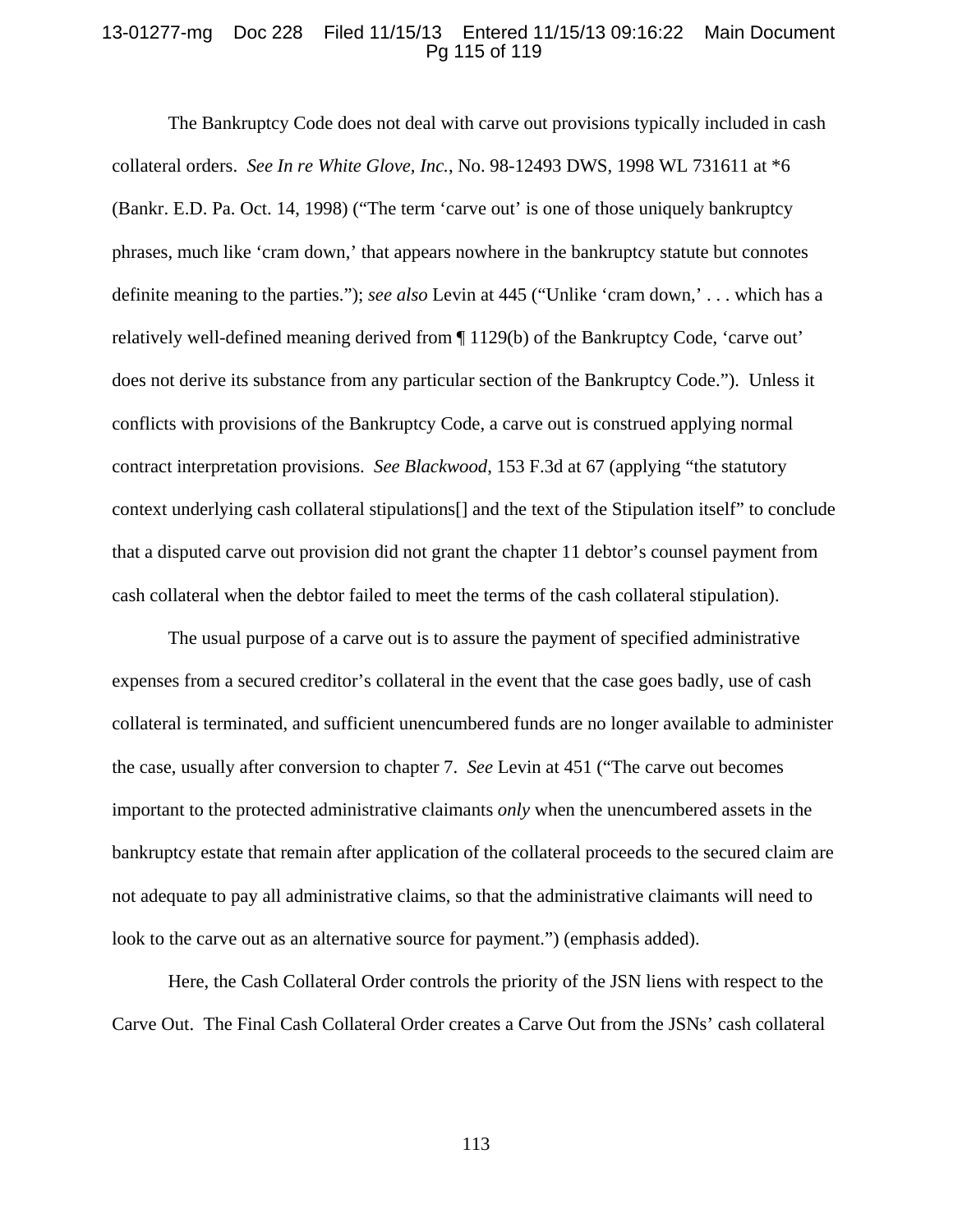### 13-01277-mg Doc 228 Filed 11/15/13 Entered 11/15/13 09:16:22 Main Document Pg 115 of 119

The Bankruptcy Code does not deal with carve out provisions typically included in cash collateral orders. *See In re White Glove, Inc.*, No. 98-12493 DWS, 1998 WL 731611 at \*6 (Bankr. E.D. Pa. Oct. 14, 1998) ("The term 'carve out' is one of those uniquely bankruptcy phrases, much like 'cram down,' that appears nowhere in the bankruptcy statute but connotes definite meaning to the parties."); *see also* Levin at 445 ("Unlike 'cram down,' . . . which has a relatively well-defined meaning derived from ¶ 1129(b) of the Bankruptcy Code, 'carve out' does not derive its substance from any particular section of the Bankruptcy Code."). Unless it conflicts with provisions of the Bankruptcy Code, a carve out is construed applying normal contract interpretation provisions. *See Blackwood*, 153 F.3d at 67 (applying "the statutory context underlying cash collateral stipulations[] and the text of the Stipulation itself" to conclude that a disputed carve out provision did not grant the chapter 11 debtor's counsel payment from cash collateral when the debtor failed to meet the terms of the cash collateral stipulation).

The usual purpose of a carve out is to assure the payment of specified administrative expenses from a secured creditor's collateral in the event that the case goes badly, use of cash collateral is terminated, and sufficient unencumbered funds are no longer available to administer the case, usually after conversion to chapter 7. *See* Levin at 451 ("The carve out becomes important to the protected administrative claimants *only* when the unencumbered assets in the bankruptcy estate that remain after application of the collateral proceeds to the secured claim are not adequate to pay all administrative claims, so that the administrative claimants will need to look to the carve out as an alternative source for payment.") (emphasis added).

Here, the Cash Collateral Order controls the priority of the JSN liens with respect to the Carve Out. The Final Cash Collateral Order creates a Carve Out from the JSNs' cash collateral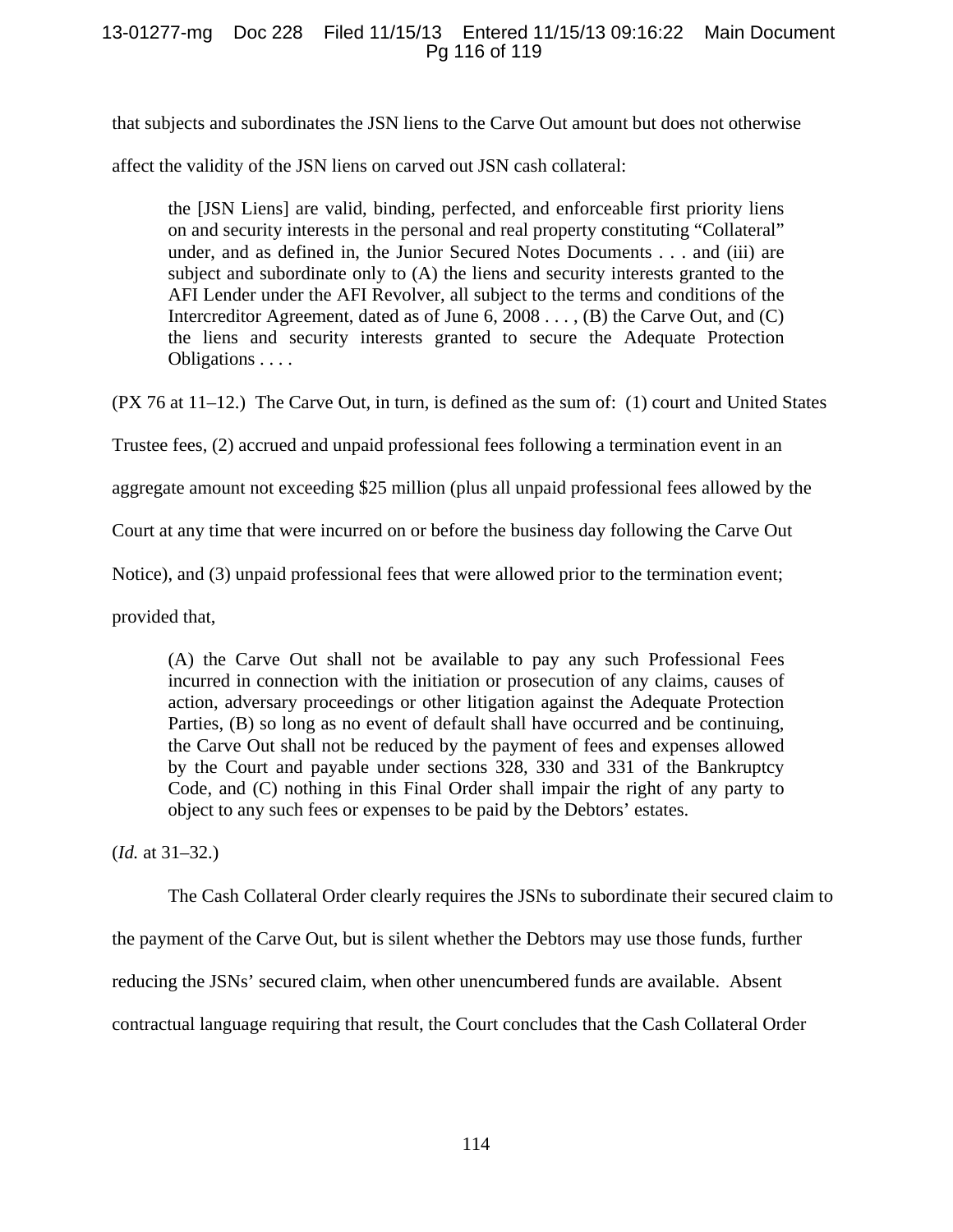## 13-01277-mg Doc 228 Filed 11/15/13 Entered 11/15/13 09:16:22 Main Document Pg 116 of 119

that subjects and subordinates the JSN liens to the Carve Out amount but does not otherwise

affect the validity of the JSN liens on carved out JSN cash collateral:

the [JSN Liens] are valid, binding, perfected, and enforceable first priority liens on and security interests in the personal and real property constituting "Collateral" under, and as defined in, the Junior Secured Notes Documents . . . and (iii) are subject and subordinate only to (A) the liens and security interests granted to the AFI Lender under the AFI Revolver, all subject to the terms and conditions of the Intercreditor Agreement, dated as of June 6, 2008 . . . , (B) the Carve Out, and (C) the liens and security interests granted to secure the Adequate Protection Obligations . . . .

(PX 76 at 11–12.) The Carve Out, in turn, is defined as the sum of: (1) court and United States

Trustee fees, (2) accrued and unpaid professional fees following a termination event in an

aggregate amount not exceeding \$25 million (plus all unpaid professional fees allowed by the

Court at any time that were incurred on or before the business day following the Carve Out

Notice), and (3) unpaid professional fees that were allowed prior to the termination event;

provided that,

(A) the Carve Out shall not be available to pay any such Professional Fees incurred in connection with the initiation or prosecution of any claims, causes of action, adversary proceedings or other litigation against the Adequate Protection Parties, (B) so long as no event of default shall have occurred and be continuing, the Carve Out shall not be reduced by the payment of fees and expenses allowed by the Court and payable under sections 328, 330 and 331 of the Bankruptcy Code, and (C) nothing in this Final Order shall impair the right of any party to object to any such fees or expenses to be paid by the Debtors' estates.

(*Id.* at 31–32.)

The Cash Collateral Order clearly requires the JSNs to subordinate their secured claim to

the payment of the Carve Out, but is silent whether the Debtors may use those funds, further

reducing the JSNs' secured claim, when other unencumbered funds are available. Absent

contractual language requiring that result, the Court concludes that the Cash Collateral Order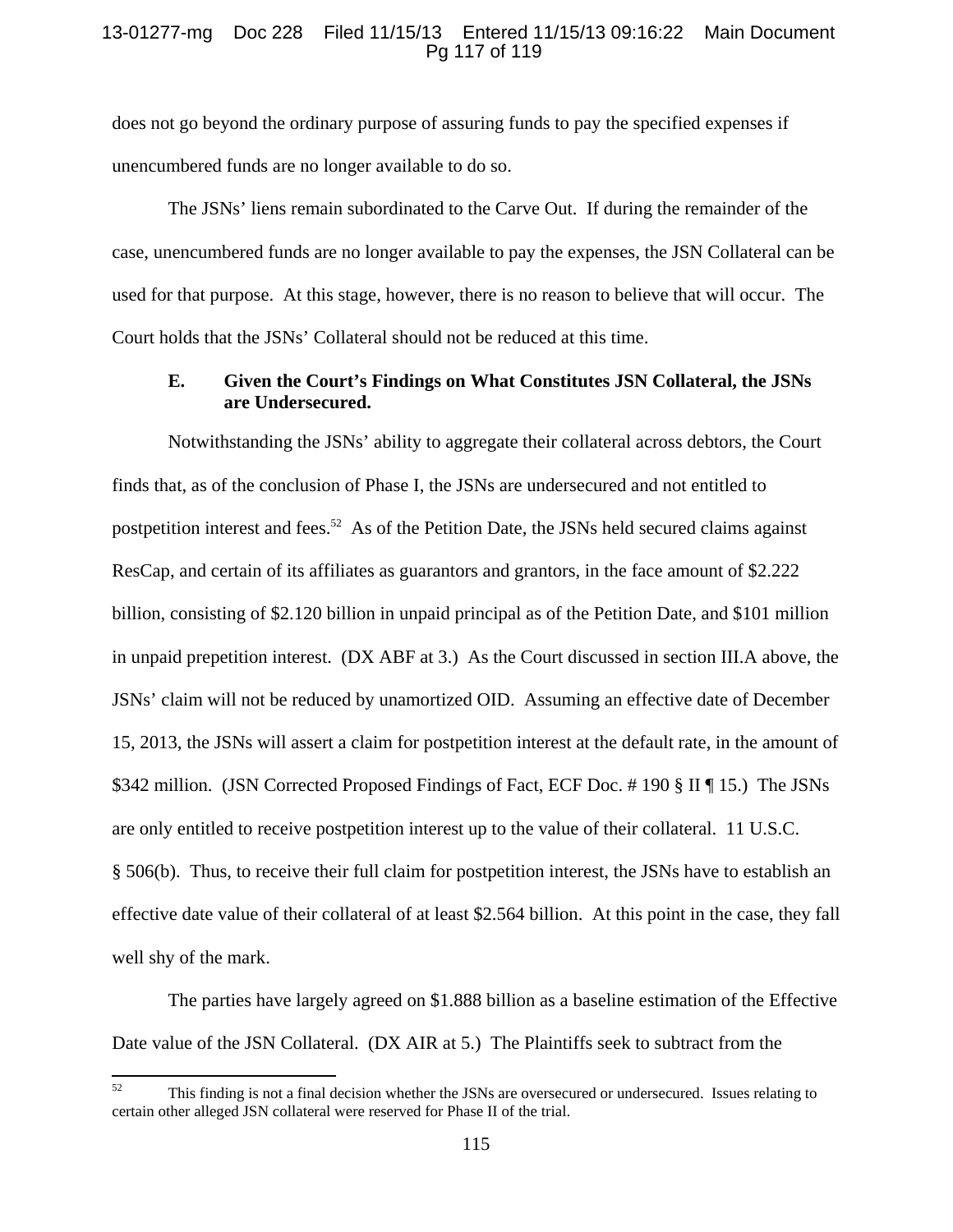### 13-01277-mg Doc 228 Filed 11/15/13 Entered 11/15/13 09:16:22 Main Document Pg 117 of 119

does not go beyond the ordinary purpose of assuring funds to pay the specified expenses if unencumbered funds are no longer available to do so.

The JSNs' liens remain subordinated to the Carve Out. If during the remainder of the case, unencumbered funds are no longer available to pay the expenses, the JSN Collateral can be used for that purpose. At this stage, however, there is no reason to believe that will occur. The Court holds that the JSNs' Collateral should not be reduced at this time.

### **E. Given the Court's Findings on What Constitutes JSN Collateral, the JSNs are Undersecured.**

Notwithstanding the JSNs' ability to aggregate their collateral across debtors, the Court finds that, as of the conclusion of Phase I, the JSNs are undersecured and not entitled to postpetition interest and fees.<sup>52</sup> As of the Petition Date, the JSNs held secured claims against ResCap, and certain of its affiliates as guarantors and grantors, in the face amount of \$2.222 billion, consisting of \$2.120 billion in unpaid principal as of the Petition Date, and \$101 million in unpaid prepetition interest. (DX ABF at 3.) As the Court discussed in section III.A above, the JSNs' claim will not be reduced by unamortized OID. Assuming an effective date of December 15, 2013, the JSNs will assert a claim for postpetition interest at the default rate, in the amount of \$342 million. (JSN Corrected Proposed Findings of Fact, ECF Doc. # 190 § II ¶ 15.) The JSNs are only entitled to receive postpetition interest up to the value of their collateral. 11 U.S.C. § 506(b). Thus, to receive their full claim for postpetition interest, the JSNs have to establish an effective date value of their collateral of at least \$2.564 billion. At this point in the case, they fall well shy of the mark.

 The parties have largely agreed on \$1.888 billion as a baseline estimation of the Effective Date value of the JSN Collateral. (DX AIR at 5.) The Plaintiffs seek to subtract from the

<sup>&</sup>lt;sup>52</sup> This finding is not a final decision whether the JSNs are oversecured or undersecured. Issues relating to certain other alleged JSN collateral were reserved for Phase II of the trial.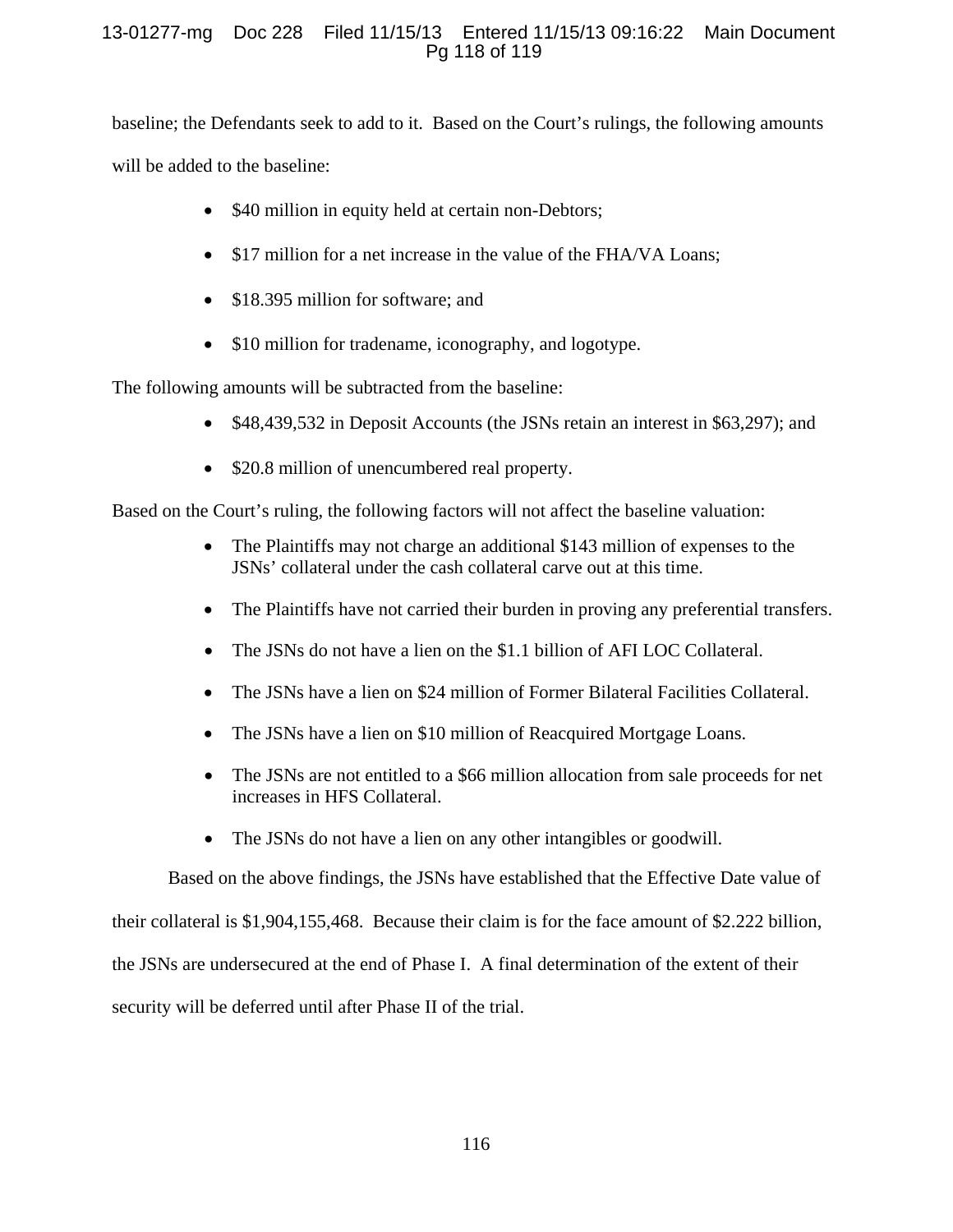# 13-01277-mg Doc 228 Filed 11/15/13 Entered 11/15/13 09:16:22 Main Document Pg 118 of 119

baseline; the Defendants seek to add to it. Based on the Court's rulings, the following amounts will be added to the baseline:

- \$40 million in equity held at certain non-Debtors;
- \$17 million for a net increase in the value of the FHA/VA Loans;
- \$18.395 million for software; and
- \$10 million for tradename, iconography, and logotype.

The following amounts will be subtracted from the baseline:

- \$48,439,532 in Deposit Accounts (the JSNs retain an interest in \$63,297); and
- \$20.8 million of unencumbered real property.

Based on the Court's ruling, the following factors will not affect the baseline valuation:

- The Plaintiffs may not charge an additional \$143 million of expenses to the JSNs' collateral under the cash collateral carve out at this time.
- The Plaintiffs have not carried their burden in proving any preferential transfers.
- The JSNs do not have a lien on the \$1.1 billion of AFI LOC Collateral.
- The JSNs have a lien on \$24 million of Former Bilateral Facilities Collateral.
- The JSNs have a lien on \$10 million of Reacquired Mortgage Loans.
- The JSNs are not entitled to a \$66 million allocation from sale proceeds for net increases in HFS Collateral.
- The JSNs do not have a lien on any other intangibles or goodwill.

Based on the above findings, the JSNs have established that the Effective Date value of

their collateral is \$1,904,155,468. Because their claim is for the face amount of \$2.222 billion,

the JSNs are undersecured at the end of Phase I. A final determination of the extent of their

security will be deferred until after Phase II of the trial.